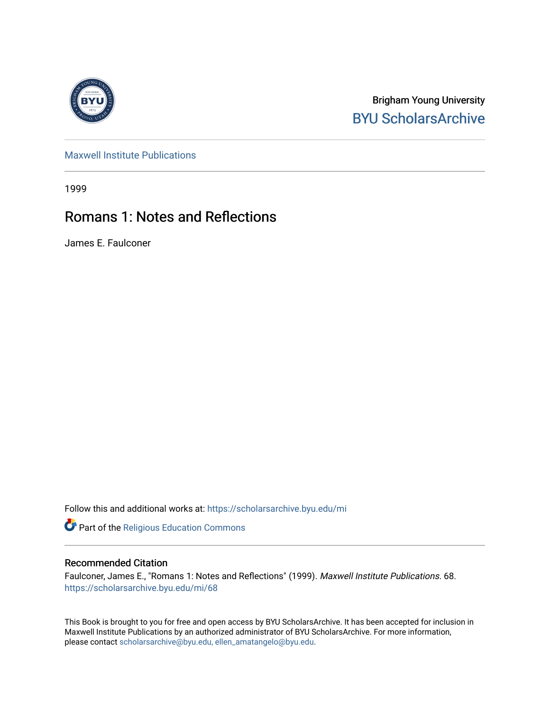

Brigham Young University [BYU ScholarsArchive](https://scholarsarchive.byu.edu/) 

[Maxwell Institute Publications](https://scholarsarchive.byu.edu/mi) 

1999

# Romans 1: Notes and Reflections

James E. Faulconer

Follow this and additional works at: [https://scholarsarchive.byu.edu/mi](https://scholarsarchive.byu.edu/mi?utm_source=scholarsarchive.byu.edu%2Fmi%2F68&utm_medium=PDF&utm_campaign=PDFCoverPages)

Part of the [Religious Education Commons](http://network.bepress.com/hgg/discipline/1414?utm_source=scholarsarchive.byu.edu%2Fmi%2F68&utm_medium=PDF&utm_campaign=PDFCoverPages)

#### Recommended Citation

Faulconer, James E., "Romans 1: Notes and Reflections" (1999). Maxwell Institute Publications. 68. [https://scholarsarchive.byu.edu/mi/68](https://scholarsarchive.byu.edu/mi/68?utm_source=scholarsarchive.byu.edu%2Fmi%2F68&utm_medium=PDF&utm_campaign=PDFCoverPages) 

This Book is brought to you for free and open access by BYU ScholarsArchive. It has been accepted for inclusion in Maxwell Institute Publications by an authorized administrator of BYU ScholarsArchive. For more information, please contact [scholarsarchive@byu.edu, ellen\\_amatangelo@byu.edu.](mailto:scholarsarchive@byu.edu,%20ellen_amatangelo@byu.edu)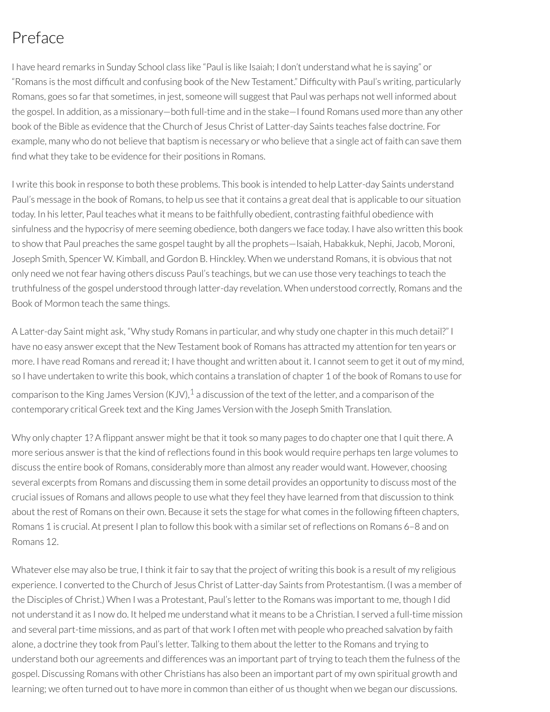# Preface

I have heard remarks in Sunday School class like "Paul is like Isaiah; I don't understand what he is saying" or "Romans is the most difcult and confusing book of the New Testament." Difculty with Paul's writing, particularly Romans, goes so farthat sometimes, in jest, someone will suggest that Paul was perhaps not well informed about the gospel. In addition, as a missionary—both full-time and in the stake—I found Romans used more than any other book of the Bible as evidence that the Church of Jesus Christ of Latter-day Saints teaches false doctrine. For example, many who do not believe that baptism is necessary or who believe that a single act of faith can save them find what they take to be evidence for their positions in Romans.

I write this book in response to both these problems. This book is intended to help Latter-day Saints understand Paul's message in the book of Romans, to help us see that it contains a great deal that is applicable to our situation today. In his letter, Paul teaches what it means to be faithfully obedient, contrasting faithful obedience with sinfulness and the hypocrisy of mere seeming obedience, both dangers we face today. I have also written this book to show that Paul preaches the same gospel taught by all the prophets—Isaiah, Habakkuk, Nephi, Jacob, Moroni, Joseph Smith, Spencer W. Kimball, and Gordon B. Hinckley. When we understand Romans, it is obvious that not only need we not fear having others discuss Paul's teachings, but we can use those very teachings to teach the truthfulness of the gospel understood through latter-day revelation. When understood correctly, Romans and the Book of Mormon teach the same things.

A Latter-day Saint might ask, "Why study Romans in particular, and why study one chapterin this much detail?" I have no easy answer except that the New Testament book of Romans has attracted my attention forten years or more. I have read Romans and reread it; I have thought and written about it. I cannot seem to get it out of my mind, so I have undertaken to write this book, which contains a translation of chapter 1 of the book of Romans to use for comparison to the King James Version (KJV), $^1$  $^1$  a discussion of the text of the letter, and a comparison of the contemporary critical Greek text and the King James Version with the Joseph Smith Translation.

<span id="page-1-0"></span>Why only chapter 1? A flippant answer might be that it took so many pages to do chapter one that I quit there. A more serious answer is that the kind of reflections found in this book would require perhaps ten large volumes to discuss the entire book of Romans, considerably more than almost any reader would want. However, choosing several excerpts from Romans and discussing them in some detail provides an opportunity to discuss most of the crucial issues of Romans and allows people to use what they feel they have learned from that discussion to think about the rest of Romans on their own. Because it sets the stage for what comes in the following fifteen chapters, Romans 1 is crucial. At present I plan to follow this book with a similar set of reflections on Romans 6–8 and on Romans 12.

Whatever else may also be true, I think it fair to say that the project of writing this book is a result of my religious experience. I converted to the Church of Jesus Christ of Latter-day Saints from Protestantism. (I was a member of the Disciples of Christ.) When I was a Protestant, Paul's letter to the Romans was important to me, though I did not understand it as I now do. It helped me understand what it means to be a Christian. I served a full-time mission and several part-time missions, and as part of that work I often met with people who preached salvation by faith alone, a doctrine they took from Paul's letter. Talking to them about the letter to the Romans and trying to understand both our agreements and differences was an important part of trying to teach them the fulness of the gospel. Discussing Romans with other Christians has also been an important part of my own spiritual growth and learning; we often turned out to have more in common than either of us thought when we began our discussions.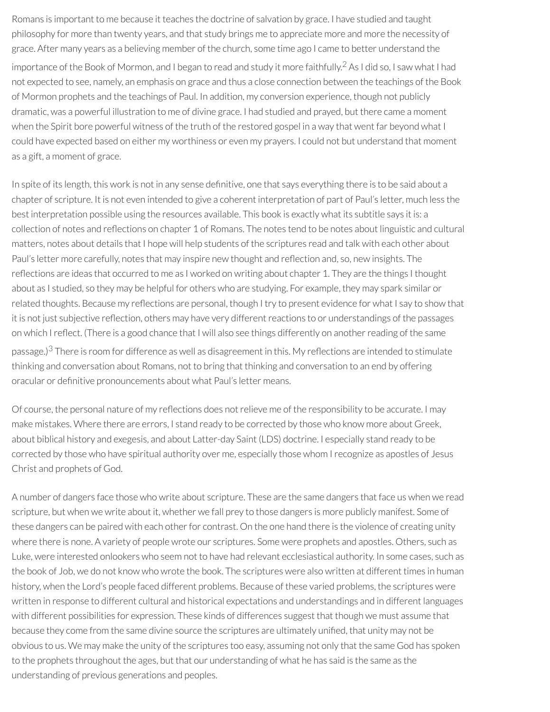<span id="page-2-0"></span>Romans is important to me because it teaches the doctrine of salvation by grace. I have studied and taught philosophy for more than twenty years, and that study brings me to appreciate more and more the necessity of grace. After many years as a believing member of the church, some time ago I came to better understand the importance of the Book of Mormon, and I began to read and study it more faithfully. [2](#page-5-1) As I did so, I saw what I had not expected to see, namely, an emphasis on grace and thus a close connection between the teachings of the Book of Mormon prophets and the teachings of Paul. In addition, my conversion experience, though not publicly dramatic, was a powerful illustration to me of divine grace. I had studied and prayed, but there came a moment when the Spirit bore powerful witness of the truth of the restored gospel in a way that went far beyond what I could have expected based on either my worthiness or even my prayers. I could not but understand that moment as a gift, a moment of grace.

In spite of its length, this work is not in any sense denitive, one that says everything there is to be said about a chapter of scripture. It is not even intended to give a coherent interpretation of part of Paul's letter, much less the best interpretation possible using the resources available. This book is exactly what its subtitle says it is: a collection of notes and reflections on chapter 1 of Romans. The notes tend to be notes about linguistic and cultural matters, notes about details that I hope will help students of the scriptures read and talk with each other about Paul's letter more carefully, notes that may inspire new thought and reflection and, so, new insights. The reflections are ideas that occurred to me as I worked on writing about chapter 1. They are the things I thought about as I studied, so they may be helpful for others who are studying. For example, they may spark similar or related thoughts. Because my reflections are personal, though I try to present evidence for what I say to show that it is not just subjective reflection, others may have very different reactions to or understandings of the passages on which I reflect. (There is a good chance that I will also see things differently on another reading of the same passage.)<sup>[3](#page-5-2)</sup> There is room for difference as well as disagreement in this. My reflections are intended to stimulate thinking and conversation about Romans, not to bring that thinking and conversation to an end by offering oracular or definitive pronouncements about what Paul's letter means.

<span id="page-2-1"></span>Of course, the personal nature of my reflections does not relieve me of the responsibility to be accurate. I may make mistakes. Where there are errors, I stand ready to be corrected by those who know more about Greek, about biblical history and exegesis, and about Latter-day Saint (LDS) doctrine. I especially stand ready to be corrected by those who have spiritual authority over me, especially those whom Irecognize as apostles of Jesus Christ and prophets of God.

A number of dangers face those who write about scripture. These are the same dangers that face us when we read scripture, but when we write about it, whether we fall prey to those dangers is more publicly manifest. Some of these dangers can be paired with each other for contrast. On the one hand there is the violence of creating unity where there is none. A variety of people wrote our scriptures. Some were prophets and apostles. Others, such as Luke, were interested onlookers who seem not to have had relevant ecclesiastical authority. In some cases, such as the book of Job, we do not know who wrote the book. The scriptures were also written at different times in human history, when the Lord's people faced different problems. Because of these varied problems, the scriptures were written in response to different cultural and historical expectations and understandings and in different languages with different possibilities for expression. These kinds of differences suggest that though we must assume that because they come from the same divine source the scriptures are ultimately unified, that unity may not be obvious to us. We may make the unity of the scriptures too easy, assuming not only that the same God has spoken to the prophets throughout the ages, but that our understanding of what he has said is the same as the understanding of previous generations and peoples.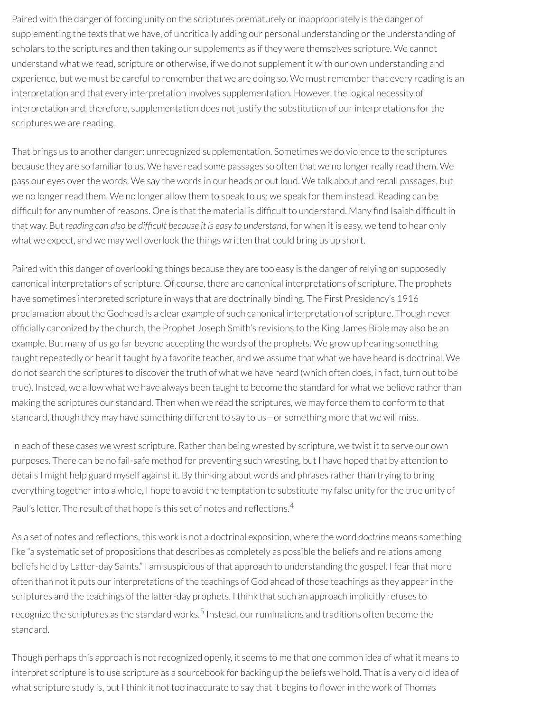Paired with the danger of forcing unity on the scriptures prematurely or inappropriately is the danger of supplementing the texts that we have, of uncritically adding our personal understanding or the understanding of scholars to the scriptures and then taking our supplements as if they were themselves scripture. We cannot understand what we read, scripture or otherwise, if we do not supplement it with our own understanding and experience, but we must be careful to remember that we are doing so. We must remember that every reading is an interpretation and that every interpretation involves supplementation. However, the logical necessity of interpretation and, therefore, supplementation does not justify the substitution of our interpretations for the scriptures we are reading.

That brings us to another danger: unrecognized supplementation. Sometimes we do violence to the scriptures because they are so familiar to us. We have read some passages so often that we no longer really read them. We pass our eyes over the words. We say the words in our heads or out loud. We talk about and recall passages, but we no longer read them. We no longer allow them to speak to us; we speak for them instead. Reading can be difficult for any number of reasons. One is that the material is difficult to understand. Many find Isaiah difficult in that way. But *reading can also be difcult because it is easy to understand*, for when it is easy, we tend to hear only what we expect, and we may well overlook the things written that could bring us up short.

Paired with this danger of overlooking things because they are too easy is the danger ofrelying on supposedly canonical interpretations of scripture. Of course, there are canonical interpretations of scripture. The prophets have sometimes interpreted scripture in ways that are doctrinally binding. The First Presidency's 1916 proclamation about the Godhead is a clear example of such canonical interpretation of scripture. Though never officially canonized by the church, the Prophet Joseph Smith's revisions to the King James Bible may also be an example. But many of us go far beyond accepting the words of the prophets. We grow up hearing something taught repeatedly or hear it taught by a favorite teacher, and we assume that what we have heard is doctrinal. We do not search the scriptures to discover the truth of what we have heard (which often does, in fact, turn out to be true). Instead, we allow what we have always been taught to become the standard for what we believe rather than making the scriptures our standard. Then when we read the scriptures, we may force them to conform to that standard, though they may have something different to say to us—or something more that we will miss.

In each of these cases we wrest scripture. Rather than being wrested by scripture, we twist it to serve our own purposes. There can be no fail-safe method for preventing such wresting, but I have hoped that by attention to details I might help guard myself against it. By thinking about words and phrases rather than trying to bring everything together into a whole, I hope to avoid the temptation to substitute my false unity for the true unity of Paul's letter. The result of that hope is this set of notes and reflections.<sup>[4](#page-6-0)</sup>

<span id="page-3-0"></span>As a set of notes and reflections, this work is not a doctrinal exposition, where the word *doctrine* means something like "a systematic set of propositions that describes as completely as possible the beliefs and relations among beliefs held by Latter-day Saints." I am suspicious of that approach to understanding the gospel. I fearthat more often than not it puts ourinterpretations of the teachings of God ahead of those teachings as they appearin the scriptures and the teachings of the latter-day prophets. I think that such an approach implicitly refuses to recognize the scriptures as the standard works.<sup>[5](#page-6-1)</sup> Instead, our ruminations and traditions often become the standard.

<span id="page-3-1"></span>Though perhaps this approach is not recognized openly, it seems to me that one common idea of what it means to interpret scripture is to use scripture as a sourcebook for backing up the beliefs we hold. That is a very old idea of what scripture study is, but I think it not too inaccurate to say that it begins to flower in the work of Thomas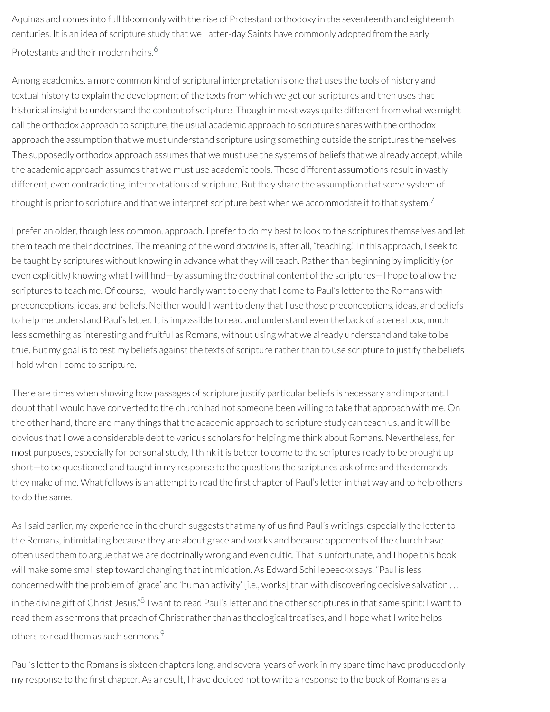Aquinas and comes into full bloom only with the rise of Protestant orthodoxy in the seventeenth and eighteenth centuries. It is an idea of scripture study that we Latter-day Saints have commonly adopted from the early Protestants and their modern heirs. [6](#page-6-2)

<span id="page-4-0"></span>Among academics, a more common kind of scriptural interpretation is one that uses the tools of history and textual history to explain the development of the texts from which we get our scriptures and then uses that historical insight to understand the content of scripture. Though in most ways quite different from what we might call the orthodox approach to scripture, the usual academic approach to scripture shares with the orthodox approach the assumption that we must understand scripture using something outside the scriptures themselves. The supposedly orthodox approach assumes that we must use the systems of beliefs that we already accept, while the academic approach assumes that we must use academic tools. Those different assumptions result in vastly different, even contradicting, interpretations of scripture. But they share the assumption that some system of thought is prior to scripture and that we interpret scripture best when we accommodate it to that system.<sup>[7](#page-6-3)</sup>

<span id="page-4-1"></span>I prefer an older, though less common, approach. I prefer to do my best to look to the scriptures themselves and let them teach me their doctrines. The meaning of the word *doctrine* is, after all, "teaching." In this approach, I seek to be taught by scriptures without knowing in advance what they will teach. Rather than beginning by implicitly (or even explicitly) knowing what I will find—by assuming the doctrinal content of the scriptures—I hope to allow the scriptures to teach me. Of course, I would hardly want to deny that I come to Paul's letter to the Romans with preconceptions, ideas, and beliefs. Neither would I want to deny that I use those preconceptions, ideas, and beliefs to help me understand Paul's letter. It is impossible to read and understand even the back of a cereal box, much less something as interesting and fruitful as Romans, without using what we already understand and take to be true. But my goal is to test my beliefs against the texts of scripture ratherthan to use scripture to justify the beliefs I hold when I come to scripture.

There are times when showing how passages of scripture justify particular beliefs is necessary and important. I doubt that I would have converted to the church had not someone been willing to take that approach with me. On the other hand, there are many things that the academic approach to scripture study can teach us, and it will be obvious that I owe a considerable debt to various scholars for helping me think about Romans. Nevertheless, for most purposes, especially for personal study, I think it is better to come to the scriptures ready to be brought up short—to be questioned and taught in my response to the questions the scriptures ask of me and the demands they make of me. What follows is an attempt to read the first chapter of Paul's letter in that way and to help others to do the same.

As I said earlier, my experience in the church suggests that many of us find Paul's writings, especially the letter to the Romans, intimidating because they are about grace and works and because opponents of the church have often used them to argue that we are doctrinally wrong and even cultic. That is unfortunate, and I hope this book will make some small step toward changing that intimidation. As Edward Schillebeeckx says, "Paul is less concerned with the problem of 'grace' and 'human activity' [i.e., works] than with discovering decisive salvation . . . in the divine gift of Christ Jesus."<sup>[8](#page-6-4)</sup> I want to read Paul's letter and the other scriptures in that same spirit: I want to read them as sermons that preach of Christ rather than as theological treatises, and I hope what I write helps others to read them as such sermons.  $^\mathrm{9}$  $^\mathrm{9}$  $^\mathrm{9}$ 

<span id="page-4-3"></span><span id="page-4-2"></span>Paul's letter to the Romans is sixteen chapters long, and several years of work in my spare time have produced only my response to the first chapter. As a result, I have decided not to write a response to the book of Romans as a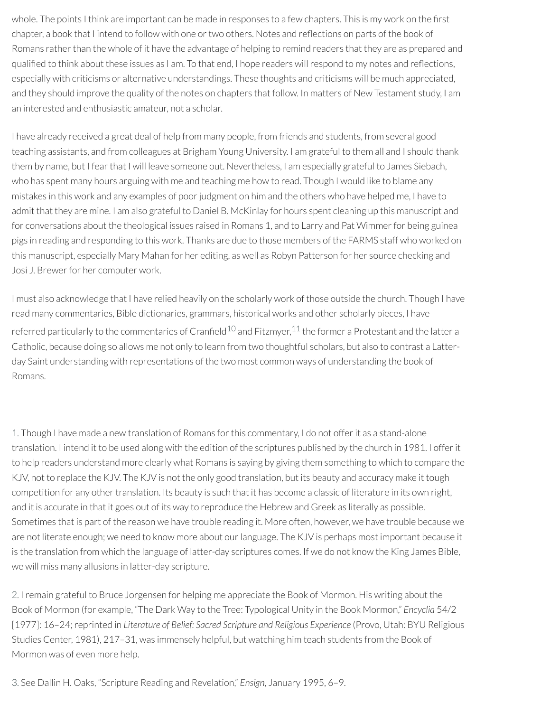whole. The points I think are important can be made in responses to a few chapters. This is my work on the first chapter, a book that I intend to follow with one or two others. Notes and reflections on parts of the book of Romans rather than the whole of it have the advantage of helping to remind readers that they are as prepared and qualified to think about these issues as I am. To that end, I hope readers will respond to my notes and reflections, especially with criticisms or alternative understandings. These thoughts and criticisms will be much appreciated, and they should improve the quality of the notes on chapters that follow. In matters of New Testament study, I am an interested and enthusiastic amateur, not a scholar.

I have already received a great deal of help from many people, from friends and students, from several good teaching assistants, and from colleagues at Brigham Young University. I am grateful to them all and I should thank them by name, but I fear that I will leave someone out. Nevertheless, I am especially grateful to James Siebach, who has spent many hours arguing with me and teaching me how to read. Though I would like to blame any mistakes in this work and any examples of poor judgment on him and the others who have helped me, I have to admit that they are mine. I am also grateful to Daniel B. McKinlay for hours spent cleaning up this manuscript and for conversations about the theological issues raised in Romans 1, and to Larry and Pat Wimmer for being guinea pigs in reading and responding to this work. Thanks are due to those members of the FARMS staff who worked on this manuscript, especially Mary Mahan for her editing, as well as Robyn Patterson for her source checking and Josi J. Brewer for her computer work.

<span id="page-5-4"></span><span id="page-5-3"></span>I must also acknowledge that I have relied heavily on the scholarly work of those outside the church. Though I have read many commentaries, Bible dictionaries, grammars, historical works and other scholarly pieces, I have referred particularly to the commentaries of Cranfield $^{10}$  $^{10}$  $^{10}$  and Fitzmyer, $^{11}$  $^{11}$  $^{11}$  the former a Protestant and the latter a Catholic, because doing so allows me not only to learn from two thoughtful scholars, but also to contrast a Latterday Saint understanding with representations of the two most common ways of understanding the book of Romans.

<span id="page-5-0"></span>[1.](#page-1-0) Though I have made a new translation of Romans forthis commentary, I do not offerit as a stand-alone translation. I intend it to be used along with the edition of the scriptures published by the church in 1981. I offerit to help readers understand more clearly what Romans is saying by giving them something to which to compare the KJV, not to replace the KJV. The KJV is not the only good translation, but its beauty and accuracy make it tough competition for any other translation. Its beauty is such that it has become a classic of literature in its own right, and it is accurate in that it goes out of its way to reproduce the Hebrew and Greek as literally as possible. Sometimes that is part of the reason we have trouble reading it. More often, however, we have trouble because we are not literate enough; we need to know more about our language. The KJV is perhaps most important because it is the translation from which the language of latter-day scriptures comes. If we do not know the King James Bible, we will miss many allusions in latter-day scripture.

<span id="page-5-1"></span>[2.](#page-2-0) Iremain grateful to Bruce Jorgensen for helping me appreciate the Book of Mormon. His writing about the Book of Mormon (for example, "The Dark Way to the Tree: Typological Unity in the Book Mormon," *Encyclia* 54/2 [1977]: 16–24;reprinted in *Literature of Belief: Sacred Scripture and Religious Experience* (Provo, Utah: BYU Religious Studies Center, 1981), 217–31, was immensely helpful, but watching him teach students from the Book of Mormon was of even more help.

<span id="page-5-2"></span>[3.](#page-2-1) See Dallin H. Oaks, "Scripture Reading and Revelation," *Ensign*, January 1995, 6–9.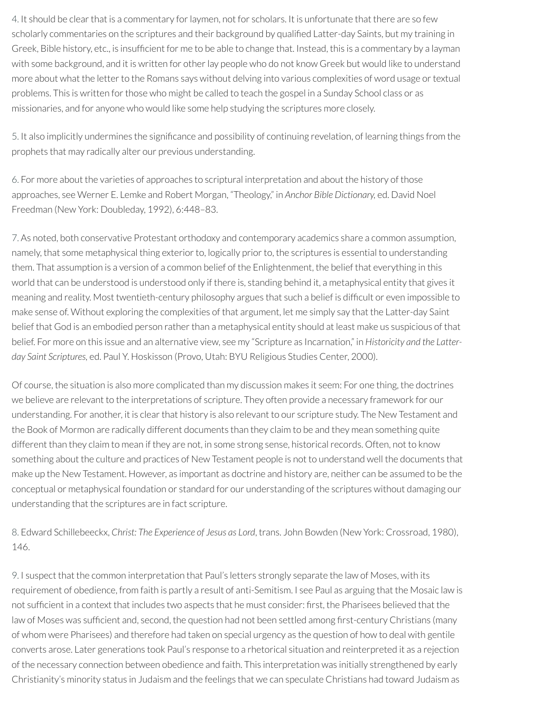<span id="page-6-0"></span>[4.](#page-3-0) It should be clear that is a commentary for laymen, not for scholars. It is unfortunate that there are so few scholarly commentaries on the scriptures and their background by qualified Latter-day Saints, but my training in Greek, Bible history, etc., is insufficient for me to be able to change that. Instead, this is a commentary by a layman with some background, and it is written for other lay people who do not know Greek but would like to understand more about what the letter to the Romans says without delving into various complexities of word usage or textual problems. This is written for those who might be called to teach the gospel in a Sunday School class or as missionaries, and for anyone who would like some help studying the scriptures more closely.

<span id="page-6-1"></span>[5.](#page-3-1) It also implicitly undermines the significance and possibility of continuing revelation, of learning things from the prophets that may radically alter our previous understanding.

<span id="page-6-2"></span>[6.](#page-4-0) For more about the varieties of approaches to scriptural interpretation and about the history of those approaches, see Werner E. Lemke and Robert Morgan, "Theology," in *Anchor Bible Dictionary,* ed. David Noel Freedman (New York: Doubleday, 1992), 6:448–83.

<span id="page-6-3"></span>[7.](#page-4-1) As noted, both conservative Protestant orthodoxy and contemporary academics share a common assumption, namely, that some metaphysical thing exterior to, logically prior to, the scriptures is essential to understanding them. That assumption is a version of a common belief of the Enlightenment, the belief that everything in this world that can be understood is understood only if there is, standing behind it, a metaphysical entity that gives it meaning and reality. Most twentieth-century philosophy argues that such a belief is difcult or even impossible to make sense of. Without exploring the complexities of that argument, let me simply say that the Latter-day Saint belief that God is an embodied person rather than a metaphysical entity should at least make us suspicious of that belief. For more on this issue and an alternative view, see my "Scripture as Incarnation," in *Historicity and the Latterday Saint Scriptures,* ed. Paul Y. Hoskisson (Provo, Utah: BYU Religious Studies Center, 2000).

Of course, the situation is also more complicated than my discussion makes it seem: For one thing, the doctrines we believe are relevant to the interpretations of scripture. They often provide a necessary framework for our understanding. For another, it is clear that history is also relevant to our scripture study. The New Testament and the Book of Mormon are radically different documents than they claim to be and they mean something quite different than they claim to mean if they are not, in some strong sense, historical records. Often, not to know something about the culture and practices of New Testament people is not to understand well the documents that make up the New Testament. However, as important as doctrine and history are, neither can be assumed to be the conceptual or metaphysical foundation or standard for our understanding of the scriptures without damaging our understanding that the scriptures are in fact scripture.

<span id="page-6-4"></span>[8.](#page-4-2) Edward Schillebeeckx, *Christ: The Experience of Jesus as Lord*, trans. John Bowden (New York: Crossroad, 1980), 146.

<span id="page-6-5"></span>[9.](#page-4-3) I suspect that the common interpretation that Paul's letters strongly separate the law of Moses, with its requirement of obedience, from faith is partly a result of anti-Semitism. I see Paul as arguing that the Mosaic law is not sufficient in a context that includes two aspects that he must consider: first, the Pharisees believed that the law of Moses was sufficient and, second, the question had not been settled among first-century Christians (many of whom were Pharisees) and therefore had taken on special urgency as the question of how to deal with gentile converts arose. Later generations took Paul's response to a rhetorical situation and reinterpreted it as a rejection of the necessary connection between obedience and faith. This interpretation was initially strengthened by early Christianity's minority status in Judaism and the feelings that we can speculate Christians had toward Judaism as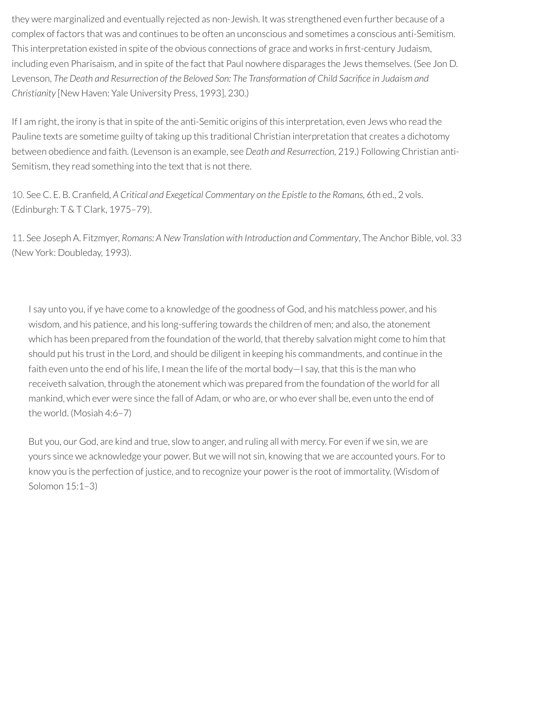they were marginalized and eventually rejected as non-Jewish. It was strengthened even further because of a complex of factors that was and continues to be often an unconscious and sometimes a conscious anti-Semitism. This interpretation existed in spite of the obvious connections of grace and works in first-century Judaism, including even Pharisaism, and in spite of the fact that Paul nowhere disparages the Jews themselves. (See Jon D. Levenson, *The Death and Resurrection of the Beloved Son: The Transformation of Child Sacrice in Judaism and Christianity* [New Haven: Yale University Press, 1993], 230.)

If I am right, the irony is that in spite of the anti-Semitic origins of this interpretation, even Jews who read the Pauline texts are sometime guilty of taking up this traditional Christian interpretation that creates a dichotomy between obedience and faith. (Levenson is an example, see *Death and Resurrection,* 219.) Following Christian anti-Semitism, they read something into the text that is not there.

<span id="page-7-0"></span>[10.](#page-5-3) See C. E. B. Craneld, *A Critical and Exegetical Commentary on the Epistle to the Romans,* 6th ed., 2 vols. (Edinburgh: T & T Clark, 1975–79).

<span id="page-7-1"></span>[11.](#page-5-4) See Joseph A. Fitzmyer, *Romans: A New Translation with Introduction and Commentary*, The Anchor Bible, vol. 33 (New York: Doubleday, 1993).

I say unto you, if ye have come to a knowledge of the goodness of God, and his matchless power, and his wisdom, and his patience, and his long-suffering towards the children of men; and also, the atonement which has been prepared from the foundation of the world, that thereby salvation might come to him that should put his trust in the Lord, and should be diligent in keeping his commandments, and continue in the faith even unto the end of his life, I mean the life of the mortal body—I say, that this is the man who receiveth salvation, through the atonement which was prepared from the foundation of the world for all mankind, which ever were since the fall of Adam, or who are, or who ever shall be, even unto the end of the world. (Mosiah 4:6–7)

But you, our God, are kind and true, slow to anger, and ruling all with mercy. For even if we sin, we are yours since we acknowledge your power. But we will not sin, knowing that we are accounted yours. Forto know you is the perfection of justice, and to recognize your poweris the root of immortality. (Wisdom of Solomon 15:1–3)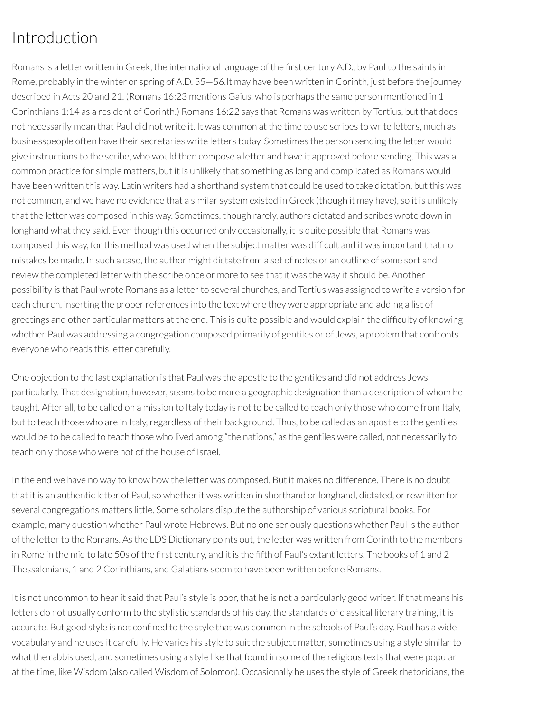# Introduction

Romans is a letter written in Greek, the international language of the first century A.D., by Paul to the saints in Rome, probably in the winter or spring of A.D. 55—56.It may have been written in Corinth, just before the journey described in Acts 20 and 21. (Romans 16:23 mentions Gaius, who is perhaps the same person mentioned in 1 Corinthians 1:14 as a resident of Corinth.) Romans 16:22 says that Romans was written by Tertius, but that does not necessarily mean that Paul did not write it. It was common at the time to use scribes to write letters, much as businesspeople often have their secretaries write letters today. Sometimes the person sending the letter would give instructions to the scribe, who would then compose a letter and have it approved before sending. This was a common practice for simple matters, but it is unlikely that something as long and complicated as Romans would have been written this way. Latin writers had a shorthand system that could be used to take dictation, but this was not common, and we have no evidence that a similar system existed in Greek (though it may have), so it is unlikely that the letter was composed in this way. Sometimes, though rarely, authors dictated and scribes wrote down in longhand what they said. Even though this occurred only occasionally, it is quite possible that Romans was composed this way, for this method was used when the subject matter was difficult and it was important that no mistakes be made. In such a case, the author might dictate from a set of notes or an outline of some sort and review the completed letter with the scribe once or more to see that it was the way it should be. Another possibility is that Paul wrote Romans as a letter to several churches, and Tertius was assigned to write a version for each church, inserting the proper references into the text where they were appropriate and adding a list of greetings and other particular matters at the end. This is quite possible and would explain the difficulty of knowing whether Paul was addressing a congregation composed primarily of gentiles or of Jews, a problem that confronts everyone who reads this letter carefully.

One objection to the last explanation is that Paul was the apostle to the gentiles and did not address Jews particularly. That designation, however, seems to be more a geographic designation than a description of whom he taught. After all, to be called on a mission to Italy today is not to be called to teach only those who come from Italy, but to teach those who are in Italy, regardless of their background. Thus, to be called as an apostle to the gentiles would be to be called to teach those who lived among "the nations," as the gentiles were called, not necessarily to teach only those who were not of the house of Israel.

In the end we have no way to know how the letter was composed. But it makes no difference. There is no doubt that it is an authentic letter of Paul, so whether it was written in shorthand or longhand, dictated, or rewritten for several congregations matters little. Some scholars dispute the authorship of various scriptural books. For example, many question whether Paul wrote Hebrews. But no one seriously questions whether Paul is the author of the letter to the Romans. As the LDS Dictionary points out, the letter was written from Corinth to the members in Rome in the mid to late 50s of the first century, and it is the fifth of Paul's extant letters. The books of 1 and 2 Thessalonians, 1 and 2 Corinthians, and Galatians seem to have been written before Romans.

It is not uncommon to hear it said that Paul's style is poor, that he is not a particularly good writer. If that means his letters do not usually conform to the stylistic standards of his day, the standards of classical literary training, it is accurate. But good style is not confined to the style that was common in the schools of Paul's day. Paul has a wide vocabulary and he uses it carefully. He varies his style to suit the subject matter, sometimes using a style similar to what the rabbis used, and sometimes using a style like that found in some of the religious texts that were popular at the time, like Wisdom (also called Wisdom of Solomon). Occasionally he uses the style of Greek rhetoricians, the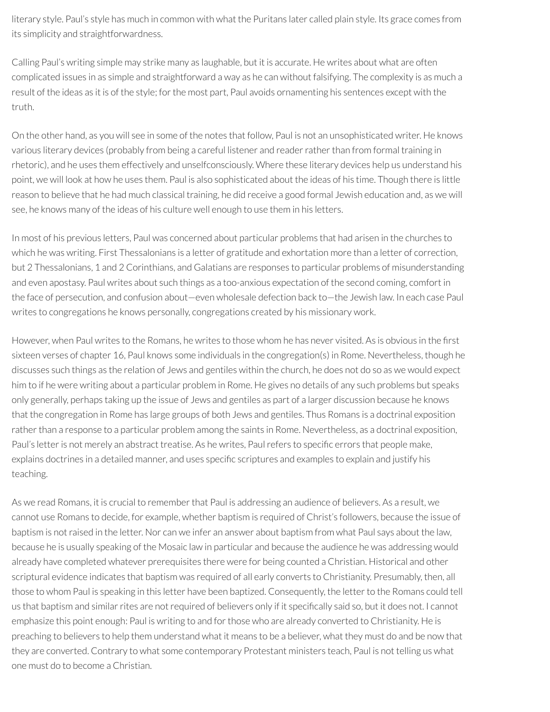literary style. Paul's style has much in common with what the Puritans later called plain style. Its grace comes from its simplicity and straightforwardness.

Calling Paul's writing simple may strike many as laughable, but it is accurate. He writes about what are often complicated issues in as simple and straightforward a way as he can without falsifying. The complexity is as much a result of the ideas as it is of the style; for the most part, Paul avoids ornamenting his sentences except with the truth.

On the other hand, as you will see in some of the notes that follow, Paul is not an unsophisticated writer. He knows various literary devices (probably from being a careful listener and readerratherthan from formal training in rhetoric), and he uses them effectively and unselfconsciously. Where these literary devices help us understand his point, we will look at how he uses them. Paul is also sophisticated about the ideas of his time. Though there is little reason to believe that he had much classical training, he did receive a good formal Jewish education and, as we will see, he knows many of the ideas of his culture well enough to use them in his letters.

In most of his previous letters, Paul was concerned about particular problems that had arisen in the churches to which he was writing. First Thessalonians is a letter of gratitude and exhortation more than a letter of correction, but 2 Thessalonians, 1 and 2 Corinthians, and Galatians are responses to particular problems of misunderstanding and even apostasy. Paul writes about such things as a too-anxious expectation of the second coming, comfort in the face of persecution, and confusion about—even wholesale defection back to—the Jewish law. In each case Paul writes to congregations he knows personally, congregations created by his missionary work.

However, when Paul writes to the Romans, he writes to those whom he has never visited. As is obvious in the first sixteen verses of chapter 16, Paul knows some individuals in the congregation(s) in Rome. Nevertheless, though he discusses such things as the relation of Jews and gentiles within the church, he does not do so as we would expect him to if he were writing about a particular problem in Rome. He gives no details of any such problems but speaks only generally, perhaps taking up the issue of Jews and gentiles as part of a larger discussion because he knows that the congregation in Rome has large groups of both Jews and gentiles. Thus Romans is a doctrinal exposition rather than a response to a particular problem among the saints in Rome. Nevertheless, as a doctrinal exposition, Paul's letter is not merely an abstract treatise. As he writes, Paul refers to specific errors that people make, explains doctrines in a detailed manner, and uses specific scriptures and examples to explain and justify his teaching.

As we read Romans, it is crucial to remember that Paul is addressing an audience of believers. As a result, we cannot use Romans to decide, for example, whether baptism is required of Christ's followers, because the issue of baptism is notraised in the letter. Nor can we infer an answer about baptism from what Paul says about the law, because he is usually speaking of the Mosaic law in particular and because the audience he was addressing would already have completed whatever prerequisites there were for being counted a Christian. Historical and other scriptural evidence indicates that baptism was required of all early converts to Christianity. Presumably, then, all those to whom Paul is speaking in this letter have been baptized. Consequently, the letter to the Romans could tell us that baptism and similar rites are not required of believers only if it specifically said so, but it does not. I cannot emphasize this point enough: Paul is writing to and for those who are already converted to Christianity. He is preaching to believers to help them understand what it means to be a believer, what they must do and be now that they are converted. Contrary to what some contemporary Protestant ministers teach, Paul is not telling us what one must do to become a Christian.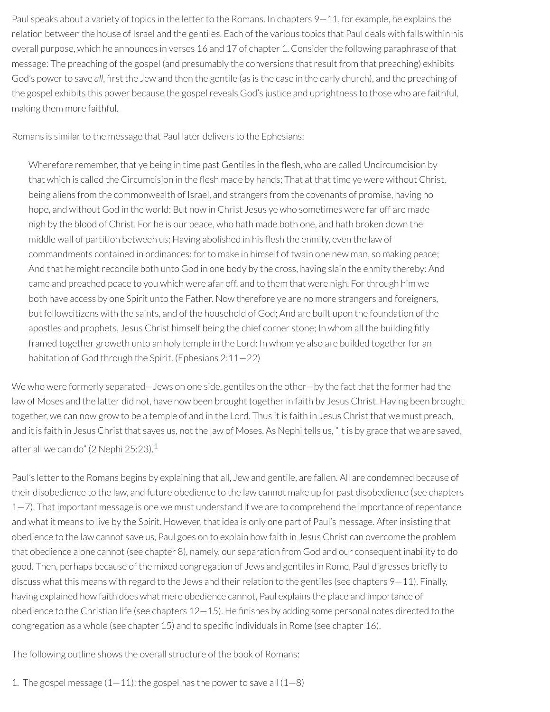Paul speaks about a variety of topics in the letter to the Romans. In chapters 9–11, for example, he explains the relation between the house of Israel and the gentiles. Each of the various topics that Paul deals with falls within his overall purpose, which he announces in verses 16 and 17 of chapter 1. Consider the following paraphrase of that message: The preaching of the gospel (and presumably the conversions that result from that preaching) exhibits God's power to save all, first the Jew and then the gentile (as is the case in the early church), and the preaching of the gospel exhibits this power because the gospel reveals God's justice and uprightness to those who are faithful, making them more faithful.

Romans is similar to the message that Paul later delivers to the Ephesians:

Wherefore remember, that ye being in time past Gentiles in the flesh, who are called Uncircumcision by that which is called the Circumcision in the flesh made by hands; That at that time ye were without Christ, being aliens from the commonwealth of Israel, and strangers from the covenants of promise, having no hope, and without God in the world: But now in Christ Jesus ye who sometimes were far off are made nigh by the blood of Christ. For he is our peace, who hath made both one, and hath broken down the middle wall of partition between us; Having abolished in his flesh the enmity, even the law of commandments contained in ordinances; forto make in himself of twain one new man, so making peace; And that he might reconcile both unto God in one body by the cross, having slain the enmity thereby: And came and preached peace to you which were afar off, and to them that were nigh. For through him we both have access by one Spirit unto the Father. Now therefore ye are no more strangers and foreigners, but fellowcitizens with the saints, and of the household of God; And are built upon the foundation of the apostles and prophets, Jesus Christ himself being the chief corner stone; In whom all the building fitly framed together groweth unto an holy temple in the Lord: In whom ye also are builded together for an habitation of God through the Spirit. (Ephesians 2:11—22)

We who were formerly separated—Jews on one side, gentiles on the other—by the fact that the former had the law of Moses and the latter did not, have now been brought togetherin faith by Jesus Christ. Having been brought together, we can now grow to be a temple of and in the Lord. Thus it is faith in Jesus Christ that we must preach, and it is faith in Jesus Christ that saves us, not the law of Moses. As Nephi tells us, "It is by grace that we are saved, after all we can do" (2 Nephi 25:23). $^1$  $^1$ 

<span id="page-10-0"></span>Paul's letter to the Romans begins by explaining that all, Jew and gentile, are fallen. All are condemned because of their disobedience to the law, and future obedience to the law cannot make up for past disobedience (see chapters  $1-7$ ). That important message is one we must understand if we are to comprehend the importance of repentance and what it means to live by the Spirit. However, that idea is only one part of Paul's message. After insisting that obedience to the law cannot save us, Paul goes on to explain how faith in Jesus Christ can overcome the problem that obedience alone cannot (see chapter 8), namely, our separation from God and our consequent inability to do good. Then, perhaps because of the mixed congregation of Jews and gentiles in Rome, Paul digresses briefly to discuss what this means with regard to the Jews and their relation to the gentiles (see chapters 9–11). Finally, having explained how faith does what mere obedience cannot, Paul explains the place and importance of obedience to the Christian life (see chapters  $12-15$ ). He finishes by adding some personal notes directed to the congregation as a whole (see chapter 15) and to specific individuals in Rome (see chapter 16).

The following outline shows the overall structure of the book of Romans:

1. The gospel message  $(1-11)$ : the gospel has the power to save all  $(1-8)$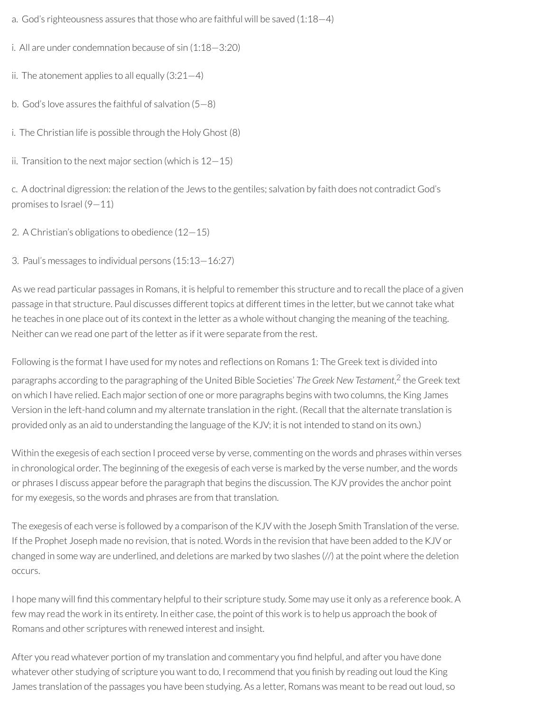- a. God's righteousness assures that those who are faithful will be saved (1:18—4)
- i. All are under condemnation because of sin (1:18—3:20)
- ii. The atonement applies to all equally  $(3:21-4)$
- b. God's love assures the faithful of salvation (5—8)
- i. The Christian life is possible through the Holy Ghost (8)
- ii. Transition to the next major section (which is  $12-15$ )

c. A doctrinal digression: the relation of the Jews to the gentiles; salvation by faith does not contradict God's promises to Israel (9—11)

- 2. A Christian's obligations to obedience (12—15)
- 3. Paul's messages to individual persons (15:13—16:27)

As we read particular passages in Romans, it is helpful to remember this structure and to recall the place of a given passage in that structure. Paul discusses different topics at different times in the letter, but we cannot take what he teaches in one place out of its context in the letter as a whole without changing the meaning of the teaching. Neither can we read one part of the letter as if it were separate from the rest.

<span id="page-11-0"></span>Following is the format I have used for my notes and reflections on Romans 1: The Greek text is divided into paragraphs according to the paragraphing of the United Bible Societies' *The Greek New Testament*, [2](#page-12-1) the Greek text on which I have relied. Each major section of one or more paragraphs begins with two columns, the King James Version in the left-hand column and my alternate translation in the right. (Recall that the alternate translation is provided only as an aid to understanding the language of the KJV; it is not intended to stand on its own.)

Within the exegesis of each section I proceed verse by verse, commenting on the words and phrases within verses in chronological order. The beginning of the exegesis of each verse is marked by the verse number, and the words or phrases I discuss appear before the paragraph that begins the discussion. The KJV provides the anchor point for my exegesis, so the words and phrases are from that translation.

The exegesis of each verse is followed by a comparison of the KJV with the Joseph Smith Translation of the verse. If the Prophet Joseph made no revision, that is noted. Words in the revision that have been added to the KJV or changed in some way are underlined, and deletions are marked by two slashes (//) at the point where the deletion occurs.

I hope many will find this commentary helpful to their scripture study. Some may use it only as a reference book. A few may read the work in its entirety. In either case, the point of this work is to help us approach the book of Romans and other scriptures with renewed interest and insight.

After you read whatever portion of my translation and commentary you find helpful, and after you have done whatever other studying of scripture you want to do, I recommend that you finish by reading out loud the King James translation of the passages you have been studying. As a letter, Romans was meant to be read out loud, so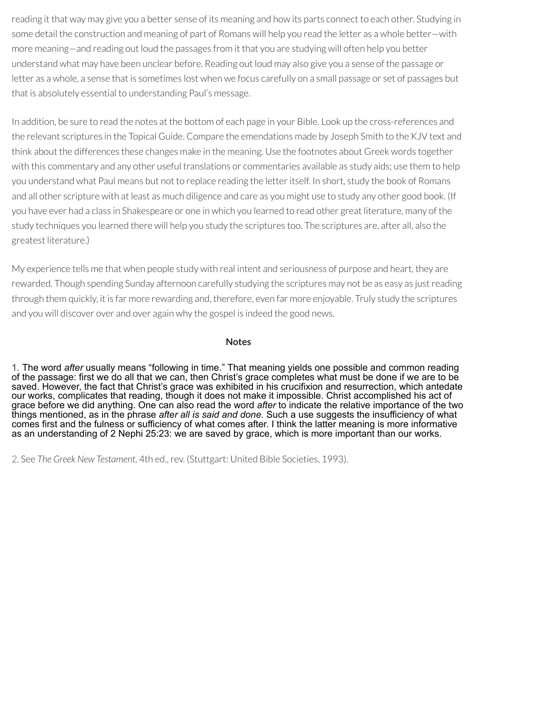reading it that way may give you a better sense of its meaning and how its parts connect to each other. Studying in some detail the construction and meaning of part of Romans will help you read the letter as a whole better—with more meaning—and reading out loud the passages from it that you are studying will often help you better understand what may have been unclear before. Reading out loud may also give you a sense of the passage or letter as a whole, a sense that is sometimes lost when we focus carefully on a small passage or set of passages but that is absolutely essential to understanding Paul's message.

In addition, be sure to read the notes at the bottom of each page in your Bible. Look up the cross-references and the relevant scriptures in the Topical Guide. Compare the emendations made by Joseph Smith to the KJV text and think about the differences these changes make in the meaning. Use the footnotes about Greek words together with this commentary and any other useful translations or commentaries available as study aids; use them to help you understand what Paul means but not to replace reading the letteritself. In short, study the book of Romans and all other scripture with at least as much diligence and care as you might use to study any other good book. (If you have ever had a class in Shakespeare or one in which you learned to read other great literature, many of the study techniques you learned there will help you study the scriptures too. The scriptures are, after all, also the greatest literature.)

My experience tells me that when people study with real intent and seriousness of purpose and heart, they are rewarded. Though spending Sunday afternoon carefully studying the scriptures may not be as easy as justreading through them quickly, it is far more rewarding and, therefore, even far more enjoyable. Truly study the scriptures and you will discover over and over again why the gospel is indeed the good news.

#### **Notes**

<span id="page-12-0"></span>[1.](#page-10-0) The word *after* usually means "following in time." That meaning yields one possible and common reading of the passage: first we do all that we can, then Christ's grace completes what must be done if we are to be saved. However, the fact that Christ's grace was exhibited in his crucifixion and resurrection, which antedate our works, complicates that reading, though it does not make it impossible. Christ accomplished his act of grace before we did anything. One can also read the word *after* to indicate the relative importance of the two things mentioned, as in the phrase *after all is said and done.* Such a use suggests the insufficiency of what comes first and the fulness or sufficiency of what comes after. I think the latter meaning is more informative as an understanding of 2 Nephi 25:23: we are saved by grace, which is more important than our works.

<span id="page-12-1"></span>[2.](#page-11-0) See *The Greek New Testament,* 4th ed.,rev. (Stuttgart: United Bible Societies, 1993).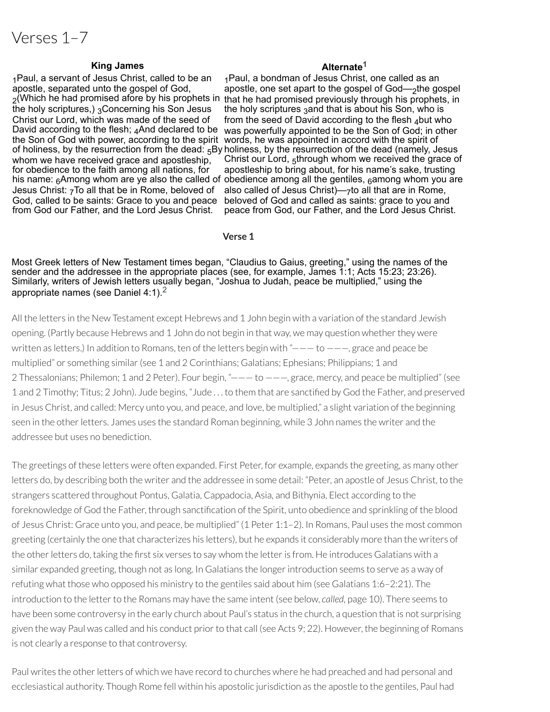# Verses 1–7

#### **King James Alternate<sup>[1](#page-46-0)</sup>**

1Paul, a servant of Jesus Christ, called to be an apostle, separated unto the gospel of God, the holy scriptures,) 3Concerning his Son Jesus Christ our Lord, which was made of the seed of David according to the flesh; And declared to be whom we have received grace and apostleship, for obedience to the faith among all nations, for his name: <sub>6</sub>Among whom are ye also the called of obedience among all the gentiles, <sub>6</sub>among whom you are Jesus Christ: 7To all that be in Rome, beloved of God, called to be saints: Grace to you and peace from God our Father, and the Lord Jesus Christ.

 $_2$ (Which he had promised afore by his prophets in that he had promised previously through his prophets, in the Son of God with power, according to the spirit words, he was appointed in accord with the spirit of of holiness, by the resurrection from the dead: <sub>5</sub>By holiness, by the resurrection of the dead (namely, Jesus 1Paul, a bondman of Jesus Christ, one called as an apostle, one set apart to the gospel of God—2the gospel the holy scriptures 3and that is about his Son, who is from the seed of David according to the flesh  $_4$ but who was powerfully appointed to be the Son of God; in other Christ our Lord, 5through whom we received the grace of apostleship to bring about, for his name's sake, trusting

also called of Jesus Christ)—7to all that are in Rome, beloved of God and called as saints: grace to you and peace from God, our Father, and the Lord Jesus Christ.

#### **Verse 1**

Most Greek letters of New Testament times began, "Claudius to Gaius, greeting," using the names of the sender and the addressee in the appropriate places (see, for example, James 1:1; Acts 15:23; 23:26). Similarly, writers of Jewish letters usually began, "Joshua to Judah, peace be multiplied," using the appropriate names (see Daniel 4:1).[2](#page-46-1)

All the letters in the New Testament except Hebrews and 1 John begin with a variation of the standard Jewish opening. (Partly because Hebrews and 1 John do not begin in that way, we may question whether they were written as letters.) In addition to Romans, ten of the letters begin with " $---$  to  $---$ , grace and peace be multiplied" or something similar (see 1 and 2 Corinthians; Galatians; Ephesians; Philippians; 1 and 2 Thessalonians; Philemon; 1 and 2 Peter). Four begin, "——— to ———, grace, mercy, and peace be multiplied" (see 1 and 2 Timothy; Titus; 2 John). Jude begins, "Jude ... to them that are sanctified by God the Father, and preserved in Jesus Christ, and called: Mercy unto you, and peace, and love, be multiplied," a slight variation of the beginning seen in the other letters. James uses the standard Roman beginning, while 3 John names the writer and the addressee but uses no benediction.

The greetings of these letters were often expanded. First Peter, for example, expands the greeting, as many other letters do, by describing both the writer and the addressee in some detail: "Peter, an apostle of Jesus Christ, to the strangers scattered throughout Pontus, Galatia, Cappadocia, Asia, and Bithynia, Elect according to the foreknowledge of God the Father, through sanctification of the Spirit, unto obedience and sprinkling of the blood of Jesus Christ: Grace unto you, and peace, be multiplied" (1 Peter 1:1–2). In Romans, Paul uses the most common greeting (certainly the one that characterizes his letters), but he expands it considerably more than the writers of the other letters do, taking the first six verses to say whom the letter is from. He introduces Galatians with a similar expanded greeting, though not as long. In Galatians the longerintroduction seems to serve as a way of refuting what those who opposed his ministry to the gentiles said about him (see Galatians 1:6–2:21). The introduction to the letter to the Romans may have the same intent (see below, *called*, page 10). There seems to have been some controversy in the early church about Paul's status in the church, a question that is not surprising given the way Paul was called and his conduct prior to that call (see Acts 9; 22). However, the beginning of Romans is not clearly a response to that controversy.

Paul writes the other letters of which we have record to churches where he had preached and had personal and ecclesiastical authority. Though Rome fell within his apostolic jurisdiction as the apostle to the gentiles, Paul had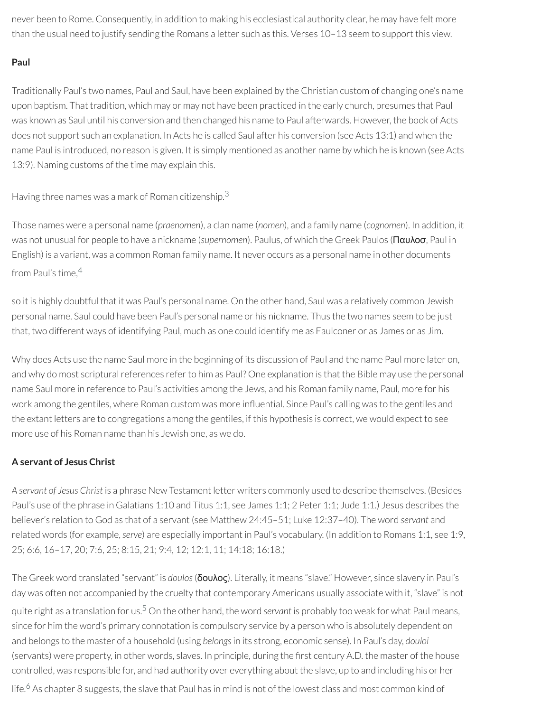never been to Rome. Consequently, in addition to making his ecclesiastical authority clear, he may have felt more than the usual need to justify sending the Romans a letter such as this. Verses 10–13 seem to support this view.

# **Paul**

Traditionally Paul's two names, Paul and Saul, have been explained by the Christian custom of changing one's name upon baptism. That tradition, which may or may not have been practiced in the early church, presumes that Paul was known as Saul until his conversion and then changed his name to Paul afterwards. However, the book of Acts does not support such an explanation. In Acts he is called Saul after his conversion (see Acts 13:1) and when the name Paul is introduced, no reason is given. It is simply mentioned as another name by which he is known (see Acts 13:9). Naming customs of the time may explain this.

Having three names was a mark of Roman citizenship. $^3$  $^3$ 

Those names were a personal name (*praenomen*), a clan name (*nomen*), and a family name (*cognomen*). In addition, it was not unusual for people to have a nickname (*supernomen*). Paulus, of which the Greek Paulos (Παυλοσ, Paul in English) is a variant, was a common Roman family name. It never occurs as a personal name in other documents from Paul's time, [4](#page-46-3)

so it is highly doubtful that it was Paul's personal name. On the other hand, Saul was a relatively common Jewish personal name. Saul could have been Paul's personal name or his nickname. Thus the two names seem to be just that, two different ways of identifying Paul, much as one could identify me as Faulconer or as James or as Jim.

Why does Acts use the name Saul more in the beginning of its discussion of Paul and the name Paul more later on, and why do most scriptural references refer to him as Paul? One explanation is that the Bible may use the personal name Saul more in reference to Paul's activities among the Jews, and his Roman family name, Paul, more for his work among the gentiles, where Roman custom was more influential. Since Paul's calling was to the gentiles and the extant letters are to congregations among the gentiles, if this hypothesis is correct, we would expect to see more use of his Roman name than his Jewish one, as we do.

# **A servant of Jesus Christ**

*A servant of Jesus Christ* is a phrase New Testament letter writers commonly used to describe themselves. (Besides Paul's use of the phrase in Galatians 1:10 and Titus 1:1, see James 1:1; 2 Peter 1:1; Jude 1:1.) Jesus describes the believer's relation to God as that of a servant (see Matthew 24:45–51; Luke 12:37–40). The word *servant* and related words (for example,*serve*) are especially important in Paul's vocabulary. (In addition to Romans 1:1, see 1:9, 25; 6:6, 16–17, 20; 7:6, 25; 8:15, 21; 9:4, 12; 12:1, 11; 14:18; 16:18.)

The Greek word translated "servant" is *doulos*(δουλος). Literally, it means "slave." However, since slavery in Paul's day was often not accompanied by the cruelty that contemporary Americans usually associate with it, "slave" is not quite right as a translation for us. [5](#page-46-4) On the other hand, the word *servant* is probably too weak for what Paul means, since for him the word's primary connotation is compulsory service by a person who is absolutely dependent on and belongs to the master of a household (using *belongs*in its strong, economic sense). In Paul's day, *douloi* (servants) were property, in other words, slaves. In principle, during the first century A.D. the master of the house controlled, was responsible for, and had authority over everything about the slave, up to and including his or her life.<sup>[6](#page-46-5)</sup> As chapter 8 suggests, the slave that Paul has in mind is not of the lowest class and most common kind of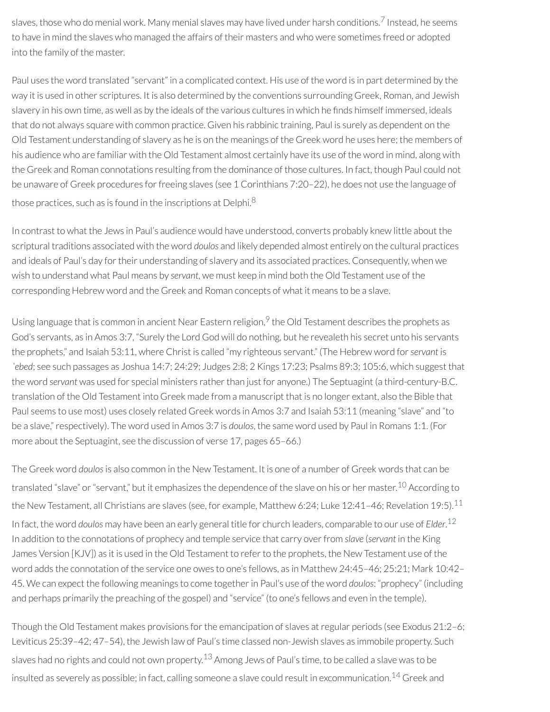slaves, those who do menial work. Many menial slaves may have lived under harsh conditions. [7](#page-47-0) Instead, he seems to have in mind the slaves who managed the affairs of their masters and who were sometimes freed or adopted into the family of the master.

Paul uses the word translated "servant" in a complicated context. His use of the word is in part determined by the way it is used in other scriptures. It is also determined by the conventions surrounding Greek, Roman, and Jewish slavery in his own time, as well as by the ideals of the various cultures in which he finds himself immersed, ideals that do not always square with common practice. Given his rabbinic training, Paul is surely as dependent on the Old Testament understanding of slavery as he is on the meanings of the Greek word he uses here; the members of his audience who are familiar with the Old Testament almost certainly have its use of the word in mind, along with the Greek and Roman connotations resulting from the dominance of those cultures. In fact, though Paul could not be unaware of Greek procedures for freeing slaves (see 1 Corinthians 7:20–22), he does not use the language of those practices, such as is found in the inscriptions at Delphi. $^8$  $^8$ 

In contrast to what the Jews in Paul's audience would have understood, converts probably knew little about the scriptural traditions associated with the word *doulos* and likely depended almost entirely on the cultural practices and ideals of Paul's day for their understanding of slavery and its associated practices. Consequently, when we wish to understand what Paul means by *servant*, we must keep in mind both the Old Testament use of the corresponding Hebrew word and the Greek and Roman concepts of what it means to be a slave.

Using language that is common in ancient Near Eastern religion, <sup>[9](#page-47-2)</sup> the Old Testament describes the prophets as God's servants, as in Amos 3:7, "Surely the Lord God will do nothing, but he revealeth his secret unto his servants the prophets," and Isaiah 53:11, where Christ is called "my righteous servant." (The Hebrew word for*servant* is *ʿebed*; see such passages as Joshua 14:7; 24:29; Judges 2:8; 2 Kings 17:23; Psalms 89:3; 105:6, which suggest that the word *servant* was used for special ministers rather than just for anyone.) The Septuagint (a third-century-B.C. translation of the Old Testament into Greek made from a manuscript that is no longer extant, also the Bible that Paul seems to use most) uses closely related Greek words in Amos 3:7 and Isaiah 53:11 (meaning "slave" and "to be a slave,"respectively). The word used in Amos 3:7 is *doulos*, the same word used by Paul in Romans 1:1. (For more about the Septuagint, see the discussion of verse 17, pages 65–66.)

The Greek word *doulos*is also common in the New Testament. It is one of a number of Greek words that can be translated "slave" or "servant," but it emphasizes the dependence of the slave on his or her master.<sup>[10](#page-47-3)</sup> According to the New Testament, all Christians are slaves (see, for example, Matthew 6:24; Luke 12:41-46; Revelation 19:5). $^{11}$  $^{11}$  $^{11}$ In fact, the word *doulos* may have been an early general title for church leaders, comparable to our use of *Elder*. [12](#page-47-5) In addition to the connotations of prophecy and temple service that carry overfrom *slave* (*servant* in the King James Version [KJV]) as it is used in the Old Testament to refer to the prophets, the New Testament use of the word adds the connotation of the service one owes to one's fellows, as in Matthew 24:45–46; 25:21; Mark 10:42– 45. We can expect the following meanings to come togetherin Paul's use of the word *doulos*: "prophecy" (including and perhaps primarily the preaching of the gospel) and "service" (to one's fellows and even in the temple).

Though the Old Testament makes provisions for the emancipation of slaves at regular periods (see Exodus 21:2–6; Leviticus 25:39–42; 47–54), the Jewish law of Paul's time classed non-Jewish slaves as immobile property. Such slaves had no rights and could not own property. $^{13}$  $^{13}$  $^{13}$  Among Jews of Paul's time, to be called a slave was to be insulted as severely as possible; in fact, calling someone a slave could result in excommunication.<sup>[14](#page-47-7)</sup> Greek and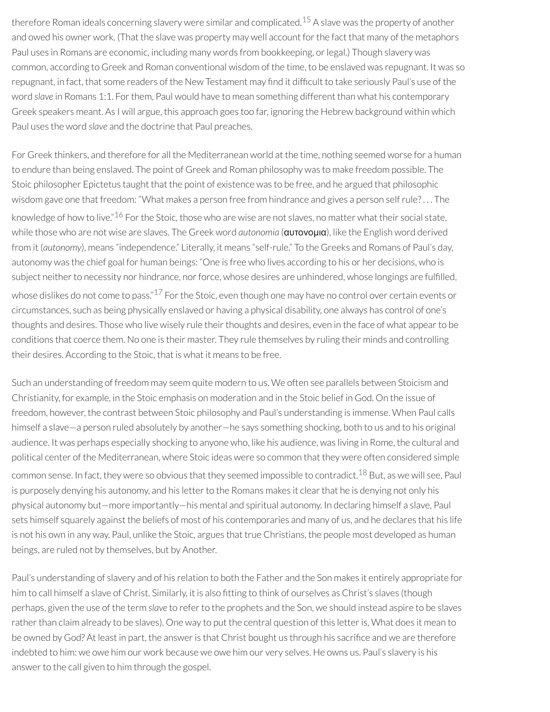therefore Roman ideals concerning slavery were similar and complicated. [15](#page-47-8) A slave was the property of another and owed his owner work. (That the slave was property may well account forthe fact that many of the metaphors Paul uses in Romans are economic, including many words from bookkeeping, or legal.) Though slavery was common, according to Greek and Roman conventional wisdom of the time, to be enslaved was repugnant. It was so repugnant, in fact, that some readers of the New Testament may find it difficult to take seriously Paul's use of the word *slave* in Romans 1:1. For them, Paul would have to mean something different than what his contemporary Greek speakers meant. As I will argue, this approach goes too far, ignoring the Hebrew background within which Paul uses the word *slave* and the doctrine that Paul preaches.

For Greek thinkers, and therefore for all the Mediterranean world at the time, nothing seemed worse for a human to endure than being enslaved. The point of Greek and Roman philosophy was to make freedom possible. The Stoic philosopher Epictetus taught that the point of existence was to be free, and he argued that philosophic wisdom gave one that freedom: "What makes a person free from hindrance and gives a person selfrule? . . . The knowledge of how to live."<sup>[16](#page-47-9)</sup> For the Stoic, those who are wise are not slaves, no matter what their social state, while those who are not wise are slaves. The Greek word *autonomia* (αυτονομια), like the English word derived from it (*autonomy*), means "independence." Literally, it means "self-rule." To the Greeks and Romans of Paul's day, autonomy was the chief goal for human beings: "One is free who lives according to his or her decisions, who is subject neither to necessity nor hindrance, nor force, whose desires are unhindered, whose longings are fulfilled, whose dislikes do not come to pass."<sup>[17](#page-47-10)</sup> For the Stoic, even though one may have no control over certain events or circumstances, such as being physically enslaved or having a physical disability, one always has control of one's thoughts and desires. Those who live wisely rule their thoughts and desires, even in the face of what appear to be conditions that coerce them. No one is their master. They rule themselves by ruling their minds and controlling their desires. According to the Stoic, that is what it means to be free.

Such an understanding of freedom may seem quite modern to us. We often see parallels between Stoicism and Christianity, for example, in the Stoic emphasis on moderation and in the Stoic belief in God. On the issue of freedom, however, the contrast between Stoic philosophy and Paul's understanding is immense. When Paul calls himself a slave—a person ruled absolutely by another—he says something shocking, both to us and to his original audience. It was perhaps especially shocking to anyone who, like his audience, was living in Rome, the cultural and political center of the Mediterranean, where Stoic ideas were so common that they were often considered simple common sense. In fact, they were so obvious that they seemed impossible to contradict.<sup>[18](#page-47-11)</sup> But, as we will see, Paul is purposely denying his autonomy, and his letter to the Romans makes it clear that he is denying not only his physical autonomy but—more importantly—his mental and spiritual autonomy. In declaring himself a slave, Paul sets himself squarely against the beliefs of most of his contemporaries and many of us, and he declares that his life is not his own in any way. Paul, unlike the Stoic, argues that true Christians, the people most developed as human beings, are ruled not by themselves, but by Another.

Paul's understanding of slavery and of his relation to both the Father and the Son makes it entirely appropriate for him to call himself a slave of Christ. Similarly, it is also fitting to think of ourselves as Christ's slaves (though perhaps, given the use of the term *slave* to referto the prophets and the Son, we should instead aspire to be slaves rather than claim already to be slaves). One way to put the central question of this letter is, What does it mean to be owned by God? At least in part, the answer is that Christ bought us through his sacrifice and we are therefore indebted to him: we owe him our work because we owe him our very selves. He owns us. Paul's slavery is his answer to the call given to him through the gospel.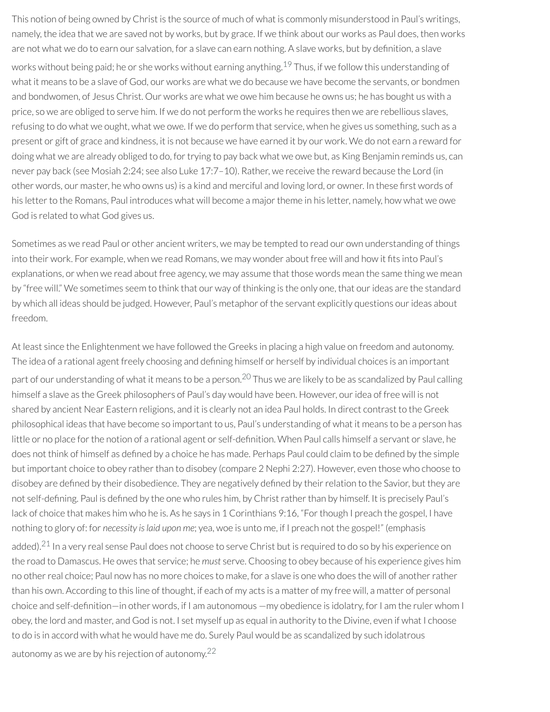This notion of being owned by Christ is the source of much of what is commonly misunderstood in Paul's writings, namely, the idea that we are saved not by works, but by grace. If we think about our works as Paul does, then works are not what we do to earn our salvation, for a slave can earn nothing. A slave works, but by definition, a slave works without being paid; he or she works without earning anything. <sup>[19](#page-47-12)</sup> Thus, if we follow this understanding of what it means to be a slave of God, our works are what we do because we have become the servants, or bondmen and bondwomen, of Jesus Christ. Our works are what we owe him because he owns us; he has bought us with a price, so we are obliged to serve him. If we do not perform the works he requires then we are rebellious slaves, refusing to do what we ought, what we owe. If we do perform that service, when he gives us something, such as a present or gift of grace and kindness, it is not because we have earned it by our work. We do not earn a reward for doing what we are already obliged to do, for trying to pay back what we owe but, as King Benjamin reminds us, can never pay back (see Mosiah 2:24; see also Luke 17:7–10). Rather, we receive the reward because the Lord (in other words, our master, he who owns us) is a kind and merciful and loving lord, or owner. In these first words of his letter to the Romans, Paul introduces what will become a major theme in his letter, namely, how what we owe God is related to what God gives us.

Sometimes as we read Paul or other ancient writers, we may be tempted to read our own understanding of things into their work. For example, when we read Romans, we may wonder about free will and how it fits into Paul's explanations, or when we read about free agency, we may assume that those words mean the same thing we mean by "free will." We sometimes seem to think that our way of thinking is the only one, that ourideas are the standard by which all ideas should be judged. However, Paul's metaphor of the servant explicitly questions ourideas about freedom.

At least since the Enlightenment we have followed the Greeks in placing a high value on freedom and autonomy. The idea of a rational agent freely choosing and defining himself or herself by individual choices is an important part of our understanding of what it means to be a person.<sup>[20](#page-47-13)</sup> Thus we are likely to be as scandalized by Paul calling himself a slave as the Greek philosophers of Paul's day would have been. However, ouridea of free will is not shared by ancient Near Eastern religions, and it is clearly not an idea Paul holds. In direct contrast to the Greek philosophical ideas that have become so important to us, Paul's understanding of what it means to be a person has little or no place for the notion of a rational agent or self-definition. When Paul calls himself a servant or slave, he does not think of himself as defined by a choice he has made. Perhaps Paul could claim to be defined by the simple but important choice to obey rather than to disobey (compare 2 Nephi 2:27). However, even those who choose to disobey are defined by their disobedience. They are negatively defined by their relation to the Savior, but they are not self-defining. Paul is defined by the one who rules him, by Christ rather than by himself. It is precisely Paul's lack of choice that makes him who he is. As he says in 1 Corinthians 9:16, "For though I preach the gospel, I have nothing to glory of: for *necessity is laid upon me*; yea, woe is unto me, if I preach not the gospel!" (emphasis added).<sup>[21](#page-47-14)</sup> In a very real sense Paul does not choose to serve Christ but is required to do so by his experience on the road to Damascus. He owes that service; he *must* serve. Choosing to obey because of his experience gives him

no other real choice; Paul now has no more choices to make, for a slave is one who does the will of another rather than his own. According to this line of thought, if each of my acts is a matter of my free will, a matter of personal choice and self-definition—in other words, if I am autonomous —my obedience is idolatry, for I am the ruler whom I obey, the lord and master, and God is not. I set myself up as equal in authority to the Divine, even if what I choose to do is in accord with what he would have me do. Surely Paul would be as scandalized by such idolatrous autonomy as we are by his rejection of autonomy. $^{22}$  $^{22}$  $^{22}$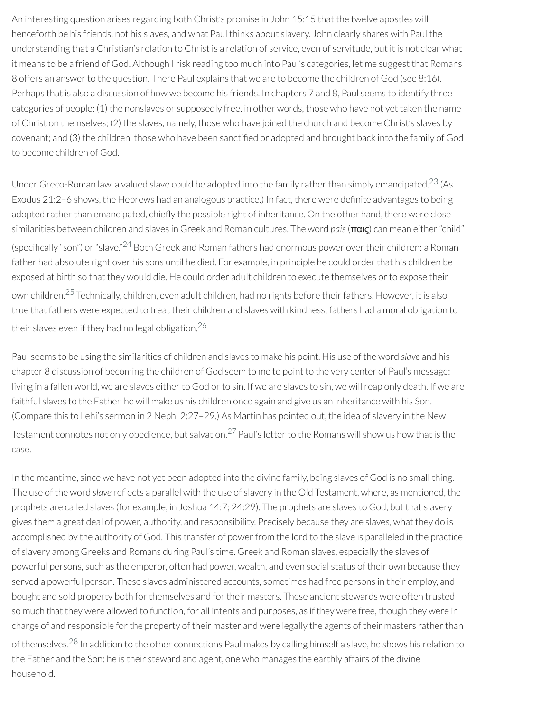An interesting question arises regarding both Christ's promise in John 15:15 that the twelve apostles will henceforth be his friends, not his slaves, and what Paul thinks about slavery. John clearly shares with Paul the understanding that a Christian's relation to Christ is a relation of service, even of servitude, but it is not clear what it means to be a friend of God. Although I risk reading too much into Paul's categories, let me suggest that Romans 8 offers an answer to the question. There Paul explains that we are to become the children of God (see 8:16). Perhaps that is also a discussion of how we become his friends. In chapters 7 and 8, Paul seems to identify three categories of people: (1) the nonslaves or supposedly free, in other words, those who have not yet taken the name of Christ on themselves; (2) the slaves, namely, those who have joined the church and become Christ's slaves by covenant; and (3) the children, those who have been sanctified or adopted and brought back into the family of God to become children of God.

Under Greco-Roman law, a valued slave could be adopted into the family rather than simply emancipated.<sup>[23](#page-48-0)</sup> (As Exodus 21:2–6 shows, the Hebrews had an analogous practice.) In fact, there were denite advantages to being adopted rather than emancipated, chiefly the possible right of inheritance. On the other hand, there were close similarities between children and slaves in Greek and Roman cultures. The word *pais*(παις) can mean either"child" (specifically "son") or "slave."<sup>[24](#page-48-1)</sup> Both Greek and Roman fathers had enormous power over their children: a Roman father had absolute right over his sons until he died. For example, in principle he could order that his children be exposed at birth so that they would die. He could order adult children to execute themselves orto expose their own children.<sup>[25](#page-48-2)</sup> Technically, children, even adult children, had no rights before their fathers. However, it is also true that fathers were expected to treat their children and slaves with kindness; fathers had a moral obligation to their slaves even if they had no legal obligation. [26](#page-48-3)

Paul seems to be using the similarities of children and slaves to make his point. His use of the word *slave* and his chapter 8 discussion of becoming the children of God seem to me to point to the very center of Paul's message: living in a fallen world, we are slaves either to God or to sin. If we are slaves to sin, we will reap only death. If we are faithful slaves to the Father, he will make us his children once again and give us an inheritance with his Son. (Compare this to Lehi's sermon in 2 Nephi 2:27–29.) As Martin has pointed out, the idea of slavery in the New Testament connotes not only obedience, but salvation. $^{27}$  $^{27}$  $^{27}$  Paul's letter to the Romans will show us how that is the case.

In the meantime, since we have not yet been adopted into the divine family, being slaves of God is no small thing. The use of the word *slave* reflects a parallel with the use of slavery in the Old Testament, where, as mentioned, the prophets are called slaves (for example, in Joshua 14:7; 24:29). The prophets are slaves to God, but that slavery gives them a great deal of power, authority, and responsibility. Precisely because they are slaves, what they do is accomplished by the authority of God. This transfer of power from the lord to the slave is paralleled in the practice of slavery among Greeks and Romans during Paul's time. Greek and Roman slaves, especially the slaves of powerful persons, such as the emperor, often had power, wealth, and even social status of their own because they served a powerful person. These slaves administered accounts, sometimes had free persons in their employ, and bought and sold property both for themselves and for their masters. These ancient stewards were often trusted so much that they were allowed to function, for all intents and purposes, as if they were free, though they were in charge of and responsible for the property of their master and were legally the agents of their masters rather than of themselves.<sup>[28](#page-48-5)</sup> In addition to the other connections Paul makes by calling himself a slave, he shows his relation to the Father and the Son: he is their steward and agent, one who manages the earthly affairs of the divine household.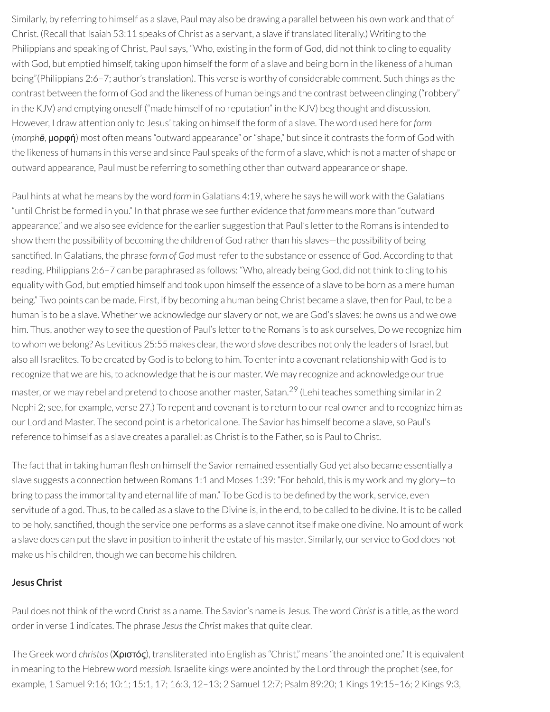Similarly, by referring to himself as a slave, Paul may also be drawing a parallel between his own work and that of Christ. (Recall that Isaiah 53:11 speaks of Christ as a servant, a slave if translated literally.) Writing to the Philippians and speaking of Christ, Paul says, "Who, existing in the form of God, did not think to cling to equality with God, but emptied himself, taking upon himself the form of a slave and being born in the likeness of a human being"(Philippians 2:6–7; author's translation). This verse is worthy of considerable comment. Such things as the contrast between the form of God and the likeness of human beings and the contrast between clinging ("robbery" in the KJV) and emptying oneself ("made himself of no reputation" in the KJV) beg thought and discussion. However, I draw attention only to Jesus' taking on himself the form of a slave. The word used here for*form* (*morphē*, μορφή) most often means "outward appearance" or"shape," but since it contrasts the form of God with the likeness of humans in this verse and since Paul speaks of the form of a slave, which is not a matter of shape or outward appearance, Paul must be referring to something otherthan outward appearance or shape.

Paul hints at what he means by the word *form* in Galatians 4:19, where he says he will work with the Galatians "until Christ be formed in you." In that phrase we see further evidence that *form* means more than "outward appearance," and we also see evidence for the earlier suggestion that Paul's letter to the Romans is intended to show them the possibility of becoming the children of God rather than his slaves—the possibility of being sanctified. In Galatians, the phrase *form of God* must refer to the substance or essence of God. According to that reading, Philippians 2:6–7 can be paraphrased as follows: "Who, already being God, did not think to cling to his equality with God, but emptied himself and took upon himself the essence of a slave to be born as a mere human being." Two points can be made. First, if by becoming a human being Christ became a slave, then for Paul, to be a human is to be a slave. Whether we acknowledge our slavery or not, we are God's slaves: he owns us and we owe him. Thus, another way to see the question of Paul's letter to the Romans is to ask ourselves. Do we recognize him to whom we belong? As Leviticus 25:55 makes clear, the word *slave* describes not only the leaders of Israel, but also all Israelites. To be created by God is to belong to him. To enter into a covenant relationship with God is to recognize that we are his, to acknowledge that he is our master. We may recognize and acknowledge ourtrue master, or we may rebel and pretend to choose another master, Satan.<sup>[29](#page-48-6)</sup> (Lehi teaches something similar in 2 Nephi 2; see, for example, verse 27.) To repent and covenant is to return to our real owner and to recognize him as our Lord and Master. The second point is a rhetorical one. The Savior has himself become a slave, so Paul's reference to himself as a slave creates a parallel: as Christ is to the Father, so is Paul to Christ.

The fact that in taking human flesh on himself the Savior remained essentially God yet also became essentially a slave suggests a connection between Romans 1:1 and Moses 1:39: "For behold, this is my work and my glory—to bring to pass the immortality and eternal life of man." To be God is to be defined by the work, service, even servitude of a god. Thus, to be called as a slave to the Divine is, in the end, to be called to be divine. It is to be called to be holy, sanctified, though the service one performs as a slave cannot itself make one divine. No amount of work a slave does can put the slave in position to inherit the estate of his master. Similarly, our service to God does not make us his children, though we can become his children.

# **Jesus Christ**

Paul does not think of the word *Christ* as a name. The Savior's name is Jesu*s*. The word *Christ* is a title, as the word orderin verse 1 indicates. The phrase *Jesusthe Christ* makes that quite clear.

The Greek word *christos*(Χριστός), transliterated into English as "Christ," means "the anointed one." It is equivalent in meaning to the Hebrew word *messiah*. Israelite kings were anointed by the Lord through the prophet (see, for example, 1 Samuel 9:16; 10:1; 15:1, 17; 16:3, 12–13; 2 Samuel 12:7; Psalm 89:20; 1 Kings 19:15–16; 2 Kings 9:3,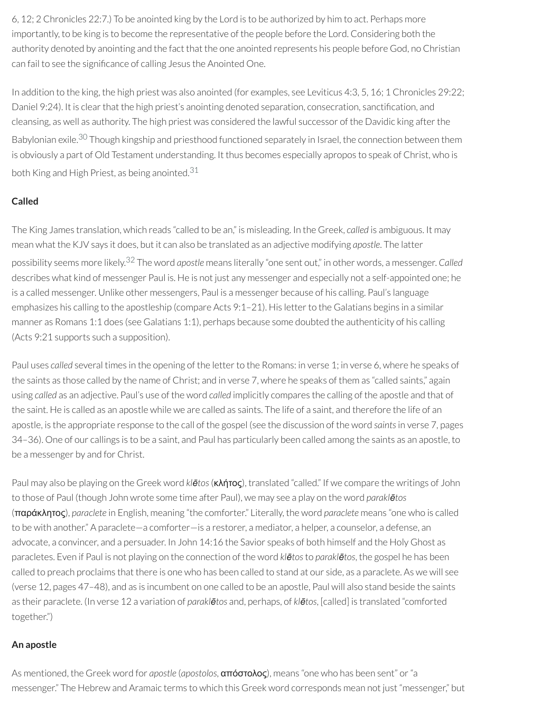6, 12; 2 Chronicles 22:7.) To be anointed king by the Lord is to be authorized by him to act. Perhaps more importantly, to be king is to become the representative of the people before the Lord. Considering both the authority denoted by anointing and the fact that the one anointed represents his people before God, no Christian can fail to see the significance of calling Jesus the Anointed One.

In addition to the king, the high priest was also anointed (for examples, see Leviticus 4:3, 5, 16; 1 Chronicles 29:22; Daniel 9:24). It is clear that the high priest's anointing denoted separation, consecration, sanctification, and cleansing, as well as authority. The high priest was considered the lawful successor of the Davidic king afterthe Babylonian exile.<sup>[30](#page-48-7)</sup> Though kingship and priesthood functioned separately in Israel, the connection between them is obviously a part of Old Testament understanding. It thus becomes especially apropos to speak of Christ, who is both King and High Priest, as being anointed. [31](#page-48-8)

# **Called**

The King James translation, which reads "called to be an," is misleading. In the Greek, *called* is ambiguous. It may mean what the KJV says it does, but it can also be translated as an adjective modifying *apostle*. The latter possibility seems more likely. [32](#page-48-9) The word *apostle* means literally "one sent out," in other words, a messenger. *Called* describes what kind of messenger Paul is. He is not just any messenger and especially not a self-appointed one; he is a called messenger. Unlike other messengers, Paul is a messenger because of his calling. Paul's language emphasizes his calling to the apostleship (compare Acts 9:1-21). His letter to the Galatians begins in a similar manner as Romans 1:1 does (see Galatians 1:1), perhaps because some doubted the authenticity of his calling (Acts 9:21 supports such a supposition).

Paul uses *called* several times in the opening of the letter to the Romans: in verse 1; in verse 6, where he speaks of the saints as those called by the name of Christ; and in verse 7, where he speaks of them as "called saints," again using *called* as an adjective. Paul's use of the word *called* implicitly compares the calling of the apostle and that of the saint. He is called as an apostle while we are called as saints. The life of a saint, and therefore the life of an apostle, is the appropriate response to the call of the gospel (see the discussion of the word *saints*in verse 7, pages 34–36). One of our callings is to be a saint, and Paul has particularly been called among the saints as an apostle, to be a messenger by and for Christ.

Paul may also be playing on the Greek word *klētos*(κλήτος), translated "called." If we compare the writings of John to those of Paul (though John wrote some time after Paul), we may see a play on the word *paraklētos* (παράκλητος), *paraclete* in English, meaning "the comforter." Literally, the word *paraclete* means "one who is called to be with another." A paraclete—a comforter—is a restorer, a mediator, a helper, a counselor, a defense, an advocate, a convincer, and a persuader. In John 14:16 the Savior speaks of both himself and the Holy Ghost as paracletes. Even if Paul is not playing on the connection of the word *klētos*to *paraklētos*, the gospel he has been called to preach proclaims that there is one who has been called to stand at our side, as a paraclete. As we will see (verse 12, pages 47–48), and as is incumbent on one called to be an apostle, Paul will also stand beside the saints as their paraclete. (In verse 12 a variation of *paraklētos* and, perhaps, of *klētos*, [called] is translated "comforted together.")

# **An apostle**

As mentioned, the Greek word for *apostle* (*apostolos*, απόστολος), means "one who has been sent" or"a messenger." The Hebrew and Aramaic terms to which this Greek word corresponds mean not just "messenger," but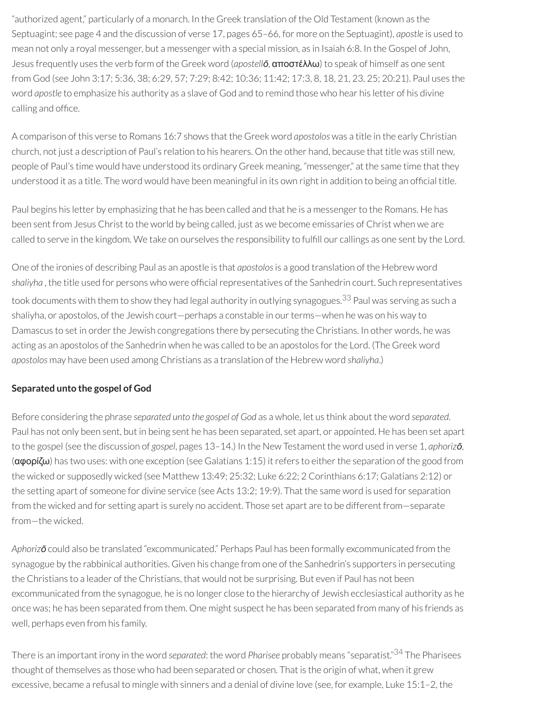"authorized agent," particularly of a monarch. In the Greek translation of the Old Testament (known as the Septuagint; see page 4 and the discussion of verse 17, pages 65–66, for more on the Septuagint), *apostle* is used to mean not only a royal messenger, but a messenger with a special mission, as in Isaiah 6:8. In the Gospel of John, Jesus frequently uses the verb form of the Greek word (*apostellō*, αποστέλλω) to speak of himself as one sent from God (see John 3:17; 5:36, 38; 6:29, 57; 7:29; 8:42; 10:36; 11:42; 17:3, 8, 18, 21, 23, 25; 20:21). Paul uses the word *apostle* to emphasize his authority as a slave of God and to remind those who hear his letter of his divine calling and office.

A comparison of this verse to Romans 16:7 shows that the Greek word *apostolos* was a title in the early Christian church, not just a description of Paul's relation to his hearers. On the other hand, because that title was still new, people of Paul's time would have understood its ordinary Greek meaning, "messenger," at the same time that they understood it as a title. The word would have been meaningful in its own right in addition to being an official title.

Paul begins his letter by emphasizing that he has been called and that he is a messenger to the Romans. He has been sent from Jesus Christ to the world by being called, just as we become emissaries of Christ when we are called to serve in the kingdom. We take on ourselves the responsibility to fulfill our callings as one sent by the Lord.

One of the ironies of describing Paul as an apostle is that *apostolos*is a good translation of the Hebrew word shaliyha, the title used for persons who were official representatives of the Sanhedrin court. Such representatives took documents with them to show they had legal authority in outlying synagogues. [33](#page-48-10) Paul was serving as such a shaliyha, or apostolos, of the Jewish court—perhaps a constable in our terms—when he was on his way to Damascus to set in order the Jewish congregations there by persecuting the Christians. In other words, he was acting as an apostolos of the Sanhedrin when he was called to be an apostolos for the Lord. (The Greek word *apostolos* may have been used among Christians as a translation of the Hebrew word *shaliyha*.)

# **Separated unto the gospel of God**

Before considering the phrase *separated unto the gospel of God* as a whole, let us think about the word *separated*. Paul has not only been sent, but in being sent he has been separated, set apart, or appointed. He has been set apart to the gospel (see the discussion of *gospel*, pages 13–14.) In the New Testament the word used in verse 1, *aphorizō*, ( $\alpha$ φορίζω) has two uses: with one exception (see Galatians 1:15) it refers to either the separation of the good from the wicked or supposedly wicked (see Matthew 13:49; 25:32; Luke 6:22; 2 Corinthians 6:17; Galatians 2:12) or the setting apart of someone for divine service (see Acts 13:2; 19:9). That the same word is used for separation from the wicked and for setting apart is surely no accident. Those set apart are to be different from—separate from—the wicked.

*Aphorizō* could also be translated "excommunicated." Perhaps Paul has been formally excommunicated from the synagogue by the rabbinical authorities. Given his change from one of the Sanhedrin's supporters in persecuting the Christians to a leader of the Christians, that would not be surprising. But even if Paul has not been excommunicated from the synagogue, he is no longer close to the hierarchy of Jewish ecclesiastical authority as he once was; he has been separated from them. One might suspect he has been separated from many of his friends as well, perhaps even from his family.

There is an important irony in the word *separated*: the word *Pharisee* probably means "separatist." [34](#page-48-11) The Pharisees thought of themselves as those who had been separated or chosen. That is the origin of what, when it grew excessive, became a refusal to mingle with sinners and a denial of divine love (see, for example, Luke 15:1–2, the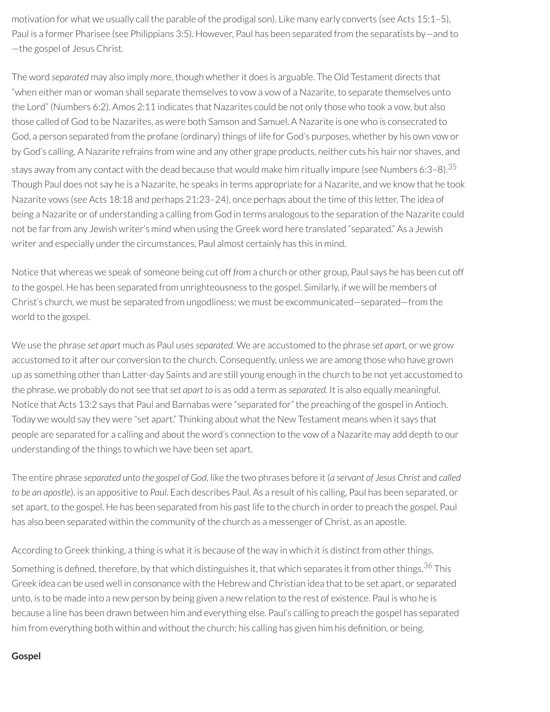motivation for what we usually call the parable of the prodigal son). Like many early converts (see Acts 15:1–5), Paul is a former Pharisee (see Philippians 3:5). However, Paul has been separated from the separatists by—and to —the gospel of Jesus Christ.

The word *separated* may also imply more, though whetherit does is arguable. The Old Testament directs that "when either man or woman shall separate themselves to vow a vow of a Nazarite, to separate themselves unto the Lord" (Numbers 6:2). Amos 2:11 indicates that Nazarites could be not only those who took a vow, but also those called of God to be Nazarites, as were both Samson and Samuel. A Nazarite is one who is consecrated to God, a person separated from the profane (ordinary) things of life for God's purposes, whether by his own vow or by God's calling. A Nazarite refrains from wine and any other grape products, neither cuts his hair nor shaves, and stays away from any contact with the dead because that would make him ritually impure (see Numbers 6:3–8). $^{35}$  $^{35}$  $^{35}$ Though Paul does not say he is a Nazarite, he speaks in terms appropriate for a Nazarite, and we know that he took Nazarite vows (see Acts 18:18 and perhaps 21:23–24), once perhaps about the time of this letter. The idea of being a Nazarite or of understanding a calling from God in terms analogous to the separation of the Nazarite could not be far from any Jewish writer's mind when using the Greek word here translated "separated." As a Jewish writer and especially under the circumstances, Paul almost certainly has this in mind.

Notice that whereas we speak of someone being cut off *from* a church or other group, Paul says he has been cut off *to* the gospel. He has been separated from unrighteousness to the gospel. Similarly, if we will be members of Christ's church, we must be separated from ungodliness; we must be excommunicated—separated—from the world to the gospel.

We use the phrase *set apart* much as Paul uses *separated*. We are accustomed to the phrase *set apart*, or we grow accustomed to it after our conversion to the church. Consequently, unless we are among those who have grown up as something otherthan Latter-day Saints and are still young enough in the church to be not yet accustomed to the phrase, we probably do not see that*set apart to* is as odd a term as *separated*. It is also equally meaningful. Notice that Acts 13:2 says that Paul and Barnabas were "separated for" the preaching of the gospel in Antioch. Today we would say they were "set apart." Thinking about what the New Testament means when it says that people are separated for a calling and about the word's connection to the vow of a Nazarite may add depth to our understanding of the things to which we have been set apart.

The entire phrase *separated unto the gospel of God*, like the two phrases before it (*a servant of Jesus Christ* and *called to be an apostle*), is an appositive to *Paul*. Each describes Paul. As a result of his calling, Paul has been separated, or set apart, to the gospel. He has been separated from his past life to the church in order to preach the gospel. Paul has also been separated within the community of the church as a messenger of Christ, as an apostle.

According to Greek thinking, a thing is what it is because of the way in which it is distinct from other things.

Something is defined, therefore, by that which distinguishes it, that which separates it from other things.<sup>[36](#page-49-0)</sup> This Greek idea can be used well in consonance with the Hebrew and Christian idea that to be set apart, or separated unto, is to be made into a new person by being given a new relation to the rest of existence. Paul is who he is because a line has been drawn between him and everything else. Paul's calling to preach the gospel has separated him from everything both within and without the church; his calling has given him his definition, or being.

#### **Gospel**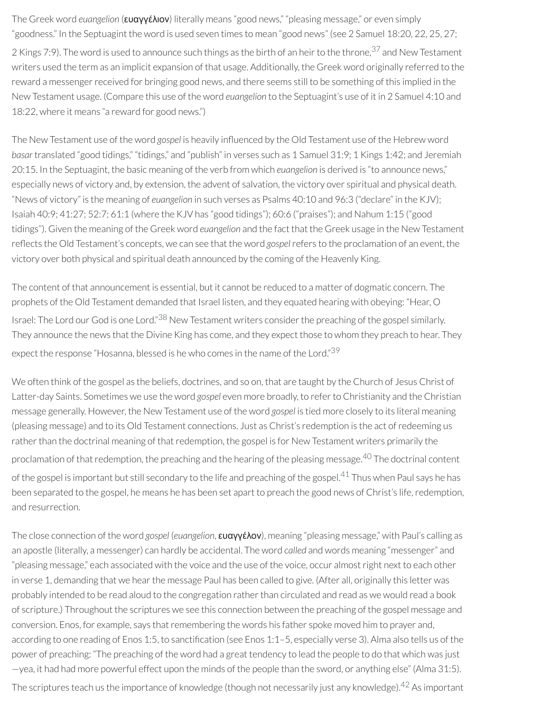The Greek word *euangelion* (ευαγγέλιον) literally means "good news," "pleasing message," or even simply "goodness." In the Septuagint the word is used seven times to mean "good news" (see 2 Samuel 18:20, 22, 25, 27; 2 Kings 7:9). The word is used to announce such things as the birth of an heir to the throne,<sup>[37](#page-49-1)</sup> and New Testament writers used the term as an implicit expansion of that usage. Additionally, the Greek word originally referred to the reward a messenger received for bringing good news, and there seems still to be something of this implied in the New Testament usage. (Compare this use of the word *euangelion* to the Septuagint's use of it in 2 Samuel 4:10 and 18:22, where it means "a reward for good news.")

The New Testament use of the word *gospel* is heavily influenced by the Old Testament use of the Hebrew word *basar* translated "good tidings," "tidings," and "publish" in verses such as 1 Samuel 31:9; 1 Kings 1:42; and Jeremiah 20:15. In the Septuagint, the basic meaning of the verb from which *euangelion* is derived is "to announce news," especially news of victory and, by extension, the advent of salvation, the victory over spiritual and physical death. "News of victory" is the meaning of *euangelion* in such verses as Psalms 40:10 and 96:3 ("declare" in the KJV); Isaiah 40:9; 41:27; 52:7; 61:1 (where the KJV has "good tidings"); 60:6 ("praises"); and Nahum 1:15 ("good tidings"). Given the meaning of the Greek word *euangelion* and the fact that the Greek usage in the New Testament reflects the Old Testament's concepts, we can see that the word *gospel* refers to the proclamation of an event, the victory over both physical and spiritual death announced by the coming of the Heavenly King.

The content of that announcement is essential, but it cannot be reduced to a matter of dogmatic concern. The prophets of the Old Testament demanded that Israel listen, and they equated hearing with obeying: "Hear, O Israel: The Lord our God is one Lord."<sup>[38](#page-49-2)</sup> New Testament writers consider the preaching of the gospel similarly. They announce the news that the Divine King has come, and they expect those to whom they preach to hear. They expect the response "Hosanna, blessed is he who comes in the name of the Lord."<sup>[39](#page-49-3)</sup>

We often think of the gospel as the beliefs, doctrines, and so on, that are taught by the Church of Jesus Christ of Latter-day Saints. Sometimes we use the word *gospel* even more broadly, to referto Christianity and the Christian message generally. However, the New Testament use of the word *gospel* is tied more closely to its literal meaning (pleasing message) and to its Old Testament connections. Just as Christ's redemption is the act ofredeeming us rather than the doctrinal meaning of that redemption, the gospel is for New Testament writers primarily the proclamation of that redemption, the preaching and the hearing of the pleasing message.<sup>[40](#page-49-4)</sup> The doctrinal content of the gospel is important but still secondary to the life and preaching of the gospel.<sup>[41](#page-49-5)</sup> Thus when Paul says he has been separated to the gospel, he means he has been set apart to preach the good news of Christ's life, redemption, and resurrection.

The close connection of the word *gospel* (*euangelion*, ευαγγέλον), meaning "pleasing message," with Paul's calling as an apostle (literally, a messenger) can hardly be accidental. The word *called* and words meaning "messenger" and "pleasing message," each associated with the voice and the use of the voice, occur almost right next to each other in verse 1, demanding that we hear the message Paul has been called to give. (After all, originally this letter was probably intended to be read aloud to the congregation rather than circulated and read as we would read a book of scripture.) Throughout the scriptures we see this connection between the preaching of the gospel message and conversion. Enos, for example, says that remembering the words his father spoke moved him to prayer and, according to one reading of Enos 1:5, to sanctification (see Enos 1:1-5, especially verse 3). Alma also tells us of the power of preaching: "The preaching of the word had a great tendency to lead the people to do that which was just —yea, it had had more powerful effect upon the minds of the people than the sword, or anything else" (Alma 31:5). The scriptures teach us the importance of knowledge (though not necessarily just any knowledge).<sup>[42](#page-49-6)</sup> As important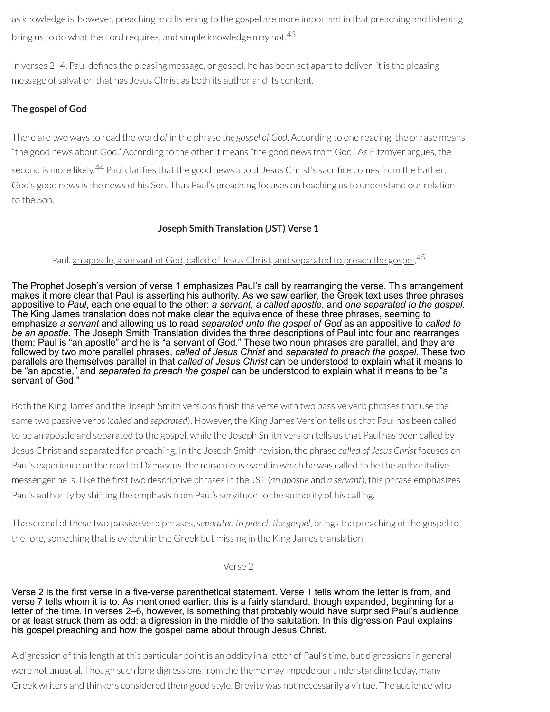as knowledge is, however, preaching and listening to the gospel are more important in that preaching and listening bring us to do what the Lord requires, and simple knowledge may not. $^{43}$  $^{43}$  $^{43}$ 

In verses 2–4, Paul defines the pleasing message, or gospel, he has been set apart to deliver: it is the pleasing message of salvation that has Jesus Christ as both its author and its content.

# **The gospel of God**

There are two ways to read the word *of* in the phrase *the gospel of God*. According to one reading, the phrase means "the good news about God." According to the otherit means "the good news from God." As Fitzmyer argues, the second is more likely.<sup>[44](#page-49-8)</sup> Paul clarifies that the good news about Jesus Christ's sacrifice comes from the Father: God's good news is the news of his Son. Thus Paul's preaching focuses on teaching us to understand ourrelation to the Son.

# **Joseph Smith Translation (JST) Verse 1**

# Paul, <u>an apostle, a servant of God, called of Jesus Christ, and separated to preach the gospel</u>, <sup>[45](#page-49-9)</sup>

The Prophet Joseph's version of verse 1 emphasizes Paul's call by rearranging the verse. This arrangement makes it more clear that Paul is asserting his authority. As we saw earlier, the Greek text uses three phrases appositive to *Paul*, each one equal to the other: *a servant, a called apostle*, and *one separated to the gospel*. The King James translation does not make clear the equivalence of these three phrases, seeming to emphasize *a servant* and allowing us to read *separated unto the gospel of God* as an appositive to *called to be an apostle*. The Joseph Smith Translation divides the three descriptions of Paul into four and rearranges them: Paul is "an apostle" and he is "a servant of God." These two noun phrases are parallel, and they are followed by two more parallel phrases, *called of Jesus Christ* and *separated to preach the gospel*. These two parallels are themselves parallel in that *called of Jesus Christ* can be understood to explain what it means to be "an apostle," and *separated to preach the gospel* can be understood to explain what it means to be "a servant of God."

Both the King James and the Joseph Smith versions finish the verse with two passive verb phrases that use the same two passive verbs (*called* and *separated*). However, the King James Version tells us that Paul has been called to be an apostle and separated to the gospel, while the Joseph Smith version tells us that Paul has been called by Jesus Christ and separated for preaching. In the Joseph Smith revision, the phrase *called of Jesus Christ* focuses on Paul's experience on the road to Damascus, the miraculous event in which he was called to be the authoritative messenger he is. Like the first two descriptive phrases in the JST (*an apostle* and *a servant*), this phrase emphasizes Paul's authority by shifting the emphasis from Paul's servitude to the authority of his calling.

The second of these two passive verb phrases,*separated to preach the gospel*, brings the preaching of the gospel to the fore, something that is evident in the Greek but missing in the King James translation.

Verse 2

Verse 2 is the first verse in a five-verse parenthetical statement. Verse 1 tells whom the letter is from, and verse 7 tells whom it is to. As mentioned earlier, this is a fairly standard, though expanded, beginning for a letter of the time. In verses 2–6, however, is something that probably would have surprised Paul's audience or at least struck them as odd: a digression in the middle of the salutation. In this digression Paul explains his gospel preaching and how the gospel came about through Jesus Christ.

A digression of this length at this particular point is an oddity in a letter of Paul's time, but digressions in general were not unusual. Though such long digressions from the theme may impede our understanding today, many Greek writers and thinkers considered them good style. Brevity was not necessarily a virtue. The audience who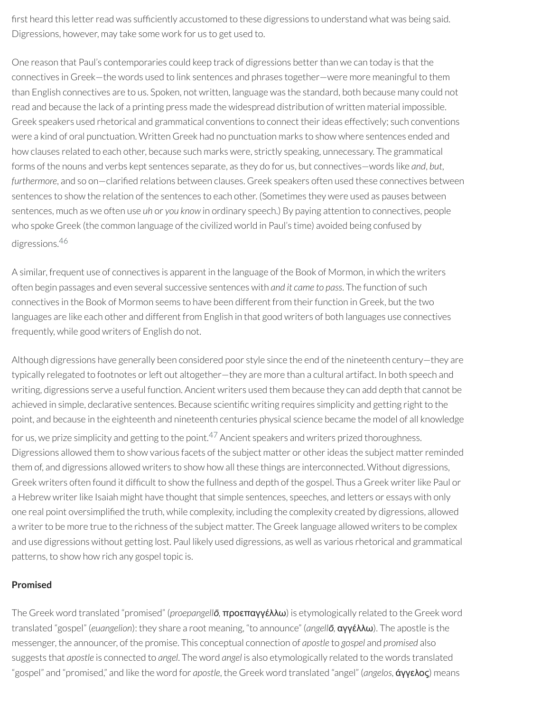first heard this letter read was sufficiently accustomed to these digressions to understand what was being said. Digressions, however, may take some work for us to get used to.

One reason that Paul's contemporaries could keep track of digressions betterthan we can today is that the connectives in Greek—the words used to link sentences and phrases together—were more meaningful to them than English connectives are to us. Spoken, not written, language was the standard, both because many could not read and because the lack of a printing press made the widespread distribution of written material impossible. Greek speakers used rhetorical and grammatical conventions to connect their ideas effectively; such conventions were a kind of oral punctuation. Written Greek had no punctuation marks to show where sentences ended and how clauses related to each other, because such marks were, strictly speaking, unnecessary. The grammatical forms of the nouns and verbs kept sentences separate, as they do for us, but connectives—words like *and*, *but*, furthermore, and so on-clarified relations between clauses. Greek speakers often used these connectives between sentences to show the relation of the sentences to each other. (Sometimes they were used as pauses between sentences, much as we often use *uh* or *you know* in ordinary speech.) By paying attention to connectives, people who spoke Greek (the common language of the civilized world in Paul's time) avoided being confused by digressions. [46](#page-49-10)

A similar, frequent use of connectives is apparent in the language of the Book of Mormon, in which the writers often begin passages and even several successive sentences with *and it came to pass*. The function of such connectives in the Book of Mormon seems to have been different from their function in Greek, but the two languages are like each other and different from English in that good writers of both languages use connectives frequently, while good writers of English do not.

Although digressions have generally been considered poor style since the end of the nineteenth century—they are typically relegated to footnotes or left out altogether—they are more than a cultural artifact. In both speech and writing, digressions serve a useful function. Ancient writers used them because they can add depth that cannot be achieved in simple, declarative sentences. Because scientific writing requires simplicity and getting right to the point, and because in the eighteenth and nineteenth centuries physical science became the model of all knowledge for us, we prize simplicity and getting to the point. $^{47}$  $^{47}$  $^{47}$  Ancient speakers and writers prized thoroughness. Digressions allowed them to show various facets of the subject matter or otherideas the subject matterreminded them of, and digressions allowed writers to show how all these things are interconnected. Without digressions, Greek writers often found it difficult to show the fullness and depth of the gospel. Thus a Greek writer like Paul or a Hebrew writer like Isaiah might have thought that simple sentences, speeches, and letters or essays with only one real point oversimplified the truth, while complexity, including the complexity created by digressions, allowed a writer to be more true to the richness of the subject matter. The Greek language allowed writers to be complex and use digressions without getting lost. Paul likely used digressions, as well as various rhetorical and grammatical patterns, to show how rich any gospel topic is.

# **Promised**

The Greek word translated "promised" (*proepangellō,* προεπαγγέλλω) is etymologically related to the Greek word translated "gospel" (*euangelion*): they share a root meaning, "to announce" (*angellō,* αγγέλλω). The apostle is the messenger, the announcer, of the promise. This conceptual connection of *apostle* to *gospel* and *promised* also suggests that *apostle* is connected to *angel*. The word *angel* is also etymologically related to the words translated "gospel" and "promised," and like the word for *apostle*, the Greek word translated "angel" (*angelos*, άγγελος) means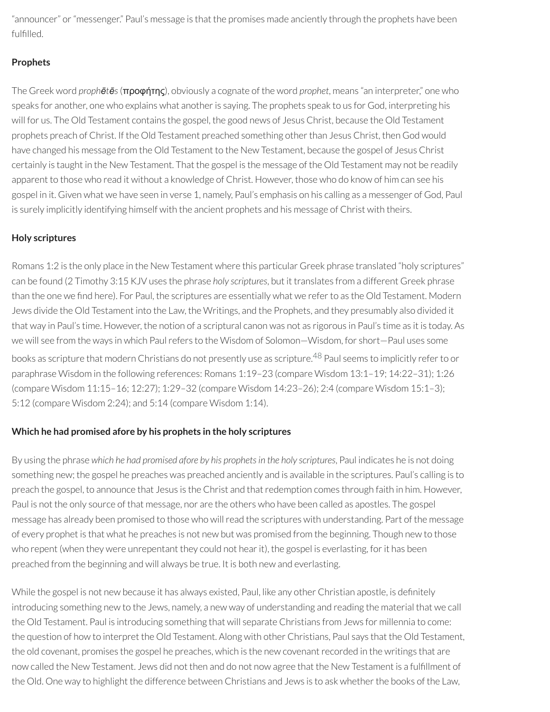"announcer" or"messenger." Paul's message is that the promises made anciently through the prophets have been fulfilled.

# **Prophets**

The Greek word *prophētēs*(προφήτης), obviously a cognate of the word *prophet*, means "an interpreter," one who speaks for another, one who explains what another is saying. The prophets speak to us for God, interpreting his will for us. The Old Testament contains the gospel, the good news of Jesus Christ, because the Old Testament prophets preach of Christ. If the Old Testament preached something otherthan Jesus Christ, then God would have changed his message from the Old Testament to the New Testament, because the gospel of Jesus Christ certainly is taught in the New Testament. That the gospel is the message of the Old Testament may not be readily apparent to those who read it without a knowledge of Christ. However, those who do know of him can see his gospel in it. Given what we have seen in verse 1, namely, Paul's emphasis on his calling as a messenger of God, Paul is surely implicitly identifying himself with the ancient prophets and his message of Christ with theirs.

# **Holy scriptures**

Romans 1:2 is the only place in the New Testament where this particular Greek phrase translated "holy scriptures" can be found (2 Timothy 3:15 KJV uses the phrase *holy scriptures*, but it translates from a different Greek phrase than the one we find here). For Paul, the scriptures are essentially what we refer to as the Old Testament. Modern Jews divide the Old Testament into the Law, the Writings, and the Prophets, and they presumably also divided it that way in Paul's time. However, the notion of a scriptural canon was not as rigorous in Paul's time as it is today. As we will see from the ways in which Paul refers to the Wisdom of Solomon-Wisdom, for short-Paul uses some books as scripture that modern Christians do not presently use as scripture. [48](#page-49-12) Paul seems to implicitly referto or paraphrase Wisdom in the following references: Romans 1:19–23 (compare Wisdom 13:1–19; 14:22–31); 1:26 (compare Wisdom 11:15–16; 12:27); 1:29–32 (compare Wisdom 14:23–26); 2:4 (compare Wisdom 15:1–3); 5:12 (compare Wisdom 2:24); and 5:14 (compare Wisdom 1:14).

# **Which he had promised afore by his prophets in the holy scriptures**

By using the phrase *which he had promised afore by his prophetsin the holy scriptures*, Paul indicates he is not doing something new; the gospel he preaches was preached anciently and is available in the scriptures. Paul's calling is to preach the gospel, to announce that Jesus is the Christ and that redemption comes through faith in him. However, Paul is not the only source of that message, nor are the others who have been called as apostles. The gospel message has already been promised to those who will read the scriptures with understanding. Part of the message of every prophet is that what he preaches is not new but was promised from the beginning. Though new to those who repent (when they were unrepentant they could not hear it), the gospel is everlasting, for it has been preached from the beginning and will always be true. It is both new and everlasting.

While the gospel is not new because it has always existed, Paul, like any other Christian apostle, is definitely introducing something new to the Jews, namely, a new way of understanding and reading the material that we call the Old Testament. Paul is introducing something that will separate Christians from Jews for millennia to come: the question of how to interpret the Old Testament. Along with other Christians, Paul says that the Old Testament, the old covenant, promises the gospel he preaches, which is the new covenantrecorded in the writings that are now called the New Testament. Jews did not then and do not now agree that the New Testament is a fulllment of the Old. One way to highlight the difference between Christians and Jews is to ask whether the books of the Law,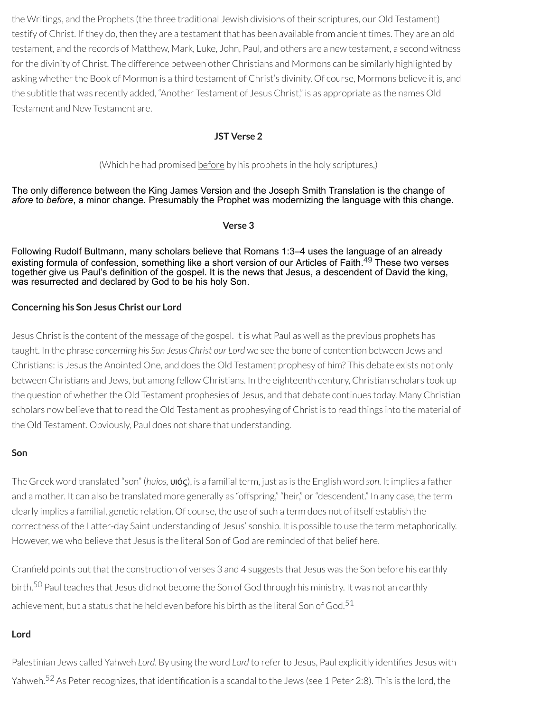the Writings, and the Prophets (the three traditional Jewish divisions of their scriptures, our Old Testament) testify of Christ. If they do, then they are a testament that has been available from ancient times. They are an old testament, and the records of Matthew, Mark, Luke, John, Paul, and others are a new testament, a second witness for the divinity of Christ. The difference between other Christians and Mormons can be similarly highlighted by asking whether the Book of Mormon is a third testament of Christ's divinity. Of course, Mormons believe it is, and the subtitle that was recently added, "Another Testament of Jesus Christ," is as appropriate as the names Old Testament and New Testament are.

### **JST Verse 2**

#### (Which he had promised before by his prophets in the holy scriptures,)

The only difference between the King James Version and the Joseph Smith Translation is the change of *afore* to *before*, a minor change. Presumably the Prophet was modernizing the language with this change.

#### **Verse 3**

Following Rudolf Bultmann, many scholars believe that Romans 1:3–4 uses the language of an already existing formula of confession, something like a short version of our Articles of Faith.<sup>[49](#page-50-0)</sup> These two verses together give us Paul's definition of the gospel. It is the news that Jesus, a descendent of David the king, was resurrected and declared by God to be his holy Son.

#### **Concerning his Son Jesus Christ our Lord**

Jesus Christ is the content of the message of the gospel. It is what Paul as well as the previous prophets has taught. In the phrase *concerning his Son Jesus Christ our Lord* we see the bone of contention between Jews and Christians: is Jesus the Anointed One, and does the Old Testament prophesy of him? This debate exists not only between Christians and Jews, but among fellow Christians. In the eighteenth century, Christian scholars took up the question of whether the Old Testament prophesies of Jesus, and that debate continues today. Many Christian scholars now believe that to read the Old Testament as prophesying of Christ is to read things into the material of the Old Testament. Obviously, Paul does not share that understanding.

#### **Son**

The Greek word translated "son" (*huios,* υιός), is a familial term, just as is the English word *son*. It implies a father and a mother. It can also be translated more generally as "offspring," "heir," or "descendent." In any case, the term clearly implies a familial, genetic relation. Of course, the use of such a term does not of itself establish the correctness of the Latter-day Saint understanding of Jesus' sonship. It is possible to use the term metaphorically. However, we who believe that Jesus is the literal Son of God are reminded of that belief here.

Cranfield points out that the construction of verses 3 and 4 suggests that Jesus was the Son before his earthly birth. [50](#page-50-1) Paul teaches that Jesus did not become the Son of God through his ministry. It was not an earthly achievement, but a status that he held even before his birth as the literal Son of God. $^{\rm 51}$  $^{\rm 51}$  $^{\rm 51}$ 

#### **Lord**

Palestinian Jews called Yahweh Lord. By using the word Lord to refer to Jesus, Paul explicitly identifies Jesus with Yahweh.<sup>[52](#page-50-3)</sup> As Peter recognizes, that identification is a scandal to the Jews (see 1 Peter 2:8). This is the lord, the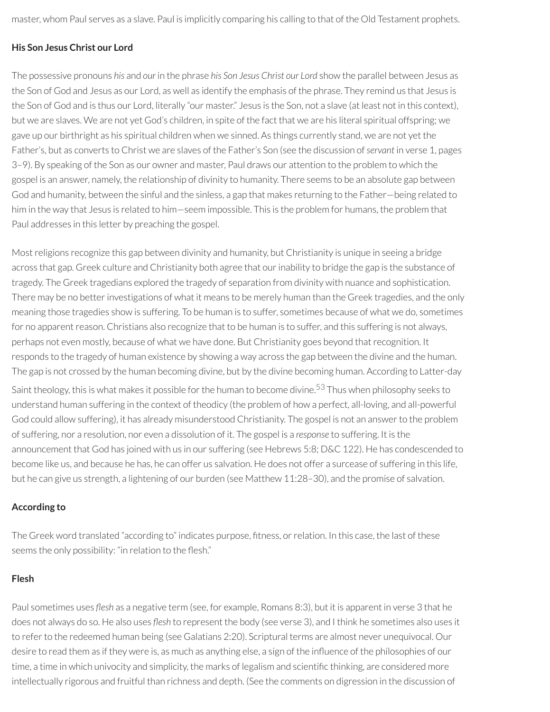master, whom Paul serves as a slave. Paul is implicitly comparing his calling to that of the Old Testament prophets.

# **His Son Jesus Christ our Lord**

The possessive pronouns *his* and *our* in the phrase *his Son Jesus Christ our Lord* show the parallel between Jesus as the Son of God and Jesus as our Lord, as well as identify the emphasis of the phrase. They remind us that Jesus is the Son of God and is thus our Lord, literally "our master." Jesus is the Son, not a slave (at least not in this context), but we are slaves. We are not yet God's children, in spite of the fact that we are his literal spiritual offspring; we gave up our birthright as his spiritual children when we sinned. As things currently stand, we are not yet the Father's, but as converts to Christ we are slaves of the Father's Son (see the discussion of*servant* in verse 1, pages 3–9). By speaking of the Son as our owner and master, Paul draws our attention to the problem to which the gospel is an answer, namely, the relationship of divinity to humanity. There seems to be an absolute gap between God and humanity, between the sinful and the sinless, a gap that makes returning to the Father—being related to him in the way that Jesus is related to him—seem impossible. This is the problem for humans, the problem that Paul addresses in this letter by preaching the gospel.

Mostreligions recognize this gap between divinity and humanity, but Christianity is unique in seeing a bridge across that gap. Greek culture and Christianity both agree that ourinability to bridge the gap is the substance of tragedy. The Greek tragedians explored the tragedy of separation from divinity with nuance and sophistication. There may be no better investigations of what it means to be merely human than the Greek tragedies, and the only meaning those tragedies show is suffering. To be human is to suffer, sometimes because of what we do, sometimes for no apparent reason. Christians also recognize that to be human is to suffer, and this suffering is not always, perhaps not even mostly, because of what we have done. But Christianity goes beyond that recognition. It responds to the tragedy of human existence by showing a way across the gap between the divine and the human. The gap is not crossed by the human becoming divine, but by the divine becoming human. According to Latter-day

Saint theology, this is what makes it possible for the human to become divine.<sup>[53](#page-50-4)</sup> Thus when philosophy seeks to understand human suffering in the context of theodicy (the problem of how a perfect, all-loving, and all-powerful God could allow suffering), it has already misunderstood Christianity. The gospel is not an answerto the problem of suffering, nor a resolution, nor even a dissolution of it. The gospel is a *response* to suffering. It is the announcement that God has joined with us in our suffering (see Hebrews 5:8; D&C 122). He has condescended to become like us, and because he has, he can offer us salvation. He does not offer a surcease of suffering in this life, but he can give us strength, a lightening of our burden (see Matthew 11:28–30), and the promise of salvation.

# **According to**

The Greek word translated "according to" indicates purpose, fitness, or relation. In this case, the last of these seems the only possibility: "in relation to the flesh."

# **Flesh**

Paul sometimes uses *flesh* as a negative term (see, for example, Romans 8:3), but it is apparent in verse 3 that he does not always do so. He also uses *flesh* to represent the body (see verse 3), and I think he sometimes also uses it to refer to the redeemed human being (see Galatians 2:20). Scriptural terms are almost never unequivocal. Our desire to read them as if they were is, as much as anything else, a sign of the influence of the philosophies of our time, a time in which univocity and simplicity, the marks of legalism and scientific thinking, are considered more intellectually rigorous and fruitful than richness and depth. (See the comments on digression in the discussion of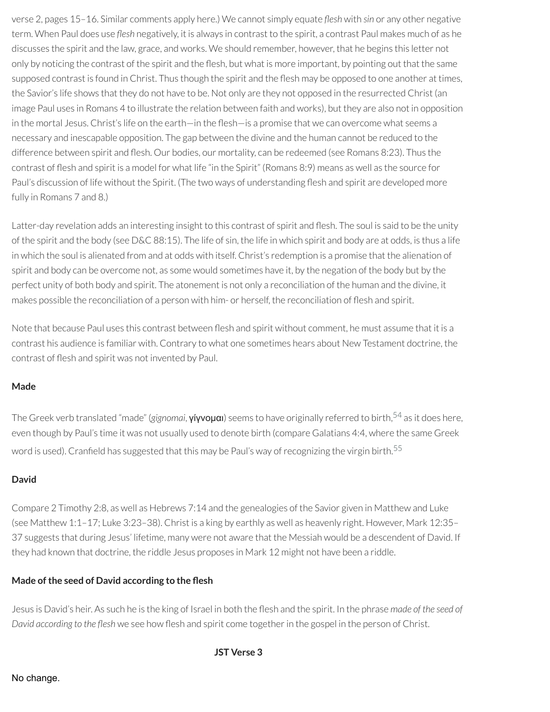verse 2, pages 15–16. Similar comments apply here.) We cannot simply equate *flesh* with *sin* or any other negative term. When Paul does use *flesh* negatively, it is always in contrast to the spirit, a contrast Paul makes much of as he discusses the spirit and the law, grace, and works. We should remember, however, that he begins this letter not only by noticing the contrast of the spirit and the flesh, but what is more important, by pointing out that the same supposed contrast is found in Christ. Thus though the spirit and the flesh may be opposed to one another at times, the Savior's life shows that they do not have to be. Not only are they not opposed in the resurrected Christ (an image Paul uses in Romans 4 to illustrate the relation between faith and works), but they are also not in opposition in the mortal Jesus. Christ's life on the earth—in the flesh—is a promise that we can overcome what seems a necessary and inescapable opposition. The gap between the divine and the human cannot be reduced to the difference between spirit and flesh. Our bodies, our mortality, can be redeemed (see Romans 8:23). Thus the contrast of flesh and spirit is a model for what life "in the Spirit" (Romans 8:9) means as well as the source for Paul's discussion of life without the Spirit. (The two ways of understanding flesh and spirit are developed more fully in Romans 7 and 8.)

Latter-day revelation adds an interesting insight to this contrast of spirit and flesh. The soul is said to be the unity of the spirit and the body (see D&C 88:15). The life of sin, the life in which spirit and body are at odds, is thus a life in which the soul is alienated from and at odds with itself. Christ's redemption is a promise that the alienation of spirit and body can be overcome not, as some would sometimes have it, by the negation of the body but by the perfect unity of both body and spirit. The atonement is not only a reconciliation of the human and the divine, it makes possible the reconciliation of a person with him- or herself, the reconciliation of flesh and spirit.

Note that because Paul uses this contrast between flesh and spirit without comment, he must assume that it is a contrast his audience is familiar with. Contrary to what one sometimes hears about New Testament doctrine, the contrast of flesh and spirit was not invented by Paul.

# **Made**

The Greek verb translated "made" (*gignomai*, γίγνομαι) seems to have originally referred to birth, [54](#page-50-5) as it does here, even though by Paul's time it was not usually used to denote birth (compare Galatians 4:4, where the same Greek word is used). Cranfield has suggested that this may be Paul's way of recognizing the virgin birth. $^{\mathsf{55}}$  $^{\mathsf{55}}$  $^{\mathsf{55}}$ 

# **David**

Compare 2 Timothy 2:8, as well as Hebrews 7:14 and the genealogies of the Savior given in Matthew and Luke (see Matthew 1:1–17; Luke 3:23–38). Christ is a king by earthly as well as heavenly right. However, Mark 12:35– 37 suggests that during Jesus' lifetime, many were not aware that the Messiah would be a descendent of David. If they had known that doctrine, the riddle Jesus proposes in Mark 12 might not have been a riddle.

# **Made ofthe seed of David according to the esh**

Jesus is David's heir. As such he is the king of Israel in both the esh and the spirit. In the phrase *made of the seed of David according* to the flesh we see how flesh and spirit come together in the gospel in the person of Christ.

**JST Verse 3**

# No change.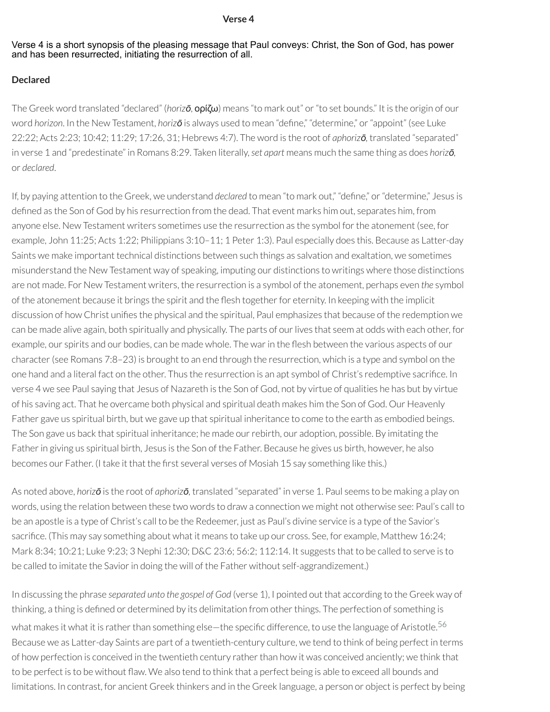#### **Verse 4**

#### Verse 4 is a short synopsis of the pleasing message that Paul conveys: Christ, the Son of God, has power and has been resurrected, initiating the resurrection of all.

#### **Declared**

The Greek word translated "declared" (*horizō*, ορίζω) means "to mark out" or"to set bounds." It is the origin of our word *horizon*. In the New Testament, *horizo* is always used to mean "define," "determine," or "appoint" (see Luke 22:22; Acts 2:23; 10:42; 11:29; 17:26, 31; Hebrews 4:7). The word is the root of *aphorizō,* translated "separated" in verse 1 and "predestinate" in Romans 8:29. Taken literally,*set apart* means much the same thing as does *horizō,* or *declared*.

If, by paying attention to the Greek, we understand *declared* to mean "to mark out," "define," or "determine," Jesus is defined as the Son of God by his resurrection from the dead. That event marks him out, separates him, from anyone else. New Testament writers sometimes use the resurrection as the symbol forthe atonement (see, for example, John 11:25; Acts 1:22; Philippians 3:10–11; 1 Peter 1:3). Paul especially does this. Because as Latter-day Saints we make important technical distinctions between such things as salvation and exaltation, we sometimes misunderstand the New Testament way of speaking, imputing our distinctions to writings where those distinctions are not made. For New Testament writers, the resurrection is a symbol of the atonement, perhaps even *the* symbol of the atonement because it brings the spirit and the flesh together for eternity. In keeping with the implicit discussion of how Christ unifies the physical and the spiritual. Paul emphasizes that because of the redemption we can be made alive again, both spiritually and physically. The parts of ourlives that seem at odds with each other, for example, our spirits and our bodies, can be made whole. The war in the flesh between the various aspects of our character(see Romans 7:8–23) is brought to an end through the resurrection, which is a type and symbol on the one hand and a literal fact on the other. Thus the resurrection is an apt symbol of Christ's redemptive sacrifice. In verse 4 we see Paul saying that Jesus of Nazareth is the Son of God, not by virtue of qualities he has but by virtue of his saving act. That he overcame both physical and spiritual death makes him the Son of God. Our Heavenly Father gave us spiritual birth, but we gave up that spiritual inheritance to come to the earth as embodied beings. The Son gave us back that spiritual inheritance; he made ourrebirth, our adoption, possible. By imitating the Father in giving us spiritual birth, Jesus is the Son of the Father. Because he gives us birth, however, he also becomes our Father. (I take it that the first several verses of Mosiah 15 say something like this.)

As noted above, *horizō* is the root of *aphorizō,* translated "separated" in verse 1. Paul seems to be making a play on words, using the relation between these two words to draw a connection we might not otherwise see: Paul's call to be an apostle is a type of Christ's call to be the Redeemer, just as Paul's divine service is a type of the Savior's sacrifice. (This may say something about what it means to take up our cross. See, for example, Matthew 16:24; Mark 8:34; 10:21; Luke 9:23; 3 Nephi 12:30; D&C 23:6; 56:2; 112:14. It suggests that to be called to serve is to be called to imitate the Savior in doing the will of the Father without self-aggrandizement.)

In discussing the phrase *separated unto the gospel of God* (verse 1), I pointed out that according to the Greek way of thinking, a thing is defined or determined by its delimitation from other things. The perfection of something is what makes it what it is rather than something else—the specific difference, to use the language of Aristotle. $^{56}$  $^{56}$  $^{56}$ Because we as Latter-day Saints are part of a twentieth-century culture, we tend to think of being perfect in terms of how perfection is conceived in the twentieth century rather than how it was conceived anciently; we think that to be perfect is to be without flaw. We also tend to think that a perfect being is able to exceed all bounds and limitations. In contrast, for ancient Greek thinkers and in the Greek language, a person or object is perfect by being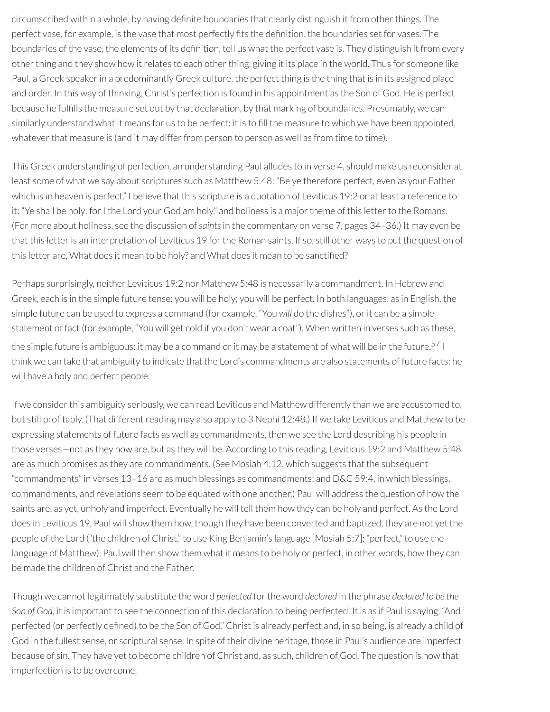circumscribed within a whole, by having definite boundaries that clearly distinguish it from other things. The perfect vase, for example, is the vase that most perfectly fits the definition, the boundaries set for vases. The boundaries of the vase, the elements of its definition, tell us what the perfect vase is. They distinguish it from every other thing and they show how it relates to each other thing, giving it its place in the world. Thus for someone like Paul, a Greek speakerin a predominantly Greek culture, the perfect thing is the thing that is in its assigned place and order. In this way of thinking, Christ's perfection is found in his appointment as the Son of God. He is perfect because he fullls the measure set out by that declaration, by that marking of boundaries. Presumably, we can similarly understand what it means for us to be perfect: it is to fill the measure to which we have been appointed, whatever that measure is (and it may differ from person to person as well as from time to time).

This Greek understanding of perfection, an understanding Paul alludes to in verse 4, should make us reconsider at least some of what we say about scriptures such as Matthew 5:48: "Be ye therefore perfect, even as your Father which is in heaven is perfect." I believe that this scripture is a quotation of Leviticus 19:2 or at least a reference to it: "Ye shall be holy: for I the Lord your God am holy," and holiness is a major theme of this letter to the Romans. (For more about holiness, see the discussion of*saints*in the commentary on verse 7, pages 34–36.) It may even be that this letter is an interpretation of Leviticus 19 for the Roman saints. If so, still other ways to put the question of this letter are, What does it mean to be holy? and What does it mean to be sanctified?

Perhaps surprisingly, neither Leviticus 19:2 nor Matthew 5:48 is necessarily a commandment. In Hebrew and Greek, each is in the simple future tense: you will be holy; you will be perfect. In both languages, as in English, the simple future can be used to express a command (for example, "You *will* do the dishes"), or it can be a simple statement of fact (for example, "You will get cold if you don't wear a coat"). When written in verses such as these, the simple future is ambiguous: it may be a command or it may be a statement of what will be in the future. $^{57}$  $^{57}$  $^{57}$  I think we can take that ambiguity to indicate that the Lord's commandments are also statements of future facts: he will have a holy and perfect people.

If we consider this ambiguity seriously, we can read Leviticus and Matthew differently than we are accustomed to, but still profitably. (That different reading may also apply to 3 Nephi 12:48.) If we take Leviticus and Matthew to be expressing statements of future facts as well as commandments, then we see the Lord describing his people in those verses—not as they now are, but as they will be. According to this reading, Leviticus 19:2 and Matthew 5:48 are as much promises as they are commandments. (See Mosiah 4:12, which suggests that the subsequent "commandments" in verses 13–16 are as much blessings as commandments; and D&C 59:4, in which blessings, commandments, and revelations seem to be equated with one another.) Paul will address the question of how the saints are, as yet, unholy and imperfect. Eventually he will tell them how they can be holy and perfect. As the Lord does in Leviticus 19, Paul will show them how, though they have been converted and baptized, they are not yet the people of the Lord ("the children of Christ," to use King Benjamin's language [Mosiah 5:7]; "perfect," to use the language of Matthew). Paul will then show them what it means to be holy or perfect, in other words, how they can be made the children of Christ and the Father.

Though we cannot legitimately substitute the word *perfected* forthe word *declared* in the phrase *declared to be the Son of God*, it is important to see the connection of this declaration to being perfected. It is as if Paul is saying, "And perfected (or perfectly defined) to be the Son of God." Christ is already perfect and, in so being, is already a child of God in the fullest sense, or scriptural sense. In spite of their divine heritage, those in Paul's audience are imperfect because of sin. They have yet to become children of Christ and, as such, children of God. The question is how that imperfection is to be overcome.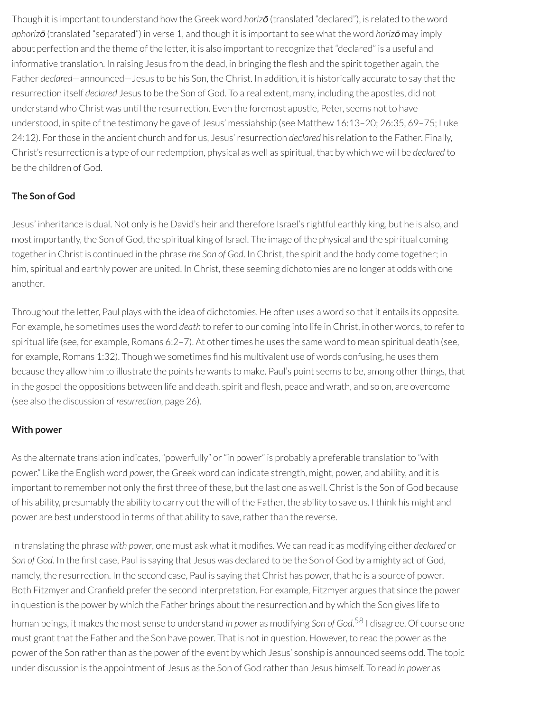Though it is important to understand how the Greek word *horizō* (translated "declared"), is related to the word *aphorizō* (translated "separated") in verse 1, and though it is important to see what the word *horizō* may imply about perfection and the theme of the letter, it is also important to recognize that "declared" is a useful and informative translation. In raising Jesus from the dead, in bringing the flesh and the spirit together again, the Father *declared*—announced—Jesus to be his Son, the Christ. In addition, it is historically accurate to say that the resurrection itself *declared* Jesus to be the Son of God. To a real extent, many, including the apostles, did not understand who Christ was until the resurrection. Even the foremost apostle, Peter, seems not to have understood, in spite of the testimony he gave of Jesus' messiahship (see Matthew 16:13–20; 26:35, 69–75; Luke 24:12). Forthose in the ancient church and for us, Jesus'resurrection *declared* his relation to the Father. Finally, Christ's resurrection is a type of ourredemption, physical as well as spiritual, that by which we will be *declared* to be the children of God.

# **The Son of God**

Jesus' inheritance is dual. Not only is he David's heir and therefore Israel's rightful earthly king, but he is also, and most importantly, the Son of God, the spiritual king of Israel. The image of the physical and the spiritual coming togetherin Christ is continued in the phrase *the Son of God*. In Christ, the spirit and the body come together; in him, spiritual and earthly power are united. In Christ, these seeming dichotomies are no longer at odds with one another.

Throughout the letter, Paul plays with the idea of dichotomies. He often uses a word so that it entails its opposite. For example, he sometimes uses the word *death* to referto our coming into life in Christ, in other words, to referto spiritual life (see, for example, Romans  $6:2-7$ ). At other times he uses the same word to mean spiritual death (see, for example, Romans 1:32). Though we sometimes find his multivalent use of words confusing, he uses them because they allow him to illustrate the points he wants to make. Paul's point seems to be, among other things, that in the gospel the oppositions between life and death, spirit and flesh, peace and wrath, and so on, are overcome (see also the discussion of *resurrection*, page 26).

# **With power**

As the alternate translation indicates, "powerfully" or "in power" is probably a preferable translation to "with power." Like the English word *power*, the Greek word can indicate strength, might, power, and ability, and it is important to remember not only the first three of these, but the last one as well. Christ is the Son of God because of his ability, presumably the ability to carry out the will of the Father, the ability to save us. I think his might and power are best understood in terms of that ability to save, rather than the reverse.

In translating the phrase with *power*, one must ask what it modifies. We can read it as modifying either *declared* or *Son of God.* In the first case, Paul is saying that Jesus was declared to be the Son of God by a mighty act of God, namely, the resurrection. In the second case, Paul is saying that Christ has power, that he is a source of power. Both Fitzmyer and Cranfield prefer the second interpretation. For example, Fitzmyer argues that since the power in question is the power by which the Father brings about the resurrection and by which the Son gives life to human beings, it makes the most sense to understand *in power* as modifying *Son of God*. [58](#page-50-9) I disagree. Of course one must grant that the Father and the Son have power. That is not in question. However, to read the power as the power of the Son rather than as the power of the event by which Jesus' sonship is announced seems odd. The topic under discussion is the appointment of Jesus as the Son of God ratherthan Jesus himself. To read *in power* as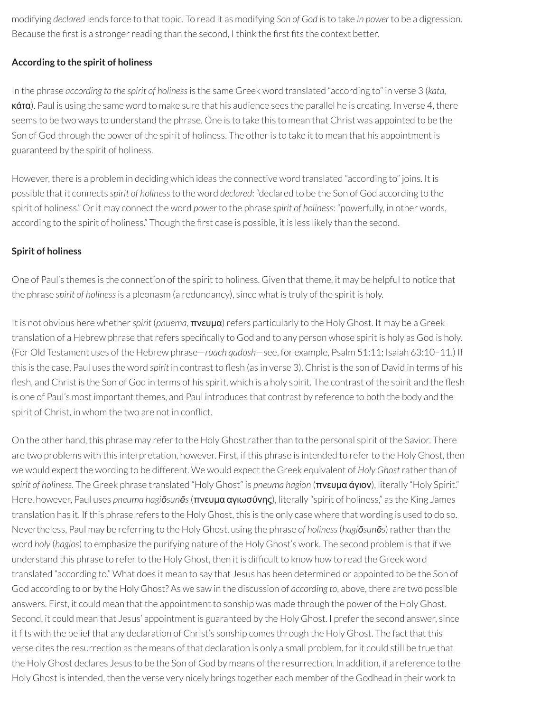modifying *declared* lends force to that topic. To read it as modifying *Son of God* is to take *in power* to be a digression. Because the first is a stronger reading than the second, I think the first fits the context better.

# **According to the spirit of holiness**

In the phrase *according to the spirit of holiness*is the same Greek word translated "according to" in verse 3 (*kata,* κάτα). Paul is using the same word to make sure that his audience sees the parallel he is creating. In verse 4, there seems to be two ways to understand the phrase. One is to take this to mean that Christ was appointed to be the Son of God through the power of the spirit of holiness. The otheris to take it to mean that his appointment is guaranteed by the spirit of holiness.

However, there is a problem in deciding which ideas the connective word translated "according to" joins. It is possible that it connects *spirit of holiness*to the word *declared*: "declared to be the Son of God according to the spirit of holiness." Orit may connect the word *power* to the phrase *spirit of holiness*: "powerfully, in other words, according to the spirit of holiness." Though the first case is possible, it is less likely than the second.

# **Spirit of holiness**

One of Paul's themes is the connection of the spirit to holiness. Given that theme, it may be helpful to notice that the phrase *spirit of holiness*is a pleonasm (a redundancy), since what is truly of the spirit is holy.

It is not obvious here whether*spirit* (*pnuema*, πνευμα)refers particularly to the Holy Ghost. It may be a Greek translation of a Hebrew phrase that refers specifically to God and to any person whose spirit is holy as God is holy. (For Old Testament uses of the Hebrew phrase—*ruach qadosh*—see, for example, Psalm 51:11; Isaiah 63:10–11.) If this is the case, Paul uses the word *spirit* in contrast to flesh (as in verse 3). Christ is the son of David in terms of his flesh, and Christ is the Son of God in terms of his spirit, which is a holy spirit. The contrast of the spirit and the flesh is one of Paul's most important themes, and Paul introduces that contrast by reference to both the body and the spirit of Christ, in whom the two are not in conflict.

On the other hand, this phrase may referto the Holy Ghostratherthan to the personal spirit of the Savior. There are two problems with this interpretation, however. First, if this phrase is intended to referto the Holy Ghost, then we would expect the wording to be different. We would expect the Greek equivalent of *Holy Ghost*ratherthan of *spirit of holiness*. The Greek phrase translated "Holy Ghost" is *pneuma hagion* (πνευμα άγιον), literally "Holy Spirit." Here, however, Paul uses *pneuma hagiōsunēs*(πνευμα αγιωσύνης), literally "spirit of holiness," as the King James translation has it. If this phrase refers to the Holy Ghost, this is the only case where that wording is used to do so. Nevertheless, Paul may be referring to the Holy Ghost, using the phrase *of holiness*(*hagiōsunēs*)ratherthan the word *holy* (*hagios*) to emphasize the purifying nature of the Holy Ghost's work. The second problem is that if we understand this phrase to refer to the Holy Ghost, then it is difficult to know how to read the Greek word translated "according to." What does it mean to say that Jesus has been determined or appointed to be the Son of God according to or by the Holy Ghost? As we saw in the discussion of *according to*, above, there are two possible answers. First, it could mean that the appointment to sonship was made through the power of the Holy Ghost. Second, it could mean that Jesus' appointment is guaranteed by the Holy Ghost. I prefer the second answer, since it fits with the belief that any declaration of Christ's sonship comes through the Holy Ghost. The fact that this verse cites the resurrection as the means of that declaration is only a small problem, for it could still be true that the Holy Ghost declares Jesus to be the Son of God by means of the resurrection. In addition, if a reference to the Holy Ghost is intended, then the verse very nicely brings together each member of the Godhead in their work to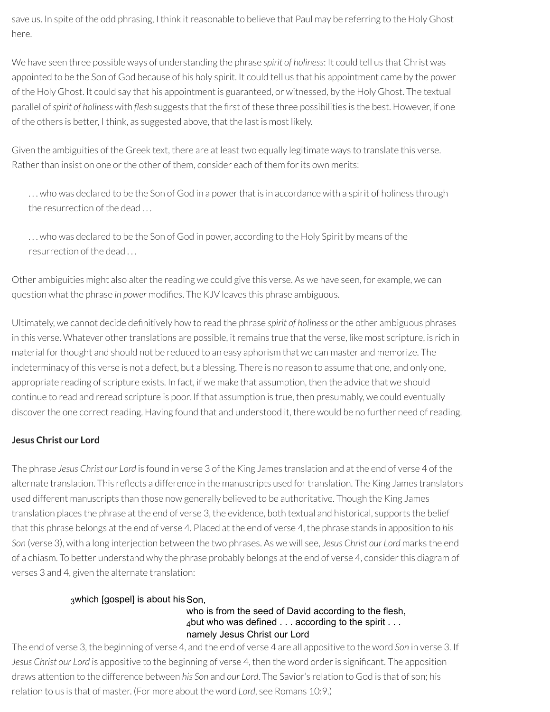save us. In spite of the odd phrasing, I think it reasonable to believe that Paul may be referring to the Holy Ghost here.

We have seen three possible ways of understanding the phrase *spirit of holiness*: It could tell us that Christ was appointed to be the Son of God because of his holy spirit. It could tell us that his appointment came by the power of the Holy Ghost. It could say that his appointment is guaranteed, or witnessed, by the Holy Ghost. The textual parallel of *spirit* of *holiness* with *flesh* suggests that the first of these three possibilities is the best. However, if one of the others is better, I think, as suggested above, that the last is most likely.

Given the ambiguities of the Greek text, there are at least two equally legitimate ways to translate this verse. Rather than insist on one or the other of them, consider each of them for its own merits:

... who was declared to be the Son of God in a power that is in accordance with a spirit of holiness through the resurrection of the dead

. . . who was declared to be the Son of God in power, according to the Holy Spirit by means of the resurrection of the dead . . .

Other ambiguities might also alter the reading we could give this verse. As we have seen, for example, we can question what the phrase *in power* modifies. The KJV leaves this phrase ambiguous.

Ultimately, we cannot decide denitively how to read the phrase *spirit of holiness* orthe other ambiguous phrases in this verse. Whatever other translations are possible, it remains true that the verse, like most scripture, is rich in material for thought and should not be reduced to an easy aphorism that we can master and memorize. The indeterminacy of this verse is not a defect, but a blessing. There is no reason to assume that one, and only one, appropriate reading of scripture exists. In fact, if we make that assumption, then the advice that we should continue to read and reread scripture is poor. If that assumption is true, then presumably, we could eventually discover the one correct reading. Having found that and understood it, there would be no further need of reading.

# **Jesus Christ our Lord**

The phrase *Jesus Christ our Lord* is found in verse 3 of the King James translation and at the end of verse 4 of the alternate translation. This reflects a difference in the manuscripts used for translation. The King James translators used different manuscripts than those now generally believed to be authoritative. Though the King James translation places the phrase at the end of verse 3, the evidence, both textual and historical, supports the belief that this phrase belongs at the end of verse 4. Placed at the end of verse 4, the phrase stands in apposition to *his Son* (verse 3), with a long interjection between the two phrases. As we will see, *Jesus Christ our Lord* marks the end of a chiasm. To better understand why the phrase probably belongs at the end of verse 4, considerthis diagram of verses 3 and 4, given the alternate translation:

# 3which [gospel] is about his Son.

### who is from the seed of David according to the flesh, 4but who was defined . . . according to the spirit . . . namely Jesus Christ our Lord

The end of verse 3, the beginning of verse 4, and the end of verse 4 are all appositive to the word *Son* in verse 3. If Jesus Christ our Lord is appositive to the beginning of verse 4, then the word order is significant. The apposition draws attention to the difference between *his Son* and *our Lord*. The Savior's relation to God is that of son; his relation to us is that of master. (For more about the word *Lord*, see Romans 10:9.)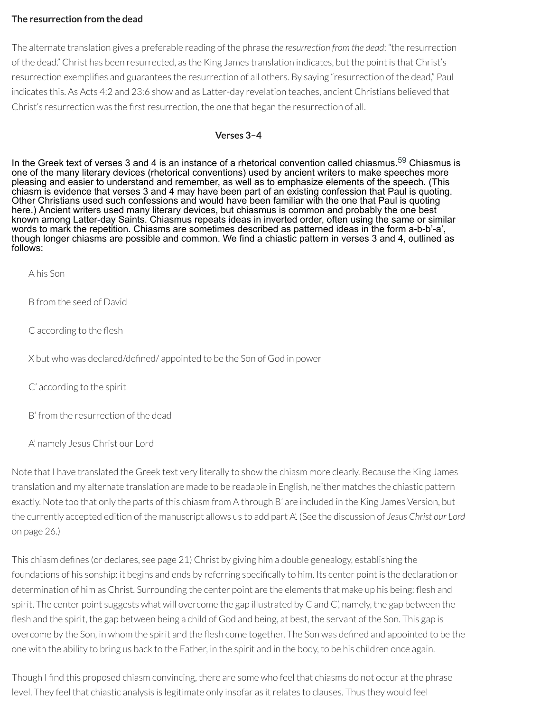### **The resurrection from the dead**

The alternate translation gives a preferable reading of the phrase *the resurrection from the dead*: "the resurrection of the dead." Christ has been resurrected, as the King James translation indicates, but the point is that Christ's resurrection exemplies and guarantees the resurrection of all others. By saying "resurrection of the dead," Paul indicates this. As Acts 4:2 and 23:6 show and as Latter-day revelation teaches, ancient Christians believed that Christ's resurrection was the first resurrection, the one that began the resurrection of all.

#### **Verses 3–4**

In the Greek text of verses 3 and 4 is an instance of a rhetorical convention called chiasmus.<sup>[59](#page-50-10)</sup> Chiasmus is one of the many literary devices (rhetorical conventions) used by ancient writers to make speeches more pleasing and easier to understand and remember, as well as to emphasize elements of the speech. (This chiasm is evidence that verses 3 and 4 may have been part of an existing confession that Paul is quoting. Other Christians used such confessions and would have been familiar with the one that Paul is quoting here.) Ancient writers used many literary devices, but chiasmus is common and probably the one best known among Latter-day Saints. Chiasmus repeats ideas in inverted order, often using the same or similar words to mark the repetition. Chiasms are sometimes described as patterned ideas in the form a-b-b'-a', though longer chiasms are possible and common. We find a chiastic pattern in verses 3 and 4, outlined as follows:

A his Son

B from the seed of David

C according to the flesh

X but who was declared/defined/ appointed to be the Son of God in power

C' according to the spirit

B' from the resurrection of the dead

A' namely Jesus Christ our Lord

Note that I have translated the Greek text very literally to show the chiasm more clearly. Because the King James translation and my alternate translation are made to be readable in English, neither matches the chiastic pattern exactly. Note too that only the parts of this chiasm from A through B' are included in the King James Version, but the currently accepted edition of the manuscript allows us to add part A'. (See the discussion of *Jesus Christ our Lord* on page 26.)

This chiasm defines (or declares, see page 21) Christ by giving him a double genealogy, establishing the foundations of his sonship: it begins and ends by referring specifically to him. Its center point is the declaration or determination of him as Christ. Surrounding the center point are the elements that make up his being: flesh and spirit. The center point suggests what will overcome the gap illustrated by C and C', namely, the gap between the flesh and the spirit, the gap between being a child of God and being, at best, the servant of the Son. This gap is overcome by the Son, in whom the spirit and the flesh come together. The Son was defined and appointed to be the one with the ability to bring us back to the Father, in the spirit and in the body, to be his children once again.

Though I find this proposed chiasm convincing, there are some who feel that chiasms do not occur at the phrase level. They feel that chiastic analysis is legitimate only insofar as itrelates to clauses. Thus they would feel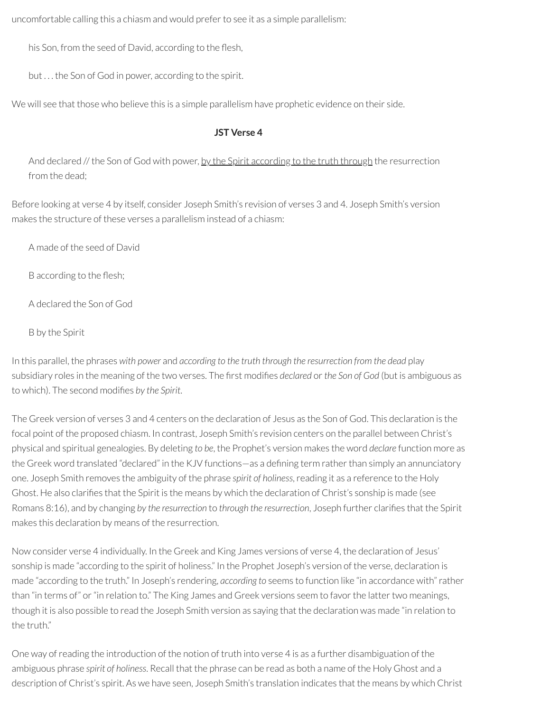uncomfortable calling this a chiasm and would preferto see it as a simple parallelism:

his Son, from the seed of David, according to the flesh,

but . . . the Son of God in power, according to the spirit.

We will see that those who believe this is a simple parallelism have prophetic evidence on their side.

## **JST Verse 4**

And declared // the Son of God with power, by the Spirit according to the truth through the resurrection from the dead;

Before looking at verse 4 by itself, consider Joseph Smith's revision of verses 3 and 4. Joseph Smith's version makes the structure of these verses a parallelism instead of a chiasm:

A made of the seed of David

B according to the flesh;

A declared the Son of God

B by the Spirit

In this parallel, the phrases *with power* and *according to the truth through the resurrection from the dead* play subsidiary roles in the meaning of the two verses. The first modifies *declared* or the *Son* of God (but is ambiguous as to which). The second modies *by the Spirit*.

The Greek version of verses 3 and 4 centers on the declaration of Jesus as the Son of God. This declaration is the focal point of the proposed chiasm. In contrast, Joseph Smith's revision centers on the parallel between Christ's physical and spiritual genealogies. By deleting *to be*, the Prophet's version makes the word *declare* function more as the Greek word translated "declared" in the KJV functions—as a defining term rather than simply an annunciatory one. Joseph Smith removes the ambiguity of the phrase *spirit of holiness*,reading it as a reference to the Holy Ghost. He also clarifies that the Spirit is the means by which the declaration of Christ's sonship is made (see Romans 8:16), and by changing by the resurrection to through the resurrection, Joseph further clarifies that the Spirit makes this declaration by means of the resurrection.

Now consider verse 4 individually. In the Greek and King James versions of verse 4, the declaration of Jesus' sonship is made "according to the spirit of holiness." In the Prophet Joseph's version of the verse, declaration is made "according to the truth." In Joseph's rendering, *according to* seems to function like "in accordance with"rather than "in terms of" or"in relation to." The King James and Greek versions seem to favorthe lattertwo meanings, though it is also possible to read the Joseph Smith version as saying that the declaration was made "in relation to the truth."

One way ofreading the introduction of the notion of truth into verse 4 is as a further disambiguation of the ambiguous phrase *spirit of holiness*. Recall that the phrase can be read as both a name of the Holy Ghost and a description of Christ's spirit. As we have seen, Joseph Smith's translation indicates that the means by which Christ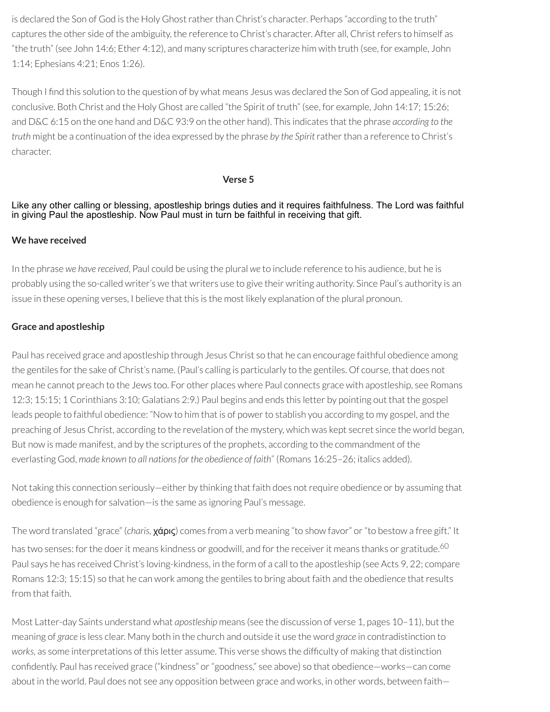is declared the Son of God is the Holy Ghost rather than Christ's character. Perhaps "according to the truth" captures the other side of the ambiguity, the reference to Christ's character. After all, Christrefers to himself as "the truth" (see John 14:6; Ether 4:12), and many scriptures characterize him with truth (see, for example, John 1:14; Ephesians 4:21; Enos 1:26).

Though I find this solution to the question of by what means Jesus was declared the Son of God appealing, it is not conclusive. Both Christ and the Holy Ghost are called "the Spirit of truth" (see, for example, John 14:17; 15:26; and D&C 6:15 on the one hand and D&C 93:9 on the other hand). This indicates that the phrase *according to the truth* might be a continuation of the idea expressed by the phrase *by the Spirit*ratherthan a reference to Christ's character.

#### <span id="page-37-0"></span>**Verse 5**

## Like any other calling or blessing, apostleship brings duties and it requires faithfulness. The Lord was faithful in giving Paul the apostleship. Now Paul must in turn be faithful in receiving that gift.

## **We have received**

In the phrase *we have received*, Paul could be using the plural *we* to include reference to his audience, but he is probably using the so-called writer's we that writers use to give their writing authority. Since Paul's authority is an issue in these opening verses, I believe that this is the most likely explanation of the plural pronoun.

## **Grace and apostleship**

Paul has received grace and apostleship through Jesus Christ so that he can encourage faithful obedience among the gentiles forthe sake of Christ's name. (Paul's calling is particularly to the gentiles. Of course, that does not mean he cannot preach to the Jews too. For other places where Paul connects grace with apostleship, see Romans 12:3; 15:15; 1 Corinthians 3:10; Galatians 2:9.) Paul begins and ends this letter by pointing out that the gospel leads people to faithful obedience: "Now to him that is of powerto stablish you according to my gospel, and the preaching of Jesus Christ, according to the revelation of the mystery, which was kept secret since the world began, But now is made manifest, and by the scriptures of the prophets, according to the commandment of the everlasting God, *made known to all nationsfor the obedience of faith*" (Romans 16:25–26; italics added).

Not taking this connection seriously—either by thinking that faith does not require obedience or by assuming that obedience is enough for salvation—is the same as ignoring Paul's message.

The word translated "grace" (*charis,* χάρις) comes from a verb meaning "to show favor" or"to bestow a free gift." It has two senses: for the doer it means kindness or goodwill, and for the receiver it means thanks or gratitude.<sup>[60](#page-50-0)</sup> Paul says he has received Christ's loving-kindness, in the form of a call to the apostleship (see Acts 9, 22; compare Romans 12:3; 15:15) so that he can work among the gentiles to bring about faith and the obedience that results from that faith.

Most Latter-day Saints understand what *apostleship* means (see the discussion of verse 1, pages 10–11), but the meaning of *grace* is less clear. Many both in the church and outside it use the word *grace* in contradistinction to *works,* as some interpretations of this letter assume. This verse shows the difculty of making that distinction confidently. Paul has received grace ("kindness" or "goodness," see above) so that obedience—works—can come about in the world. Paul does not see any opposition between grace and works, in other words, between faith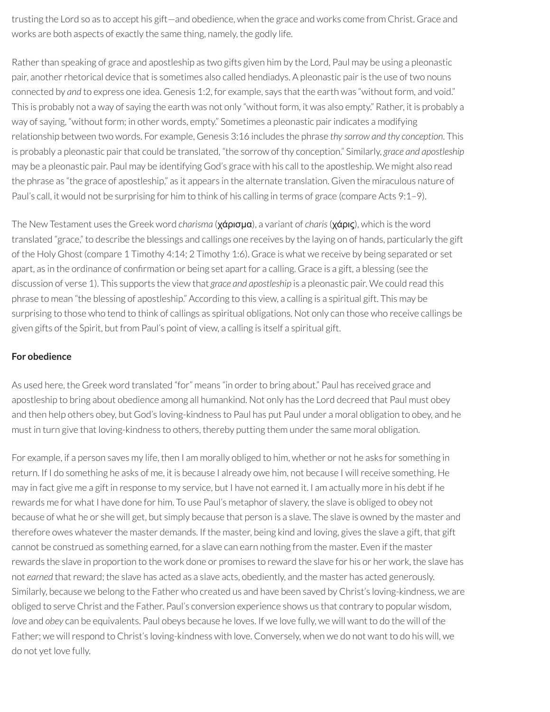trusting the Lord so as to accept his gift—and obedience, when the grace and works come from Christ. Grace and works are both aspects of exactly the same thing, namely, the godly life.

Rather than speaking of grace and apostleship as two gifts given him by the Lord, Paul may be using a pleonastic pair, another rhetorical device that is sometimes also called hendiadys. A pleonastic pair is the use of two nouns connected by *and* to express one idea. Genesis 1:2, for example, says that the earth was "without form, and void." This is probably not a way of saying the earth was not only "without form, it was also empty." Rather, it is probably a way of saying, "without form; in other words, empty." Sometimes a pleonastic pairindicates a modifying relationship between two words. For example, Genesis 3:16 includes the phrase *thy sorrow and thy conception*. This is probably a pleonastic pair that could be translated, "the sorrow of thy conception." Similarly, *grace and apostleship* may be a pleonastic pair. Paul may be identifying God's grace with his call to the apostleship. We might also read the phrase as "the grace of apostleship," as it appears in the alternate translation. Given the miraculous nature of Paul's call, it would not be surprising for him to think of his calling in terms of grace (compare Acts 9:1–9).

The New Testament uses the Greek word *charisma* (χάρισμα), a variant of *charis*(χάρις), which is the word translated "grace," to describe the blessings and callings one receives by the laying on of hands, particularly the gift of the Holy Ghost (compare 1 Timothy 4:14; 2 Timothy 1:6). Grace is what we receive by being separated or set apart, as in the ordinance of confirmation or being set apart for a calling. Grace is a gift, a blessing (see the discussion of verse 1). This supports the view that *grace and apostleship* is a pleonastic pair. We could read this phrase to mean "the blessing of apostleship." According to this view, a calling is a spiritual gift. This may be surprising to those who tend to think of callings as spiritual obligations. Not only can those who receive callings be given gifts of the Spirit, but from Paul's point of view, a calling is itself a spiritual gift.

## **For obedience**

As used here, the Greek word translated "for" means "in orderto bring about." Paul has received grace and apostleship to bring about obedience among all humankind. Not only has the Lord decreed that Paul must obey and then help others obey, but God's loving-kindness to Paul has put Paul under a moral obligation to obey, and he must in turn give that loving-kindness to others, thereby putting them under the same moral obligation.

For example, if a person saves my life, then I am morally obliged to him, whether or not he asks for something in return. If I do something he asks of me, it is because I already owe him, not because I willreceive something. He may in fact give me a gift in response to my service, but I have not earned it. I am actually more in his debt if he rewards me for what I have done for him. To use Paul's metaphor of slavery, the slave is obliged to obey not because of what he or she will get, but simply because that person is a slave. The slave is owned by the master and therefore owes whatever the master demands. If the master, being kind and loving, gives the slave a gift, that gift cannot be construed as something earned, for a slave can earn nothing from the master. Even if the master rewards the slave in proportion to the work done or promises to reward the slave for his or her work, the slave has not *earned* that reward; the slave has acted as a slave acts, obediently, and the master has acted generously. Similarly, because we belong to the Father who created us and have been saved by Christ's loving-kindness, we are obliged to serve Christ and the Father. Paul's conversion experience shows us that contrary to popular wisdom, *love* and *obey* can be equivalents. Paul obeys because he loves. If we love fully, we will want to do the will of the Father; we will respond to Christ's loving-kindness with love. Conversely, when we do not want to do his will, we do not yet love fully.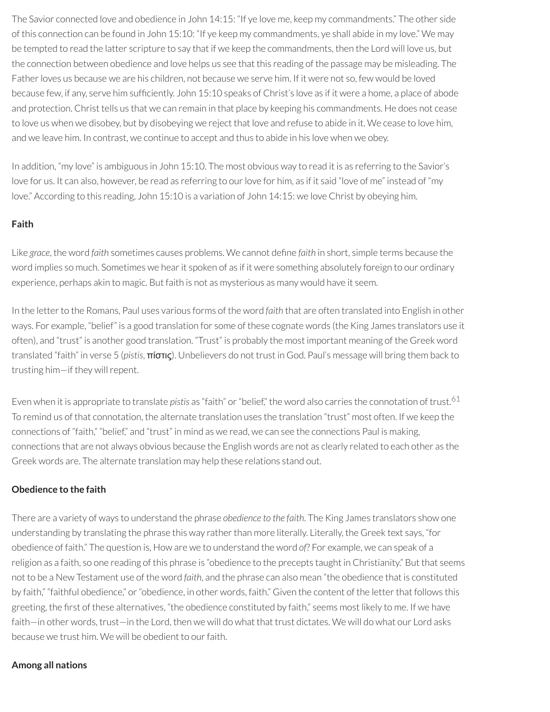The Savior connected love and obedience in John 14:15: "If ye love me, keep my commandments." The other side of this connection can be found in John 15:10: "If ye keep my commandments, ye shall abide in my love." We may be tempted to read the latter scripture to say that if we keep the commandments, then the Lord will love us, but the connection between obedience and love helps us see that this reading of the passage may be misleading. The Father loves us because we are his children, not because we serve him. If it were not so, few would be loved because few, if any, serve him sufficiently. John 15:10 speaks of Christ's love as if it were a home, a place of abode and protection. Christ tells us that we can remain in that place by keeping his commandments. He does not cease to love us when we disobey, but by disobeying we reject that love and refuse to abide in it. We cease to love him, and we leave him. In contrast, we continue to accept and thus to abide in his love when we obey.

In addition, "my love" is ambiguous in John 15:10. The most obvious way to read it is as referring to the Savior's love for us. It can also, however, be read as referring to our love for him, as if it said "love of me" instead of "my love." According to this reading, John 15:10 is a variation of John 14:15: we love Christ by obeying him.

## **Faith**

Like grace, the word *faith* sometimes causes problems. We cannot define *faith* in short, simple terms because the word implies so much. Sometimes we hear it spoken of as if it were something absolutely foreign to our ordinary experience, perhaps akin to magic. But faith is not as mysterious as many would have it seem.

In the letter to the Romans, Paul uses various forms of the word *faith* that are often translated into English in other ways. For example, "belief" is a good translation for some of these cognate words (the King James translators use it often), and "trust" is another good translation. "Trust" is probably the most important meaning of the Greek word translated "faith" in verse 5 (*pistis*, πίστις). Unbelievers do not trust in God. Paul's message will bring them back to trusting him—if they will repent.

<span id="page-39-0"></span>Even when it is appropriate to translate pistis as "faith" or "belief," the word also carries the connotation of trust.<sup>[61](#page-50-1)</sup> To remind us of that connotation, the alternate translation uses the translation "trust" most often. If we keep the connections of "faith," "belief," and "trust" in mind as we read, we can see the connections Paul is making, connections that are not always obvious because the English words are not as clearly related to each other as the Greek words are. The alternate translation may help these relations stand out.

## **Obedience to the faith**

There are a variety of ways to understand the phrase *obedience to the faith*. The King James translators show one understanding by translating the phrase this way rather than more literally. Literally, the Greek text says, "for obedience of faith." The question is, How are we to understand the word *of*? For example, we can speak of a religion as a faith, so one reading of this phrase is "obedience to the precepts taught in Christianity." But that seems not to be a New Testament use of the word *faith*, and the phrase can also mean "the obedience that is constituted by faith," "faithful obedience," or "obedience, in other words, faith." Given the content of the letter that follows this greeting, the first of these alternatives, "the obedience constituted by faith," seems most likely to me. If we have faith—in other words, trust—in the Lord, then we will do what that trust dictates. We will do what our Lord asks because we trust him. We will be obedient to our faith.

#### **Among all nations**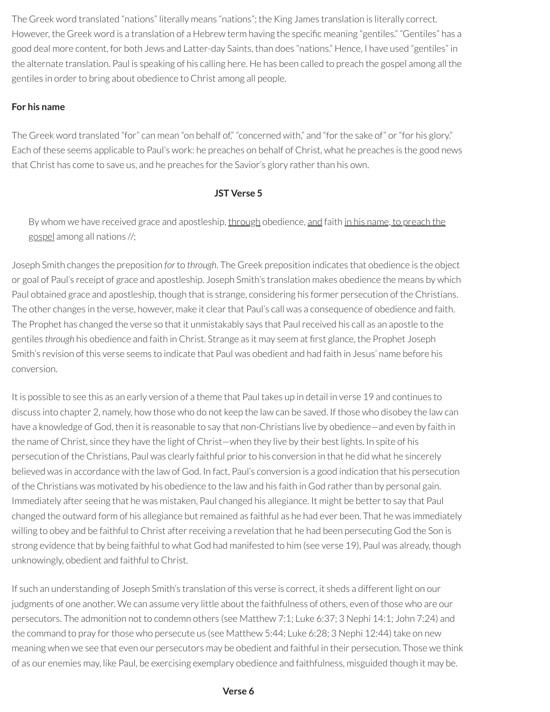The Greek word translated "nations" literally means "nations"; the King James translation is literally correct. However, the Greek word is a translation of a Hebrew term having the specific meaning "gentiles." "Gentiles" has a good deal more content, for both Jews and Latter-day Saints, than does "nations." Hence, I have used "gentiles" in the alternate translation. Paul is speaking of his calling here. He has been called to preach the gospel among all the gentiles in order to bring about obedience to Christ among all people.

## **For his name**

The Greek word translated "for" can mean "on behalf of," "concerned with," and "for the sake of" or "for his glory." Each of these seems applicable to Paul's work: he preaches on behalf of Christ, what he preaches is the good news that Christ has come to save us, and he preaches for the Savior's glory rather than his own.

## **JST Verse 5**

By whom we have received grace and apostleship, through obedience, and faith in his name, to preach the gospel among all nations //;

Joseph Smith changes the preposition *for* to *through*. The Greek preposition indicates that obedience is the object or goal of Paul's receipt of grace and apostleship. Joseph Smith's translation makes obedience the means by which Paul obtained grace and apostleship, though that is strange, considering his former persecution of the Christians. The other changes in the verse, however, make it clear that Paul's call was a consequence of obedience and faith. The Prophet has changed the verse so that it unmistakably says that Paulreceived his call as an apostle to the gentiles *through* his obedience and faith in Christ. Strange as it may seem at first glance, the Prophet Joseph Smith's revision of this verse seems to indicate that Paul was obedient and had faith in Jesus' name before his conversion.

It is possible to see this as an early version of a theme that Paul takes up in detail in verse 19 and continues to discuss into chapter 2, namely, how those who do not keep the law can be saved. If those who disobey the law can have a knowledge of God, then it is reasonable to say that non-Christians live by obedience—and even by faith in the name of Christ, since they have the light of Christ—when they live by their best lights. In spite of his persecution of the Christians, Paul was clearly faithful prior to his conversion in that he did what he sincerely believed was in accordance with the law of God. In fact, Paul's conversion is a good indication that his persecution of the Christians was motivated by his obedience to the law and his faith in God ratherthan by personal gain. Immediately after seeing that he was mistaken, Paul changed his allegiance. It might be better to say that Paul changed the outward form of his allegiance but remained as faithful as he had ever been. That he was immediately willing to obey and be faithful to Christ after receiving a revelation that he had been persecuting God the Son is strong evidence that by being faithful to what God had manifested to him (see verse 19), Paul was already, though unknowingly, obedient and faithful to Christ.

If such an understanding of Joseph Smith's translation of this verse is correct, it sheds a different light on our judgments of one another. We can assume very little about the faithfulness of others, even of those who are our persecutors. The admonition not to condemn others (see Matthew 7:1; Luke 6:37; 3 Nephi 14:1; John 7:24) and the command to pray for those who persecute us (see Matthew 5:44; Luke 6:28; 3 Nephi 12:44) take on new meaning when we see that even our persecutors may be obedient and faithful in their persecution. Those we think of as our enemies may, like Paul, be exercising exemplary obedience and faithfulness, misguided though it may be.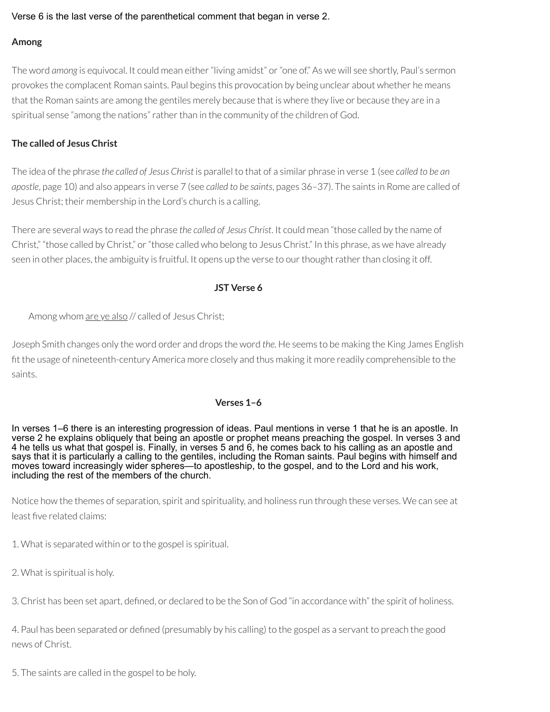#### Verse 6 is the last verse of the parenthetical comment that began in verse 2.

## **Among**

The word *among* is equivocal. It could mean either"living amidst" or"one of." As we will see shortly, Paul's sermon provokes the complacent Roman saints. Paul begins this provocation by being unclear about whether he means that the Roman saints are among the gentiles merely because that is where they live or because they are in a spiritual sense "among the nations"ratherthan in the community of the children of God.

## **The called of Jesus Christ**

The idea of the phrase *the called of Jesus Christ* is parallel to that of a similar phrase in verse 1 (see *called to be an apostle*, page 10) and also appears in verse 7 (see *called to be saints*, pages 36–37). The saints in Rome are called of Jesus Christ; their membership in the Lord's church is a calling.

There are several ways to read the phrase *the called of Jesus Christ*. It could mean "those called by the name of Christ," "those called by Christ," or"those called who belong to Jesus Christ." In this phrase, as we have already seen in other places, the ambiguity is fruitful. It opens up the verse to our thought rather than closing it off.

## **JST Verse 6**

Among whom are ye also // called of Jesus Christ;

Joseph Smith changes only the word order and drops the word *the*. He seems to be making the King James English t the usage of nineteenth-century America more closely and thus making it more readily comprehensible to the saints.

## **Verses 1–6**

In verses 1–6 there is an interesting progression of ideas. Paul mentions in verse 1 that he is an apostle. In verse 2 he explains obliquely that being an apostle or prophet means preaching the gospel. In verses 3 and 4 he tells us what that gospel is. Finally, in verses 5 and 6, he comes back to his calling as an apostle and says that it is particularly a calling to the gentiles, including the Roman saints. Paul begins with himself and moves toward increasingly wider spheres—to apostleship, to the gospel, and to the Lord and his work, including the rest of the members of the church.

Notice how the themes of separation, spirit and spirituality, and holiness run through these verses. We can see at least five related claims:

1. What is separated within or to the gospel is spiritual.

2. What is spiritual is holy.

3. Christ has been set apart, defined, or declared to be the Son of God "in accordance with" the spirit of holiness.

4. Paul has been separated or defined (presumably by his calling) to the gospel as a servant to preach the good news of Christ.

5. The saints are called in the gospel to be holy.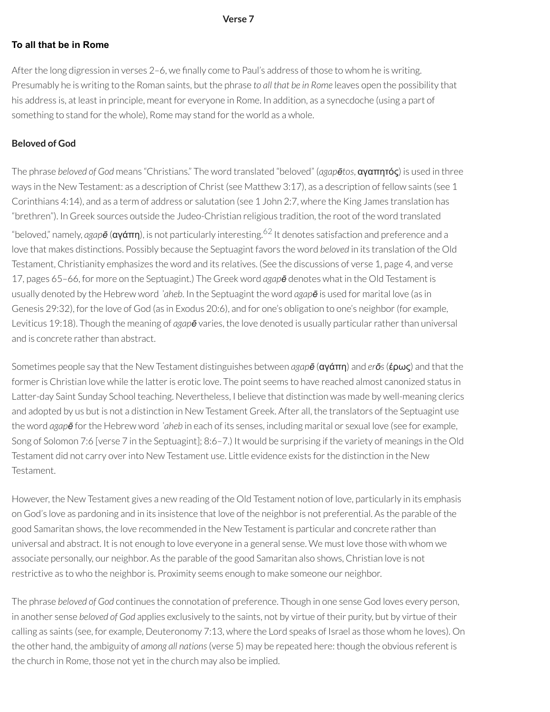#### <span id="page-42-0"></span>**Verse 7**

#### **To all that be in Rome**

After the long digression in verses  $2-6$ , we finally come to Paul's address of those to whom he is writing. Presumably he is writing to the Roman saints, but the phrase *to all that be in Rome* leaves open the possibility that his address is, at least in principle, meant for everyone in Rome. In addition, as a synecdoche (using a part of something to stand for the whole). Rome may stand for the world as a whole.

## **Beloved of God**

The phrase *beloved of God* means "Christians." The word translated "beloved" (*agapētos*, αγαπητός) is used in three ways in the New Testament: as a description of Christ (see Matthew 3:17), as a description of fellow saints (see 1 Corinthians 4:14), and as a term of address or salutation (see 1 John 2:7, where the King James translation has "brethren"). In Greek sources outside the Judeo-Christian religious tradition, the root of the word translated "beloved," namely, *agapē* (αγάπη), is not particularly interesting. [62](#page-50-2) It denotes satisfaction and preference and a love that makes distinctions. Possibly because the Septuagint favors the word *beloved* in its translation of the Old Testament, Christianity emphasizes the word and its relatives. (See the discussions of verse 1, page 4, and verse 17, pages 65–66, for more on the Septuagint.) The Greek word *agapē* denotes what in the Old Testament is usually denoted by the Hebrew word *ʾaheb*. In the Septuagint the word *agapē* is used for marital love (as in Genesis 29:32), for the love of God (as in Exodus 20:6), and for one's obligation to one's neighbor (for example, Leviticus 19:18). Though the meaning of *agapē* varies, the love denoted is usually particularratherthan universal and is concrete rather than abstract.

Sometimes people say that the New Testament distinguishes between *agapē* (αγάπη) and *erōs*(έρως) and that the former is Christian love while the latter is erotic love. The point seems to have reached almost canonized status in Latter-day Saint Sunday School teaching. Nevertheless, I believe that distinction was made by well-meaning clerics and adopted by us but is not a distinction in New Testament Greek. After all, the translators of the Septuagint use the word *agap* $\bar{e}$  for the Hebrew word *'aheb* in each of its senses, including marital or sexual love (see for example, Song of Solomon 7:6 [verse 7 in the Septuagint]; 8:6–7.) It would be surprising if the variety of meanings in the Old Testament did not carry overinto New Testament use. Little evidence exists forthe distinction in the New Testament.

However, the New Testament gives a new reading of the Old Testament notion of love, particularly in its emphasis on God's love as pardoning and in its insistence that love of the neighbor is not preferential. As the parable of the good Samaritan shows, the love recommended in the New Testament is particular and concrete rather than universal and abstract. It is not enough to love everyone in a general sense. We must love those with whom we associate personally, our neighbor. As the parable of the good Samaritan also shows, Christian love is not restrictive as to who the neighbor is. Proximity seems enough to make someone our neighbor.

The phrase *beloved of God* continues the connotation of preference. Though in one sense God loves every person, in another sense *beloved of God* applies exclusively to the saints, not by virtue of their purity, but by virtue of their calling as saints (see, for example, Deuteronomy 7:13, where the Lord speaks of Israel as those whom he loves). On the other hand, the ambiguity of *among all nations*(verse 5) may be repeated here: though the obvious referent is the church in Rome, those not yet in the church may also be implied.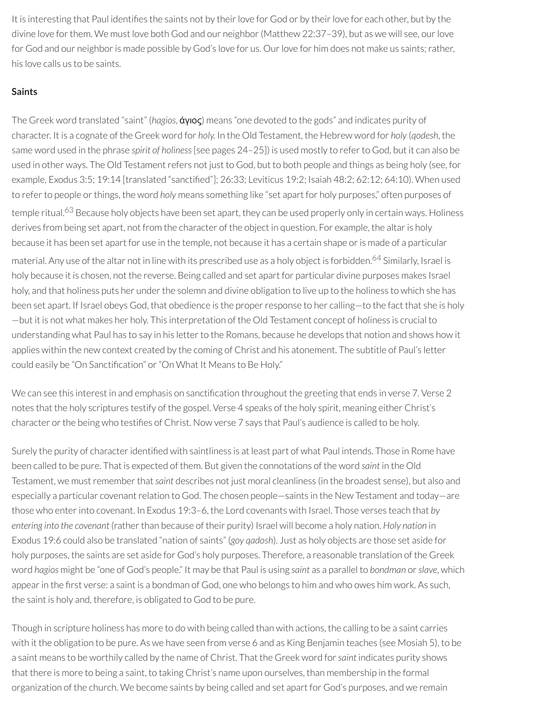It is interesting that Paul identifies the saints not by their love for God or by their love for each other, but by the divine love for them. We must love both God and our neighbor (Matthew 22:37-39), but as we will see, our love for God and our neighbor is made possible by God's love for us. Our love for him does not make us saints; rather, his love calls us to be saints.

## **Saints**

<span id="page-43-0"></span>The Greek word translated "saint" (*hagios*, άγιος) means "one devoted to the gods" and indicates purity of character. It is a cognate of the Greek word for *holy.* In the Old Testament, the Hebrew word for *holy* (*qodesh*, the same word used in the phrase *spirit of holiness*[see pages 24–25]) is used mostly to referto God, but it can also be used in other ways. The Old Testament refers not just to God, but to both people and things as being holy (see, for example, Exodus 3:5; 19:14 [translated "sanctified"]; 26:33; Leviticus 19:2; Isaiah 48:2; 62:12; 64:10). When used to refer to people or things, the word *holy* means something like "set apart for holy purposes," often purposes of temple ritual.<sup>[63](#page-50-3)</sup> Because holy objects have been set apart, they can be used properly only in certain ways. Holiness derives from being set apart, not from the character of the object in question. For example, the altar is holy because it has been set apart for use in the temple, not because it has a certain shape or is made of a particular material. Any use of the altar not in line with its prescribed use as a holy object is forbidden. [64](#page-50-4) Similarly, Israel is holy because it is chosen, not the reverse. Being called and set apart for particular divine purposes makes Israel holy, and that holiness puts her under the solemn and divine obligation to live up to the holiness to which she has been set apart. If Israel obeys God, that obedience is the properresponse to her calling—to the fact that she is holy —but it is not what makes her holy. This interpretation of the Old Testament concept of holiness is crucial to understanding what Paul has to say in his letter to the Romans, because he develops that notion and shows how it applies within the new context created by the coming of Christ and his atonement. The subtitle of Paul's letter could easily be "On Sanctification" or "On What It Means to Be Holy."

<span id="page-43-1"></span>We can see this interest in and emphasis on sanctification throughout the greeting that ends in verse 7. Verse 2 notes that the holy scriptures testify of the gospel. Verse 4 speaks of the holy spirit, meaning either Christ's character orthe being who testies of Christ. Now verse 7 says that Paul's audience is called to be holy.

Surely the purity of character identified with saintliness is at least part of what Paul intends. Those in Rome have been called to be pure. That is expected of them. But given the connotations of the word *saint* in the Old Testament, we must remember that saint describes not just moral cleanliness (in the broadest sense), but also and especially a particular covenant relation to God. The chosen people—saints in the New Testament and today—are those who enterinto covenant. In Exodus 19:3–6, the Lord covenants with Israel. Those verses teach that *by entering into the covenant* (rather than because of their purity) Israel will become a holy nation. Holy nation in Exodus 19:6 could also be translated "nation of saints" (*goy qadosh*). Just as holy objects are those set aside for holy purposes, the saints are set aside for God's holy purposes. Therefore, a reasonable translation of the Greek word *hagios* might be "one of God's people." It may be that Paul is using *saint* as a parallel to *bondman* or*slave*, which appear in the first verse: a saint is a bondman of God, one who belongs to him and who owes him work. As such, the saint is holy and, therefore, is obligated to God to be pure.

Though in scripture holiness has more to do with being called than with actions, the calling to be a saint carries with it the obligation to be pure. As we have seen from verse 6 and as King Benjamin teaches (see Mosiah 5), to be a saint means to be worthily called by the name of Christ. That the Greek word for*saint* indicates purity shows that there is more to being a saint, to taking Christ's name upon ourselves, than membership in the formal organization of the church. We become saints by being called and set apart for God's purposes, and we remain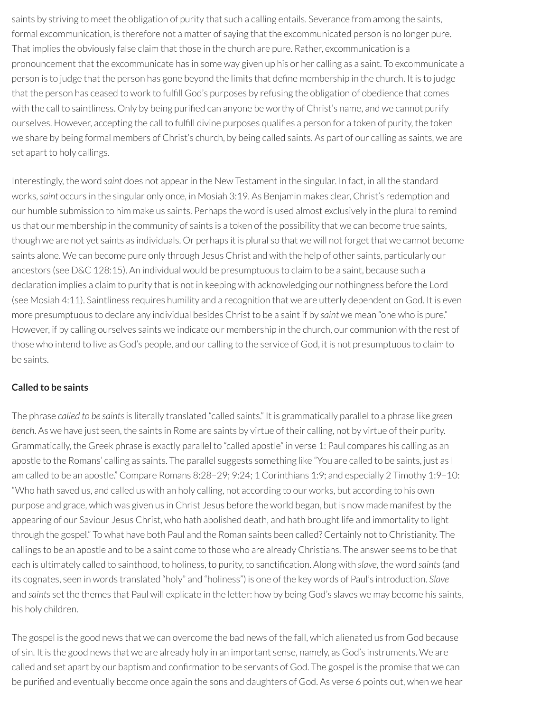saints by striving to meet the obligation of purity that such a calling entails. Severance from among the saints, formal excommunication, is therefore not a matter of saying that the excommunicated person is no longer pure. That implies the obviously false claim that those in the church are pure. Rather, excommunication is a pronouncement that the excommunicate has in some way given up his or her calling as a saint. To excommunicate a person is to judge that the person has gone beyond the limits that define membership in the church. It is to judge that the person has ceased to work to fulfill God's purposes by refusing the obligation of obedience that comes with the call to saintliness. Only by being purified can anyone be worthy of Christ's name, and we cannot purify ourselves. However, accepting the call to fulfill divine purposes qualifies a person for a token of purity, the token we share by being formal members of Christ's church, by being called saints. As part of our calling as saints, we are set apart to holy callings.

Interestingly, the word *saint* does not appearin the New Testament in the singular. In fact, in all the standard works,*saint* occurs in the singular only once, in Mosiah 3:19. As Benjamin makes clear, Christ's redemption and our humble submission to him make us saints. Perhaps the word is used almost exclusively in the plural to remind us that our membership in the community of saints is a token of the possibility that we can become true saints, though we are not yet saints as individuals. Or perhaps it is plural so that we will not forget that we cannot become saints alone. We can become pure only through Jesus Christ and with the help of other saints, particularly our ancestors (see D&C 128:15). An individual would be presumptuous to claim to be a saint, because such a declaration implies a claim to purity that is not in keeping with acknowledging our nothingness before the Lord (see Mosiah 4:11). Saintliness requires humility and a recognition that we are utterly dependent on God. It is even more presumptuous to declare any individual besides Christ to be a saint if by *saint* we mean "one who is pure." However, if by calling ourselves saints we indicate our membership in the church, our communion with the rest of those who intend to live as God's people, and our calling to the service of God, it is not presumptuous to claim to be saints.

## **Called to be saints**

The phrase *called to be saints*is literally translated "called saints." It is grammatically parallel to a phrase like *green bench*. As we have just seen, the saints in Rome are saints by virtue of their calling, not by virtue of their purity. Grammatically, the Greek phrase is exactly parallel to "called apostle" in verse 1: Paul compares his calling as an apostle to the Romans' calling as saints. The parallel suggests something like "You are called to be saints, just as I am called to be an apostle." Compare Romans 8:28–29; 9:24; 1 Corinthians 1:9; and especially 2 Timothy 1:9–10: "Who hath saved us, and called us with an holy calling, not according to our works, but according to his own purpose and grace, which was given us in Christ Jesus before the world began, but is now made manifest by the appearing of our Saviour Jesus Christ, who hath abolished death, and hath brought life and immortality to light through the gospel." To what have both Paul and the Roman saints been called? Certainly not to Christianity. The callings to be an apostle and to be a saint come to those who are already Christians. The answer seems to be that each is ultimately called to sainthood, to holiness, to purity, to sanctification. Along with *slave*, the word saints (and its cognates, seen in words translated "holy" and "holiness") is one of the key words of Paul's introduction. *Slave* and *saints* set the themes that Paul will explicate in the letter: how by being God's slaves we may become his saints, his holy children.

The gospel is the good news that we can overcome the bad news of the fall, which alienated us from God because of sin. It is the good news that we are already holy in an important sense, namely, as God's instruments. We are called and set apart by our baptism and confirmation to be servants of God. The gospel is the promise that we can be purified and eventually become once again the sons and daughters of God. As verse 6 points out, when we hear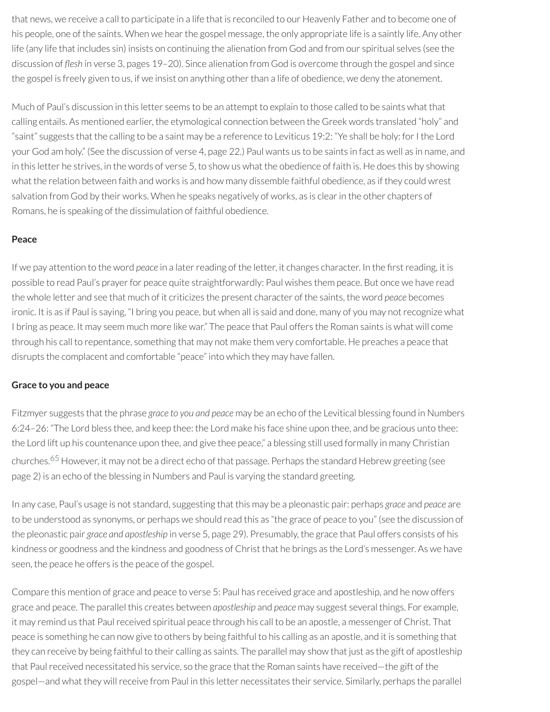that news, we receive a call to participate in a life that is reconciled to our Heavenly Father and to become one of his people, one of the saints. When we hear the gospel message, the only appropriate life is a saintly life. Any other life (any life that includes sin) insists on continuing the alienation from God and from our spiritual selves (see the discussion of *flesh* in verse 3, pages 19-20). Since alienation from God is overcome through the gospel and since the gospel is freely given to us, if we insist on anything other than a life of obedience, we deny the atonement.

Much of Paul's discussion in this letter seems to be an attempt to explain to those called to be saints what that calling entails. As mentioned earlier, the etymological connection between the Greek words translated "holy" and "saint" suggests that the calling to be a saint may be a reference to Leviticus 19:2: "Ye shall be holy: for I the Lord your God am holy." (See the discussion of verse 4, page 22.) Paul wants us to be saints in fact as well as in name, and in this letter he strives, in the words of verse 5, to show us what the obedience of faith is. He does this by showing what the relation between faith and works is and how many dissemble faithful obedience, as if they could wrest salvation from God by their works. When he speaks negatively of works, as is clear in the other chapters of Romans, he is speaking of the dissimulation of faithful obedience.

## **Peace**

If we pay attention to the word *peace* in a later reading of the letter, it changes character. In the first reading, it is possible to read Paul's prayer for peace quite straightforwardly: Paul wishes them peace. But once we have read the whole letter and see that much of it criticizes the present character of the saints, the word *peace* becomes ironic. It is as if Paul is saying, "I bring you peace, but when all is said and done, many of you may not recognize what I bring as peace. It may seem much more like war." The peace that Paul offers the Roman saints is what will come through his call to repentance, something that may not make them very comfortable. He preaches a peace that disrupts the complacent and comfortable "peace" into which they may have fallen.

## **Grace to you and peace**

Fitzmyer suggests that the phrase *grace to you and peace* may be an echo of the Levitical blessing found in Numbers 6:24–26: "The Lord bless thee, and keep thee: the Lord make his face shine upon thee, and be gracious unto thee: the Lord lift up his countenance upon thee, and give thee peace," a blessing still used formally in many Christian churches.<sup>[65](#page-50-5)</sup> However, it may not be a direct echo of that passage. Perhaps the standard Hebrew greeting (see page 2) is an echo of the blessing in Numbers and Paul is varying the standard greeting.

<span id="page-45-0"></span>In any case, Paul's usage is not standard, suggesting that this may be a pleonastic pair: perhaps *grace* and *peace* are to be understood as synonyms, or perhaps we should read this as "the grace of peace to you" (see the discussion of the pleonastic pair *grace and apostleship* in verse 5, page 29). Presumably, the grace that Paul offers consists of his kindness or goodness and the kindness and goodness of Christ that he brings as the Lord's messenger. As we have seen, the peace he offers is the peace of the gospel.

Compare this mention of grace and peace to verse 5: Paul has received grace and apostleship, and he now offers grace and peace. The parallel this creates between *apostleship* and *peace* may suggest several things. For example, it may remind us that Paul received spiritual peace through his call to be an apostle, a messenger of Christ. That peace is something he can now give to others by being faithful to his calling as an apostle, and it is something that they can receive by being faithful to their calling as saints. The parallel may show that just as the gift of apostleship that Paul received necessitated his service, so the grace that the Roman saints have received—the gift of the gospel—and what they willreceive from Paul in this letter necessitates their service. Similarly, perhaps the parallel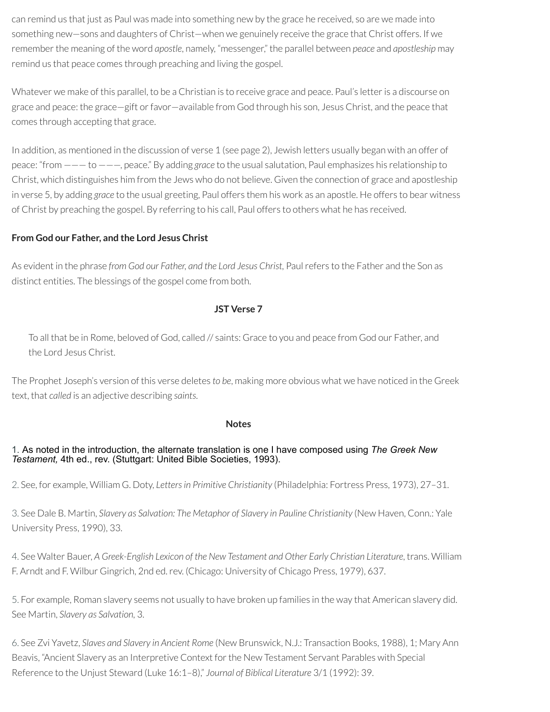can remind us that just as Paul was made into something new by the grace he received, so are we made into something new—sons and daughters of Christ—when we genuinely receive the grace that Christ offers. If we remember the meaning of the word *apostle*, namely, "messenger," the parallel between *peace* and *apostleship* may remind us that peace comes through preaching and living the gospel.

Whatever we make of this parallel, to be a Christian is to receive grace and peace. Paul's letteris a discourse on grace and peace: the grace—gift orfavor—available from God through his son, Jesus Christ, and the peace that comes through accepting that grace.

In addition, as mentioned in the discussion of verse 1 (see page 2), Jewish letters usually began with an offer of peace: "from ——— to ———, peace." By adding *grace* to the usual salutation, Paul emphasizes his relationship to Christ, which distinguishes him from the Jews who do not believe. Given the connection of grace and apostleship in verse 5, by adding *grace* to the usual greeting, Paul offers them his work as an apostle. He offers to bear witness of Christ by preaching the gospel. By referring to his call, Paul offers to others what he has received.

## **From God our Father, and the Lord Jesus Christ**

As evident in the phrase *from God our Father, and the Lord Jesus Christ,* Paulrefers to the Father and the Son as distinct entities. The blessings of the gospel come from both.

## **JST Verse 7**

To all that be in Rome, beloved of God, called // saints: Grace to you and peace from God our Father, and the Lord Jesus Christ.

The Prophet Joseph's version of this verse deletes *to be*, making more obvious what we have noticed in the Greek text, that *called* is an adjective describing *saints*.

## **Notes**

## [1.](#page-13-0) As noted in the introduction, the alternate translation is one I have composed using *The Greek New Testament,* 4th ed., rev. (Stuttgart: United Bible Societies, 1993).

[2.](#page-13-1) See, for example, William G. Doty, *Lettersin Primitive Christianity* (Philadelphia: Fortress Press, 1973), 27–31.

[3.](#page-14-0) See Dale B. Martin, *Slavery as Salvation: The Metaphor of Slavery in Pauline Christianity* (New Haven, Conn.: Yale University Press, 1990), 33.

[4.](#page-14-1) See Walter Bauer, *A Greek-English Lexicon of the New Testament and Other Early Christian Literature*, trans. William F. Arndt and F. Wilbur Gingrich, 2nd ed.rev. (Chicago: University of Chicago Press, 1979), 637.

[5.](#page-14-2) For example, Roman slavery seems not usually to have broken up families in the way that American slavery did. See Martin, *Slavery as Salvation,* 3.

[6.](#page-14-3) See Zvi Yavetz, *Slaves and Slavery in Ancient Rome* (New Brunswick, N.J.: Transaction Books, 1988), 1; Mary Ann Beavis, "Ancient Slavery as an Interpretive Context forthe New Testament Servant Parables with Special Reference to the Unjust Steward (Luke 16:1–8)," *Journal of Biblical Literature* 3/1 (1992): 39.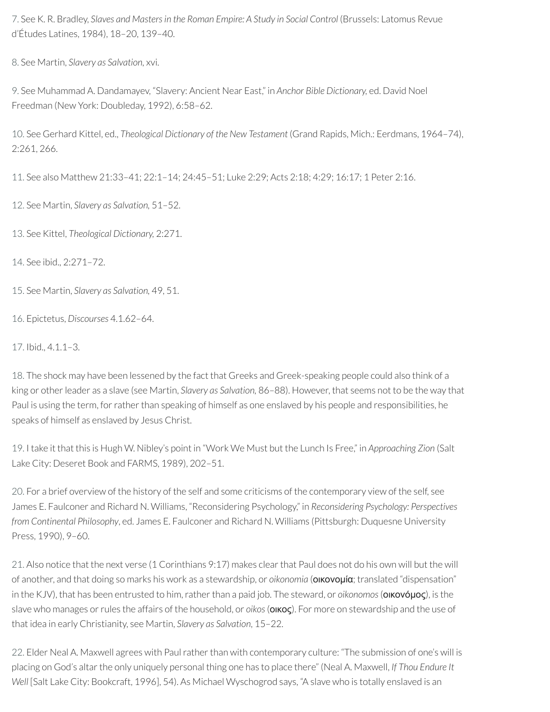[7.](#page-15-0) See K. R. Bradley, *Slaves and Mastersin the Roman Empire: A Study in Social Control* (Brussels: Latomus Revue d'Études Latines, 1984), 18–20, 139–40.

[8.](#page-15-1) See Martin, *Slavery as Salvation,* xvi.

[9.](#page-15-2) See Muhammad A. Dandamayev, "Slavery: Ancient Near East," in *Anchor Bible Dictionary,* ed. David Noel Freedman (New York: Doubleday, 1992), 6:58–62.

[10.](#page-15-3) See Gerhard Kittel, ed., *Theological Dictionary of the New Testament* (Grand Rapids, Mich.: Eerdmans, 1964–74), 2:261, 266.

[11.](#page-15-4) See also Matthew 21:33–41; 22:1–14; 24:45–51; Luke 2:29; Acts 2:18; 4:29; 16:17; 1 Peter 2:16.

[12.](#page-15-5) See Martin, *Slavery as Salvation,* 51–52.

[13.](#page-15-6) See Kittel, *Theological Dictionary,* 2:271.

[14.](#page-15-7) See ibid., 2:271–72.

[15.](#page-16-0) See Martin, *Slavery as Salvation,* 49, 51.

[16.](#page-16-1) Epictetus, *Discourses* 4.1.62–64.

[17.](#page-16-2) Ibid., 4.1.1–3.

[18.](#page-16-3) The shock may have been lessened by the fact that Greeks and Greek-speaking people could also think of a king or otherleader as a slave (see Martin, *Slavery as Salvation,* 86–88). However, that seems not to be the way that Paul is using the term, for rather than speaking of himself as one enslaved by his people and responsibilities, he speaks of himself as enslaved by Jesus Christ.

[19.](#page-17-0) I take it that this is Hugh W. Nibley's point in "Work We Must but the Lunch Is Free," in *Approaching Zion* (Salt Lake City: Deseret Book and FARMS, 1989), 202–51.

[20.](#page-17-1) For a brief overview of the history of the self and some criticisms of the contemporary view of the self, see James E. Faulconer and Richard N. Williams, "Reconsidering Psychology," in *Reconsidering Psychology: Perspectives from Continental Philosophy*, ed. James E. Faulconer and Richard N. Williams (Pittsburgh: Duquesne University Press, 1990), 9–60.

[21.](#page-17-2) Also notice that the next verse (1 Corinthians 9:17) makes clear that Paul does not do his own will but the will of another, and that doing so marks his work as a stewardship, or *oikonomia* (οικονομία; translated "dispensation" in the KJV), that has been entrusted to him, rather than a paid job. The steward, or *oikonomos* (**οικονόμος**), is the slave who manages orrules the affairs of the household, or *oikos*(οικος). For more on stewardship and the use of that idea in early Christianity, see Martin, *Slavery as Salvation*, 15–22.

[22.](#page-17-3) Elder Neal A. Maxwell agrees with Paul rather than with contemporary culture: "The submission of one's will is placing on God's altarthe only uniquely personal thing one has to place there" (Neal A. Maxwell, *If Thou Endure It Well* [Salt Lake City: Bookcraft, 1996], 54). As Michael Wyschogrod says, "A slave who is totally enslaved is an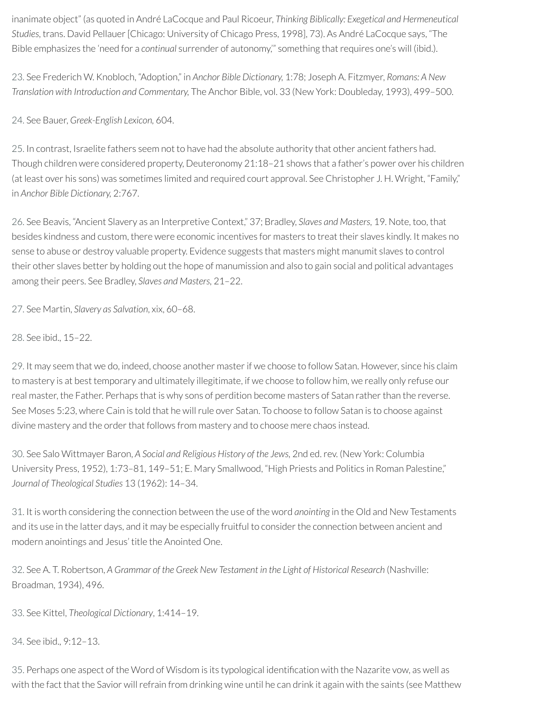inanimate object" (as quoted in André LaCocque and Paul Ricoeur, *Thinking Biblically: Exegetical and Hermeneutical Studies*, trans. David Pellauer[Chicago: University of Chicago Press, 1998], 73). As André LaCocque says, "The Bible emphasizes the 'need for a *continual* surrender of autonomy,'" something thatrequires one's will (ibid.).

[23.](#page-18-0) See Frederich W. Knobloch, "Adoption," in *Anchor Bible Dictionary,* 1:78; Joseph A. Fitzmyer, *Romans: A New Translation with Introduction and Commentary,* The Anchor Bible, vol. 33 (New York: Doubleday, 1993), 499–500.

[24.](#page-18-1) See Bauer, *Greek-English Lexicon,* 604.

[25.](#page-18-2) In contrast, Israelite fathers seem not to have had the absolute authority that other ancient fathers had. Though children were considered property, Deuteronomy 21:18–21 shows that a father's power over his children (at least over his sons) was sometimes limited and required court approval. See Christopher J. H. Wright, "Family," in *Anchor Bible Dictionary,* 2:767.

[26.](#page-18-3) See Beavis, "Ancient Slavery as an Interpretive Context," 37; Bradley, *Slaves and Masters,* 19. Note, too, that besides kindness and custom, there were economic incentives for masters to treat their slaves kindly. It makes no sense to abuse or destroy valuable property. Evidence suggests that masters might manumit slaves to control their other slaves better by holding out the hope of manumission and also to gain social and political advantages among their peers. See Bradley, *Slaves and Masters,* 21–22.

[27.](#page-18-4) See Martin, *Slavery as Salvation*, xix, 60–68.

[28.](#page-18-5) See ibid., 15–22.

[29.](#page-19-0) It may seem that we do, indeed, choose another masterif we choose to follow Satan. However, since his claim to mastery is at best temporary and ultimately illegitimate, if we choose to follow him, we really only refuse our real master, the Father. Perhaps that is why sons of perdition become masters of Satan rather than the reverse. See Moses 5:23, where Cain is told that he willrule over Satan. To choose to follow Satan is to choose against divine mastery and the order that follows from mastery and to choose mere chaos instead.

[30.](#page-20-0) See Salo Wittmayer Baron, *A Social and Religious History of the Jews,* 2nd ed.rev. (New York: Columbia University Press, 1952), 1:73–81, 149–51; E. Mary Smallwood, "High Priests and Politics in Roman Palestine," *Journal of Theological Studies* 13 (1962): 14–34.

[31.](#page-20-1) It is worth considering the connection between the use of the word *anointing* in the Old and New Testaments and its use in the latter days, and it may be especially fruitful to consider the connection between ancient and modern anointings and Jesus' title the Anointed One.

[32.](#page-20-2) See A. T. Robertson, *A Grammar of the Greek New Testament in the Light of Historical Research* (Nashville: Broadman, 1934), 496.

[33.](#page-21-0) See Kittel, *Theological Dictionary*, 1:414–19.

[34.](#page-21-1) See ibid., 9:12–13.

[35.](#page-22-0) Perhaps one aspect of the Word of Wisdom is its typological identification with the Nazarite vow, as well as with the fact that the Savior will refrain from drinking wine until he can drink it again with the saints (see Matthew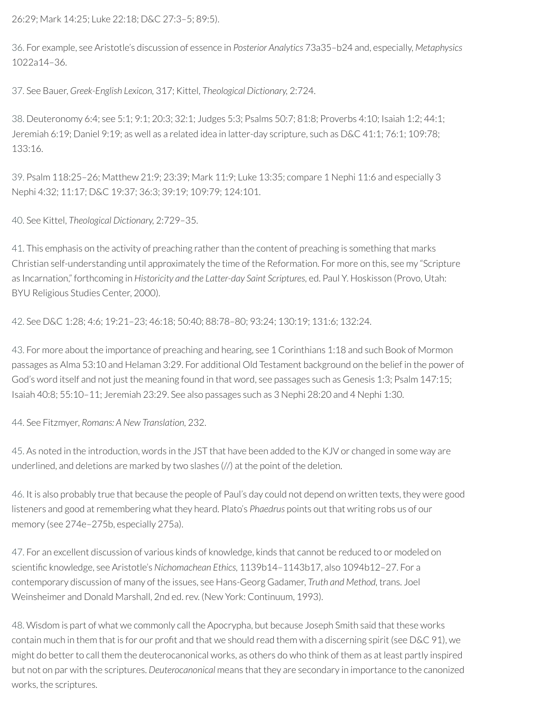26:29; Mark 14:25; Luke 22:18; D&C 27:3–5; 89:5).

[36.](#page-22-1) For example, see Aristotle's discussion of essence in *Posterior Analytics* 73a35–b24 and, especially, *Metaphysics* 1022a14–36.

[37.](#page-23-0) See Bauer, *Greek-English Lexicon,* 317; Kittel, *Theological Dictionary,* 2:724.

[38.](#page-23-1) Deuteronomy 6:4; see 5:1; 9:1; 20:3; 32:1; Judges 5:3; Psalms 50:7; 81:8; Proverbs 4:10; Isaiah 1:2; 44:1; Jeremiah 6:19; Daniel 9:19; as well as a related idea in latter-day scripture, such as D&C 41:1; 76:1; 109:78; 133:16.

[39.](#page-23-2) Psalm 118:25–26; Matthew 21:9; 23:39; Mark 11:9; Luke 13:35; compare 1 Nephi 11:6 and especially 3 Nephi 4:32; 11:17; D&C 19:37; 36:3; 39:19; 109:79; 124:101.

[40.](#page-23-3) See Kittel, *Theological Dictionary,* 2:729–35.

[41.](#page-23-4) This emphasis on the activity of preaching rather than the content of preaching is something that marks Christian self-understanding until approximately the time of the Reformation. For more on this, see my "Scripture as Incarnation," forthcoming in *Historicity and the Latter-day Saint Scriptures,* ed. Paul Y. Hoskisson (Provo, Utah: BYU Religious Studies Center, 2000).

[42.](#page-23-5) See D&C 1:28; 4:6; 19:21–23; 46:18; 50:40; 88:78–80; 93:24; 130:19; 131:6; 132:24.

[43.](#page-24-0) For more about the importance of preaching and hearing, see 1 Corinthians 1:18 and such Book of Mormon passages as Alma 53:10 and Helaman 3:29. For additional Old Testament background on the belief in the power of God's word itself and not just the meaning found in that word, see passages such as Genesis 1:3; Psalm 147:15; Isaiah 40:8; 55:10–11; Jeremiah 23:29. See also passages such as 3 Nephi 28:20 and 4 Nephi 1:30.

[44.](#page-24-1) See Fitzmyer, *Romans: A New Translation,* 232.

[45.](#page-24-2) As noted in the introduction, words in the JST that have been added to the KJV or changed in some way are underlined, and deletions are marked by two slashes (//) at the point of the deletion.

[46.](#page-25-0) It is also probably true that because the people of Paul's day could not depend on written texts, they were good listeners and good at remembering what they heard. Plato's *Phaedrus* points out that writing robs us of our memory (see 274e–275b, especially 275a).

[47.](#page-25-1) For an excellent discussion of various kinds of knowledge, kinds that cannot be reduced to or modeled on scientific knowledge, see Aristotle's Nichomachean Ethics, 1139b14-1143b17, also 1094b12-27. For a contemporary discussion of many of the issues, see Hans-Georg Gadamer, *Truth and Method,* trans. Joel Weinsheimer and Donald Marshall, 2nd ed.rev. (New York: Continuum, 1993).

[48.](#page-26-0) Wisdom is part of what we commonly call the Apocrypha, but because Joseph Smith said that these works contain much in them that is for our profit and that we should read them with a discerning spirit (see D&C 91), we might do better to call them the deuterocanonical works, as others do who think of them as at least partly inspired but not on par with the scriptures. *Deuterocanonical* means that they are secondary in importance to the canonized works, the scriptures.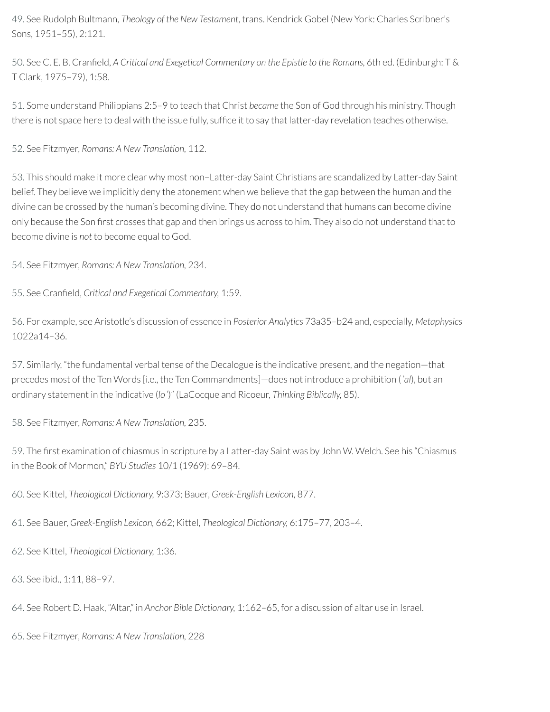[49.](#page-27-0) See Rudolph Bultmann, *Theology of the New Testament*, trans. Kendrick Gobel (New York: Charles Scribner's Sons, 1951–55), 2:121.

[50.](#page-27-1) See C. E. B. Craneld, *A Critical and Exegetical Commentary on the Epistle to the Romans,* 6th ed. (Edinburgh: T & T Clark, 1975–79), 1:58.

[51.](#page-27-2) Some understand Philippians 2:5–9 to teach that Christ *became* the Son of God through his ministry. Though there is not space here to deal with the issue fully, suffice it to say that latter-day revelation teaches otherwise.

[52.](#page-27-3) See Fitzmyer, *Romans: A New Translation,* 112.

[53.](#page-28-0) This should make it more clear why most non–Latter-day Saint Christians are scandalized by Latter-day Saint belief. They believe we implicitly deny the atonement when we believe that the gap between the human and the divine can be crossed by the human's becoming divine. They do not understand that humans can become divine only because the Son first crosses that gap and then brings us across to him. They also do not understand that to become divine is *not* to become equal to God.

[54.](#page-29-0) See Fitzmyer, *Romans: A New Translation,* 234.

[55.](#page-29-1) See Craneld, *Critical and Exegetical Commentary,* 1:59.

[56.](#page-30-0) For example, see Aristotle's discussion of essence in *Posterior Analytics* 73a35–b24 and, especially, *Metaphysics* 1022a14–36.

[57.](#page-31-0) Similarly, "the fundamental verbal tense of the Decalogue is the indicative present, and the negation—that precedes most of the Ten Words [i.e., the Ten Commandments]—does not introduce a prohibition (*ʾal*), but an ordinary statement in the indicative (*loʾ*)" (LaCocque and Ricoeur, *Thinking Biblically,* 85).

[58.](#page-32-0) See Fitzmyer, *Romans: A New Translation,* 235.

[59.](#page-35-0) The first examination of chiasmus in scripture by a Latter-day Saint was by John W. Welch. See his "Chiasmus in the Book of Mormon," *BYU Studies* 10/1 (1969): 69–84.

<span id="page-50-0"></span>[60.](#page-37-0) See Kittel, *Theological Dictionary,* 9:373; Bauer, *Greek-English Lexicon,* 877.

<span id="page-50-1"></span>[61.](#page-39-0) See Bauer, *Greek-English Lexicon,* 662; Kittel, *Theological Dictionary,* 6:175–77, 203–4.

<span id="page-50-2"></span>[62.](#page-42-0) See Kittel, *Theological Dictionary,* 1:36.

<span id="page-50-3"></span>[63.](#page-43-0) See ibid., 1:11, 88–97.

<span id="page-50-4"></span>[64.](#page-43-1) See Robert D. Haak, "Altar," in *Anchor Bible Dictionary,* 1:162–65, for a discussion of altar use in Israel.

<span id="page-50-5"></span>[65.](#page-45-0) See Fitzmyer, *Romans: A New Translation,* 228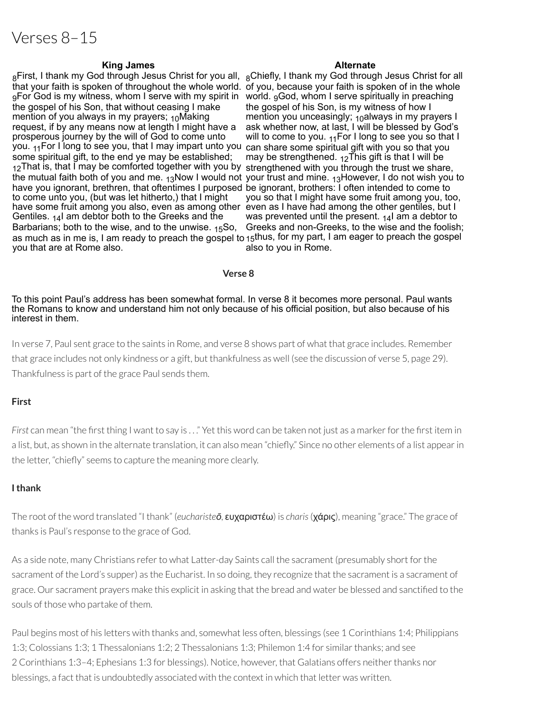# Verses 8–15

#### **King James Alternate**

<sub>8</sub>First, I thank my God through Jesus Christ for you all, <sub>8</sub>Chiefly, I thank my God through Jesus Christ for all that your faith is spoken of throughout the whole world. of you, because your faith is spoken of in the whole <sub>9</sub>For God is my witness, whom I serve with my spirit in world. <sub>9</sub>God, whom I serve spiritually in preaching the gospel of his Son, that without ceasing I make mention of you always in my prayers;  $10$ Making request, if by any means now at length I might have a prosperous journey by the will of God to come unto you. <sub>11</sub>For I long to see you, that I may impart unto you can share some spiritual gift with you so that you some spiritual gift, to the end ye may be established; 12That is, that I may be comforted together with you by strengthened with you through the trust we share, the mutual faith both of you and me. <sub>13</sub>Now I would not your trust and mine. <sub>13</sub>However, I do not wish you to have you ignorant, brethren, that oftentimes I purposed be ignorant, brothers: I often intended to come to to come unto you, (but was let hitherto,) that I might have some fruit among you also, even as among other even as I have had among the other gentiles, but I Gentiles. 14I am debtor both to the Greeks and the Barbarians; both to the wise, and to the unwise, 15So, as much as in me is, I am ready to preach the gospel to <sub>15</sub>thus, for my part, I am eager to preach the gospel you that are at Rome also.

the gospel of his Son, is my witness of how I mention you unceasingly;  $10^{\circ}$ always in my prayers I ask whether now, at last, I will be blessed by God's will to come to you.  $_{11}$ For I long to see you so that I may be strengthened.  $12$ This gift is that I will be you so that I might have some fruit among you, too, was prevented until the present.  $14$  am a debtor to Greeks and non-Greeks, to the wise and the foolish; also to you in Rome.

#### **Verse 8**

To this point Paul's address has been somewhat formal. In verse 8 it becomes more personal. Paul wants the Romans to know and understand him not only because of his official position, but also because of his interest in them.

In verse 7, Paul sent grace to the saints in Rome, and verse 8 shows part of what that grace includes. Remember that grace includes not only kindness or a gift, but thankfulness as well (see the discussion of verse 5, page 29). Thankfulness is part of the grace Paul sends them.

#### **First**

*First* can mean "the first thing I want to say is ..." Yet this word can be taken not just as a marker for the first item in a list, but, as shown in the alternate translation, it can also mean "chiefly." Since no other elements of a list appear in the letter, "chiefly" seems to capture the meaning more clearly.

#### **Ithank**

The root of the word translated "I thank" (*eucharisteō*, ευχαριστέω) is *charis*(χάρις), meaning "grace." The grace of thanks is Paul's response to the grace of God.

As a side note, many Christians refer to what Latter-day Saints call the sacrament (presumably short for the sacrament of the Lord's supper) as the Eucharist. In so doing, they recognize that the sacrament is a sacrament of grace. Our sacrament prayers make this explicit in asking that the bread and water be blessed and sanctified to the souls of those who partake of them.

Paul begins most of his letters with thanks and, somewhat less often, blessings (see 1 Corinthians 1:4; Philippians 1:3; Colossians 1:3; 1 Thessalonians 1:2; 2 Thessalonians 1:3; Philemon 1:4 for similarthanks; and see 2 Corinthians 1:3-4; Ephesians 1:3 for blessings). Notice, however, that Galatians offers neither thanks nor blessings, a fact that is undoubtedly associated with the context in which that letter was written.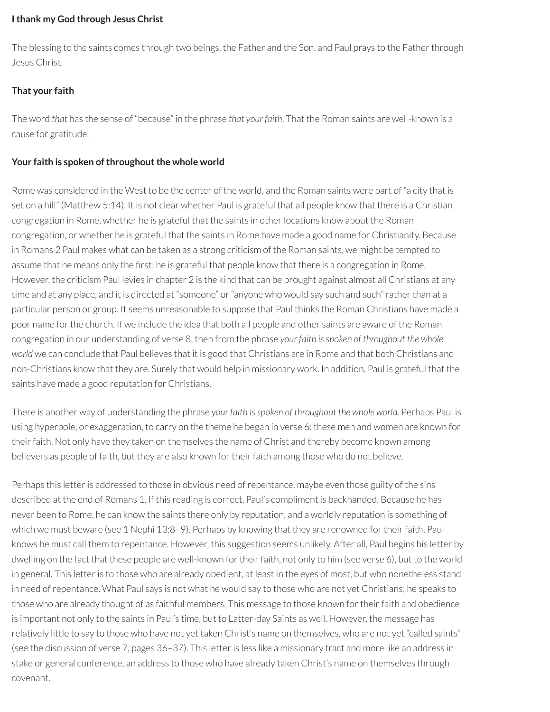#### **Ithank my God through Jesus Christ**

The blessing to the saints comes through two beings, the Father and the Son, and Paul prays to the Father through Jesus Christ.

## **That your faith**

The word *that* has the sense of "because" in the phrase *that your faith*. That the Roman saints are well-known is a cause for gratitude.

## **Your faith is spoken of throughout the whole world**

Rome was considered in the West to be the center of the world, and the Roman saints were part of "a city that is set on a hill" (Matthew 5:14). It is not clear whether Paul is grateful that all people know that there is a Christian congregation in Rome, whether he is grateful that the saints in other locations know about the Roman congregation, or whether he is grateful that the saints in Rome have made a good name for Christianity. Because in Romans 2 Paul makes what can be taken as a strong criticism of the Roman saints, we might be tempted to assume that he means only the first: he is grateful that people know that there is a congregation in Rome. However, the criticism Paul levies in chapter 2 is the kind that can be brought against almost all Christians at any time and at any place, and it is directed at "someone" or "anyone who would say such and such" rather than at a particular person or group. It seems unreasonable to suppose that Paul thinks the Roman Christians have made a poor name for the church. If we include the idea that both all people and other saints are aware of the Roman congregation in our understanding of verse 8, then from the phrase *your faith isspoken of throughout the whole world* we can conclude that Paul believes that it is good that Christians are in Rome and that both Christians and non-Christians know that they are. Surely that would help in missionary work. In addition, Paul is grateful that the saints have made a good reputation for Christians.

There is another way of understanding the phrase *your faith isspoken of throughout the whole world*. Perhaps Paul is using hyperbole, or exaggeration, to carry on the theme he began in verse 6: these men and women are known for their faith. Not only have they taken on themselves the name of Christ and thereby become known among believers as people of faith, but they are also known for their faith among those who do not believe.

Perhaps this letter is addressed to those in obvious need of repentance, maybe even those guilty of the sins described at the end of Romans 1. If this reading is correct, Paul's compliment is backhanded. Because he has never been to Rome, he can know the saints there only by reputation, and a worldly reputation is something of which we must beware (see 1 Nephi 13:8-9). Perhaps by knowing that they are renowned for their faith, Paul knows he must call them to repentance. However, this suggestion seems unlikely. After all, Paul begins his letter by dwelling on the fact that these people are well-known for their faith, not only to him (see verse 6), but to the world in general. This letter is to those who are already obedient, at least in the eyes of most, but who nonetheless stand in need ofrepentance. What Paul says is not what he would say to those who are not yet Christians; he speaks to those who are already thought of as faithful members. This message to those known for their faith and obedience is important not only to the saints in Paul's time, but to Latter-day Saints as well. However, the message has relatively little to say to those who have not yet taken Christ's name on themselves, who are not yet "called saints" (see the discussion of verse 7, pages 36-37). This letter is less like a missionary tract and more like an address in stake or general conference, an address to those who have already taken Christ's name on themselves through covenant.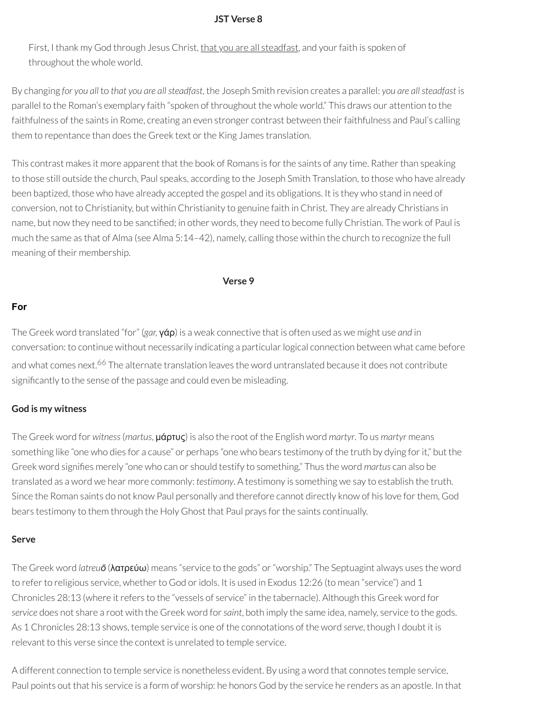#### **JST Verse 8**

First, I thank my God through Jesus Christ, that you are all steadfast, and your faith is spoken of throughout the whole world.

By changing *for you all* to *that you are allsteadfast*, the Joseph Smith revision creates a parallel: *you are allsteadfast* is parallel to the Roman's exemplary faith "spoken of throughout the whole world." This draws our attention to the faithfulness of the saints in Rome, creating an even stronger contrast between their faithfulness and Paul's calling them to repentance than does the Greek text or the King James translation.

This contrast makes it more apparent that the book of Romans is forthe saints of any time. Ratherthan speaking to those still outside the church, Paul speaks, according to the Joseph Smith Translation, to those who have already been baptized, those who have already accepted the gospel and its obligations. It is they who stand in need of conversion, not to Christianity, but within Christianity to genuine faith in Christ. They are already Christians in name, but now they need to be sanctified; in other words, they need to become fully Christian. The work of Paul is much the same as that of Alma (see Alma 5:14–42), namely, calling those within the church to recognize the full meaning of their membership.

**Verse 9**

#### **For**

<span id="page-53-0"></span>The Greek word translated "for" (*gar,* γάρ) is a weak connective that is often used as we might use *and* in conversation: to continue without necessarily indicating a particular logical connection between what came before and what comes next.<sup>[66](#page-65-0)</sup> The alternate translation leaves the word untranslated because it does not contribute significantly to the sense of the passage and could even be misleading.

#### **God is my witness**

The Greek word for *witness*(*martus*, μάρτυς) is also the root of the English word *martyr*. To us *martyr* means something like "one who dies for a cause" or perhaps "one who bears testimony of the truth by dying for it," but the Greek word signifies merely "one who can or should testify to something." Thus the word *martus* can also be translated as a word we hear more commonly: *testimony*. A testimony is something we say to establish the truth. Since the Roman saints do not know Paul personally and therefore cannot directly know of his love for them, God bears testimony to them through the Holy Ghost that Paul prays forthe saints continually.

#### **Serve**

The Greek word *latreuō* (λατρεύω) means "service to the gods" or"worship." The Septuagint always uses the word to refer to religious service, whether to God or idols. It is used in Exodus 12:26 (to mean "service") and 1 Chronicles 28:13 (where it refers to the "vessels of service" in the tabernacle). Although this Greek word for *service* does not share a root with the Greek word for*saint*, both imply the same idea, namely, service to the gods. As 1 Chronicles 28:13 shows, temple service is one of the connotations of the word *serve*, though I doubt it is relevant to this verse since the context is unrelated to temple service.

A different connection to temple service is nonetheless evident. By using a word that connotes temple service, Paul points out that his service is a form of worship: he honors God by the service he renders as an apostle. In that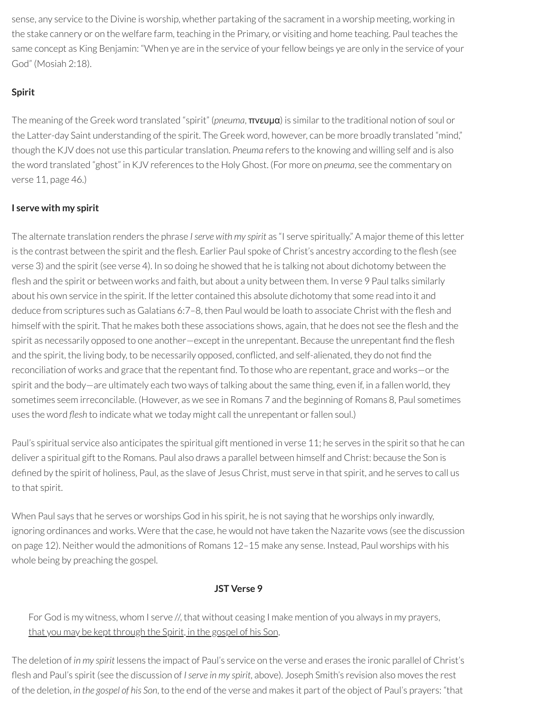sense, any service to the Divine is worship, whether partaking of the sacrament in a worship meeting, working in the stake cannery or on the welfare farm, teaching in the Primary, or visiting and home teaching. Paul teaches the same concept as King Benjamin: "When ye are in the service of your fellow beings ye are only in the service of your God" (Mosiah 2:18).

## **Spirit**

The meaning of the Greek word translated "spirit" (*pneuma*, πνευμα) is similarto the traditional notion of soul or the Latter-day Saint understanding of the spirit. The Greek word, however, can be more broadly translated "mind," though the KJV does not use this particular translation. *Pneuma* refers to the knowing and willing self and is also the word translated "ghost" in KJV references to the Holy Ghost. (For more on *pneuma*, see the commentary on verse 11, page 46.)

## **I serve with my spirit**

The alternate translation renders the phrase *Iserve with my spirit* as "I serve spiritually." A majortheme of this letter is the contrast between the spirit and the flesh. Earlier Paul spoke of Christ's ancestry according to the flesh (see verse 3) and the spirit (see verse 4). In so doing he showed that he is talking not about dichotomy between the flesh and the spirit or between works and faith, but about a unity between them. In verse 9 Paul talks similarly about his own service in the spirit. If the letter contained this absolute dichotomy that some read into it and deduce from scriptures such as Galatians 6:7–8, then Paul would be loath to associate Christ with the flesh and himself with the spirit. That he makes both these associations shows, again, that he does not see the flesh and the spirit as necessarily opposed to one another—except in the unrepentant. Because the unrepentant find the flesh and the spirit, the living body, to be necessarily opposed, conflicted, and self-alienated, they do not find the reconciliation of works and grace that the repentant find. To those who are repentant, grace and works—or the spirit and the body—are ultimately each two ways of talking about the same thing, even if, in a fallen world, they sometimes seem irreconcilable. (However, as we see in Romans 7 and the beginning of Romans 8, Paul sometimes uses the word *flesh* to indicate what we today might call the unrepentant or fallen soul.)

Paul's spiritual service also anticipates the spiritual gift mentioned in verse 11; he serves in the spirit so that he can deliver a spiritual gift to the Romans. Paul also draws a parallel between himself and Christ: because the Son is defined by the spirit of holiness, Paul, as the slave of Jesus Christ, must serve in that spirit, and he serves to call us to that spirit.

When Paul says that he serves or worships God in his spirit, he is not saying that he worships only inwardly, ignoring ordinances and works. Were that the case, he would not have taken the Nazarite vows (see the discussion on page 12). Neither would the admonitions of Romans 12–15 make any sense. Instead, Paul worships with his whole being by preaching the gospel.

## **JST Verse 9**

For God is my witness, whom I serve //, that without ceasing I make mention of you always in my prayers, that you may be kept through the Spirit, in the gospel of his Son,

The deletion of *in my spirit* lessens the impact of Paul's service on the verse and erases the ironic parallel of Christ's esh and Paul's spirit (see the discussion of *Iserve in my spirit*, above). Joseph Smith's revision also moves the rest of the deletion, *in the gospel of his Son*, to the end of the verse and makes it part of the object of Paul's prayers: "that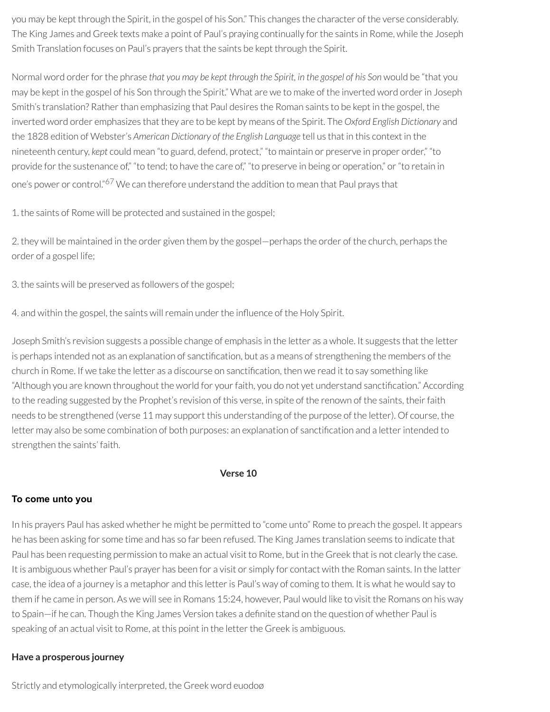you may be kept through the Spirit, in the gospel of his Son." This changes the character of the verse considerably. The King James and Greek texts make a point of Paul's praying continually for the saints in Rome, while the Joseph Smith Translation focuses on Paul's prayers that the saints be kept through the Spirit.

Normal word orderforthe phrase *that you may be kept through the Spirit, in the gospel of his Son* would be "that you may be kept in the gospel of his Son through the Spirit." What are we to make of the inverted word orderin Joseph Smith's translation? Rather than emphasizing that Paul desires the Roman saints to be kept in the gospel, the inverted word order emphasizes that they are to be kept by means of the Spirit. The *Oxford English Dictionary* and the 1828 edition of Webster's *American Dictionary of the English Language* tell us that in this context in the nineteenth century, *kept* could mean "to guard, defend, protect," "to maintain or preserve in proper order," "to provide for the sustenance of," "to tend; to have the care of," "to preserve in being or operation," or "to retain in one's power or control."<sup>[67](#page-65-1)</sup> We can therefore understand the addition to mean that Paul prays that

<span id="page-55-0"></span>1. the saints of Rome will be protected and sustained in the gospel;

2. they will be maintained in the order given them by the gospel—perhaps the order of the church, perhaps the order of a gospel life;

3. the saints will be preserved as followers of the gospel;

4. and within the gospel, the saints will remain under the influence of the Holy Spirit.

Joseph Smith's revision suggests a possible change of emphasis in the letter as a whole. It suggests that the letter is perhaps intended not as an explanation of sanctification, but as a means of strengthening the members of the church in Rome. If we take the letter as a discourse on sanctification, then we read it to say something like "Although you are known throughout the world for your faith, you do not yet understand sanctification." According to the reading suggested by the Prophet's revision of this verse, in spite of the renown of the saints, their faith needs to be strengthened (verse 11 may support this understanding of the purpose of the letter). Of course, the letter may also be some combination of both purposes: an explanation of sanctification and a letter intended to strengthen the saints' faith.

**Verse 10**

## **To come unto you**

In his prayers Paul has asked whether he might be permitted to "come unto" Rome to preach the gospel. It appears he has been asking for some time and has so far been refused. The King James translation seems to indicate that Paul has been requesting permission to make an actual visit to Rome, but in the Greek that is not clearly the case. It is ambiguous whether Paul's prayer has been for a visit or simply for contact with the Roman saints. In the latter case, the idea of a journey is a metaphor and this letter is Paul's way of coming to them. It is what he would say to them if he came in person. As we will see in Romans 15:24, however, Paul would like to visit the Romans on his way to Spain—if he can. Though the King James Version takes a definite stand on the question of whether Paul is speaking of an actual visit to Rome, at this point in the letter the Greek is ambiguous.

## **Have a prosperous journey**

Strictly and etymologically interpreted, the Greek word euodoø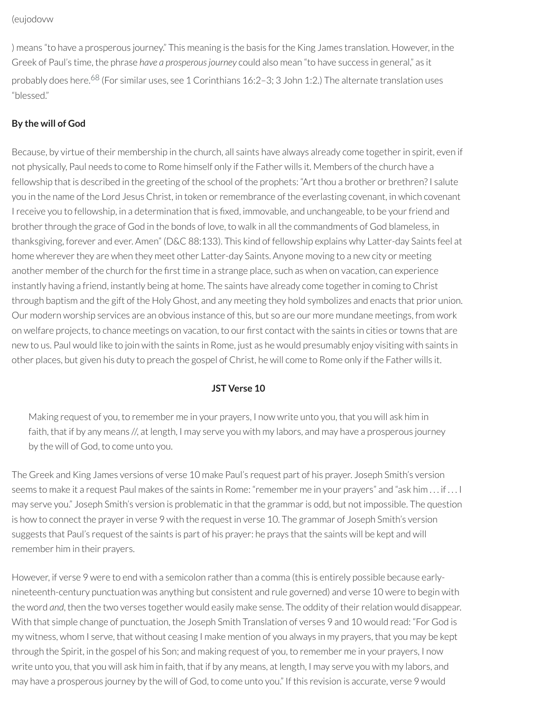(eujodovw

<span id="page-56-0"></span>) means "to have a prosperous journey." This meaning is the basis for the King James translation. However, in the Greek of Paul's time, the phrase *have a prosperousjourney* could also mean "to have success in general," as it probably does here. [68](#page-65-2) (For similar uses, see 1 Corinthians 16:2–3; 3 John 1:2.) The alternate translation uses "blessed."

## **By the will of God**

Because, by virtue of their membership in the church, all saints have always already come together in spirit, even if not physically, Paul needs to come to Rome himself only if the Father wills it. Members of the church have a fellowship that is described in the greeting of the school of the prophets: "Art thou a brother or brethren? I salute you in the name of the Lord Jesus Christ, in token or remembrance of the everlasting covenant, in which covenant I receive you to fellowship, in a determination that is fixed, immovable, and unchangeable, to be your friend and brother through the grace of God in the bonds of love, to walk in all the commandments of God blameless, in thanksgiving, forever and ever. Amen" (D&C 88:133). This kind of fellowship explains why Latter-day Saints feel at home wherever they are when they meet other Latter-day Saints. Anyone moving to a new city or meeting another member of the church for the first time in a strange place, such as when on vacation, can experience instantly having a friend, instantly being at home. The saints have already come togetherin coming to Christ through baptism and the gift of the Holy Ghost, and any meeting they hold symbolizes and enacts that prior union. Our modern worship services are an obvious instance of this, but so are our more mundane meetings, from work on welfare projects, to chance meetings on vacation, to our first contact with the saints in cities or towns that are new to us. Paul would like to join with the saints in Rome, just as he would presumably enjoy visiting with saints in other places, but given his duty to preach the gospel of Christ, he will come to Rome only if the Father wills it.

## **JST Verse 10**

Making request of you, to remember me in your prayers, I now write unto you, that you will ask him in faith, that if by any means //, at length, I may serve you with my labors, and may have a prosperous journey by the will of God, to come unto you.

The Greek and King James versions of verse 10 make Paul's request part of his prayer. Joseph Smith's version seems to make it a request Paul makes of the saints in Rome: "remember me in your prayers" and "ask him . . . if . . . I may serve you." Joseph Smith's version is problematic in that the grammaris odd, but not impossible. The question is how to connect the prayer in verse 9 with the request in verse 10. The grammar of Joseph Smith's version suggests that Paul's request of the saints is part of his prayer: he prays that the saints will be kept and will remember him in their prayers.

However, if verse 9 were to end with a semicolon rather than a comma (this is entirely possible because earlynineteenth-century punctuation was anything but consistent and rule governed) and verse 10 were to begin with the word *and*, then the two verses together would easily make sense. The oddity of their relation would disappear. With that simple change of punctuation, the Joseph Smith Translation of verses 9 and 10 would read: "For God is my witness, whom I serve, that without ceasing I make mention of you always in my prayers, that you may be kept through the Spirit, in the gospel of his Son; and making request of you, to remember me in your prayers, I now write unto you, that you will ask him in faith, that if by any means, at length, I may serve you with my labors, and may have a prosperous journey by the will of God, to come unto you." If this revision is accurate, verse 9 would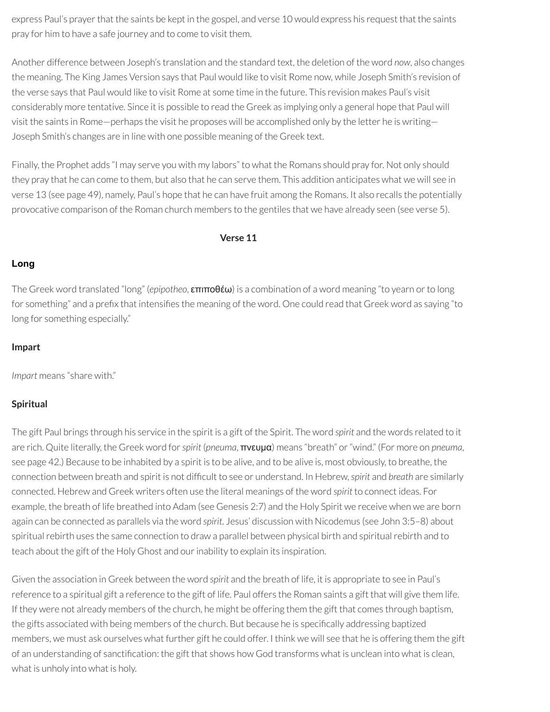express Paul's prayer that the saints be kept in the gospel, and verse 10 would express his request that the saints pray for him to have a safe journey and to come to visit them.

Another difference between Joseph's translation and the standard text, the deletion of the word *now*, also changes the meaning. The King James Version says that Paul would like to visit Rome now, while Joseph Smith's revision of the verse says that Paul would like to visit Rome at some time in the future. This revision makes Paul's visit considerably more tentative. Since it is possible to read the Greek as implying only a general hope that Paul will visit the saints in Rome—perhaps the visit he proposes will be accomplished only by the letter he is writing— Joseph Smith's changes are in line with one possible meaning of the Greek text.

Finally, the Prophet adds "I may serve you with my labors" to what the Romans should pray for. Not only should they pray that he can come to them, but also that he can serve them. This addition anticipates what we will see in verse 13 (see page 49), namely, Paul's hope that he can have fruit among the Romans. It also recalls the potentially provocative comparison of the Roman church members to the gentiles that we have already seen (see verse 5).

#### **Verse 11**

#### **Long**

The Greek word translated "long" (*epipotheo*, επιποθέω) is a combination of a word meaning "to yearn orto long for something" and a prefix that intensifies the meaning of the word. One could read that Greek word as saying "to long for something especially."

#### **Impart**

*Impart* means "share with."

#### **Spiritual**

The gift Paul brings through his service in the spirit is a gift of the Spirit. The word *spirit* and the words related to it are rich. Quite literally, the Greek word for*spirit* (*pneuma*, πνευμα) means "breath" or"wind." (For more on *pneuma*, see page 42.) Because to be inhabited by a spirit is to be alive, and to be alive is, most obviously, to breathe, the connection between breath and spirit is not difcult to see or understand. In Hebrew, *spirit* and *breath* are similarly connected. Hebrew and Greek writers often use the literal meanings of the word *spirit* to connect ideas. For example, the breath of life breathed into Adam (see Genesis 2:7) and the Holy Spirit we receive when we are born again can be connected as parallels via the word *spirit*. Jesus' discussion with Nicodemus (see John 3:5–8) about spiritual rebirth uses the same connection to draw a parallel between physical birth and spiritual rebirth and to teach about the gift of the Holy Ghost and ourinability to explain its inspiration.

Given the association in Greek between the word *spirit* and the breath of life, it is appropriate to see in Paul's reference to a spiritual gift a reference to the gift of life. Paul offers the Roman saints a gift that will give them life. If they were not already members of the church, he might be offering them the gift that comes through baptism, the gifts associated with being members of the church. But because he is specifically addressing baptized members, we must ask ourselves what further gift he could offer. I think we will see that he is offering them the gift of an understanding of sanctification: the gift that shows how God transforms what is unclean into what is clean, what is unholy into what is holy.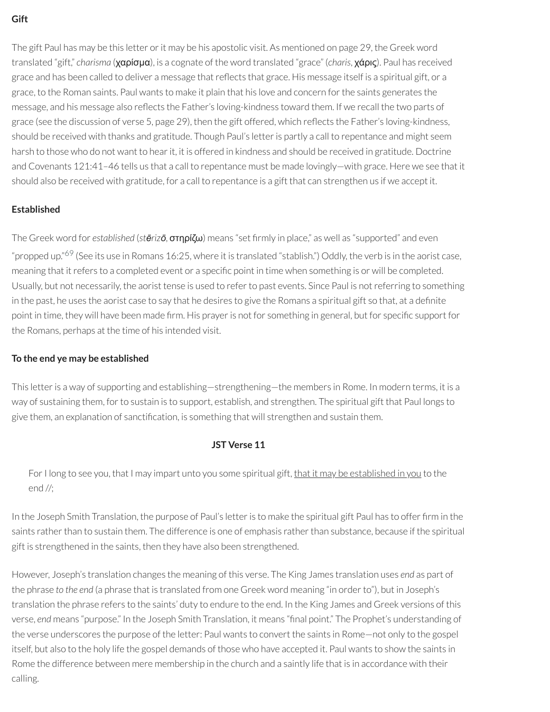## **Gift**

The gift Paul has may be this letter or it may be his apostolic visit. As mentioned on page 29, the Greek word translated "gift," *charisma* (χαρίσμα), is a cognate of the word translated "grace" (*charis*, χάρις). Paul has received grace and has been called to deliver a message that reflects that grace. His message itself is a spiritual gift, or a grace, to the Roman saints. Paul wants to make it plain that his love and concern forthe saints generates the message, and his message also reflects the Father's loving-kindness toward them. If we recall the two parts of grace (see the discussion of verse 5, page 29), then the gift offered, which reflects the Father's loving-kindness, should be received with thanks and gratitude. Though Paul's letteris partly a call to repentance and might seem harsh to those who do not want to hear it, it is offered in kindness and should be received in gratitude. Doctrine and Covenants 121:41–46 tells us that a call to repentance must be made lovingly—with grace. Here we see that it should also be received with gratitude, for a call to repentance is a gift that can strengthen us if we accept it.

## **Established**

<span id="page-58-0"></span>The Greek word for *established* (*stērizō*, στηρίζω) means "set rmly in place," as well as "supported" and even "propped up."<sup>[69](#page-65-3)</sup> (See its use in Romans 16:25, where it is translated "stablish.") Oddly, the verb is in the aorist case, meaning that it refers to a completed event or a specific point in time when something is or will be completed. Usually, but not necessarily, the aorist tense is used to referto past events. Since Paul is notreferring to something in the past, he uses the aorist case to say that he desires to give the Romans a spiritual gift so that, at a definite point in time, they will have been made firm. His prayer is not for something in general, but for specific support for the Romans, perhaps at the time of his intended visit.

## **To the end ye may be established**

This letteris a way of supporting and establishing—strengthening—the members in Rome. In modern terms, it is a way of sustaining them, forto sustain is to support, establish, and strengthen. The spiritual gift that Paul longs to give them, an explanation of sanctification, is something that will strengthen and sustain them.

## **JST Verse 11**

For I long to see you, that I may impart unto you some spiritual gift, that it may be established in you to the end //;

In the Joseph Smith Translation, the purpose of Paul's letter is to make the spiritual gift Paul has to offer firm in the saints rather than to sustain them. The difference is one of emphasis rather than substance, because if the spiritual gift is strengthened in the saints, then they have also been strengthened.

However, Joseph's translation changes the meaning of this verse. The King James translation uses *end* as part of the phrase *to the end* (a phrase that is translated from one Greek word meaning "in orderto"), but in Joseph's translation the phrase refers to the saints' duty to endure to the end. In the King James and Greek versions of this verse, *end* means "purpose." In the Joseph Smith Translation, it means "nal point." The Prophet's understanding of the verse underscores the purpose of the letter: Paul wants to convert the saints in Rome—not only to the gospel itself, but also to the holy life the gospel demands of those who have accepted it. Paul wants to show the saints in Rome the difference between mere membership in the church and a saintly life that is in accordance with their calling.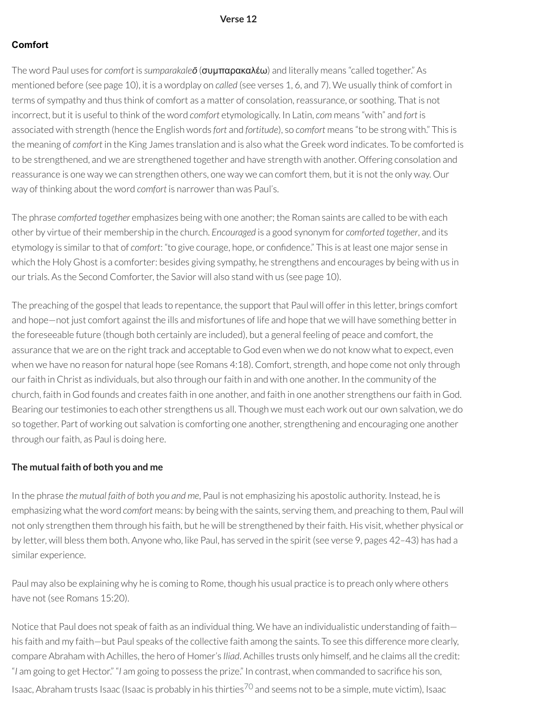#### **Verse 12**

#### **Comfort**

The word Paul uses for *comfort* is *sumparakaleō* (συμπαρακαλέω) and literally means "called together." As mentioned before (see page 10), it is a wordplay on *called* (see verses 1, 6, and 7). We usually think of comfort in terms of sympathy and thus think of comfort as a matter of consolation, reassurance, or soothing. That is not incorrect, but it is useful to think of the word *comfort* etymologically. In Latin, *com* means "with" and *fort* is associated with strength (hence the English words *fort* and *fortitude*), so *comfort* means "to be strong with." This is the meaning of *comfort* in the King James translation and is also what the Greek word indicates. To be comforted is to be strengthened, and we are strengthened together and have strength with another. Offering consolation and reassurance is one way we can strengthen others, one way we can comfort them, but it is not the only way. Our way of thinking about the word *comfort* is narrower than was Paul's.

The phrase *comforted together* emphasizes being with one another; the Roman saints are called to be with each other by virtue of their membership in the church. *Encouraged* is a good synonym for *comforted together*, and its etymology is similarto that of *comfort*: "to give courage, hope, or condence." This is at least one major sense in which the Holy Ghost is a comforter: besides giving sympathy, he strengthens and encourages by being with us in our trials. As the Second Comforter, the Savior will also stand with us (see page 10).

The preaching of the gospel that leads to repentance, the support that Paul will offerin this letter, brings comfort and hope—not just comfort against the ills and misfortunes of life and hope that we will have something betterin the foreseeable future (though both certainly are included), but a general feeling of peace and comfort, the assurance that we are on the right track and acceptable to God even when we do not know what to expect, even when we have no reason for natural hope (see Romans 4:18). Comfort, strength, and hope come not only through ourfaith in Christ as individuals, but also through ourfaith in and with one another. In the community of the church, faith in God founds and creates faith in one another, and faith in one another strengthens ourfaith in God. Bearing our testimonies to each other strengthens us all. Though we must each work out our own salvation, we do so together. Part of working out salvation is comforting one another, strengthening and encouraging one another through our faith, as Paul is doing here.

#### **The mutual faith of both you and me**

In the phrase *the mutual faith of both you and me*, Paul is not emphasizing his apostolic authority. Instead, he is emphasizing what the word *comfort* means: by being with the saints, serving them, and preaching to them, Paul will not only strengthen them through his faith, but he will be strengthened by their faith. His visit, whether physical or by letter, will bless them both. Anyone who, like Paul, has served in the spirit (see verse 9, pages 42–43) has had a similar experience.

Paul may also be explaining why he is coming to Rome, though his usual practice is to preach only where others have not (see Romans 15:20).

<span id="page-59-0"></span>Notice that Paul does not speak of faith as an individual thing. We have an individualistic understanding of faith his faith and my faith—but Paul speaks of the collective faith among the saints. To see this difference more clearly, compare Abraham with Achilles, the hero of Homer's *Iliad*. Achilles trusts only himself, and he claims all the credit: "*I* am going to get Hector." "*I* am going to possess the prize." In contrast, when commanded to sacrice his son, Isaac, Abraham trusts Isaac (Isaac is probably in his thirties<sup>[70](#page-65-4)</sup> and seems not to be a simple, mute victim), Isaac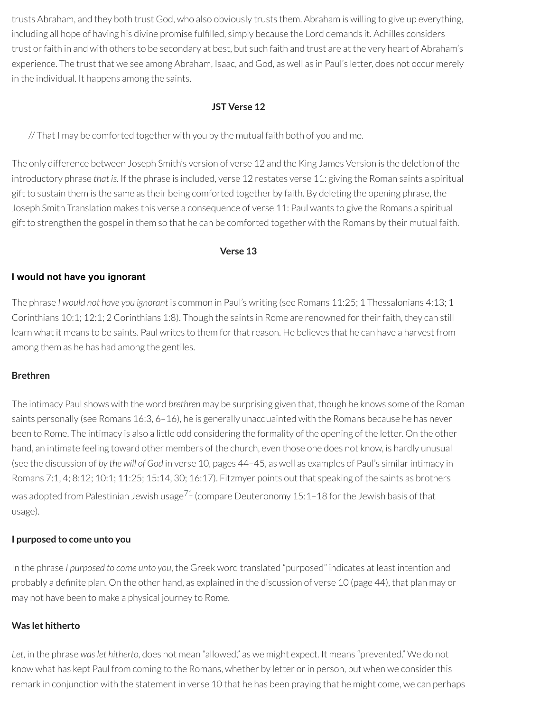trusts Abraham, and they both trust God, who also obviously trusts them. Abraham is willing to give up everything, including all hope of having his divine promise fulfilled, simply because the Lord demands it. Achilles considers trust or faith in and with others to be secondary at best, but such faith and trust are at the very heart of Abraham's experience. The trust that we see among Abraham, Isaac, and God, as well as in Paul's letter, does not occur merely in the individual. It happens among the saints.

## **JST Verse 12**

// That I may be comforted together with you by the mutual faith both of you and me.

The only difference between Joseph Smith's version of verse 12 and the King James Version is the deletion of the introductory phrase *that is*. If the phrase is included, verse 12 restates verse 11: giving the Roman saints a spiritual gift to sustain them is the same as their being comforted together by faith. By deleting the opening phrase, the Joseph Smith Translation makes this verse a consequence of verse 11: Paul wants to give the Romans a spiritual gift to strengthen the gospel in them so that he can be comforted together with the Romans by their mutual faith.

#### **Verse 13**

#### **I would not have you ignorant**

The phrase *I would not have you ignorant* is common in Paul's writing (see Romans 11:25; 1 Thessalonians 4:13; 1 Corinthians 10:1; 12:1; 2 Corinthians 1:8). Though the saints in Rome are renowned fortheirfaith, they can still learn what it means to be saints. Paul writes to them for that reason. He believes that he can have a harvest from among them as he has had among the gentiles.

#### **Brethren**

The intimacy Paul shows with the word *brethren* may be surprising given that, though he knows some of the Roman saints personally (see Romans 16:3, 6–16), he is generally unacquainted with the Romans because he has never been to Rome. The intimacy is also a little odd considering the formality of the opening of the letter. On the other hand, an intimate feeling toward other members of the church, even those one does not know, is hardly unusual (see the discussion of *by the will of God* in verse 10, pages 44–45, as well as examples of Paul's similarintimacy in Romans 7:1, 4; 8:12; 10:1; 11:25; 15:14, 30; 16:17). Fitzmyer points out that speaking of the saints as brothers was adopted from Palestinian Jewish usage $^{71}$  $^{71}$  $^{71}$  (compare Deuteronomy 15:1–18 for the Jewish basis of that usage).

#### <span id="page-60-0"></span>**I purposed to come unto you**

In the phrase *I purposed to come unto you*, the Greek word translated "purposed" indicates at least intention and probably a definite plan. On the other hand, as explained in the discussion of verse 10 (page 44), that plan may or may not have been to make a physical journey to Rome.

## **Was let hitherto**

*Let*, in the phrase *waslet hitherto*, does not mean "allowed," as we might expect. It means "prevented." We do not know what has kept Paul from coming to the Romans, whether by letter or in person, but when we consider this remark in conjunction with the statement in verse 10 that he has been praying that he might come, we can perhaps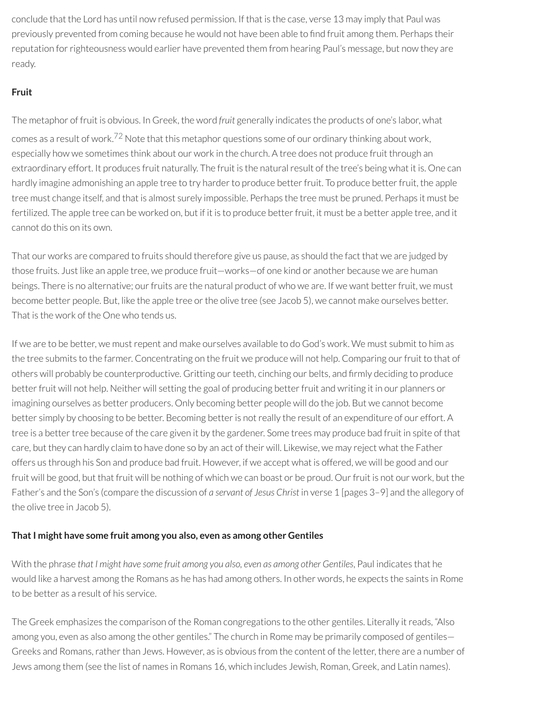conclude that the Lord has until now refused permission. If that is the case, verse 13 may imply that Paul was previously prevented from coming because he would not have been able to find fruit among them. Perhaps their reputation for righteousness would earlier have prevented them from hearing Paul's message, but now they are ready.

## **Fruit**

<span id="page-61-0"></span>The metaphor of fruit is obvious. In Greek, the word *fruit* generally indicates the products of one's labor, what comes as a result of work.<sup>[72](#page-65-6)</sup> Note that this metaphor questions some of our ordinary thinking about work, especially how we sometimes think about our work in the church. A tree does not produce fruit through an extraordinary effort. It produces fruit naturally. The fruit is the natural result of the tree's being what it is. One can hardly imagine admonishing an apple tree to try harder to produce better fruit. To produce better fruit, the apple tree must change itself, and that is almost surely impossible. Perhaps the tree must be pruned. Perhaps it must be fertilized. The apple tree can be worked on, but if it is to produce better fruit, it must be a better apple tree, and it cannot do this on its own.

That our works are compared to fruits should therefore give us pause, as should the fact that we are judged by those fruits. Just like an apple tree, we produce fruit—works—of one kind or another because we are human beings. There is no alternative; our fruits are the natural product of who we are. If we want better fruit, we must become better people. But, like the apple tree or the olive tree (see Jacob 5), we cannot make ourselves better. That is the work of the One who tends us.

If we are to be better, we must repent and make ourselves available to do God's work. We must submit to him as the tree submits to the farmer. Concentrating on the fruit we produce will not help. Comparing our fruit to that of others will probably be counterproductive. Gritting our teeth, cinching our belts, and firmly deciding to produce better fruit will not help. Neither will setting the goal of producing better fruit and writing it in our planners or imagining ourselves as better producers. Only becoming better people will do the job. But we cannot become better simply by choosing to be better. Becoming better is not really the result of an expenditure of our effort. A tree is a better tree because of the care given it by the gardener. Some trees may produce bad fruit in spite of that care, but they can hardly claim to have done so by an act of their will. Likewise, we may reject what the Father offers us through his Son and produce bad fruit. However, if we accept what is offered, we will be good and our fruit will be good, but that fruit will be nothing of which we can boast or be proud. Ourfruit is not our work, but the Father's and the Son's (compare the discussion of *a servant of Jesus Christ* in verse 1 [pages 3–9] and the allegory of the olive tree in Jacob 5).

## **ThatI might have some fruit among you also, even as among other Gentiles**

With the phrase *that I might have some fruit among you also, even as among other Gentiles*, Paul indicates that he would like a harvest among the Romans as he has had among others. In other words, he expects the saints in Rome to be better as a result of his service.

The Greek emphasizes the comparison of the Roman congregations to the other gentiles. Literally it reads, "Also among you, even as also among the other gentiles." The church in Rome may be primarily composed of gentiles— Greeks and Romans, rather than Jews. However, as is obvious from the content of the letter, there are a number of Jews among them (see the list of names in Romans 16, which includes Jewish, Roman, Greek, and Latin names).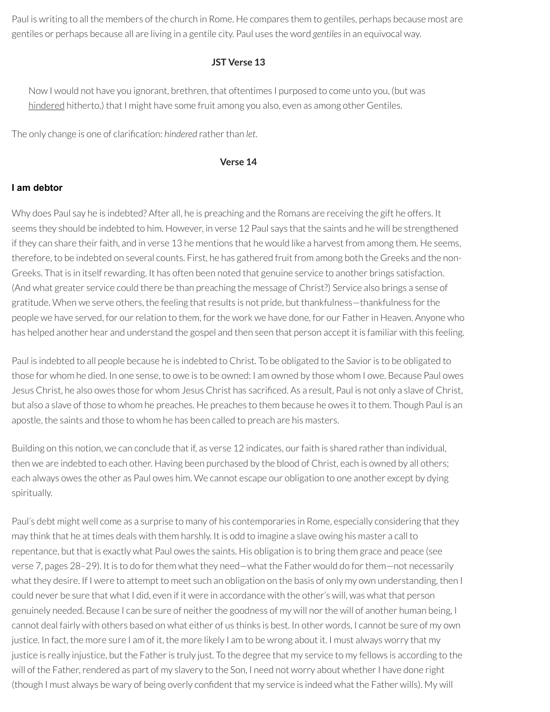Paul is writing to all the members of the church in Rome. He compares them to gentiles, perhaps because most are gentiles or perhaps because all are living in a gentile city. Paul uses the word *gentiles*in an equivocal way.

## **JST Verse 13**

Now I would not have you ignorant, brethren, that oftentimes I purposed to come unto you, (but was hindered hitherto,) that I might have some fruit among you also, even as among other Gentiles.

The only change is one of clarification: *hindered* rather than *let*.

#### **Verse 14**

#### **I am debtor**

Why does Paul say he is indebted? After all, he is preaching and the Romans are receiving the gift he offers. It seems they should be indebted to him. However, in verse 12 Paul says that the saints and he will be strengthened if they can share their faith, and in verse 13 he mentions that he would like a harvest from among them. He seems, therefore, to be indebted on several counts. First, he has gathered fruit from among both the Greeks and the non-Greeks. That is in itselfrewarding. It has often been noted that genuine service to another brings satisfaction. (And what greater service could there be than preaching the message of Christ?) Service also brings a sense of gratitude. When we serve others, the feeling that results is not pride, but thankfulness—thankfulness for the people we have served, for our relation to them, for the work we have done, for our Father in Heaven. Anyone who has helped another hear and understand the gospel and then seen that person accept it is familiar with this feeling.

Paul is indebted to all people because he is indebted to Christ. To be obligated to the Savioris to be obligated to those for whom he died. In one sense, to owe is to be owned: I am owned by those whom I owe. Because Paul owes Jesus Christ, he also owes those for whom Jesus Christ has sacriced. As a result, Paul is not only a slave of Christ, but also a slave of those to whom he preaches. He preaches to them because he owes it to them. Though Paul is an apostle, the saints and those to whom he has been called to preach are his masters.

Building on this notion, we can conclude that if, as verse 12 indicates, our faith is shared rather than individual, then we are indebted to each other. Having been purchased by the blood of Christ, each is owned by all others; each always owes the other as Paul owes him. We cannot escape our obligation to one another except by dying spiritually.

Paul's debt might well come as a surprise to many of his contemporaries in Rome, especially considering that they may think that he at times deals with them harshly. It is odd to imagine a slave owing his master a call to repentance, but that is exactly what Paul owes the saints. His obligation is to bring them grace and peace (see verse 7, pages 28–29). It is to do forthem what they need—what the Father would do forthem—not necessarily what they desire. If I were to attempt to meet such an obligation on the basis of only my own understanding, then I could never be sure that what I did, even if it were in accordance with the other's will, was what that person genuinely needed. Because I can be sure of neither the goodness of my will nor the will of another human being, I cannot deal fairly with others based on what either of us thinks is best. In other words, I cannot be sure of my own justice. In fact, the more sure I am of it, the more likely I am to be wrong about it. I must always worry that my justice is really injustice, but the Father is truly just. To the degree that my service to my fellows is according to the will of the Father, rendered as part of my slavery to the Son, I need not worry about whether I have done right (though I must always be wary of being overly confident that my service is indeed what the Father wills). My will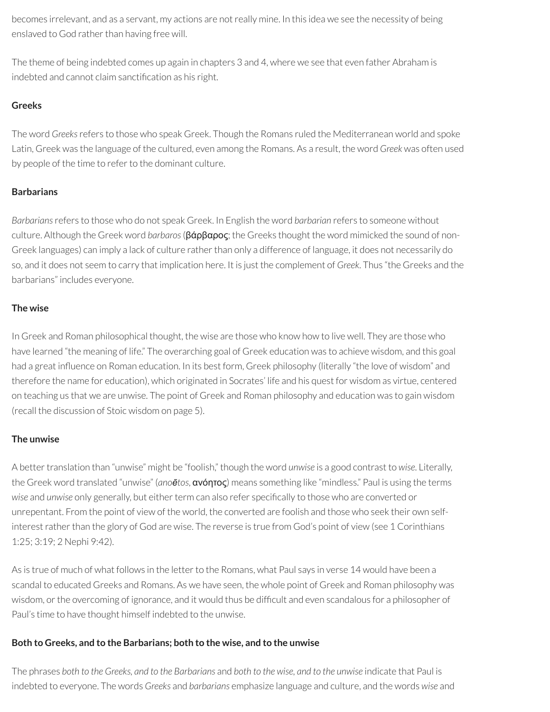becomes irrelevant, and as a servant, my actions are notreally mine. In this idea we see the necessity of being enslaved to God rather than having free will.

The theme of being indebted comes up again in chapters 3 and 4, where we see that even father Abraham is indebted and cannot claim sanctification as his right.

## **Greeks**

The word *Greeks*refers to those who speak Greek. Though the Romans ruled the Mediterranean world and spoke Latin, Greek was the language of the cultured, even among the Romans. As a result, the word *Greek* was often used by people of the time to refer to the dominant culture.

## **Barbarians**

*Barbarians*refers to those who do not speak Greek. In English the word *barbarian* refers to someone without culture. Although the Greek word *barbaros*(βάρβαρος; the Greeks thought the word mimicked the sound of non-Greek languages) can imply a lack of culture rather than only a difference of language, it does not necessarily do so, and it does not seem to carry that implication here. It is just the complement of *Greek*. Thus "the Greeks and the barbarians" includes everyone.

## **The wise**

In Greek and Roman philosophical thought, the wise are those who know how to live well. They are those who have learned "the meaning of life." The overarching goal of Greek education was to achieve wisdom, and this goal had a great influence on Roman education. In its best form, Greek philosophy (literally "the love of wisdom" and therefore the name for education), which originated in Socrates' life and his quest for wisdom as virtue, centered on teaching us that we are unwise. The point of Greek and Roman philosophy and education was to gain wisdom (recall the discussion of Stoic wisdom on page 5).

## **The unwise**

A better translation than "unwise" might be "foolish," though the word *unwise* is a good contrast to *wise*. Literally, the Greek word translated "unwise" (*anoētos*, ανόητος) means something like "mindless." Paul is using the terms *wise* and *unwise* only generally, but either term can also refer specifically to those who are converted or unrepentant. From the point of view of the world, the converted are foolish and those who seek their own selfinterest rather than the glory of God are wise. The reverse is true from God's point of view (see 1 Corinthians 1:25; 3:19; 2 Nephi 9:42).

As is true of much of what follows in the letter to the Romans, what Paul says in verse 14 would have been a scandal to educated Greeks and Romans. As we have seen, the whole point of Greek and Roman philosophy was wisdom, or the overcoming of ignorance, and it would thus be difficult and even scandalous for a philosopher of Paul's time to have thought himself indebted to the unwise.

## **Both to Greeks, and to the Barbarians; both to the wise, and to the unwise**

The phrases both to the Greeks, and to the Barbarians and both to the wise, and to the unwise indicate that Paul is indebted to everyone. The words *Greeks* and *barbarians* emphasize language and culture, and the words *wise* and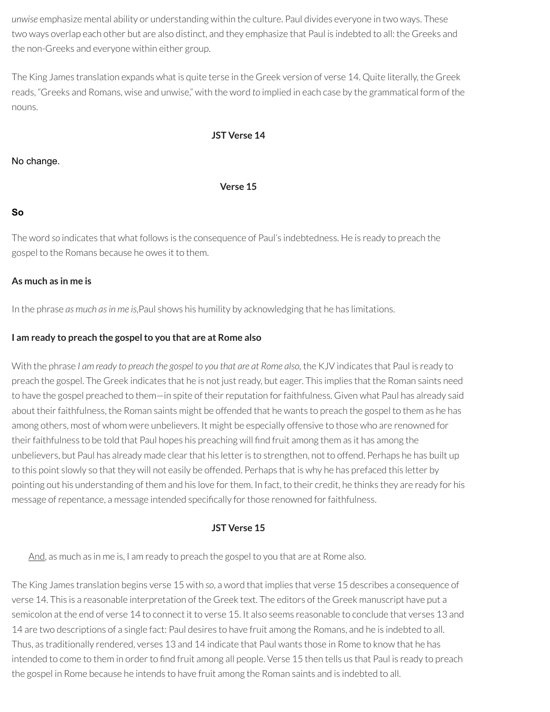*unwise* emphasize mental ability or understanding within the culture. Paul divides everyone in two ways. These two ways overlap each other but are also distinct, and they emphasize that Paul is indebted to all: the Greeks and the non-Greeks and everyone within either group.

The King James translation expands what is quite terse in the Greek version of verse 14. Quite literally, the Greek reads, "Greeks and Romans, wise and unwise," with the word *to* implied in each case by the grammatical form of the nouns.

#### **JST Verse 14**

#### No change.

#### **Verse 15**

#### **So**

The word *so* indicates that what follows is the consequence of Paul's indebtedness. He is ready to preach the gospel to the Romans because he owes it to them.

#### **As much as in me is**

In the phrase *as much asin me is*,Paul shows his humility by acknowledging that he has limitations.

#### **I am ready to preach the gospelto you that are at Rome also**

With the phrase *I am ready to preach the gospel to you that are at Rome also,* the KJV indicates that Paul is ready to preach the gospel. The Greek indicates that he is not justready, but eager. This implies that the Roman saints need to have the gospel preached to them—in spite of their reputation for faithfulness. Given what Paul has already said about their faithfulness, the Roman saints might be offended that he wants to preach the gospel to them as he has among others, most of whom were unbelievers. It might be especially offensive to those who are renowned for their faithfulness to be told that Paul hopes his preaching will find fruit among them as it has among the unbelievers, but Paul has already made clear that his letter is to strengthen, not to offend. Perhaps he has built up to this point slowly so that they will not easily be offended. Perhaps that is why he has prefaced this letter by pointing out his understanding of them and his love for them. In fact, to their credit, he thinks they are ready for his message of repentance, a message intended specifically for those renowned for faithfulness.

#### **JST Verse 15**

And, as much as in me is, I am ready to preach the gospel to you that are at Rome also.

The King James translation begins verse 15 with *so*, a word that implies that verse 15 describes a consequence of verse 14. This is a reasonable interpretation of the Greek text. The editors of the Greek manuscript have put a semicolon at the end of verse 14 to connect it to verse 15. It also seems reasonable to conclude that verses 13 and 14 are two descriptions of a single fact: Paul desires to have fruit among the Romans, and he is indebted to all. Thus, as traditionally rendered, verses 13 and 14 indicate that Paul wants those in Rome to know that he has intended to come to them in order to find fruit among all people. Verse 15 then tells us that Paul is ready to preach the gospel in Rome because he intends to have fruit among the Roman saints and is indebted to all.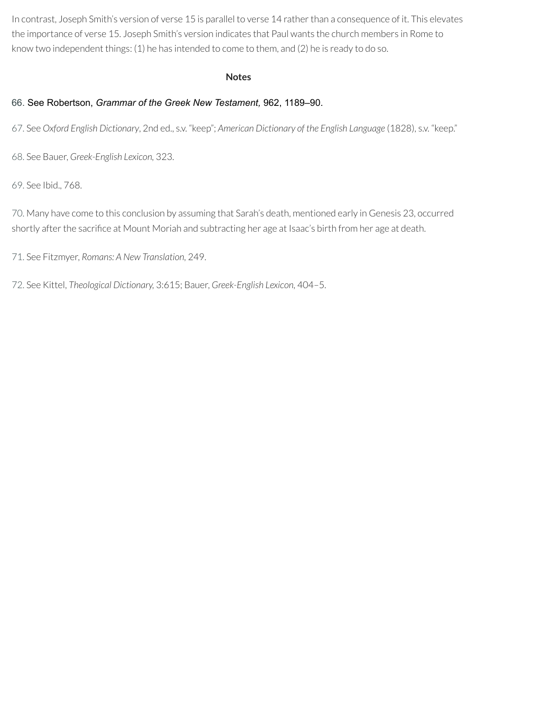In contrast, Joseph Smith's version of verse 15 is parallel to verse 14 rather than a consequence of it. This elevates the importance of verse 15. Joseph Smith's version indicates that Paul wants the church members in Rome to know two independent things: (1) he has intended to come to them, and (2) he is ready to do so.

#### **Notes**

## <span id="page-65-0"></span>[66.](#page-53-0) See Robertson, *Grammar of the Greek New Testament,* 962, 1189–90.

<span id="page-65-1"></span>[67.](#page-55-0) See *Oxford English Dictionary*, 2nd ed., s.v. "keep"; *American Dictionary of the English Language* (1828), s.v. "keep."

<span id="page-65-2"></span>[68.](#page-56-0) See Bauer, *Greek-English Lexicon,* 323.

<span id="page-65-3"></span>[69.](#page-58-0) See Ibid., 768.

<span id="page-65-4"></span>[70.](#page-59-0) Many have come to this conclusion by assuming that Sarah's death, mentioned early in Genesis 23, occurred shortly after the sacrifice at Mount Moriah and subtracting her age at Isaac's birth from her age at death.

<span id="page-65-5"></span>[71.](#page-60-0) See Fitzmyer, *Romans: A New Translation,* 249.

<span id="page-65-6"></span>[72.](#page-61-0) See Kittel, *Theological Dictionary,* 3:615; Bauer, *Greek-English Lexicon,* 404–5.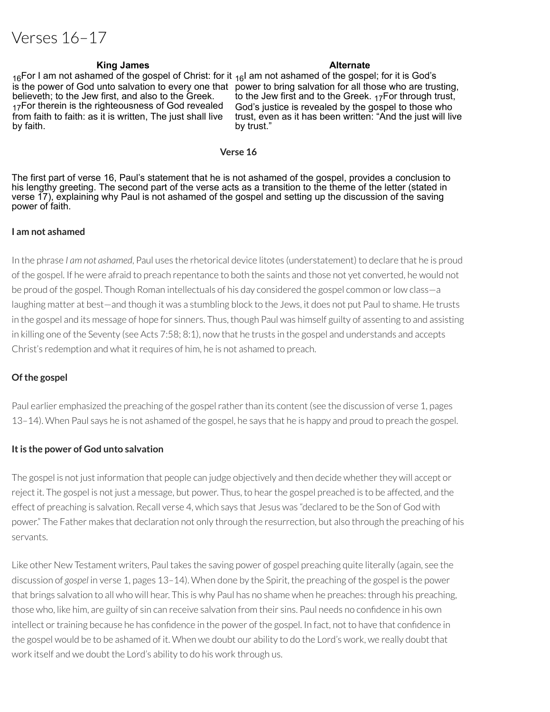# Verses 16–17

#### **King James Alternate**

 $_{16}$ For I am not ashamed of the gospel of Christ: for it  $_{16}$ I am not ashamed of the gospel; for it is God's is the power of God unto salvation to every one that power to bring salvation for all those who are trusting, believeth; to the Jew first, and also to the Greek. 17For therein is the righteousness of God revealed from faith to faith: as it is written, The just shall live by faith.

to the Jew first and to the Greek.  $_{17}$ For through trust, God's justice is revealed by the gospel to those who trust, even as it has been written: "And the just will live by trust."

#### **Verse 16**

The first part of verse 16, Paul's statement that he is not ashamed of the gospel, provides a conclusion to his lengthy greeting. The second part of the verse acts as a transition to the theme of the letter (stated in verse 17), explaining why Paul is not ashamed of the gospel and setting up the discussion of the saving power of faith.

#### **I am not ashamed**

In the phrase *I am not ashamed*, Paul uses the rhetorical device litotes (understatement) to declare that he is proud of the gospel. If he were afraid to preach repentance to both the saints and those not yet converted, he would not be proud of the gospel. Though Roman intellectuals of his day considered the gospel common orlow class—a laughing matter at best—and though it was a stumbling block to the Jews, it does not put Paul to shame. He trusts in the gospel and its message of hope for sinners. Thus, though Paul was himself guilty of assenting to and assisting in killing one of the Seventy (see Acts 7:58; 8:1), now that he trusts in the gospel and understands and accepts Christ's redemption and what it requires of him, he is not ashamed to preach.

#### **Of the gospel**

Paul earlier emphasized the preaching of the gospel rather than its content (see the discussion of verse 1, pages 13–14). When Paul says he is not ashamed of the gospel, he says that he is happy and proud to preach the gospel.

#### **Itis the power of God unto salvation**

The gospel is not just information that people can judge objectively and then decide whether they will accept or reject it. The gospel is not just a message, but power. Thus, to hearthe gospel preached is to be affected, and the effect of preaching is salvation. Recall verse 4, which says that Jesus was "declared to be the Son of God with power." The Father makes that declaration not only through the resurrection, but also through the preaching of his servants.

Like other New Testament writers, Paul takes the saving power of gospel preaching quite literally (again, see the discussion of *gospel* in verse 1, pages 13–14). When done by the Spirit, the preaching of the gospel is the power that brings salvation to all who will hear. This is why Paul has no shame when he preaches: through his preaching, those who, like him, are guilty of sin can receive salvation from their sins. Paul needs no confidence in his own intellect or training because he has confidence in the power of the gospel. In fact, not to have that confidence in the gospel would be to be ashamed of it. When we doubt our ability to do the Lord's work, we really doubt that work itself and we doubt the Lord's ability to do his work through us.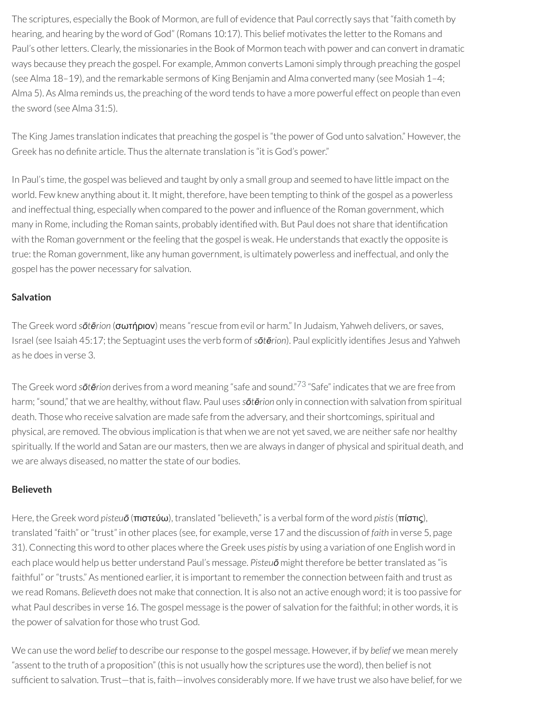The scriptures, especially the Book of Mormon, are full of evidence that Paul correctly says that "faith cometh by hearing, and hearing by the word of God" (Romans 10:17). This belief motivates the letter to the Romans and Paul's other letters. Clearly, the missionaries in the Book of Mormon teach with power and can convert in dramatic ways because they preach the gospel. For example, Ammon converts Lamoni simply through preaching the gospel (see Alma 18–19), and the remarkable sermons of King Benjamin and Alma converted many (see Mosiah 1–4; Alma 5). As Alma reminds us, the preaching of the word tends to have a more powerful effect on people than even the sword (see Alma 31:5).

The King James translation indicates that preaching the gospel is "the power of God unto salvation." However, the Greek has no definite article. Thus the alternate translation is "it is God's power."

In Paul's time, the gospel was believed and taught by only a small group and seemed to have little impact on the world. Few knew anything about it. It might, therefore, have been tempting to think of the gospel as a powerless and ineffectual thing, especially when compared to the power and influence of the Roman government, which many in Rome, including the Roman saints, probably identified with. But Paul does not share that identification with the Roman government or the feeling that the gospel is weak. He understands that exactly the opposite is true: the Roman government, like any human government, is ultimately powerless and ineffectual, and only the gospel has the power necessary for salvation.

## **Salvation**

The Greek word *sōtērion* (σωτήριον) means "rescue from evil or harm." In Judaism, Yahweh delivers, or saves, Israel (see Isaiah 45:17; the Septuagint uses the verb form of*sōtērion*). Paul explicitly identies Jesus and Yahweh as he does in verse 3.

The Greek word *sōtērion* derives from a word meaning "safe and sound." [73](#page-79-0) "Safe" indicates that we are free from harm; "sound," that we are healthy, without flaw. Paul uses *sōtērion* only in connection with salvation from spiritual death. Those who receive salvation are made safe from the adversary, and their shortcomings, spiritual and physical, are removed. The obvious implication is that when we are not yet saved, we are neither safe nor healthy spiritually. If the world and Satan are our masters, then we are always in danger of physical and spiritual death, and we are always diseased, no matter the state of our bodies.

## **Believeth**

Here, the Greek word *pisteuō* (πιστεύω), translated "believeth," is a verbal form of the word *pistis*(πίστις), translated "faith" or"trust" in other places (see, for example, verse 17 and the discussion of *faith* in verse 5, page 31). Connecting this word to other places where the Greek uses *pistis* by using a variation of one English word in each place would help us better understand Paul's message. Pisteu**ō** might therefore be better translated as "is faithful" or "trusts." As mentioned earlier, it is important to remember the connection between faith and trust as we read Romans. *Believeth* does not make that connection. It is also not an active enough word; it is too passive for what Paul describes in verse 16. The gospel message is the power of salvation for the faithful; in other words, it is the power of salvation for those who trust God.

We can use the word belief to describe our response to the gospel message. However, if by belief we mean merely "assent to the truth of a proposition" (this is not usually how the scriptures use the word), then belief is not sufficient to salvation. Trust—that is, faith—involves considerably more. If we have trust we also have belief, for we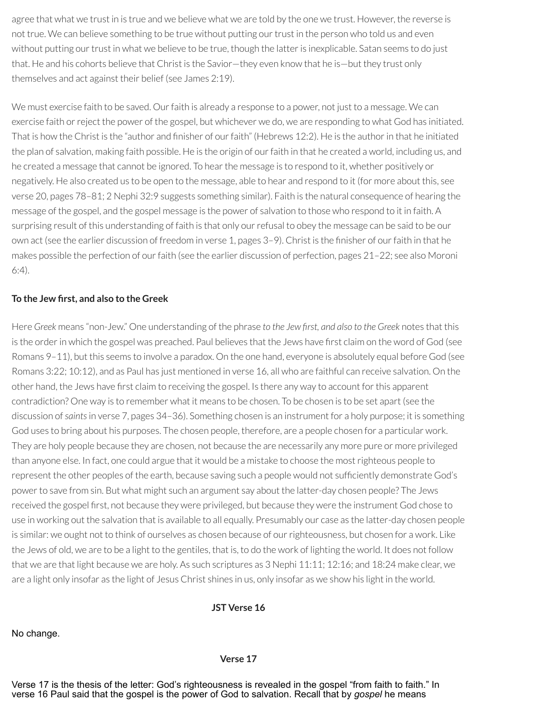agree that what we trust in is true and we believe what we are told by the one we trust. However, the reverse is not true. We can believe something to be true without putting our trust in the person who told us and even without putting our trust in what we believe to be true, though the latter is inexplicable. Satan seems to do just that. He and his cohorts believe that Christ is the Savior—they even know that he is—but they trust only themselves and act against their belief (see James 2:19).

We must exercise faith to be saved. Our faith is already a response to a power, not just to a message. We can exercise faith orreject the power of the gospel, but whichever we do, we are responding to what God has initiated. That is how the Christ is the "author and finisher of our faith" (Hebrews 12:2). He is the author in that he initiated the plan of salvation, making faith possible. He is the origin of ourfaith in that he created a world, including us, and he created a message that cannot be ignored. To hear the message is to respond to it, whether positively or negatively. He also created us to be open to the message, able to hear and respond to it (for more about this, see verse 20, pages 78–81; 2 Nephi 32:9 suggests something similar). Faith is the natural consequence of hearing the message of the gospel, and the gospel message is the power of salvation to those who respond to it in faith. A surprising result of this understanding of faith is that only ourrefusal to obey the message can be said to be our own act (see the earlier discussion of freedom in verse 1, pages 3-9). Christ is the finisher of our faith in that he makes possible the perfection of our faith (see the earlier discussion of perfection, pages 21–22; see also Moroni 6:4).

#### **To the Jew rst, and also to the Greek**

Here *Greek* means "non-Jew." One understanding of the phrase *to the Jew rst, and also to the Greek* notes that this is the order in which the gospel was preached. Paul believes that the Jews have first claim on the word of God (see Romans 9–11), but this seems to involve a paradox. On the one hand, everyone is absolutely equal before God (see Romans 3:22; 10:12), and as Paul has just mentioned in verse 16, all who are faithful can receive salvation. On the other hand, the Jews have first claim to receiving the gospel. Is there any way to account for this apparent contradiction? One way is to remember what it means to be chosen. To be chosen is to be set apart (see the discussion of*saints*in verse 7, pages 34–36). Something chosen is an instrument for a holy purpose; it is something God uses to bring about his purposes. The chosen people, therefore, are a people chosen for a particular work. They are holy people because they are chosen, not because the are necessarily any more pure or more privileged than anyone else. In fact, one could argue that it would be a mistake to choose the mostrighteous people to represent the other peoples of the earth, because saving such a people would not sufficiently demonstrate God's power to save from sin. But what might such an argument say about the latter-day chosen people? The Jews received the gospel first, not because they were privileged, but because they were the instrument God chose to use in working out the salvation that is available to all equally. Presumably our case as the latter-day chosen people is similar: we ought not to think of ourselves as chosen because of our righteousness, but chosen for a work. Like the Jews of old, we are to be a light to the gentiles, that is, to do the work of lighting the world. It does not follow that we are that light because we are holy. As such scriptures as 3 Nephi 11:11; 12:16; and 18:24 make clear, we are a light only insofar as the light of Jesus Christ shines in us, only insofar as we show his light in the world.

**JST Verse 16**

No change.

#### **Verse 17**

Verse 17 is the thesis of the letter: God's righteousness is revealed in the gospel "from faith to faith." In verse 16 Paul said that the gospel is the power of God to salvation. Recall that by *gospel* he means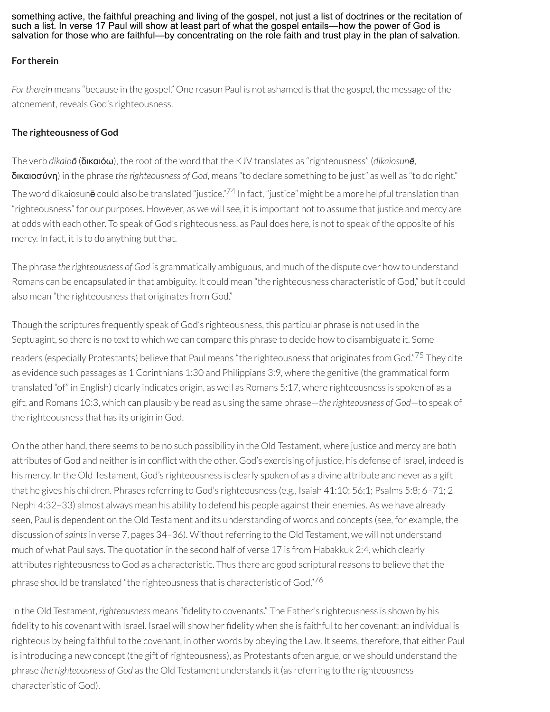something active, the faithful preaching and living of the gospel, not just a list of doctrines or the recitation of such a list. In verse 17 Paul will show at least part of what the gospel entails—how the power of God is salvation for those who are faithful—by concentrating on the role faith and trust play in the plan of salvation.

## **For therein**

*For therein* means "because in the gospel." One reason Paul is not ashamed is that the gospel, the message of the atonement, reveals God's righteousness.

## **The righteousness of God**

The verb *dikaioō* (δικαιόω), the root of the word that the KJV translates as "righteousness" (*dikaiosunē*, δικαιοσύνη) in the phrase *the righteousness of God*, means "to declare something to be just" as well as "to do right." The word dikaiosun**ē** could also be translated "justice."<sup>[74](#page-79-1)</sup> In fact, "justice" might be a more helpful translation than "righteousness" for our purposes. However, as we will see, it is important not to assume that justice and mercy are at odds with each other. To speak of God's righteousness, as Paul does here, is not to speak of the opposite of his mercy. In fact, it is to do anything but that.

The phrase *the righteousness of God* is grammatically ambiguous, and much of the dispute over how to understand Romans can be encapsulated in that ambiguity. It could mean "the righteousness characteristic of God," but it could also mean "the righteousness that originates from God."

Though the scriptures frequently speak of God's righteousness, this particular phrase is not used in the Septuagint, so there is no text to which we can compare this phrase to decide how to disambiguate it. Some readers (especially Protestants) believe that Paul means "the righteousness that originates from God."<sup>[75](#page-79-2)</sup> They cite as evidence such passages as 1 Corinthians 1:30 and Philippians 3:9, where the genitive (the grammatical form translated "of" in English) clearly indicates origin, as well as Romans 5:17, where righteousness is spoken of as a gift, and Romans 10:3, which can plausibly be read as using the same phrase—*the righteousness of God*—to speak of the righteousness that has its origin in God.

On the other hand, there seems to be no such possibility in the Old Testament, where justice and mercy are both attributes of God and neither is in conflict with the other. God's exercising of justice, his defense of Israel, indeed is his mercy. In the Old Testament, God's righteousness is clearly spoken of as a divine attribute and never as a gift that he gives his children. Phrases referring to God's righteousness (e.g., Isaiah 41:10; 56:1; Psalms 5:8; 6–71; 2 Nephi 4:32–33) almost always mean his ability to defend his people against their enemies. As we have already seen, Paul is dependent on the Old Testament and its understanding of words and concepts (see, for example, the discussion of saints in verse 7, pages 34-36). Without referring to the Old Testament, we will not understand much of what Paul says. The quotation in the second half of verse 17 is from Habakkuk 2:4, which clearly attributes righteousness to God as a characteristic. Thus there are good scriptural reasons to believe that the phrase should be translated "the righteousness that is characteristic of God." $^{76}$  $^{76}$  $^{76}$ 

In the Old Testament, *righteousness* means "fidelity to covenants." The Father's righteousness is shown by his fidelity to his covenant with Israel. Israel will show her fidelity when she is faithful to her covenant: an individual is righteous by being faithful to the covenant, in other words by obeying the Law. It seems, therefore, that either Paul is introducing a new concept (the gift of righteousness), as Protestants often argue, or we should understand the phrase *the righteousness of God* as the Old Testament understands it (as referring to the righteousness characteristic of God).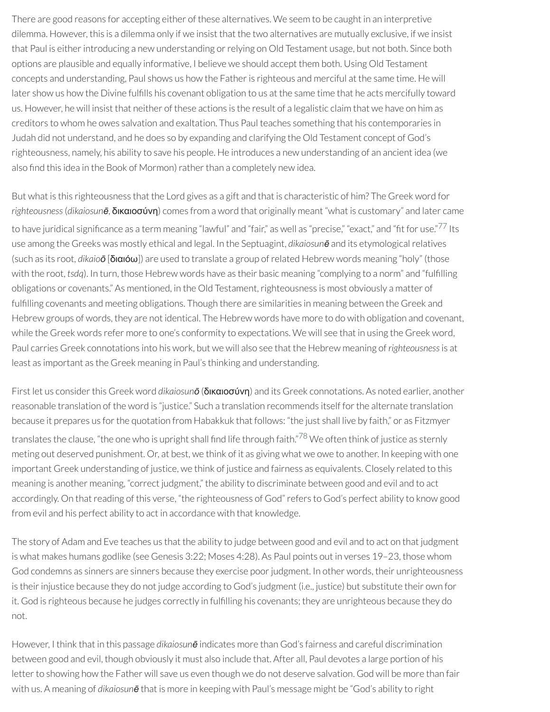There are good reasons for accepting either of these alternatives. We seem to be caught in an interpretive dilemma. However, this is a dilemma only if we insist that the two alternatives are mutually exclusive, if we insist that Paul is either introducing a new understanding or relying on Old Testament usage, but not both. Since both options are plausible and equally informative, I believe we should accept them both. Using Old Testament concepts and understanding, Paul shows us how the Father is righteous and merciful at the same time. He will later show us how the Divine fulfills his covenant obligation to us at the same time that he acts mercifully toward us. However, he will insist that neither of these actions is the result of a legalistic claim that we have on him as creditors to whom he owes salvation and exaltation. Thus Paul teaches something that his contemporaries in Judah did not understand, and he does so by expanding and clarifying the Old Testament concept of God's righteousness, namely, his ability to save his people. He introduces a new understanding of an ancient idea (we also find this idea in the Book of Mormon) rather than a completely new idea.

But what is this righteousness that the Lord gives as a gift and that is characteristic of him? The Greek word for *righteousness*(*dikaiosunē*, δικαιοσύνη) comes from a word that originally meant "what is customary" and later came to have juridical significance as a term meaning "lawful" and "fair," as well as "precise," "exact," and "fit for use."<sup>[77](#page-79-4)</sup> Its use among the Greeks was mostly ethical and legal. In the Septuagint, *dikaiosunē* and its etymologicalrelatives (such as its root, *dikaioō* [διαιόω]) are used to translate a group ofrelated Hebrew words meaning "holy" (those with the root, *tsdq*). In turn, those Hebrew words have as their basic meaning "complying to a norm" and "fulfilling obligations or covenants." As mentioned, in the Old Testament, righteousness is most obviously a matter of fulfilling covenants and meeting obligations. Though there are similarities in meaning between the Greek and Hebrew groups of words, they are not identical. The Hebrew words have more to do with obligation and covenant, while the Greek words refer more to one's conformity to expectations. We will see that in using the Greek word, Paul carries Greek connotations into his work, but we will also see that the Hebrew meaning of *righteousness*is at least as important as the Greek meaning in Paul's thinking and understanding.

First let us considerthis Greek word *dikaiosunō* (δικαιοσύνη) and its Greek connotations. As noted earlier, another reasonable translation of the word is "justice." Such a translation recommends itself forthe alternate translation because it prepares us for the quotation from Habakkuk that follows: "the just shall live by faith," or as Fitzmyer translates the clause, "the one who is upright shall find life through faith."<sup>[78](#page-79-5)</sup> We often think of justice as sternly meting out deserved punishment. Or, at best, we think of it as giving what we owe to another. In keeping with one important Greek understanding of justice, we think of justice and fairness as equivalents. Closely related to this meaning is another meaning, "correct judgment," the ability to discriminate between good and evil and to act accordingly. On that reading of this verse, "the righteousness of God" refers to God's perfect ability to know good from evil and his perfect ability to act in accordance with that knowledge.

The story of Adam and Eve teaches us that the ability to judge between good and evil and to act on that judgment is what makes humans godlike (see Genesis 3:22; Moses 4:28). As Paul points out in verses 19–23, those whom God condemns as sinners are sinners because they exercise poor judgment. In other words, their unrighteousness is their injustice because they do not judge according to God's judgment (i.e., justice) but substitute their own for it. God is righteous because he judges correctly in fulfilling his covenants; they are unrighteous because they do not.

However, I think that in this passage *dikaiosunē* indicates more than God's fairness and careful discrimination between good and evil, though obviously it must also include that. After all, Paul devotes a large portion of his letter to showing how the Father will save us even though we do not deserve salvation. God will be more than fair with us. A meaning of *dikaiosunē* that is more in keeping with Paul's message might be "God's ability to right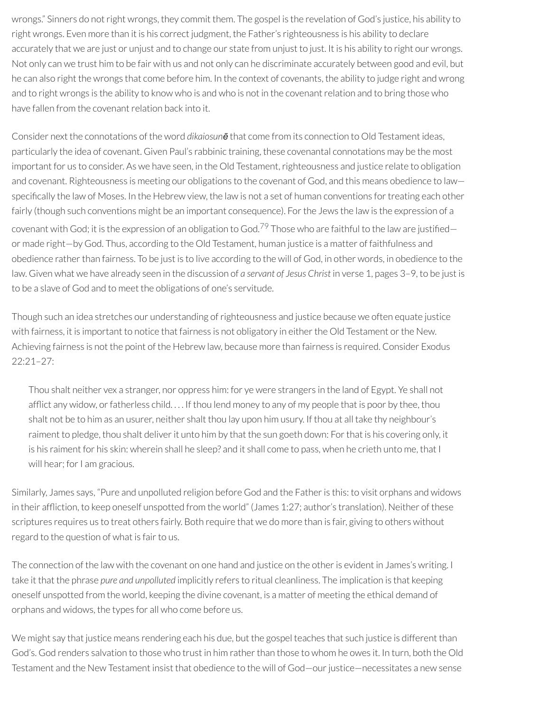wrongs." Sinners do notright wrongs, they commit them. The gospel is the revelation of God's justice, his ability to right wrongs. Even more than it is his correct judgment, the Father's righteousness is his ability to declare accurately that we are just or unjust and to change our state from unjust to just. It is his ability to right our wrongs. Not only can we trust him to be fair with us and not only can he discriminate accurately between good and evil, but he can also right the wrongs that come before him. In the context of covenants, the ability to judge right and wrong and to right wrongs is the ability to know who is and who is not in the covenant relation and to bring those who have fallen from the covenant relation back into it.

Consider next the connotations of the word *dikaiosunē* that come from its connection to Old Testament ideas, particularly the idea of covenant. Given Paul's rabbinic training, these covenantal connotations may be the most important for us to consider. As we have seen, in the Old Testament, righteousness and justice relate to obligation and covenant. Righteousness is meeting our obligations to the covenant of God, and this means obedience to law specifically the law of Moses. In the Hebrew view, the law is not a set of human conventions for treating each other fairly (though such conventions might be an important consequence). For the Jews the law is the expression of a covenant with God; it is the expression of an obligation to God.<sup>[79](#page-79-6)</sup> Those who are faithful to the law are justified or made right—by God. Thus, according to the Old Testament, human justice is a matter of faithfulness and obedience rather than fairness. To be just is to live according to the will of God, in other words, in obedience to the law. Given what we have already seen in the discussion of *a servant of Jesus Christ* in verse 1, pages 3–9, to be just is to be a slave of God and to meet the obligations of one's servitude.

Though such an idea stretches our understanding of righteousness and justice because we often equate justice with fairness, it is important to notice that fairness is not obligatory in either the Old Testament or the New. Achieving fairness is not the point of the Hebrew law, because more than fairness is required. Consider Exodus 22:21–27:

Thou shalt neither vex a stranger, nor oppress him: for ye were strangers in the land of Egypt. Ye shall not afflict any widow, or fatherless child. . . . If thou lend money to any of my people that is poor by thee, thou shalt not be to him as an usurer, neither shalt thou lay upon him usury. If thou at all take thy neighbour's raiment to pledge, thou shalt deliver it unto him by that the sun goeth down: For that is his covering only, it is his raiment for his skin: wherein shall he sleep? and it shall come to pass, when he crieth unto me, that I will hear; for I am gracious.

Similarly, James says, "Pure and unpolluted religion before God and the Father is this: to visit orphans and widows in their affliction, to keep oneself unspotted from the world" (James 1:27; author's translation). Neither of these scriptures requires us to treat others fairly. Both require that we do more than is fair, giving to others without regard to the question of what is fair to us.

The connection of the law with the covenant on one hand and justice on the other is evident in James's writing. I take it that the phrase *pure and unpolluted* implicitly refers to ritual cleanliness. The implication is that keeping oneself unspotted from the world, keeping the divine covenant, is a matter of meeting the ethical demand of orphans and widows, the types for all who come before us.

We might say that justice means rendering each his due, but the gospel teaches that such justice is different than God's. God renders salvation to those who trust in him rather than those to whom he owes it. In turn, both the Old Testament and the New Testament insist that obedience to the will of God-our justice-necessitates a new sense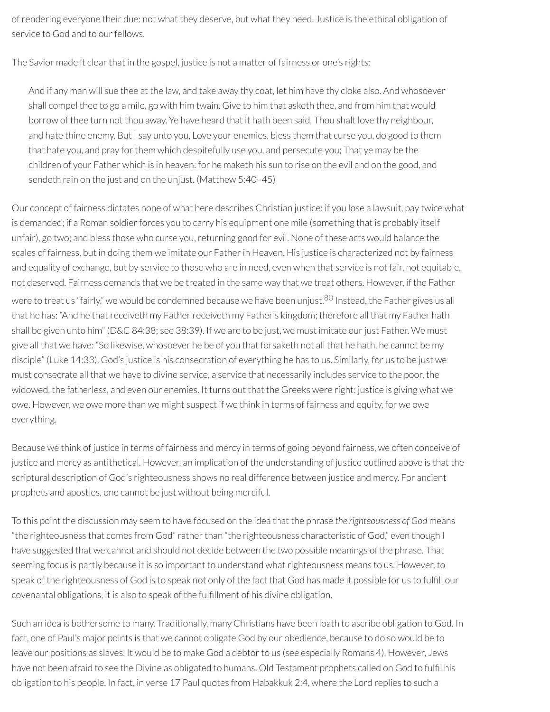ofrendering everyone their due: not what they deserve, but what they need. Justice is the ethical obligation of service to God and to our fellows.

The Savior made it clear that in the gospel, justice is not a matter of fairness or one's rights:

And if any man will sue thee at the law, and take away thy coat, let him have thy cloke also. And whosoever shall compel thee to go a mile, go with him twain. Give to him that asketh thee, and from him that would borrow of thee turn not thou away. Ye have heard that it hath been said, Thou shalt love thy neighbour, and hate thine enemy. But I say unto you, Love your enemies, bless them that curse you, do good to them that hate you, and pray forthem which despitefully use you, and persecute you; That ye may be the children of your Father which is in heaven: for he maketh his sun to rise on the evil and on the good, and sendeth rain on the just and on the unjust. (Matthew 5:40–45)

Our concept of fairness dictates none of what here describes Christian justice: if you lose a lawsuit, pay twice what is demanded; if a Roman soldier forces you to carry his equipment one mile (something that is probably itself unfair), go two; and bless those who curse you, returning good for evil. None of these acts would balance the scales of fairness, but in doing them we imitate our Father in Heaven. His justice is characterized not by fairness and equality of exchange, but by service to those who are in need, even when that service is not fair, not equitable, not deserved. Fairness demands that we be treated in the same way that we treat others. However, if the Father were to treat us "fairly," we would be condemned because we have been unjust.<sup>[80](#page-79-0)</sup> Instead, the Father gives us all that he has: "And he that receiveth my Father receiveth my Father's kingdom; therefore all that my Father hath shall be given unto him" (D&C 84:38; see 38:39). If we are to be just, we must imitate our just Father. We must give all that we have: "So likewise, whosoever he be of you that forsaketh not all that he hath, he cannot be my

<span id="page-72-0"></span>disciple" (Luke 14:33). God's justice is his consecration of everything he has to us. Similarly, for us to be just we must consecrate all that we have to divine service, a service that necessarily includes service to the poor, the widowed, the fatherless, and even our enemies. It turns out that the Greeks were right: justice is giving what we owe. However, we owe more than we might suspect if we think in terms of fairness and equity, for we owe everything.

Because we think of justice in terms of fairness and mercy in terms of going beyond fairness, we often conceive of justice and mercy as antithetical. However, an implication of the understanding of justice outlined above is that the scriptural description of God's righteousness shows no real difference between justice and mercy. For ancient prophets and apostles, one cannot be just without being merciful.

To this point the discussion may seem to have focused on the idea that the phrase *the righteousness of God* means "the righteousness that comes from God" rather than "the righteousness characteristic of God," even though I have suggested that we cannot and should not decide between the two possible meanings of the phrase. That seeming focus is partly because it is so important to understand what righteousness means to us. However, to speak of the righteousness of God is to speak not only of the fact that God has made it possible for us to fulll our covenantal obligations, it is also to speak of the fulllment of his divine obligation.

Such an idea is bothersome to many. Traditionally, many Christians have been loath to ascribe obligation to God. In fact, one of Paul's major points is that we cannot obligate God by our obedience, because to do so would be to leave our positions as slaves. It would be to make God a debtor to us (see especially Romans 4). However, Jews have not been afraid to see the Divine as obligated to humans. Old Testament prophets called on God to fulfil his obligation to his people. In fact, in verse 17 Paul quotes from Habakkuk 2:4, where the Lord replies to such a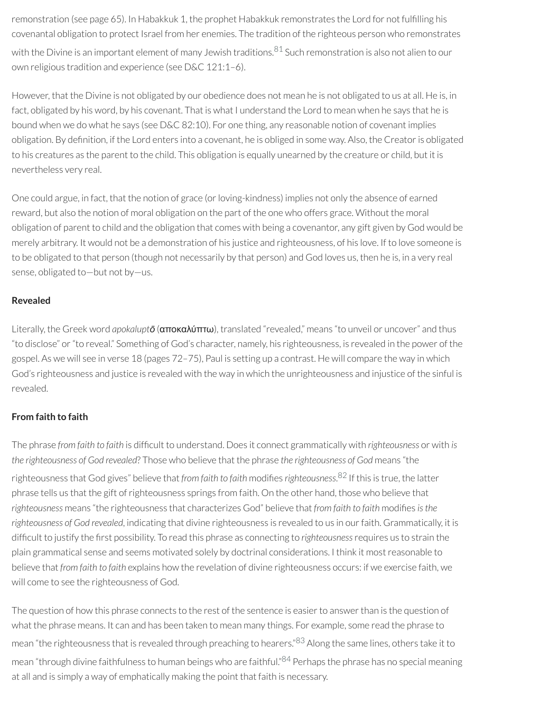<span id="page-73-0"></span>remonstration (see page 65). In Habakkuk 1, the prophet Habakkuk remonstrates the Lord for not fullling his covenantal obligation to protect Israel from her enemies. The tradition of the righteous person who remonstrates with the Divine is an important element of many Jewish traditions. [81](#page-79-1) Such remonstration is also not alien to our own religious tradition and experience (see D&C 121:1–6).

However, that the Divine is not obligated by our obedience does not mean he is not obligated to us at all. He is, in fact, obligated by his word, by his covenant. That is what I understand the Lord to mean when he says that he is bound when we do what he says (see D&C 82:10). For one thing, any reasonable notion of covenant implies obligation. By definition, if the Lord enters into a covenant, he is obliged in some way. Also, the Creator is obligated to his creatures as the parent to the child. This obligation is equally unearned by the creature or child, but it is nevertheless very real.

One could argue, in fact, that the notion of grace (or loving-kindness) implies not only the absence of earned reward, but also the notion of moral obligation on the part of the one who offers grace. Without the moral obligation of parent to child and the obligation that comes with being a covenantor, any gift given by God would be merely arbitrary. It would not be a demonstration of his justice and righteousness, of his love. If to love someone is to be obligated to that person (though not necessarily by that person) and God loves us, then he is, in a very real sense, obligated to—but not by—us.

#### **Revealed**

Literally, the Greek word *apokaluptō* (αποκαλύπτω), translated "revealed," means "to unveil or uncover" and thus "to disclose" or"to reveal." Something of God's character, namely, his righteousness, is revealed in the power of the gospel. As we will see in verse 18 (pages 72–75), Paul is setting up a contrast. He will compare the way in which God's righteousness and justice is revealed with the way in which the unrighteousness and injustice of the sinful is revealed.

### **From faith to faith**

<span id="page-73-1"></span>The phrase *from faith to faith* is difcult to understand. Does it connect grammatically with *righteousness* or with *is the righteousness of God revealed*? Those who believe that the phrase *the righteousness of God* means "the righteousness that God gives" believe that *from faith to faith* modifies *righteousness*.<sup>[82](#page-79-2)</sup> If this is true, the latter phrase tells us that the gift of righteousness springs from faith. On the other hand, those who believe that  $r$ ighteousness means "the righteousness that characterizes God" believe that *from faith* to *faith* modifies *is the righteousness of God revealed, indicating that divine righteousness is revealed to us in our faith. Grammatically, it is* difficult to justify the first possibility. To read this phrase as connecting to *righteousness* requires us to strain the plain grammatical sense and seems motivated solely by doctrinal considerations. I think it mostreasonable to believe that *from faith to faith* explains how the revelation of divine righteousness occurs: if we exercise faith, we will come to see the righteousness of God.

<span id="page-73-3"></span><span id="page-73-2"></span>The question of how this phrase connects to the rest of the sentence is easier to answer than is the question of what the phrase means. It can and has been taken to mean many things. For example, some read the phrase to mean "the righteousness that is revealed through preaching to hearers."<sup>[83](#page-79-3)</sup> Along the same lines, others take it to mean "through divine faithfulness to human beings who are faithful."<sup>[84](#page-79-4)</sup> Perhaps the phrase has no special meaning at all and is simply a way of emphatically making the point that faith is necessary.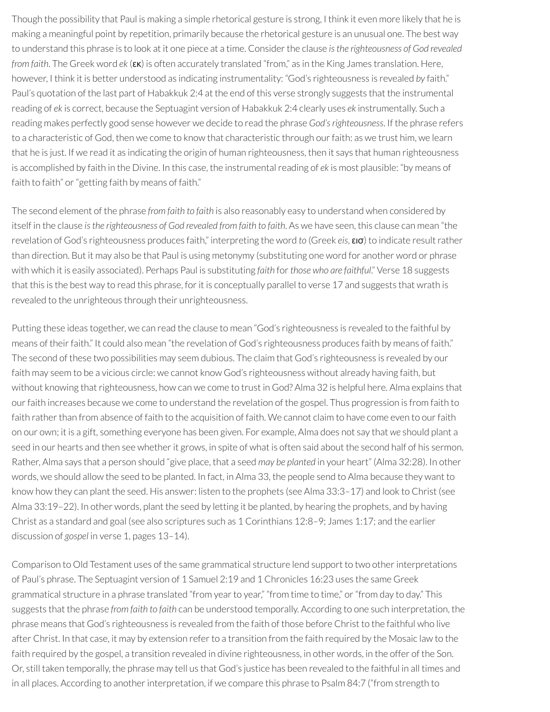Though the possibility that Paul is making a simple rhetorical gesture is strong, I think it even more likely that he is making a meaningful point by repetition, primarily because the rhetorical gesture is an unusual one. The best way to understand this phrase is to look at it one piece at a time. Considerthe clause *isthe righteousness of God revealed from faith*. The Greek word *ek* (εκ) is often accurately translated "from," as in the King James translation. Here, however, I think it is better understood as indicating instrumentality: "God's righteousness is revealed *by* faith." Paul's quotation of the last part of Habakkuk 2:4 at the end of this verse strongly suggests that the instrumental reading of *ek* is correct, because the Septuagint version of Habakkuk 2:4 clearly uses *ek* instrumentally. Such a reading makes perfectly good sense however we decide to read the phrase *God'srighteousness*. If the phrase refers to a characteristic of God, then we come to know that characteristic through our faith: as we trust him, we learn that he is just. If we read it as indicating the origin of human righteousness, then it says that human righteousness is accomplished by faith in the Divine. In this case, the instrumentalreading of *ek* is most plausible: "by means of faith to faith" or "getting faith by means of faith."

The second element of the phrase *from faith to faith* is also reasonably easy to understand when considered by itself in the clause *isthe righteousness of God revealed from faith to faith*. As we have seen, this clause can mean "the revelation of God's righteousness produces faith," interpreting the word *to* (Greek *eis*, εισ) to indicate resultrather than direction. But it may also be that Paul is using metonymy (substituting one word for another word or phrase with which it is easily associated). Perhaps Paul is substituting *faith* for*those who are faithful*." Verse 18 suggests that this is the best way to read this phrase, for it is conceptually parallel to verse 17 and suggests that wrath is revealed to the unrighteous through their unrighteousness.

Putting these ideas together, we can read the clause to mean "God's righteousness is revealed to the faithful by means of their faith." It could also mean "the revelation of God's righteousness produces faith by means of faith." The second of these two possibilities may seem dubious. The claim that God's righteousness is revealed by our faith may seem to be a vicious circle: we cannot know God's righteousness without already having faith, but without knowing that righteousness, how can we come to trust in God? Alma 32 is helpful here. Alma explains that ourfaith increases because we come to understand the revelation of the gospel. Thus progression is from faith to faith rather than from absence of faith to the acquisition of faith. We cannot claim to have come even to our faith on our own; it is a gift, something everyone has been given. For example, Alma does not say that *we* should plant a seed in our hearts and then see whether it grows, in spite of what is often said about the second half of his sermon. Rather, Alma says that a person should "give place, that a seed *may be planted* in your heart" (Alma 32:28). In other words, we should allow the seed to be planted. In fact, in Alma 33, the people send to Alma because they want to know how they can plant the seed. His answer: listen to the prophets (see Alma 33:3–17) and look to Christ (see Alma 33:19–22). In other words, plant the seed by letting it be planted, by hearing the prophets, and by having Christ as a standard and goal (see also scriptures such as 1 Corinthians 12:8–9; James 1:17; and the earlier discussion of *gospel* in verse 1, pages 13–14).

Comparison to Old Testament uses of the same grammatical structure lend support to two other interpretations of Paul's phrase. The Septuagint version of 1 Samuel 2:19 and 1 Chronicles 16:23 uses the same Greek grammatical structure in a phrase translated "from year to year," "from time to time," or "from day to day." This suggests that the phrase *from faith to faith* can be understood temporally. According to one such interpretation, the phrase means that God's righteousness is revealed from the faith of those before Christ to the faithful who live after Christ. In that case, it may by extension referto a transition from the faith required by the Mosaic law to the faith required by the gospel, a transition revealed in divine righteousness, in other words, in the offer of the Son. Or, still taken temporally, the phrase may tell us that God's justice has been revealed to the faithful in all times and in all places. According to another interpretation, if we compare this phrase to Psalm 84:7 ("from strength to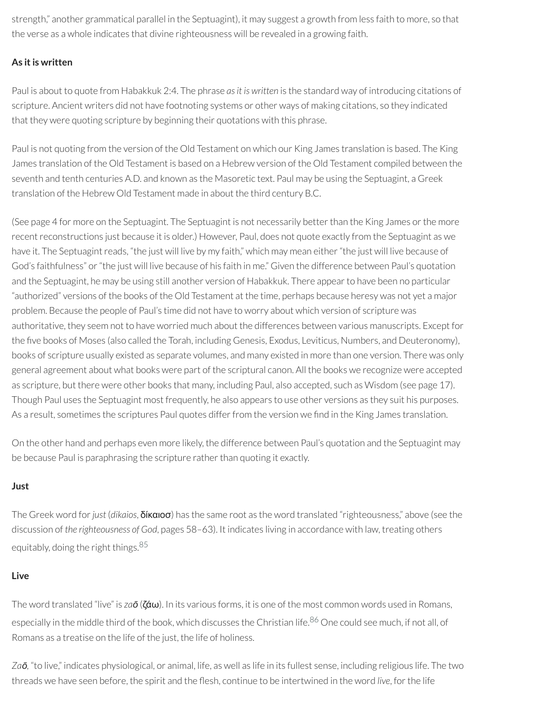strength," another grammatical parallel in the Septuagint), it may suggest a growth from less faith to more, so that the verse as a whole indicates that divine righteousness will be revealed in a growing faith.

# **As itis written**

Paul is about to quote from Habakkuk 2:4. The phrase *asit is written* is the standard way of introducing citations of scripture. Ancient writers did not have footnoting systems or other ways of making citations, so they indicated that they were quoting scripture by beginning their quotations with this phrase.

Paul is not quoting from the version of the Old Testament on which our King James translation is based. The King James translation of the Old Testament is based on a Hebrew version of the Old Testament compiled between the seventh and tenth centuries A.D. and known as the Masoretic text. Paul may be using the Septuagint, a Greek translation of the Hebrew Old Testament made in about the third century B.C.

(See page 4 for more on the Septuagint. The Septuagint is not necessarily better than the King James or the more recent reconstructions just because it is older.) However, Paul, does not quote exactly from the Septuagint as we have it. The Septuagint reads, "the just will live by my faith," which may mean either "the just will live because of God's faithfulness" or "the just will live because of his faith in me." Given the difference between Paul's quotation and the Septuagint, he may be using still another version of Habakkuk. There appearto have been no particular "authorized" versions of the books of the Old Testament at the time, perhaps because heresy was not yet a major problem. Because the people of Paul's time did not have to worry about which version of scripture was authoritative, they seem not to have worried much about the differences between various manuscripts. Except for the five books of Moses (also called the Torah, including Genesis, Exodus, Leviticus, Numbers, and Deuteronomy), books of scripture usually existed as separate volumes, and many existed in more than one version. There was only general agreement about what books were part of the scriptural canon. All the books we recognize were accepted as scripture, but there were other books that many, including Paul, also accepted, such as Wisdom (see page 17). Though Paul uses the Septuagint most frequently, he also appears to use other versions as they suit his purposes. As a result, sometimes the scriptures Paul quotes differ from the version we find in the King James translation.

On the other hand and perhaps even more likely, the difference between Paul's quotation and the Septuagint may be because Paul is paraphrasing the scripture rather than quoting it exactly.

#### **Just**

The Greek word for*just* (*dikaios*, δίκαιοσ) has the same root as the word translated "righteousness," above (see the discussion of *the righteousness of God*, pages 58–63). It indicates living in accordance with law, treating others equitably, doing the right things.<sup>[85](#page-79-5)</sup>

#### <span id="page-75-0"></span>**Live**

<span id="page-75-1"></span>The word translated "live" is *zaō* (ζάω). In its various forms, it is one of the most common words used in Romans, especially in the middle third of the book, which discusses the Christian life.<sup>[86](#page-80-0)</sup> One could see much, if not all, of Romans as a treatise on the life of the just, the life of holiness.

*Zaō,* "to live," indicates physiological, or animal, life, as well as life in its fullest sense, including religious life. The two threads we have seen before, the spirit and the flesh, continue to be intertwined in the word *live*, for the life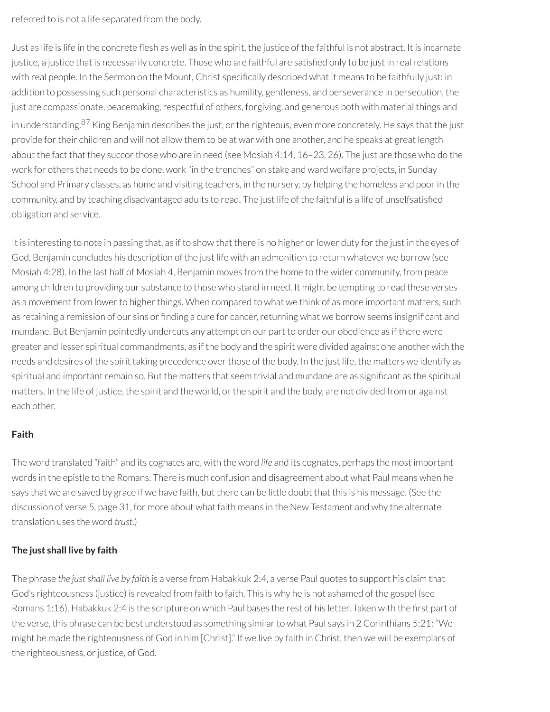referred to is not a life separated from the body.

<span id="page-76-0"></span>Just as life is life in the concrete flesh as well as in the spirit, the justice of the faithful is not abstract. It is incarnate justice, a justice that is necessarily concrete. Those who are faithful are satisfied only to be just in real relations with real people. In the Sermon on the Mount, Christ specifically described what it means to be faithfully just: in addition to possessing such personal characteristics as humility, gentleness, and perseverance in persecution, the just are compassionate, peacemaking, respectful of others, forgiving, and generous both with material things and in understanding.<sup>[87](#page-80-1)</sup> King Benjamin describes the just, or the righteous, even more concretely. He says that the just provide for their children and will not allow them to be at war with one another, and he speaks at great length about the fact that they succor those who are in need (see Mosiah 4:14, 16-23, 26). The just are those who do the work for others that needs to be done, work "in the trenches" on stake and ward welfare projects, in Sunday School and Primary classes, as home and visiting teachers, in the nursery, by helping the homeless and poor in the community, and by teaching disadvantaged adults to read. The just life of the faithful is a life of unselfsatisfied obligation and service.

It is interesting to note in passing that, as if to show that there is no higher or lower duty for the just in the eyes of God, Benjamin concludes his description of the just life with an admonition to return whatever we borrow (see Mosiah 4:28). In the last half of Mosiah 4, Benjamin moves from the home to the wider community, from peace among children to providing our substance to those who stand in need. It might be tempting to read these verses as a movement from lower to higher things. When compared to what we think of as more important matters, such as retaining a remission of our sins or finding a cure for cancer, returning what we borrow seems insignificant and mundane. But Benjamin pointedly undercuts any attempt on our part to order our obedience as if there were greater and lesser spiritual commandments, as if the body and the spirit were divided against one another with the needs and desires of the spirit taking precedence over those of the body. In the just life, the matters we identify as spiritual and important remain so. But the matters that seem trivial and mundane are as significant as the spiritual matters. In the life of justice, the spirit and the world, or the spirit and the body, are not divided from or against each other.

### **Faith**

The word translated "faith" and its cognates are, with the word *life* and its cognates, perhaps the most important words in the epistle to the Romans. There is much confusion and disagreement about what Paul means when he says that we are saved by grace if we have faith, but there can be little doubt that this is his message. (See the discussion of verse 5, page 31, for more about what faith means in the New Testament and why the alternate translation uses the word *trust*.)

# **The just shall live by faith**

The phrase the just shall live by faith is a verse from Habakkuk 2:4, a verse Paul quotes to support his claim that God's righteousness (justice) is revealed from faith to faith. This is why he is not ashamed of the gospel (see Romans 1:16). Habakkuk 2:4 is the scripture on which Paul bases the rest of his letter. Taken with the first part of the verse, this phrase can be best understood as something similar to what Paul says in 2 Corinthians 5:21: "We might be made the righteousness of God in him [Christ]." If we live by faith in Christ, then we will be exemplars of the righteousness, or justice, of God.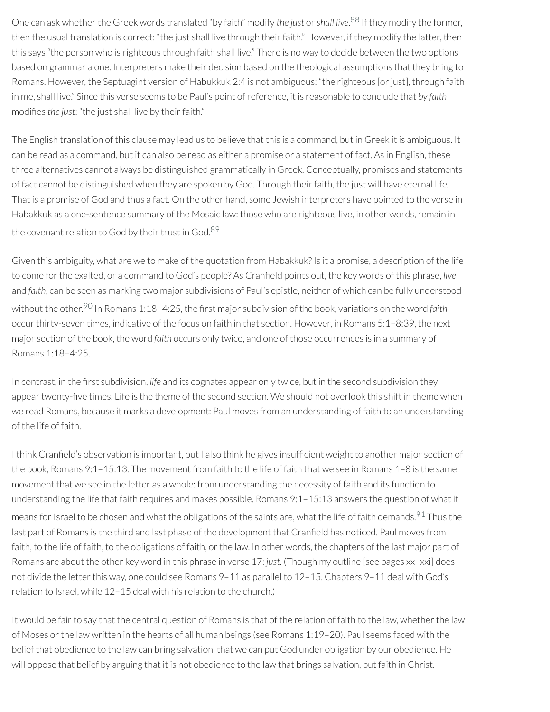<span id="page-77-0"></span>One can ask whether the Greek words translated "by faith" modify *the just* or *shall live*.<sup>[88](#page-80-2)</sup> If they modify the former, then the usual translation is correct: "the just shall live through their faith." However, if they modify the latter, then this says "the person who is righteous through faith shall live." There is no way to decide between the two options based on grammar alone. Interpreters make their decision based on the theological assumptions that they bring to Romans. However, the Septuagint version of Habukkuk 2:4 is not ambiguous: "the righteous [or just], through faith in me, shall live." Since this verse seems to be Paul's point ofreference, it is reasonable to conclude that *by faith* modifies *the* just: "the just shall live by their faith."

The English translation of this clause may lead us to believe that this is a command, but in Greek it is ambiguous. It can be read as a command, but it can also be read as either a promise or a statement of fact. As in English, these three alternatives cannot always be distinguished grammatically in Greek. Conceptually, promises and statements of fact cannot be distinguished when they are spoken by God. Through their faith, the just will have eternal life. That is a promise of God and thus a fact. On the other hand, some Jewish interpreters have pointed to the verse in Habakkuk as a one-sentence summary of the Mosaic law: those who are righteous live, in other words, remain in the covenant relation to God by their trust in God.<sup>[89](#page-80-3)</sup>

<span id="page-77-2"></span><span id="page-77-1"></span>Given this ambiguity, what are we to make of the quotation from Habakkuk? Is it a promise, a description of the life to come for the exalted, or a command to God's people? As Cranfield points out, the key words of this phrase, *live* and *faith*, can be seen as marking two major subdivisions of Paul's epistle, neither of which can be fully understood without the other.<sup>[90](#page-80-4)</sup> In Romans 1:18–4:25, the first major subdivision of the book, variations on the word *faith* occur thirty-seven times, indicative of the focus on faith in that section. However, in Romans 5:1-8:39, the next major section of the book, the word *faith* occurs only twice, and one of those occurrences is in a summary of Romans 1:18–4:25.

In contrast, in the first subdivision, *life* and its cognates appear only twice, but in the second subdivision they appear twenty-five times. Life is the theme of the second section. We should not overlook this shift in theme when we read Romans, because it marks a development: Paul moves from an understanding of faith to an understanding of the life of faith.

<span id="page-77-3"></span>I think Cranfield's observation is important, but I also think he gives insufficient weight to another major section of the book, Romans 9:1–15:13. The movement from faith to the life of faith that we see in Romans 1–8 is the same movement that we see in the letter as a whole: from understanding the necessity of faith and its function to understanding the life that faith requires and makes possible. Romans 9:1–15:13 answers the question of what it means for Israel to be chosen and what the obligations of the saints are, what the life of faith demands.<sup>[91](#page-80-5)</sup> Thus the last part of Romans is the third and last phase of the development that Cranfield has noticed. Paul moves from faith, to the life of faith, to the obligations of faith, or the law. In other words, the chapters of the last major part of Romans are about the other key word in this phrase in verse 17: *just*. (Though my outline [see pages xx–xxi] does not divide the letter this way, one could see Romans 9–11 as parallel to 12–15. Chapters 9–11 deal with God's relation to Israel, while 12–15 deal with his relation to the church.)

It would be fair to say that the central question of Romans is that of the relation of faith to the law, whether the law of Moses orthe law written in the hearts of all human beings (see Romans 1:19–20). Paul seems faced with the belief that obedience to the law can bring salvation, that we can put God under obligation by our obedience. He will oppose that belief by arguing that it is not obedience to the law that brings salvation, but faith in Christ.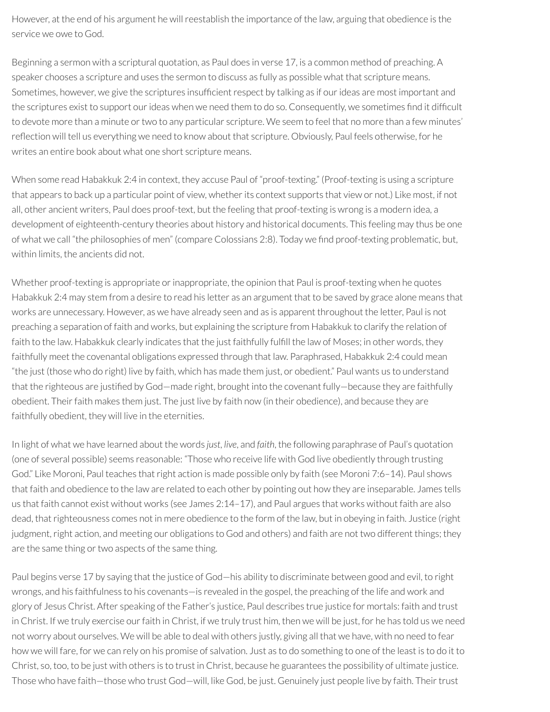However, at the end of his argument he will reestablish the importance of the law, arguing that obedience is the service we owe to God.

Beginning a sermon with a scriptural quotation, as Paul does in verse 17, is a common method of preaching. A speaker chooses a scripture and uses the sermon to discuss as fully as possible what that scripture means. Sometimes, however, we give the scriptures insufficient respect by talking as if our ideas are most important and the scriptures exist to support our ideas when we need them to do so. Consequently, we sometimes find it difficult to devote more than a minute or two to any particular scripture. We seem to feel that no more than a few minutes' reflection will tell us everything we need to know about that scripture. Obviously, Paul feels otherwise, for he writes an entire book about what one short scripture means.

When some read Habakkuk 2:4 in context, they accuse Paul of "proof-texting." (Proof-texting is using a scripture that appears to back up a particular point of view, whether its context supports that view or not.) Like most, if not all, other ancient writers, Paul does proof-text, but the feeling that proof-texting is wrong is a modern idea, a development of eighteenth-century theories about history and historical documents. This feeling may thus be one of what we call "the philosophies of men" (compare Colossians 2:8). Today we find proof-texting problematic, but, within limits, the ancients did not.

Whether proof-texting is appropriate or inappropriate, the opinion that Paul is proof-texting when he quotes Habakkuk 2:4 may stem from a desire to read his letter as an argument that to be saved by grace alone means that works are unnecessary. However, as we have already seen and as is apparent throughout the letter, Paul is not preaching a separation of faith and works, but explaining the scripture from Habakkuk to clarify the relation of faith to the law. Habakkuk clearly indicates that the just faithfully fulfill the law of Moses; in other words, they faithfully meet the covenantal obligations expressed through that law. Paraphrased, Habakkuk 2:4 could mean "the just (those who do right) live by faith, which has made them just, or obedient." Paul wants us to understand that the righteous are justified by God—made right, brought into the covenant fully—because they are faithfully obedient. Their faith makes them just. The just live by faith now (in their obedience), and because they are faithfully obedient, they will live in the eternities.

In light of what we have learned about the words *just*, *live*, and *faith*, the following paraphrase of Paul's quotation (one of several possible) seems reasonable: "Those who receive life with God live obediently through trusting God." Like Moroni, Paul teaches that right action is made possible only by faith (see Moroni 7:6–14). Paul shows that faith and obedience to the law are related to each other by pointing out how they are inseparable. James tells us that faith cannot exist without works (see James 2:14–17), and Paul argues that works without faith are also dead, that righteousness comes not in mere obedience to the form of the law, but in obeying in faith. Justice (right judgment, right action, and meeting our obligations to God and others) and faith are not two different things; they are the same thing or two aspects of the same thing.

Paul begins verse 17 by saying that the justice of God—his ability to discriminate between good and evil, to right wrongs, and his faithfulness to his covenants—is revealed in the gospel, the preaching of the life and work and glory of Jesus Christ. After speaking of the Father's justice, Paul describes true justice for mortals: faith and trust in Christ. If we truly exercise our faith in Christ, if we truly trust him, then we will be just, for he has told us we need not worry about ourselves. We will be able to deal with others justly, giving all that we have, with no need to fear how we will fare, for we can rely on his promise of salvation. Just as to do something to one of the least is to do it to Christ, so, too, to be just with others is to trust in Christ, because he guarantees the possibility of ultimate justice. Those who have faith-those who trust God-will, like God, be just. Genuinely just people live by faith. Their trust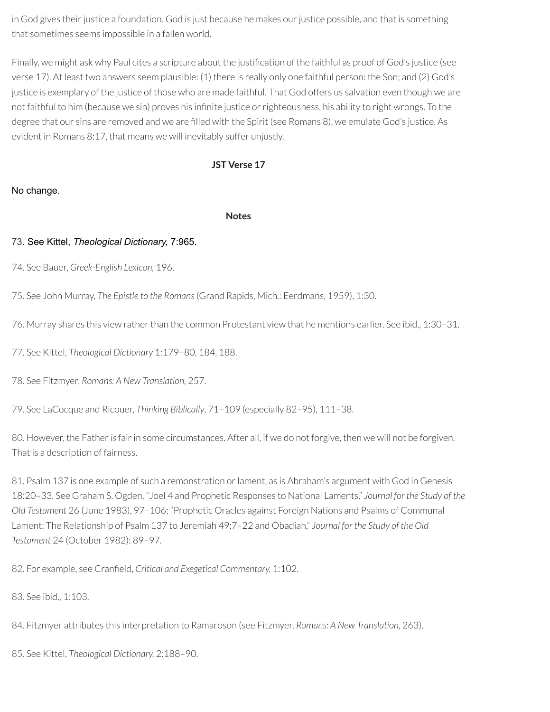in God gives their justice a foundation. God is just because he makes our justice possible, and that is something that sometimes seems impossible in a fallen world.

Finally, we might ask why Paul cites a scripture about the justification of the faithful as proof of God's justice (see verse 17). At least two answers seem plausible: (1) there is really only one faithful person: the Son; and (2) God's justice is exemplary of the justice of those who are made faithful. That God offers us salvation even though we are not faithful to him (because we sin) proves his infinite justice or righteousness, his ability to right wrongs. To the degree that our sins are removed and we are filled with the Spirit (see Romans 8), we emulate God's justice. As evident in Romans 8:17, that means we will inevitably suffer unjustly.

# **JST Verse 17**

### No change.

#### **Notes**

### [73.](#page-67-0) See Kittel, *Theological Dictionary,* 7:965.

[74.](#page-69-0) See Bauer, *Greek-English Lexicon,* 196.

[75.](#page-69-1) See John Murray, *The Epistle to the Romans*(Grand Rapids, Mich.: Eerdmans, 1959), 1:30.

[76.](#page-69-2) Murray shares this view rather than the common Protestant view that he mentions earlier. See ibid., 1:30-31.

[77.](#page-70-0) See Kittel, *Theological Dictionary* 1:179–80, 184, 188.

[78.](#page-70-1) See Fitzmyer, *Romans: A New Translation,* 257.

[79.](#page-71-0) See LaCocque and Ricouer, *Thinking Biblically*, 71–109 (especially 82–95), 111–38.

<span id="page-79-0"></span>[80.](#page-72-0) However, the Father*is*fairin some circumstances. After all, if we do not forgive, then we will not be forgiven. That is a description of fairness.

<span id="page-79-1"></span>[81.](#page-73-0) Psalm 137 is one example of such a remonstration orlament, as is Abraham's argument with God in Genesis 18:20–33. See Graham S. Ogden, "Joel 4 and Prophetic Responses to National Laments," *Journal for the Study of the Old Testament* 26 (June 1983), 97–106; "Prophetic Oracles against Foreign Nations and Psalms of Communal Lament: The Relationship of Psalm 137 to Jeremiah 49:7–22 and Obadiah," *Journal for the Study of the Old Testament* 24 (October 1982): 89–97.

<span id="page-79-2"></span>[82.](#page-73-1) For example, see Cranfield, *Critical and Exegetical Commentary*, 1:102.

<span id="page-79-3"></span>[83.](#page-73-2) See ibid., 1:103.

<span id="page-79-4"></span>[84.](#page-73-3) Fitzmyer attributes this interpretation to Ramaroson (see Fitzmyer, *Romans: A New Translation,* 263).

<span id="page-79-5"></span>[85.](#page-75-0) See Kittel, *Theological Dictionary,* 2:188–90.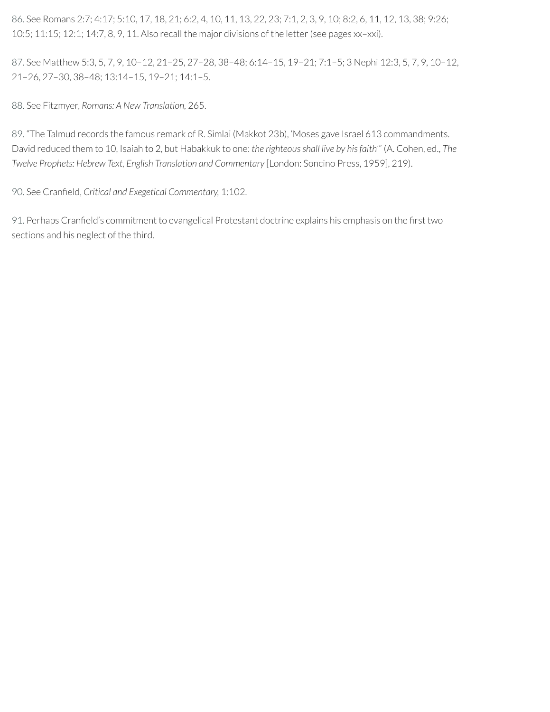<span id="page-80-0"></span>[86.](#page-75-1) See Romans 2:7; 4:17; 5:10, 17, 18, 21; 6:2, 4, 10, 11, 13, 22, 23; 7:1, 2, 3, 9, 10; 8:2, 6, 11, 12, 13, 38; 9:26; 10:5; 11:15; 12:1; 14:7, 8, 9, 11. Also recall the major divisions of the letter(see pages xx–xxi).

<span id="page-80-1"></span>[87.](#page-76-0) See Matthew 5:3, 5, 7, 9, 10–12, 21–25, 27–28, 38–48; 6:14–15, 19–21; 7:1–5; 3 Nephi 12:3, 5, 7, 9, 10–12, 21–26, 27–30, 38–48; 13:14–15, 19–21; 14:1–5.

<span id="page-80-2"></span>[88.](#page-77-0) See Fitzmyer, *Romans: A New Translation,* 265.

<span id="page-80-3"></span>[89.](#page-77-1) "The Talmud records the famous remark of R. Simlai (Makkot 23b), 'Moses gave Israel 613 commandments. David reduced them to 10, Isaiah to 2, but Habakkuk to one: *the righteous shall live by his faith*'" (A. Cohen, ed., *The Twelve Prophets: Hebrew Text, English Translation and Commentary* [London: Soncino Press, 1959], 219).

<span id="page-80-4"></span>[90.](#page-77-2) See Cranfield, *Critical and Exegetical Commentary*, 1:102.

<span id="page-80-5"></span>[91.](#page-77-3) Perhaps Cranfield's commitment to evangelical Protestant doctrine explains his emphasis on the first two sections and his neglect of the third.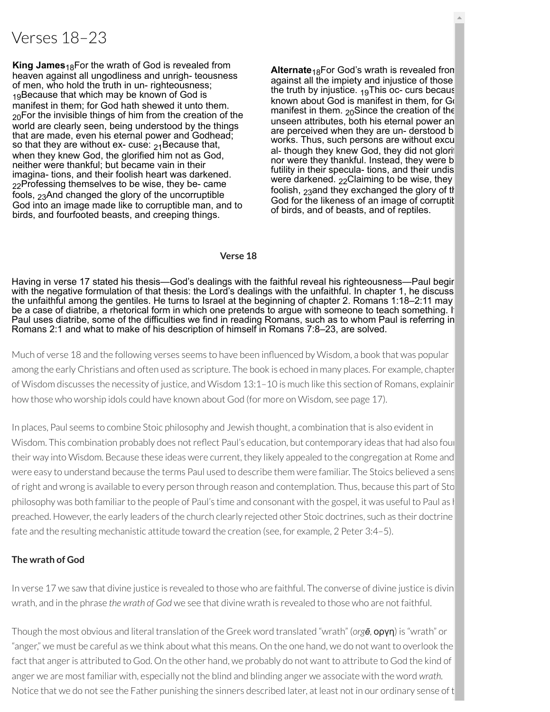# Verses 18–23

**King James**<sub>18</sub>For the wrath of God is revealed from heaven against all ungodliness and unrigh- teousness of men, who hold the truth in un- righteousness; 10Because that which may be known of God is manifest in them; for God hath shewed it unto them.  $20$ For the invisible things of him from the creation of the world are clearly seen, being understood by the things that are made, even his eternal power and Godhead; so that they are without ex- cuse:  $21\text{Be}$  cause that, when they knew God, the glorified him not as God, neither were thankful; but became vain in their imagina- tions, and their foolish heart was darkened.  $22$ Professing themselves to be wise, they be- came fools, 23And changed the glory of the uncorruptible God into an image made like to corruptible man, and to birds, and fourfooted beasts, and creeping things.

**Alternate**<sub>18</sub>For God's wrath is revealed from against all the impiety and injustice of those the truth by injustice.  $19$ This oc- curs becaus known about God is manifest in them, for Go manifest in them.  $20$ Since the creation of the unseen attributes, both his eternal power an are perceived when they are un- derstood b works. Thus, such persons are without excu al- though they knew God, they did not glorif nor were they thankful. Instead, they were b futility in their specula- tions, and their undis were darkened.  $22$ Claiming to be wise, they foolish, 23and they exchanged the glory of the God for the likeness of an image of corruptit of birds, and of beasts, and of reptiles.

#### **Verse 18**

Having in verse 17 stated his thesis—God's dealings with the faithful reveal his righteousness—Paul begir with the negative formulation of that thesis: the Lord's dealings with the unfaithful. In chapter 1, he discuss the unfaithful among the gentiles. He turns to Israel at the beginning of chapter 2. Romans 1:18–2:11 may be a case of diatribe, a rhetorical form in which one pretends to argue with someone to teach something. If Paul uses diatribe, some of the difficulties we find in reading Romans, such as to whom Paul is referring in Romans 2:1 and what to make of his description of himself in Romans 7:8–23, are solved.

Much of verse 18 and the following verses seems to have been influenced by Wisdom, a book that was popular among the early Christians and often used as scripture. The book is echoed in many places. For example, chapter of Wisdom discusses the necessity of justice, and Wisdom 13:1–10 is much like this section of Romans, explainin how those who worship idols could have known about God (for more on Wisdom, see page 17).

In places, Paul seems to combine Stoic philosophy and Jewish thought, a combination that is also evident in Wisdom. This combination probably does not reflect Paul's education, but contemporary ideas that had also four their way into Wisdom. Because these ideas were current, they likely appealed to the congregation at Rome and were easy to understand because the terms Paul used to describe them were familiar. The Stoics believed a sens ofright and wrong is available to every person through reason and contemplation. Thus, because this part of Sto philosophy was both familiar to the people of Paul's time and consonant with the gospel, it was useful to Paul as l preached. However, the early leaders of the church clearly rejected other Stoic doctrines, such as their doctrine fate and the resulting mechanistic attitude toward the creation (see, for example, 2 Peter 3:4–5).

### **The wrath of God**

In verse 17 we saw that divine justice is revealed to those who are faithful. The converse of divine justice is divin wrath, and in the phrase *the wrath of God* we see that divine wrath is revealed to those who are not faithful.

Though the most obvious and literal translation of the Greek word translated "wrath" (*orgē,* οργη) is "wrath" or "anger," we must be careful as we think about what this means. On the one hand, we do not want to overlook the fact that anger is attributed to God. On the other hand, we probably do not want to attribute to God the kind of anger we are most familiar with, especially not the blind and blinding anger we associate with the word *wrath.* Notice that we do not see the Father punishing the sinners described later, at least not in our ordinary sense of t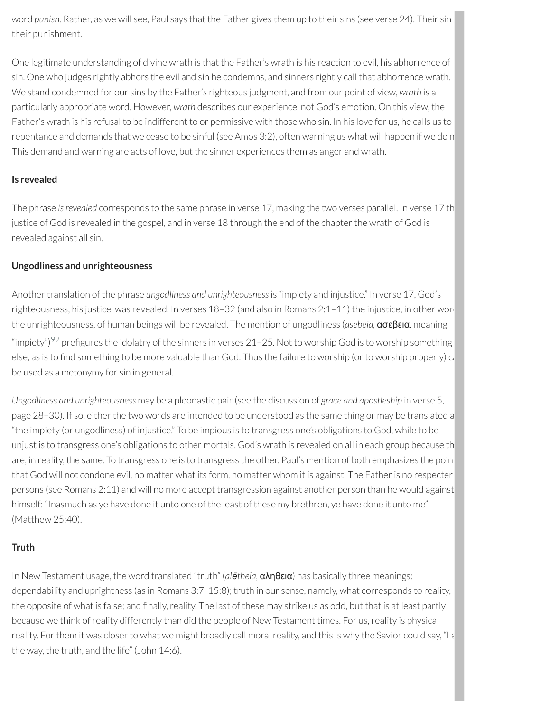word *punish.* Rather, as we will see, Paul says that the Father gives them up to their sins (see verse 24). Their sin their punishment.

One legitimate understanding of divine wrath is that the Father's wrath is his reaction to evil, his abhorrence of sin. One who judges rightly abhors the evil and sin he condemns, and sinners rightly call that abhorrence wrath. We stand condemned for our sins by the Father's righteous judgment, and from our point of view, *wrath* is a particularly appropriate word. However, *wrath* describes our experience, not God's emotion. On this view, the Father's wrath is his refusal to be indifferent to or permissive with those who sin. In his love for us, he calls us to repentance and demands that we cease to be sinful (see Amos 3:2), often warning us what will happen if we do n This demand and warning are acts of love, but the sinner experiences them as anger and wrath.

# **Is revealed**

The phrase *isrevealed* corresponds to the same phrase in verse 17, making the two verses parallel. In verse 17 th justice of God is revealed in the gospel, and in verse 18 through the end of the chapter the wrath of God is revealed against all sin.

# **Ungodliness and unrighteousness**

<span id="page-82-0"></span>Another translation of the phrase *ungodliness and unrighteousness* is "impiety and injustice." In verse 17, God's righteousness, his justice, was revealed. In verses 18-32 (and also in Romans 2:1-11) the injustice, in other word the unrighteousness, of human beings will be revealed. The mention of ungodliness (*asebeia,* ασεβεια, meaning "impiety") $^{92}$  $^{92}$  $^{92}$  prefigures the idolatry of the sinners in verses 21–25. Not to worship God is to worship something else, as is to find something to be more valuable than God. Thus the failure to worship (or to worship properly) ca be used as a metonymy for sin in general.

*Ungodliness and unrighteousness* may be a pleonastic pair(see the discussion of *grace and apostleship* in verse 5, page 28–30). If so, either the two words are intended to be understood as the same thing or may be translated a "the impiety (or ungodliness) of injustice." To be impious is to transgress one's obligations to God, while to be unjust is to transgress one's obligations to other mortals. God's wrath is revealed on all in each group because th are, in reality, the same. To transgress one is to transgress the other. Paul's mention of both emphasizes the point that God will not condone evil, no matter what its form, no matter whom it is against. The Father is no respecter persons (see Romans 2:11) and will no more accept transgression against another person than he would against himself: "Inasmuch as ye have done it unto one of the least of these my brethren, ye have done it unto me" (Matthew 25:40).

# **Truth**

In New Testament usage, the word translated "truth" (*alētheia,* αληθεια) has basically three meanings: dependability and uprightness (as in Romans 3:7; 15:8); truth in our sense, namely, what corresponds to reality, the opposite of what is false; and finally, reality. The last of these may strike us as odd, but that is at least partly because we think of reality differently than did the people of New Testament times. For us, reality is physical reality. For them it was closer to what we might broadly call moral reality, and this is why the Savior could say, "I a the way, the truth, and the life" (John 14:6).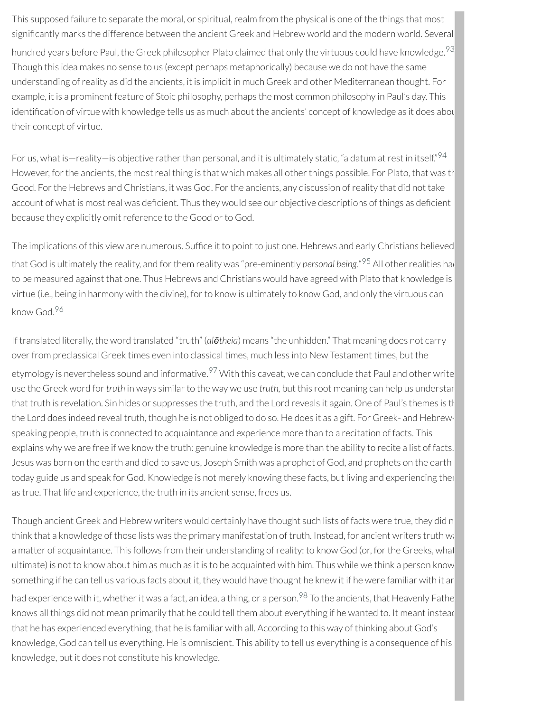<span id="page-83-0"></span>This supposed failure to separate the moral, or spiritual, realm from the physical is one of the things that most significantly marks the difference between the ancient Greek and Hebrew world and the modern world. Several hundred years before Paul, the Greek philosopher Plato claimed that only the virtuous could have knowledge. $^{93}$  $^{93}$  $^{93}$ Though this idea makes no sense to us (except perhaps metaphorically) because we do not have the same understanding ofreality as did the ancients, it is implicit in much Greek and other Mediterranean thought. For example, it is a prominent feature of Stoic philosophy, perhaps the most common philosophy in Paul's day. This identification of virtue with knowledge tells us as much about the ancients' concept of knowledge as it does abou their concept of virtue.

<span id="page-83-1"></span>For us, what is—reality—is objective rather than personal, and it is ultimately static, "a datum at rest in itself." $^{94}$  $^{94}$  $^{94}$ However, for the ancients, the most real thing is that which makes all other things possible. For Plato, that was the Good. For the Hebrews and Christians, it was God. For the ancients, any discussion of reality that did not take account of what is most real was deficient. Thus they would see our objective descriptions of things as deficient because they explicitly omit reference to the Good or to God.

<span id="page-83-2"></span>The implications of this view are numerous. Suffice it to point to just one. Hebrews and early Christians believed that God is ultimately the reality, and for them reality was "pre-eminently *personal being*."<sup>[95](#page-93-3)</sup> All other realities had to be measured against that one. Thus Hebrews and Christians would have agreed with Plato that knowledge is virtue (i.e., being in harmony with the divine), for to know is ultimately to know God, and only the virtuous can know God. [96](#page-93-4)

<span id="page-83-4"></span><span id="page-83-3"></span>If translated literally, the word translated "truth" (*alētheia*) means "the unhidden." That meaning does not carry overfrom preclassical Greek times even into classical times, much less into New Testament times, but the etymology is nevertheless sound and informative.<sup>[97](#page-93-5)</sup> With this caveat, we can conclude that Paul and other write use the Greek word for *truth* in ways similar to the way we use *truth*, but this root meaning can help us understar that truth is revelation. Sin hides or suppresses the truth, and the Lord reveals it again. One of Paul's themes is th the Lord does indeed reveal truth, though he is not obliged to do so. He does it as a gift. For Greek- and Hebrewspeaking people, truth is connected to acquaintance and experience more than to a recitation of facts. This explains why we are free if we know the truth: genuine knowledge is more than the ability to recite a list of facts. Jesus was born on the earth and died to save us, Joseph Smith was a prophet of God, and prophets on the earth today guide us and speak for God. Knowledge is not merely knowing these facts, but living and experiencing ther as true. That life and experience, the truth in its ancient sense, frees us.

<span id="page-83-5"></span>Though ancient Greek and Hebrew writers would certainly have thought such lists of facts were true, they did n think that a knowledge of those lists was the primary manifestation of truth. Instead, for ancient writers truth wa a matter of acquaintance. This follows from their understanding ofreality: to know God (or, forthe Greeks, what ultimate) is not to know about him as much as it is to be acquainted with him. Thus while we think a person know something if he can tell us various facts about it, they would have thought he knew it if he were familiar with it an had experience with it, whether it was a fact, an idea, a thing, or a person.<sup>[98](#page-93-6)</sup> To the ancients, that Heavenly Fathe knows all things did not mean primarily that he could tell them about everything if he wanted to. It meant instead that he has experienced everything, that he is familiar with all. According to this way of thinking about God's knowledge, God can tell us everything. He is omniscient. This ability to tell us everything is a consequence of his knowledge, but it does not constitute his knowledge.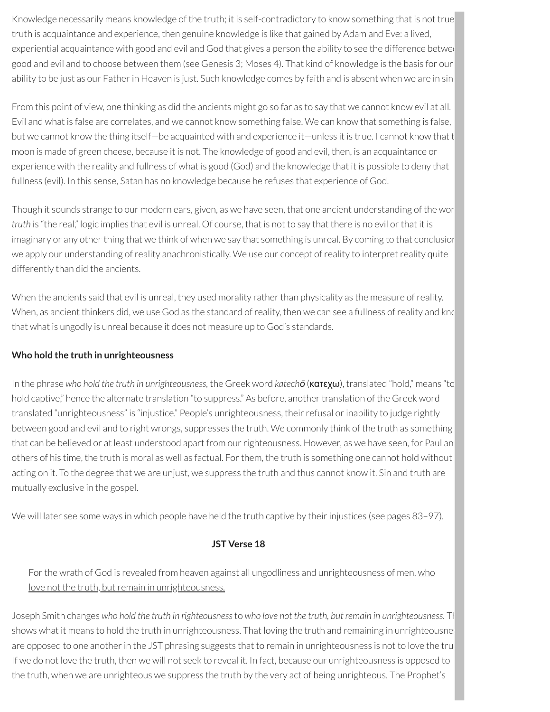Knowledge necessarily means knowledge of the truth; it is self-contradictory to know something that is not true truth is acquaintance and experience, then genuine knowledge is like that gained by Adam and Eve: a lived, experiential acquaintance with good and evil and God that gives a person the ability to see the difference betwee good and evil and to choose between them (see Genesis 3; Moses 4). That kind of knowledge is the basis for our ability to be just as our Father in Heaven is just. Such knowledge comes by faith and is absent when we are in sin

From this point of view, one thinking as did the ancients might go so far as to say that we cannot know evil at all. Evil and what is false are correlates, and we cannot know something false. We can know that something is false, but we cannot know the thing itself—be acquainted with and experience it—unless it is true. I cannot know that t moon is made of green cheese, because it is not. The knowledge of good and evil, then, is an acquaintance or experience with the reality and fullness of what is good (God) and the knowledge that it is possible to deny that fullness (evil). In this sense, Satan has no knowledge because he refuses that experience of God.

Though it sounds strange to our modern ears, given, as we have seen, that one ancient understanding of the wor *truth* is "the real," logic implies that evil is unreal. Of course, that is not to say that there is no evil orthat it is imaginary or any other thing that we think of when we say that something is unreal. By coming to that conclusior we apply our understanding of reality anachronistically. We use our concept of reality to interpret reality quite differently than did the ancients.

When the ancients said that evil is unreal, they used morality rather than physicality as the measure of reality. When, as ancient thinkers did, we use God as the standard of reality, then we can see a fullness of reality and know that what is ungodly is unreal because it does not measure up to God's standards.

# **Who hold the truth in unrighteousness**

In the phrase *who hold the truth in unrighteousness,* the Greek word *katechō* (κατεχω), translated "hold," means "to hold captive," hence the alternate translation "to suppress." As before, another translation of the Greek word translated "unrighteousness" is "injustice." People's unrighteousness, theirrefusal orinability to judge rightly between good and evil and to right wrongs, suppresses the truth. We commonly think of the truth as something that can be believed or at least understood apart from our righteousness. However, as we have seen, for Paul an others of his time, the truth is moral as well as factual. For them, the truth is something one cannot hold without acting on it. To the degree that we are unjust, we suppress the truth and thus cannot know it. Sin and truth are mutually exclusive in the gospel.

We will later see some ways in which people have held the truth captive by their injustices (see pages 83–97).

### **JST Verse 18**

For the wrath of God is revealed from heaven against all ungodliness and unrighteousness of men, who love not the truth, but remain in unrighteousness.

Joseph Smith changes *who hold the truth in righteousness*to *who love not the truth, but remain in unrighteousness.* Th shows what it means to hold the truth in unrighteousness. That loving the truth and remaining in unrighteousnes are opposed to one another in the JST phrasing suggests that to remain in unrighteousness is not to love the tru If we do not love the truth, then we will not seek to reveal it. In fact, because our unrighteousness is opposed to the truth, when we are unrighteous we suppress the truth by the very act of being unrighteous. The Prophet's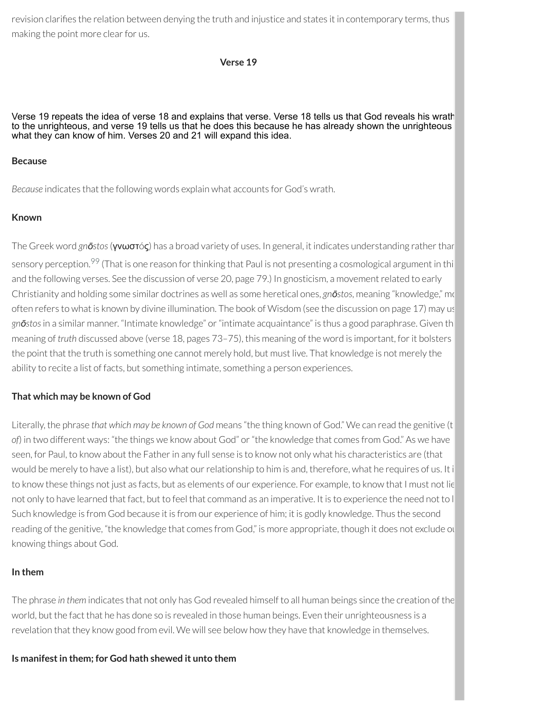revision clarifies the relation between denying the truth and injustice and states it in contemporary terms, thus making the point more clear for us.

**Verse 19**

Verse 19 repeats the idea of verse 18 and explains that verse. Verse 18 tells us that God reveals his wrath to the unrighteous, and verse 19 tells us that he does this because he has already shown the unrighteous what they can know of him. Verses 20 and 21 will expand this idea.

#### **Because**

*Because* indicates that the following words explain what accounts for God's wrath.

#### **Known**

<span id="page-85-0"></span>The Greek word *gn***ō***stos* (γνωστός) has a broad variety of uses. In general, it indicates understanding rather than sensory perception.<sup>[99](#page-93-7)</sup> (That is one reason for thinking that Paul is not presenting a cosmological argument in thi and the following verses. See the discussion of verse 20, page 79.) In gnosticism, a movement related to early Christianity and holding some similar doctrines as well as some heretical ones, *gnōstos*, meaning "knowledge," mo often refers to what is known by divine illumination. The book of Wisdom (see the discussion on page 17) may us *gnōstos*in a similar manner. "Intimate knowledge" or"intimate acquaintance" is thus a good paraphrase. Given th meaning of *truth* discussed above (verse 18, pages 73–75), this meaning of the word is important, forit bolsters the point that the truth is something one cannot merely hold, but must live. That knowledge is not merely the ability to recite a list of facts, but something intimate, something a person experiences.

### **That which may be known of God**

Literally, the phrase *that which may be known of God* means "the thing known of God." We can read the genitive (t *of*) in two different ways: "the things we know about God" or"the knowledge that comes from God." As we have seen, for Paul, to know about the Father in any full sense is to know not only what his characteristics are (that would be merely to have a list), but also what our relationship to him is and, therefore, what he requires of us. It i to know these things not just as facts, but as elements of our experience. For example, to know that I must not lie not only to have learned that fact, but to feel that command as an imperative. It is to experience the need not to l Such knowledge is from God because it is from our experience of him; it is godly knowledge. Thus the second reading of the genitive, "the knowledge that comes from God," is more appropriate, though it does not exclude ou knowing things about God.

### **In them**

The phrase *in them* indicates that not only has God revealed himself to all human beings since the creation of the world, but the fact that he has done so is revealed in those human beings. Even their unrighteousness is a revelation that they know good from evil. We will see below how they have that knowledge in themselves.

#### **Is manifestin them; for God hath shewed it unto them**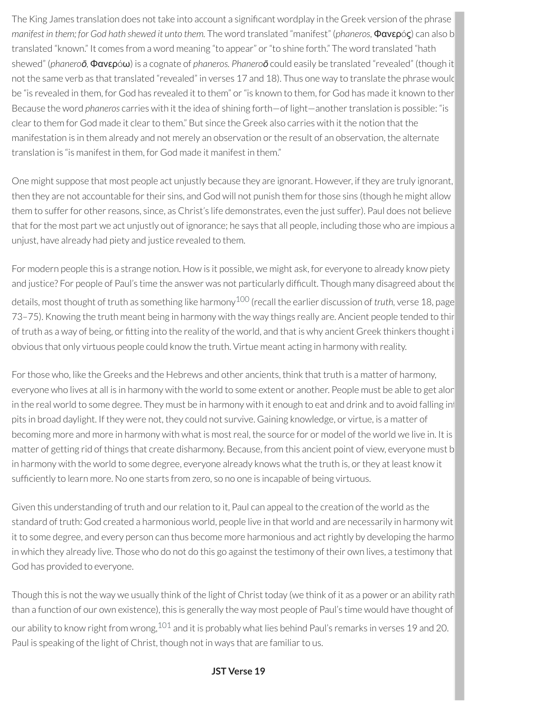The King James translation does not take into account a significant wordplay in the Greek version of the phrase *manifest in them; for God hath shewed it unto them.* The word translated "manifest" (*phaneros,* Φανερóς) can also b translated "known." It comes from a word meaning "to appear" or "to shine forth." The word translated "hath shewed" (*phaneroō,* Φανερóω) is a cognate of *phaneros. Phaneroō* could easily be translated "revealed" (though it not the same verb as that translated "revealed" in verses 17 and 18). Thus one way to translate the phrase would be "is revealed in them, for God has revealed it to them" or "is known to them, for God has made it known to ther Because the word *phaneros* carries with it the idea of shining forth—of light—anothertranslation is possible: "is clear to them for God made it clear to them." But since the Greek also carries with it the notion that the manifestation is in them already and not merely an observation orthe result of an observation, the alternate translation is "is manifest in them, for God made it manifest in them."

One might suppose that most people act unjustly because they are ignorant. However, if they are truly ignorant, then they are not accountable for their sins, and God will not punish them for those sins (though he might allow them to suffer for other reasons, since, as Christ's life demonstrates, even the just suffer). Paul does not believe that for the most part we act unjustly out of ignorance; he says that all people, including those who are impious a unjust, have already had piety and justice revealed to them.

<span id="page-86-0"></span>For modern people this is a strange notion. How is it possible, we might ask, for everyone to already know piety and justice? For people of Paul's time the answer was not particularly difficult. Though many disagreed about the details, most thought of truth as something like harmony [100](#page-93-8) (recall the earlier discussion of *truth,* verse 18, page 73–75). Knowing the truth meant being in harmony with the way things really are. Ancient people tended to thin of truth as a way of being, or tting into the reality of the world, and that is why ancient Greek thinkers thought i obvious that only virtuous people could know the truth. Virtue meant acting in harmony with reality.

For those who, like the Greeks and the Hebrews and other ancients, think that truth is a matter of harmony, everyone who lives at all is in harmony with the world to some extent or another. People must be able to get alor in the real world to some degree. They must be in harmony with it enough to eat and drink and to avoid falling int pits in broad daylight. If they were not, they could not survive. Gaining knowledge, or virtue, is a matter of becoming more and more in harmony with what is mostreal, the source for or model of the world we live in. It is matter of getting rid of things that create disharmony. Because, from this ancient point of view, everyone must b in harmony with the world to some degree, everyone already knows what the truth is, or they at least know it sufficiently to learn more. No one starts from zero, so no one is incapable of being virtuous.

Given this understanding of truth and ourrelation to it, Paul can appeal to the creation of the world as the standard of truth: God created a harmonious world, people live in that world and are necessarily in harmony wit it to some degree, and every person can thus become more harmonious and act rightly by developing the harmo in which they already live. Those who do not do this go against the testimony of their own lives, a testimony that God has provided to everyone.

<span id="page-86-1"></span>Though this is not the way we usually think of the light of Christ today (we think of it as a power or an ability rath than a function of our own existence), this is generally the way most people of Paul's time would have thought of our ability to know right from wrong, $^{101}$  $^{101}$  $^{101}$  and it is probably what lies behind Paul's remarks in verses 19 and 20. Paul is speaking of the light of Christ, though not in ways that are familiar to us.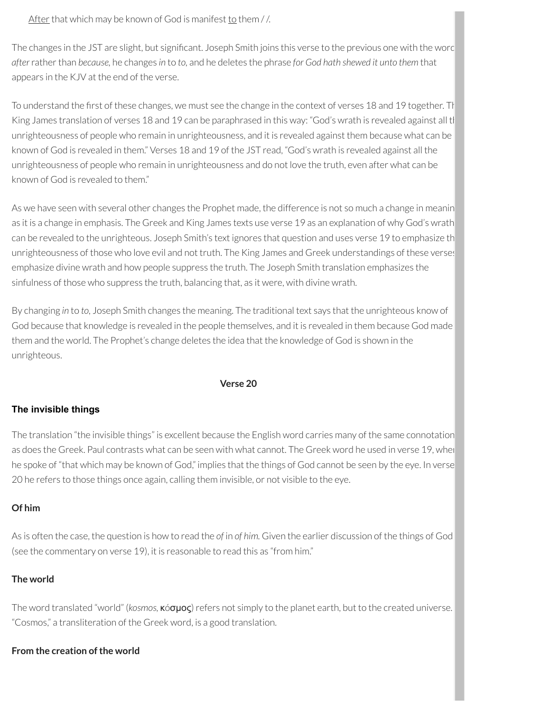#### After that which may be known of God is manifest to them  $//$ .

The changes in the JST are slight, but significant. Joseph Smith joins this verse to the previous one with the word *after*ratherthan *because,* he changes *in* to *to,* and he deletes the phrase *for God hath shewed it unto them* that appears in the KJV at the end of the verse.

To understand the first of these changes, we must see the change in the context of verses 18 and 19 together. Th King James translation of verses 18 and 19 can be paraphrased in this way: "God's wrath is revealed against all th unrighteousness of people who remain in unrighteousness, and it is revealed against them because what can be known of God is revealed in them." Verses 18 and 19 of the JST read, "God's wrath is revealed against all the unrighteousness of people who remain in unrighteousness and do not love the truth, even after what can be known of God is revealed to them."

As we have seen with several other changes the Prophet made, the difference is not so much a change in meanin as it is a change in emphasis. The Greek and King James texts use verse 19 as an explanation of why God's wrath can be revealed to the unrighteous. Joseph Smith's text ignores that question and uses verse 19 to emphasize th unrighteousness of those who love evil and not truth. The King James and Greek understandings of these verses emphasize divine wrath and how people suppress the truth. The Joseph Smith translation emphasizes the sinfulness of those who suppress the truth, balancing that, as it were, with divine wrath.

By changing *in* to *to,* Joseph Smith changes the meaning. The traditional text says that the unrighteous know of God because that knowledge is revealed in the people themselves, and it is revealed in them because God made them and the world. The Prophet's change deletes the idea that the knowledge of God is shown in the unrighteous.

#### **Verse 20**

### **The invisible things**

The translation "the invisible things" is excellent because the English word carries many of the same connotation as does the Greek. Paul contrasts what can be seen with what cannot. The Greek word he used in verse 19, when he spoke of "that which may be known of God," implies that the things of God cannot be seen by the eye. In verse 20 he refers to those things once again, calling them invisible, or not visible to the eye.

### **Of him**

As is often the case, the question is how to read the *of* in *of him.* Given the earlier discussion of the things of God (see the commentary on verse 19), it is reasonable to read this as "from him."

### **The world**

The word translated "world" (*kosmos*, **κόσμος**) refers not simply to the planet earth, but to the created universe. "Cosmos," a transliteration of the Greek word, is a good translation.

### **From the creation of the world**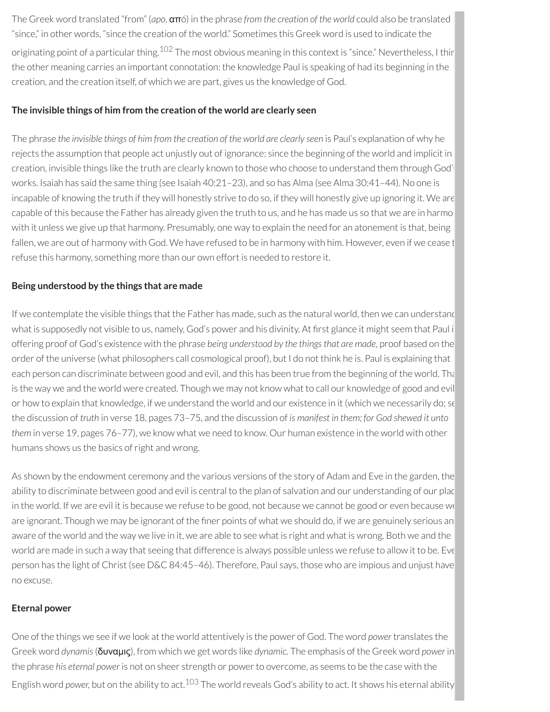<span id="page-88-0"></span>The Greek word translated "from" (*apo,* απó) in the phrase *from the creation of the world* could also be translated "since," in other words, "since the creation of the world." Sometimes this Greek word is used to indicate the originating point of a particular thing.<sup>[102](#page-93-10)</sup> The most obvious meaning in this context is "since." Nevertheless, I thir the other meaning carries an important connotation: the knowledge Paul is speaking of had its beginning in the creation, and the creation itself, of which we are part, gives us the knowledge of God.

#### **The invisible things of him from the creation ofthe world are clearly seen**

The phrase *the invisible things of him from the creation of the world are clearly seen* is Paul's explanation of why he rejects the assumption that people act unjustly out of ignorance: since the beginning of the world and implicit in creation, invisible things like the truth are clearly known to those who choose to understand them through God's works. Isaiah has said the same thing (see Isaiah 40:21–23), and so has Alma (see Alma 30:41–44). No one is incapable of knowing the truth if they will honestly strive to do so, if they will honestly give up ignoring it. We are capable of this because the Father has already given the truth to us, and he has made us so that we are in harmo with it unless we give up that harmony. Presumably, one way to explain the need for an atonement is that, being fallen, we are out of harmony with God. We have refused to be in harmony with him. However, even if we cease t refuse this harmony, something more than our own effort is needed to restore it.

#### **Being understood by the things that are made**

If we contemplate the visible things that the Father has made, such as the natural world, then we can understand what is supposedly not visible to us, namely, God's power and his divinity. At first glance it might seem that Paul i offering proof of God's existence with the phrase *being understood by the thingsthat are made,* proof based on the order of the universe (what philosophers call cosmological proof), but I do not think he is. Paul is explaining that each person can discriminate between good and evil, and this has been true from the beginning of the world. Tha is the way we and the world were created. Though we may not know what to call our knowledge of good and evil or how to explain that knowledge, if we understand the world and our existence in it (which we necessarily do; se the discussion of *truth* in verse 18, pages 73–75, and the discussion of *is manifest in them; for God shewed it unto them* in verse 19, pages 76–77), we know what we need to know. Our human existence in the world with other humans shows us the basics of right and wrong.

As shown by the endowment ceremony and the various versions of the story of Adam and Eve in the garden, the ability to discriminate between good and evil is central to the plan of salvation and our understanding of our plac in the world. If we are evil it is because we refuse to be good, not because we cannot be good or even because we are ignorant. Though we may be ignorant of the finer points of what we should do, if we are genuinely serious an aware of the world and the way we live in it, we are able to see what is right and what is wrong. Both we and the world are made in such a way that seeing that difference is always possible unless we refuse to allow it to be. Eve person has the light of Christ (see D&C 84:45–46). Therefore, Paul says, those who are impious and unjust have no excuse.

### **Eternal power**

<span id="page-88-1"></span>One of the things we see if we look at the world attentively is the power of God. The word *power* translates the Greek word *dynamis*(δυναμις), from which we get words like *dynamic.* The emphasis of the Greek word *power* in the phrase *his eternal power* is not on sheer strength or powerto overcome, as seems to be the case with the English word *power*, but on the ability to act.<sup>[103](#page-93-11)</sup> The world reveals God's ability to act. It shows his eternal ability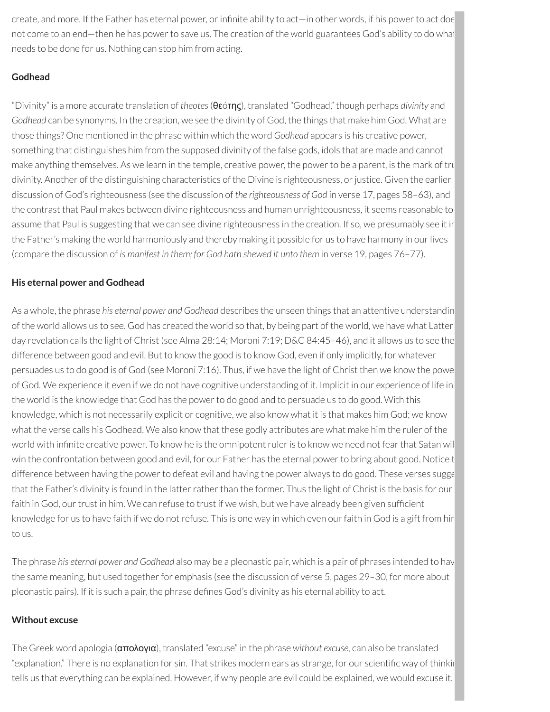create, and more. If the Father has eternal power, or infinite ability to act—in other words, if his power to act doe not come to an end—then he has power to save us. The creation of the world guarantees God's ability to do what needs to be done for us. Nothing can stop him from acting.

# **Godhead**

"Divinity" is a more accurate translation of *theotes*(θεóτης), translated "Godhead," though perhaps *divinity* and *Godhead* can be synonyms. In the creation, we see the divinity of God, the things that make him God. What are those things? One mentioned in the phrase within which the word *Godhead* appears is his creative power, something that distinguishes him from the supposed divinity of the false gods, idols that are made and cannot make anything themselves. As we learn in the temple, creative power, the power to be a parent, is the mark of tru divinity. Another of the distinguishing characteristics of the Divine is righteousness, or justice. Given the earlier discussion of God's righteousness (see the discussion of *the righteousness of God* in verse 17, pages 58–63), and the contrast that Paul makes between divine righteousness and human unrighteousness, it seems reasonable to assume that Paul is suggesting that we can see divine righteousness in the creation. If so, we presumably see it in the Father's making the world harmoniously and thereby making it possible for us to have harmony in ourlives (compare the discussion of *is manifest in them; for God hath shewed it unto them* in verse 19, pages 76–77).

### **His eternal power and Godhead**

As a whole, the phrase *his eternal power and Godhead* describes the unseen things that an attentive understandin of the world allows us to see. God has created the world so that, by being part of the world, we have what Latter day revelation calls the light of Christ (see Alma 28:14; Moroni 7:19; D&C 84:45–46), and it allows us to see the difference between good and evil. But to know the good is to know God, even if only implicitly, for whatever persuades us to do good is of God (see Moroni 7:16). Thus, if we have the light of Christ then we know the powe of God. We experience it even if we do not have cognitive understanding of it. Implicit in our experience of life in the world is the knowledge that God has the power to do good and to persuade us to do good. With this knowledge, which is not necessarily explicit or cognitive, we also know what it is that makes him God; we know what the verse calls his Godhead. We also know that these godly attributes are what make him the ruler of the world with infinite creative power. To know he is the omnipotent ruler is to know we need not fear that Satan wil win the confrontation between good and evil, for our Father has the eternal powerto bring about good. Notice t difference between having the power to defeat evil and having the power always to do good. These verses sugge that the Father's divinity is found in the latter rather than the former. Thus the light of Christ is the basis for our faith in God, our trust in him. We can refuse to trust if we wish, but we have already been given sufficient knowledge for us to have faith if we do not refuse. This is one way in which even our faith in God is a gift from hir to us.

The phrase *his eternal power and Godhead* also may be a pleonastic pair, which is a pair of phrases intended to hav the same meaning, but used together for emphasis (see the discussion of verse 5, pages 29–30, for more about pleonastic pairs). If it is such a pair, the phrase defines God's divinity as his eternal ability to act.

# **Without excuse**

The Greek word apologia (απολογια), translated "excuse" in the phrase *without excuse,* can also be translated "explanation." There is no explanation for sin. That strikes modern ears as strange, for our scientific way of thinkin tells us that everything can be explained. However, if why people are evil could be explained, we would excuse it.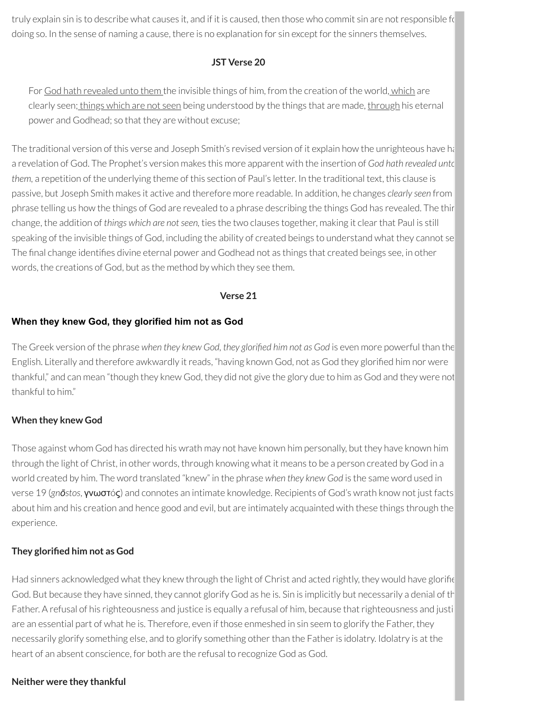truly explain sin is to describe what causes it, and if it is caused, then those who commit sin are not responsible for doing so. In the sense of naming a cause, there is no explanation for sin except for the sinners themselves.

#### **JST Verse 20**

For God hath revealed unto them the invisible things of him, from the creation of the world, which are clearly seen; things which are not seen being understood by the things that are made, through his eternal power and Godhead; so that they are without excuse;

The traditional version of this verse and Joseph Smith's revised version of it explain how the unrighteous have handa revelation of God. The Prophet's version makes this more apparent with the insertion of *God hath revealed unto them,* a repetition of the underlying theme of this section of Paul's letter. In the traditional text, this clause is passive, but Joseph Smith makes it active and therefore more readable. In addition, he changes *clearly seen* from phrase telling us how the things of God are revealed to a phrase describing the things God has revealed. The thir change, the addition of *things which are notseen,* ties the two clauses together, making it clearthat Paul is still speaking of the invisible things of God, including the ability of created beings to understand what they cannot se The final change identifies divine eternal power and Godhead not as things that created beings see, in other words, the creations of God, but as the method by which they see them.

#### **Verse 21**

#### **When they knew God, they glorified him not as God**

The Greek version of the phrase *when they knew God, they gloried him not as God* is even more powerful than the English. Literally and therefore awkwardly it reads, "having known God, not as God they glorified him nor were thankful," and can mean "though they knew God, they did not give the glory due to him as God and they were not thankful to him."

#### **When they knew God**

Those against whom God has directed his wrath may not have known him personally, but they have known him through the light of Christ, in other words, through knowing what it means to be a person created by God in a world created by him. The word translated "knew" in the phrase *when they knew God* is the same word used in verse 19 (*gnōstos*, γνωστóς) and connotes an intimate knowledge. Recipients of God's wrath know not just facts about him and his creation and hence good and evil, but are intimately acquainted with these things through the experience.

#### **They gloried him not as God**

Had sinners acknowledged what they knew through the light of Christ and acted rightly, they would have glorific God. But because they have sinned, they cannot glorify God as he is. Sin is implicitly but necessarily a denial of th Father. A refusal of his righteousness and justice is equally a refusal of him, because that righteousness and justi are an essential part of what he is. Therefore, even if those enmeshed in sin seem to glorify the Father, they necessarily glorify something else, and to glorify something other than the Father is idolatry. Idolatry is at the heart of an absent conscience, for both are the refusal to recognize God as God.

#### **Neither were they thankful**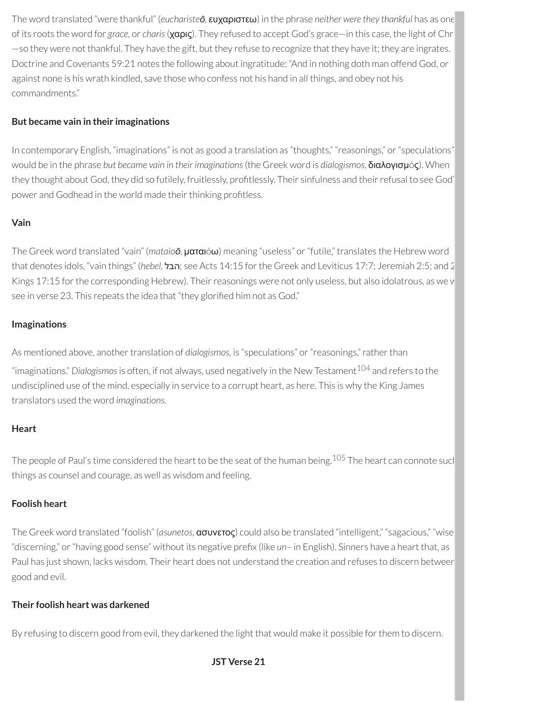The word translated "were thankful" (*eucharisteō*, ευχαριστεω) in the phrase *neither were they thankful* has as one of its roots the word for *grace,* or *charis*(χαρις). They refused to accept God's grace—in this case, the light of Chr —so they were not thankful. They have the gift, but they refuse to recognize that they have it; they are ingrates. Doctrine and Covenants 59:21 notes the following about ingratitude: "And in nothing doth man offend God, or against none is his wrath kindled, save those who confess not his hand in all things, and obey not his commandments."

# **But became vain in their imaginations**

In contemporary English, "imaginations" is not as good a translation as "thoughts," "reasonings," or"speculations" would be in the phrase *but became vain in their imaginations*(the Greek word is *dialogismos,* διαλογισμóς). When they thought about God, they did so futilely, fruitlessly, profitlessly. Their sinfulness and their refusal to see God' power and Godhead in the world made their thinking profitless.

### **Vain**

The Greek word translated "vain" (*mataioō*, ματαιóω) meaning "useless" or"futile," translates the Hebrew word that denotes idols, "vain things" (*hebel,* הבל ;see Acts 14:15 forthe Greek and Leviticus 17:7; Jeremiah 2:5; and 2 Kings 17:15 for the corresponding Hebrew). Their reasonings were not only useless, but also idolatrous, as we v see in verse 23. This repeats the idea that "they glorified him not as God."

# **Imaginations**

As mentioned above, another translation of *dialogismos*, is "speculations" or "reasonings," rather than "imaginations." *Dialogismos*is often, if not always, used negatively in the New Testament [104](#page-93-12) and refers to the undisciplined use of the mind, especially in service to a corrupt heart, as here. This is why the King James translators used the word *imaginations.*

### **Heart**

The people of Paul's time considered the heart to be the seat of the human being.<sup>[105](#page-93-13)</sup> The heart can connote sucl things as counsel and courage, as well as wisdom and feeling.

### **Foolish heart**

The Greek word translated "foolish" (*asunetos,* ασυνετος) could also be translated "intelligent," "sagacious," "wise "discerning," or "having good sense" without its negative prefix (like *un*– in English). Sinners have a heart that, as Paul has just shown, lacks wisdom. Their heart does not understand the creation and refuses to discern between good and evil.

# **Their foolish heart was darkened**

By refusing to discern good from evil, they darkened the light that would make it possible for them to discern.

<span id="page-91-1"></span><span id="page-91-0"></span>**JST Verse 21**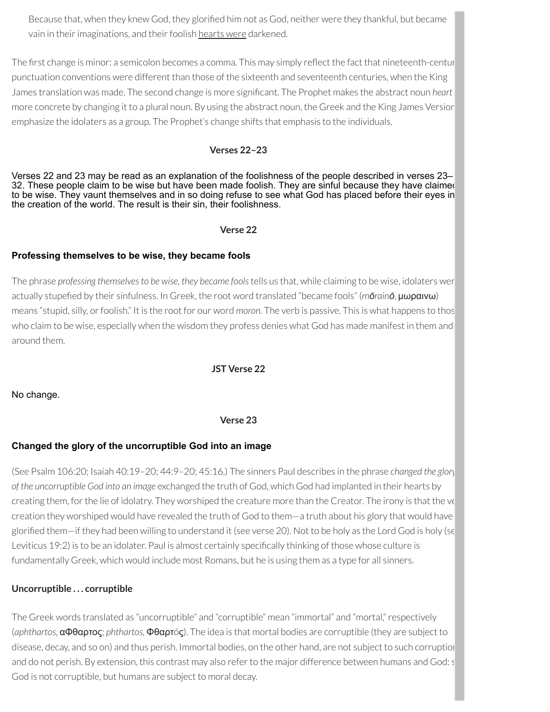Because that, when they knew God, they glorified him not as God, neither were they thankful, but became vain in their imaginations, and their foolish hearts were darkened.

The first change is minor: a semicolon becomes a comma. This may simply reflect the fact that nineteenth-centur punctuation conventions were different than those of the sixteenth and seventeenth centuries, when the King James translation was made. The second change is more signicant. The Prophet makes the abstract noun *heart* more concrete by changing it to a plural noun. By using the abstract noun, the Greek and the King James Version emphasize the idolaters as a group. The Prophet's change shifts that emphasis to the individuals.

### **Verses 22–23**

Verses 22 and 23 may be read as an explanation of the foolishness of the people described in verses 23– 32. These people claim to be wise but have been made foolish. They are sinful because they have claimed to be wise. They vaunt themselves and in so doing refuse to see what God has placed before their eyes in the creation of the world. The result is their sin, their foolishness.

#### **Verse 22**

### **Professing themselves to be wise, they became fools**

The phrase *professing themselvesto be wise, they became fools*tells us that, while claiming to be wise, idolaters wer actually stupeed by their sinfulness. In Greek, the root word translated "became fools" (*mōrainō*, μωραινω) means "stupid, silly, orfoolish." It is the root for our word *moron.* The verb is passive. This is what happens to thos who claim to be wise, especially when the wisdom they profess denies what God has made manifest in them and around them.

**JST Verse 22**

No change.

### **Verse 23**

# **Changed the glory of the uncorruptible God into an image**

(See Psalm 106:20; Isaiah 40:19–20; 44:9–20; 45:16.) The sinners Paul describes in the phrase *changed the glory of the uncorruptible God into an image* exchanged the truth of God, which God had implanted in their hearts by creating them, for the lie of idolatry. They worshiped the creature more than the Creator. The irony is that the ve creation they worshiped would have revealed the truth of God to them—a truth about his glory that would have glorified them—if they had been willing to understand it (see verse 20). Not to be holy as the Lord God is holy (se Leviticus 19:2) is to be an idolater. Paul is almost certainly specifically thinking of those whose culture is fundamentally Greek, which would include most Romans, but he is using them as a type for all sinners.

# **Uncorruptible . . . corruptible**

The Greek words translated as "uncorruptible" and "corruptible" mean "immortal" and "mortal,"respectively (*aphthartos,* αΦθαρτος; *phthartos,* Φθαρτóς). The idea is that mortal bodies are corruptible (they are subject to disease, decay, and so on) and thus perish. Immortal bodies, on the other hand, are not subject to such corruption and do not perish. By extension, this contrast may also referto the major difference between humans and God: s God is not corruptible, but humans are subject to moral decay.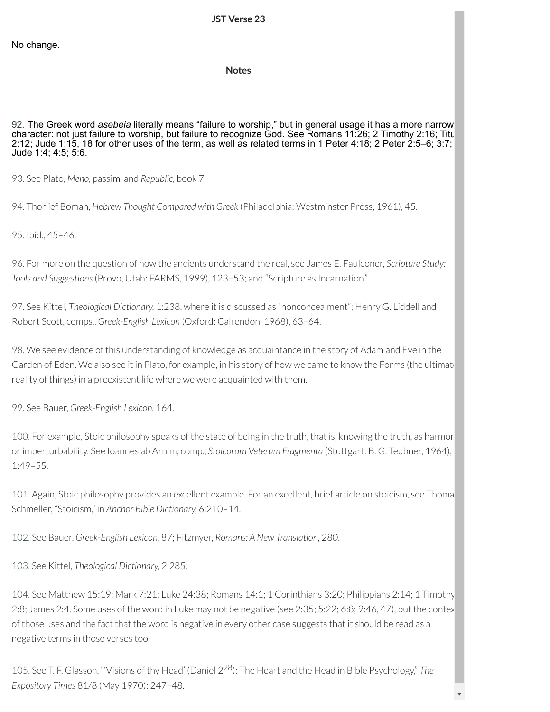#### **Notes**

<span id="page-93-0"></span>[92.](#page-82-0) The Greek word *asebeia* literally means "failure to worship," but in general usage it has a more narrow character: not just failure to worship, but failure to recognize God. See Romans 11:26; 2 Timothy 2:16; Titu 2:12; Jude 1:15, 18 for other uses of the term, as well as related terms in 1 Peter 4:18; 2 Peter 2:5–6; 3:7; Jude 1:4; 4:5; 5:6.

<span id="page-93-1"></span>[93.](#page-83-0) See Plato, *Meno,* passim, and *Republic,* book 7.

<span id="page-93-2"></span>[94.](#page-83-1) Thorlief Boman, *Hebrew Thought Compared with Greek* (Philadelphia: Westminster Press, 1961), 45.

<span id="page-93-3"></span>[95.](#page-83-2) Ibid., 45–46.

<span id="page-93-4"></span>[96.](#page-83-3) For more on the question of how the ancients understand the real, see James E. Faulconer, *Scripture Study: Tools and Suggestions*(Provo, Utah: FARMS, 1999), 123–53; and "Scripture as Incarnation."

<span id="page-93-5"></span>[97.](#page-83-4) See Kittel, *Theological Dictionary,* 1:238, where it is discussed as "nonconcealment"; Henry G. Liddell and Robert Scott, comps., *Greek-English Lexicon* (Oxford: Calrendon, 1968), 63–64.

<span id="page-93-6"></span>[98.](#page-83-5) We see evidence of this understanding of knowledge as acquaintance in the story of Adam and Eve in the Garden of Eden. We also see it in Plato, for example, in his story of how we came to know the Forms (the ultimate reality of things) in a preexistent life where we were acquainted with them.

<span id="page-93-7"></span>[99.](#page-85-0) See Bauer, *Greek-English Lexicon,* 164.

<span id="page-93-8"></span>[100.](#page-86-0) For example, Stoic philosophy speaks of the state of being in the truth, that is, knowing the truth, as harmon orimperturbability. See Ioannes ab Arnim, comp., *Stoicorum Veterum Fragmenta* (Stuttgart: B. G. Teubner, 1964), 1:49–55.

<span id="page-93-9"></span>[101.](#page-86-1) Again, Stoic philosophy provides an excellent example. For an excellent, brief article on stoicism, see Thoma Schmeller, "Stoicism," in *Anchor Bible Dictionary,* 6:210–14.

<span id="page-93-10"></span>[102.](#page-88-0) See Bauer, *Greek-English Lexicon,* 87; Fitzmyer, *Romans: A New Translation,* 280.

<span id="page-93-11"></span>[103.](#page-88-1) See Kittel, *Theological Dictionary,* 2:285.

<span id="page-93-12"></span>[104.](#page-91-0) See Matthew 15:19; Mark 7:21; Luke 24:38; Romans 14:1; 1 Corinthians 3:20; Philippians 2:14; 1 Timothy 2:8; James 2:4. Some uses of the word in Luke may not be negative (see 2:35; 5:22; 6:8; 9:46, 47), but the contex of those uses and the fact that the word is negative in every other case suggests that it should be read as a negative terms in those verses too.

<span id="page-93-13"></span>[105.](#page-91-1) See T. F. Glasson, "'Visions of thy Head' (Daniel 2 <sup>28</sup>): The Heart and the Head in Bible Psychology," *The Expository Times* 81/8 (May 1970): 247–48.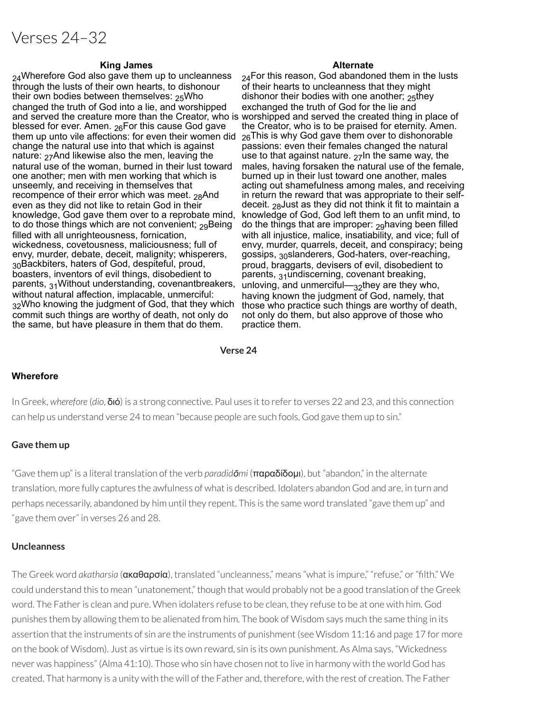# Verses 24–32

#### **King James Alternate**

24Wherefore God also gave them up to uncleanness through the lusts of their own hearts, to dishonour their own bodies between themselves:  $25$ Who changed the truth of God into a lie, and worshipped and served the creature more than the Creator, who is worshipped and served the created thing in place of blessed for ever. Amen.  $26$ For this cause God gave them up unto vile affections: for even their women did  $26$ This is why God gave them over to dishonorable change the natural use into that which is against nature:  $27$ And likewise also the men, leaving the natural use of the woman, burned in their lust toward one another; men with men working that which is unseemly, and receiving in themselves that recompence of their error which was meet.  $_{28}$ And even as they did not like to retain God in their knowledge, God gave them over to a reprobate mind, to do those things which are not convenient;  $29B$ eing filled with all unrighteousness, fornication, wickedness, covetousness, maliciousness; full of envy, murder, debate, deceit, malignity; whisperers, 30Backbiters, haters of God, despiteful, proud, boasters, inventors of evil things, disobedient to parents, 31Without understanding, covenantbreakers, without natural affection, implacable, unmerciful: 32Who knowing the judgment of God, that they which commit such things are worthy of death, not only do the same, but have pleasure in them that do them.

 $24$ For this reason, God abandoned them in the lusts of their hearts to uncleanness that they might dishonor their bodies with one another;  $25$ they exchanged the truth of God for the lie and the Creator, who is to be praised for eternity. Amen. passions: even their females changed the natural use to that against nature.  $27\text{ln}$  the same way, the males, having forsaken the natural use of the female, burned up in their lust toward one another, males acting out shamefulness among males, and receiving in return the reward that was appropriate to their selfdeceit.  $28$ Just as they did not think it fit to maintain a knowledge of God, God left them to an unfit mind, to do the things that are improper:  $29$ having been filled with all injustice, malice, insatiability, and vice; full of envy, murder, quarrels, deceit, and conspiracy; being gossips, 30slanderers, God-haters, over-reaching, proud, braggarts, devisers of evil, disobedient to parents, 31undiscerning, covenant breaking, unloving, and unmerciful—32they are they who, having known the judgment of God, namely, that those who practice such things are worthy of death, not only do them, but also approve of those who practice them.

#### **Verse 24**

#### **Wherefore**

In Greek, *wherefore* (*dio*, διό) is a strong connective. Paul uses it to referto verses 22 and 23, and this connection can help us understand verse 24 to mean "because people are such fools, God gave them up to sin."

#### **Gave them up**

"Gave them up" is a literal translation of the verb *paradidōmi* (παραδίδομι), but "abandon," in the alternate translation, more fully captures the awfulness of what is described. Idolaters abandon God and are, in turn and perhaps necessarily, abandoned by him until they repent. This is the same word translated "gave them up" and "gave them over" in verses 26 and 28.

#### **Uncleanness**

The Greek word *akatharsia* (**ακαθαρσία**), translated "uncleanness," means "what is impure," "refuse," or "filth." We could understand this to mean "unatonement," though that would probably not be a good translation of the Greek word. The Father is clean and pure. When idolaters refuse to be clean, they refuse to be at one with him. God punishes them by allowing them to be alienated from him. The book of Wisdom says much the same thing in its assertion that the instruments of sin are the instruments of punishment (see Wisdom 11:16 and page 17 for more on the book of Wisdom). Just as virtue is its own reward, sin is its own punishment. As Alma says, "Wickedness never was happiness" (Alma 41:10). Those who sin have chosen not to live in harmony with the world God has created. That harmony is a unity with the will of the Father and, therefore, with the rest of creation. The Father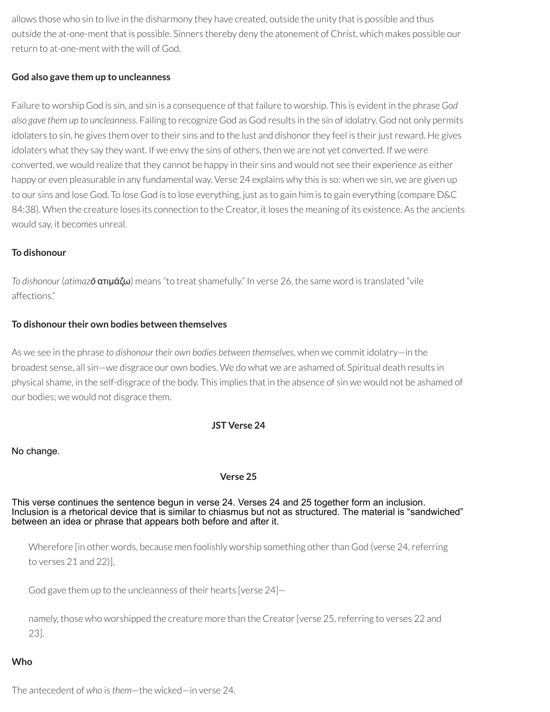allows those who sin to live in the disharmony they have created, outside the unity that is possible and thus outside the at-one-ment that is possible. Sinners thereby deny the atonement of Christ, which makes possible our return to at-one-ment with the will of God.

### **God also gave them up to uncleanness**

Failure to worship God is sin, and sin is a consequence of that failure to worship. This is evident in the phrase *God also gave them up to uncleanness*. Failing to recognize God as God results in the sin of idolatry. God not only permits idolaters to sin, he gives them over to their sins and to the lust and dishonor they feel is their just reward. He gives idolaters what they say they want. If we envy the sins of others, then we are not yet converted. If we were converted, we would realize that they cannot be happy in their sins and would not see their experience as either happy or even pleasurable in any fundamental way. Verse 24 explains why this is so: when we sin, we are given up to our sins and lose God. To lose God is to lose everything, just as to gain him is to gain everything (compare D&C 84:38). When the creature loses its connection to the Creator, it loses the meaning of its existence. As the ancients would say, it becomes unreal.

#### **To dishonour**

*To dishonour* (*atimazō* ατιμάζω) means "to treat shamefully." In verse 26, the same word is translated "vile affections."

#### **To dishonour their own bodies between themselves**

As we see in the phrase *to dishonour their own bodies between themselves*, when we commit idolatry—in the broadest sense, all sin—we disgrace our own bodies. We do what we are ashamed of. Spiritual death results in physical shame, in the self-disgrace of the body. This implies that in the absence of sin we would not be ashamed of our bodies; we would not disgrace them.

#### **JST Verse 24**

#### No change.

#### **Verse 25**

This verse continues the sentence begun in verse 24. Verses 24 and 25 together form an inclusion. Inclusion is a rhetorical device that is similar to chiasmus but not as structured. The material is "sandwiched" between an idea or phrase that appears both before and after it.

Wherefore (in other words, because men foolishly worship something other than God (verse 24, referring to verses 21 and 22)],

God gave them up to the uncleanness of their hearts [verse 24]—

namely, those who worshipped the creature more than the Creator [verse 25, referring to verses 22 and 23].

### **Who**

The antecedent of *who* is *them*—the wicked—in verse 24.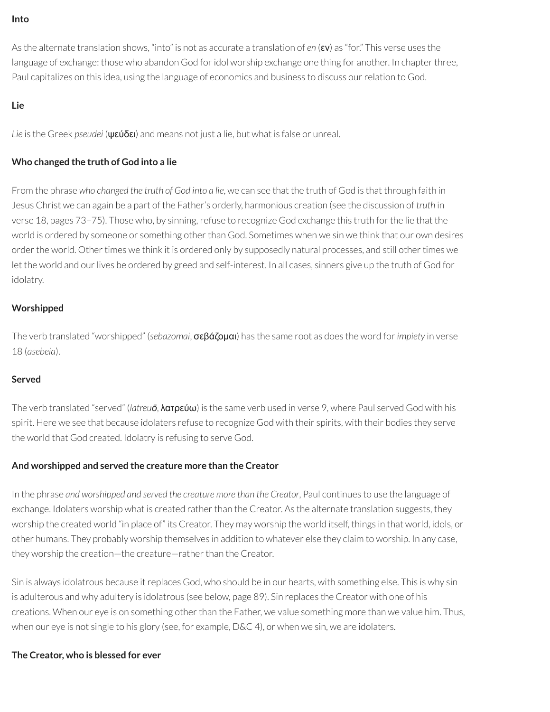#### **Into**

As the alternate translation shows, "into" is not as accurate a translation of *en* (εν) as "for." This verse uses the language of exchange: those who abandon God for idol worship exchange one thing for another. In chapter three, Paul capitalizes on this idea, using the language of economics and business to discuss ourrelation to God.

### **Lie**

*Lie* is the Greek *pseudei* (ψεύδει) and means not just a lie, but what is false or unreal.

# **Who changed the truth of God into a lie**

From the phrase *who changed the truth of God into a lie*, we can see that the truth of God is that through faith in Jesus Christ we can again be a part of the Father's orderly, harmonious creation (see the discussion of *truth* in verse 18, pages 73–75). Those who, by sinning, refuse to recognize God exchange this truth for the lie that the world is ordered by someone or something other than God. Sometimes when we sin we think that our own desires order the world. Other times we think it is ordered only by supposedly natural processes, and still other times we let the world and our lives be ordered by greed and self-interest. In all cases, sinners give up the truth of God for idolatry.

# **Worshipped**

The verb translated "worshipped" (*sebazomai*, σεβάζομαι) has the same root as does the word for*impiety* in verse 18 (*asebeia*).

### **Served**

The verb translated "served" (*latreuō*, λατρεύω) is the same verb used in verse 9, where Paul served God with his spirit. Here we see that because idolaters refuse to recognize God with their spirits, with their bodies they serve the world that God created. Idolatry is refusing to serve God.

### **And worshipped and served the creature more than the Creator**

In the phrase *and worshipped and served the creature more than the Creator*, Paul continues to use the language of exchange. Idolaters worship what is created rather than the Creator. As the alternate translation suggests, they worship the created world "in place of" its Creator. They may worship the world itself, things in that world, idols, or other humans. They probably worship themselves in addition to whatever else they claim to worship. In any case, they worship the creation-the creature-rather than the Creator.

Sin is always idolatrous because it replaces God, who should be in our hearts, with something else. This is why sin is adulterous and why adultery is idolatrous (see below, page 89). Sin replaces the Creator with one of his creations. When our eye is on something other than the Father, we value something more than we value him. Thus, when our eye is not single to his glory (see, for example, D&C 4), or when we sin, we are idolaters.

### **The Creator, who is blessed for ever**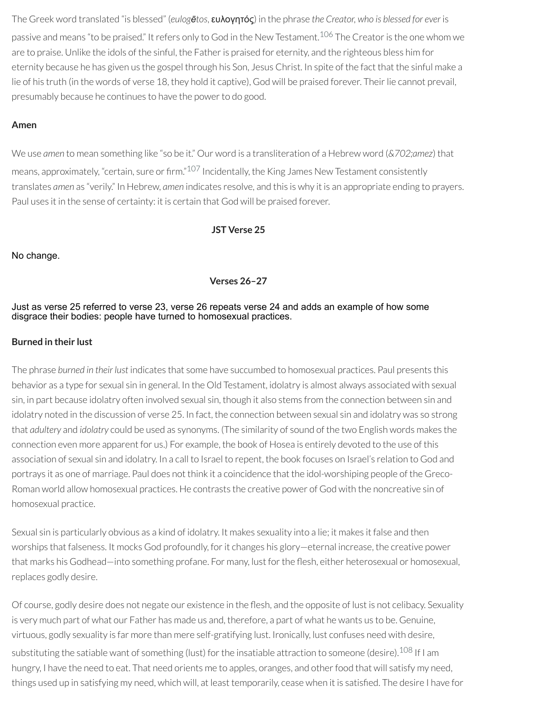The Greek word translated "is blessed" (*eulogētos*, ευλογητός) in the phrase *the Creator, who is blessed for ever* is passive and means "to be praised." It refers only to God in the New Testament.<sup>[106](#page-106-0)</sup> The Creator is the one whom we are to praise. Unlike the idols of the sinful, the Father is praised for eternity, and the righteous bless him for eternity because he has given us the gospel through his Son, Jesus Christ. In spite of the fact that the sinful make a lie of his truth (in the words of verse 18, they hold it captive). God will be praised forever. Their lie cannot prevail, presumably because he continues to have the power to do good.

# **Amen**

We use *amen* to mean something like "so be it." Our word is a transliteration of a Hebrew word (*&702;amez*) that means, approximately, "certain, sure or firm." <sup>[107](#page-106-1)</sup> Incidentally, the King James New Testament consistently translates *amen* as "verily." In Hebrew, *amen* indicates resolve, and this is why it is an appropriate ending to prayers. Paul uses it in the sense of certainty: it is certain that God will be praised forever.

### <span id="page-97-1"></span><span id="page-97-0"></span>**JST Verse 25**

No change.

#### **Verses 26–27**

#### Just as verse 25 referred to verse 23, verse 26 repeats verse 24 and adds an example of how some disgrace their bodies: people have turned to homosexual practices.

#### **Burned in their lust**

The phrase *burned in their lust* indicates that some have succumbed to homosexual practices. Paul presents this behavior as a type for sexual sin in general. In the Old Testament, idolatry is almost always associated with sexual sin, in part because idolatry often involved sexual sin, though it also stems from the connection between sin and idolatry noted in the discussion of verse 25. In fact, the connection between sexual sin and idolatry was so strong that *adultery* and *idolatry* could be used as synonyms. (The similarity of sound of the two English words makes the connection even more apparent for us.) For example, the book of Hosea is entirely devoted to the use of this association of sexual sin and idolatry. In a call to Israel to repent, the book focuses on Israel's relation to God and portrays it as one of marriage. Paul does not think it a coincidence that the idol-worshiping people of the Greco-Roman world allow homosexual practices. He contrasts the creative power of God with the noncreative sin of homosexual practice.

Sexual sin is particularly obvious as a kind of idolatry. It makes sexuality into a lie; it makes it false and then worships that falseness. It mocks God profoundly, forit changes his glory—eternal increase, the creative power that marks his Godhead—into something profane. For many, lust for the flesh, either heterosexual or homosexual, replaces godly desire.

<span id="page-97-2"></span>Of course, godly desire does not negate our existence in the flesh, and the opposite of lust is not celibacy. Sexuality is very much part of what our Father has made us and, therefore, a part of what he wants us to be. Genuine, virtuous, godly sexuality is far more than mere self-gratifying lust. Ironically, lust confuses need with desire, substituting the satiable want of something (lust) for the insatiable attraction to someone (desire). $^{108}$  $^{108}$  $^{108}$  If I am hungry, I have the need to eat. That need orients me to apples, oranges, and other food that will satisfy my need, things used up in satisfying my need, which will, at least temporarily, cease when it is satisfied. The desire I have for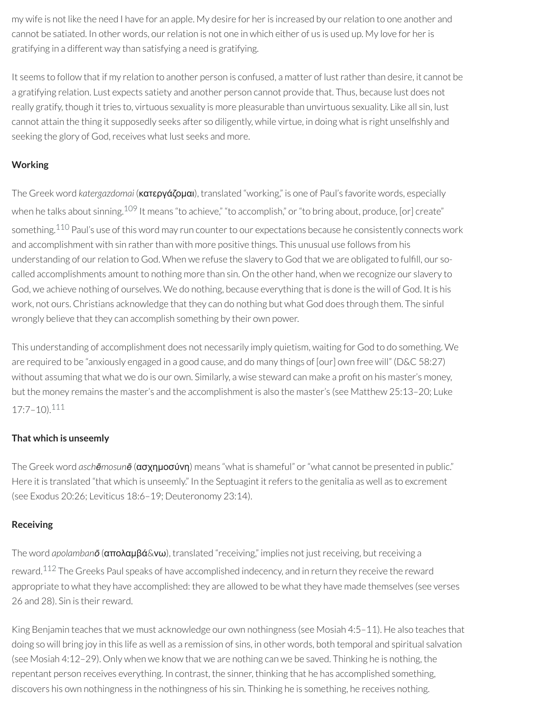my wife is not like the need I have for an apple. My desire for her is increased by our relation to one another and cannot be satiated. In other words, our relation is not one in which either of us is used up. My love for her is gratifying in a different way than satisfying a need is gratifying.

It seems to follow that if my relation to another person is confused, a matter of lustratherthan desire, it cannot be a gratifying relation. Lust expects satiety and another person cannot provide that. Thus, because lust does not really gratify, though it tries to, virtuous sexuality is more pleasurable than unvirtuous sexuality. Like all sin, lust cannot attain the thing it supposedly seeks after so diligently, while virtue, in doing what is right unselfishly and seeking the glory of God, receives what lust seeks and more.

# **Working**

<span id="page-98-1"></span><span id="page-98-0"></span>The Greek word *katergazdomai* (κατεργάζομαι), translated "working," is one of Paul's favorite words, especially when he talks about sinning.<sup>[109](#page-106-3)</sup> It means "to achieve," "to accomplish," or "to bring about, produce, [or] create" something.<sup>[110](#page-106-4)</sup> Paul's use of this word may run counter to our expectations because he consistently connects work and accomplishment with sin rather than with more positive things. This unusual use follows from his understanding of our relation to God. When we refuse the slavery to God that we are obligated to fulfill, our socalled accomplishments amount to nothing more than sin. On the other hand, when we recognize our slavery to God, we achieve nothing of ourselves. We do nothing, because everything that is done is the will of God. It is his work, not ours. Christians acknowledge that they can do nothing but what God does through them. The sinful wrongly believe that they can accomplish something by their own power.

This understanding of accomplishment does not necessarily imply quietism, waiting for God to do something. We are required to be "anxiously engaged in a good cause, and do many things of [our] own free will" (D&C 58:27) without assuming that what we do is our own. Similarly, a wise steward can make a profit on his master's money, but the money remains the master's and the accomplishment is also the master's (see Matthew 25:13–20; Luke 17:7–10). [111](#page-106-5)

# <span id="page-98-2"></span>**That which is unseemly**

The Greek word *aschēmosunē* (ασχημοσύνη) means "what is shameful" or"what cannot be presented in public." Here it is translated "that which is unseemly." In the Septuagint it refers to the genitalia as well as to excrement (see Exodus 20:26; Leviticus 18:6–19; Deuteronomy 23:14).

# **Receiving**

<span id="page-98-3"></span>The word *apolambanō* (απολαμβά&νω), translated "receiving," implies not just receiving, but receiving a reward.<sup>[112](#page-106-6)</sup> The Greeks Paul speaks of have accomplished indecency, and in return they receive the reward appropriate to what they have accomplished: they are allowed to be what they have made themselves (see verses 26 and 28). Sin is their reward.

King Benjamin teaches that we must acknowledge our own nothingness (see Mosiah 4:5–11). He also teaches that doing so will bring joy in this life as well as a remission of sins, in other words, both temporal and spiritual salvation (see Mosiah 4:12–29). Only when we know that we are nothing can we be saved. Thinking he is nothing, the repentant person receives everything. In contrast, the sinner, thinking that he has accomplished something, discovers his own nothingness in the nothingness of his sin. Thinking he is something, he receives nothing.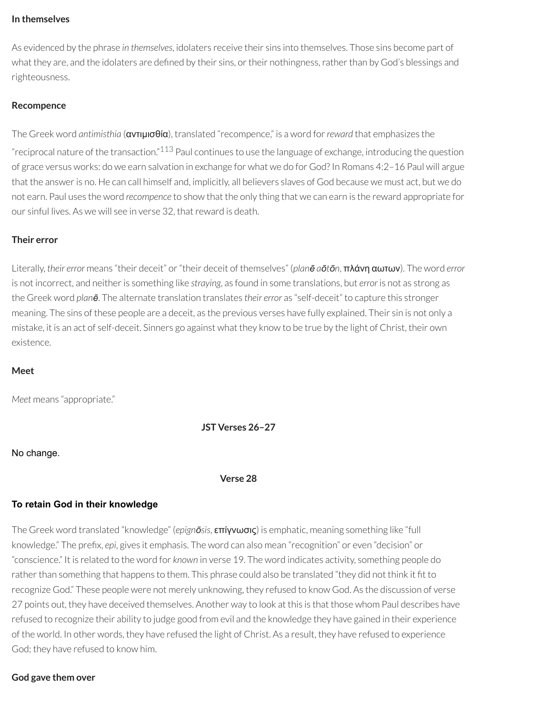#### **In themselves**

As evidenced by the phrase *in themselves*, idolaters receive their sins into themselves. Those sins become part of what they are, and the idolaters are defined by their sins, or their nothingness, rather than by God's blessings and righteousness.

#### **Recompence**

<span id="page-99-0"></span>The Greek word *antimisthia* (αντιμισθία), translated "recompence," is a word for*reward* that emphasizes the "reciprocal nature of the transaction."<sup>[113](#page-106-7)</sup> Paul continues to use the language of exchange, introducing the question of grace versus works: do we earn salvation in exchange for what we do for God? In Romans 4:2–16 Paul will argue that the answeris no. He can call himself and, implicitly, all believers slaves of God because we must act, but we do not earn. Paul uses the word *recompence* to show that the only thing that we can earn is the reward appropriate for our sinful lives. As we will see in verse 32, thatreward is death.

#### **Their error**

Literally, *their error* means "their deceit" or"their deceit of themselves" (*planē aōtōn*, πλάνη αωτων). The word *error* is not incorrect, and neither is something like *straying*, as found in some translations, but *error* is not as strong as the Greek word *planē*. The alternate translation translates *their error* as "self-deceit" to capture this stronger meaning. The sins of these people are a deceit, as the previous verses have fully explained. Their sin is not only a mistake, it is an act of self-deceit. Sinners go against what they know to be true by the light of Christ, their own existence.

#### **Meet**

*Meet* means "appropriate."

**JST Verses 26–27**

#### No change.

**Verse 28**

#### **To retain God in their knowledge**

The Greek word translated "knowledge" (*epignōsis*, επίγνωσις) is emphatic, meaning something like "full knowledge." The prefix, *epi*, gives it emphasis. The word can also mean "recognition" or even "decision" or "conscience." It is related to the word for *known* in verse 19. The word indicates activity, something people do rather than something that happens to them. This phrase could also be translated "they did not think it fit to recognize God." These people were not merely unknowing, they refused to know God. As the discussion of verse 27 points out, they have deceived themselves. Another way to look at this is that those whom Paul describes have refused to recognize their ability to judge good from evil and the knowledge they have gained in their experience of the world. In other words, they have refused the light of Christ. As a result, they have refused to experience God; they have refused to know him.

#### **God gave them over**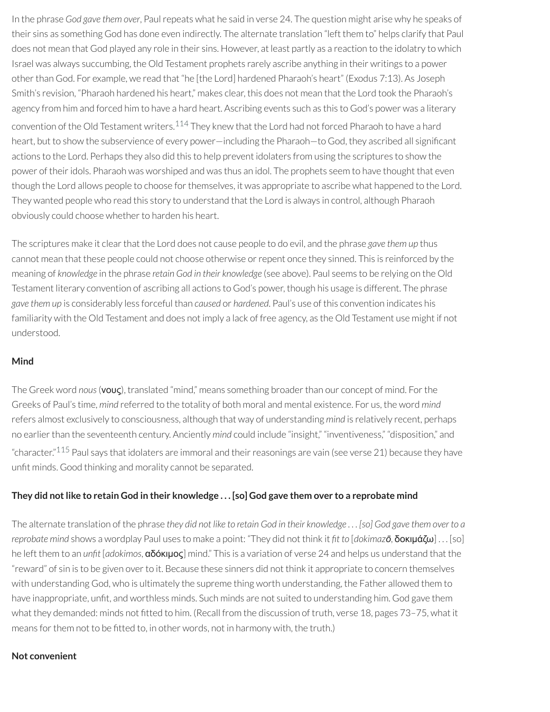<span id="page-100-0"></span>In the phrase *God gave them over*, Paulrepeats what he said in verse 24. The question might arise why he speaks of their sins as something God has done even indirectly. The alternate translation "left them to" helps clarify that Paul does not mean that God played any role in their sins. However, at least partly as a reaction to the idolatry to which Israel was always succumbing, the Old Testament prophets rarely ascribe anything in their writings to a power other than God. For example, we read that "he [the Lord] hardened Pharaoh's heart" (Exodus 7:13). As Joseph Smith's revision, "Pharaoh hardened his heart," makes clear, this does not mean that the Lord took the Pharaoh's agency from him and forced him to have a hard heart. Ascribing events such as this to God's power was a literary convention of the Old Testament writers.<sup>[114](#page-106-8)</sup> They knew that the Lord had not forced Pharaoh to have a hard heart, but to show the subservience of every power—including the Pharaoh—to God, they ascribed all significant actions to the Lord. Perhaps they also did this to help prevent idolaters from using the scriptures to show the power of theiridols. Pharaoh was worshiped and was thus an idol. The prophets seem to have thought that even though the Lord allows people to choose for themselves, it was appropriate to ascribe what happened to the Lord. They wanted people who read this story to understand that the Lord is always in control, although Pharaoh obviously could choose whether to harden his heart.

The scriptures make it clear that the Lord does not cause people to do evil, and the phrase *gave them up* thus cannot mean that these people could not choose otherwise or repent once they sinned. This is reinforced by the meaning of *knowledge* in the phrase *retain God in their knowledge* (see above). Paul seems to be relying on the Old Testament literary convention of ascribing all actions to God's power, though his usage is different. The phrase *gave them up* is considerably less forceful than *caused* or *hardened*. Paul's use of this convention indicates his familiarity with the Old Testament and does not imply a lack of free agency, as the Old Testament use might if not understood.

#### **Mind**

The Greek word *nous*(νους), translated "mind," means something broaderthan our concept of mind. Forthe Greeks of Paul's time, *mind* referred to the totality of both moral and mental existence. For us, the word *mind* refers almost exclusively to consciousness, although that way of understanding *mind* is relatively recent, perhaps no earlier than the seventeenth century. Anciently *mind* could include "insight," "inventiveness," "disposition," and "character."<sup>[115](#page-106-9)</sup> Paul says that idolaters are immoral and their reasonings are vain (see verse 21) because they have unfit minds. Good thinking and morality cannot be separated.

### <span id="page-100-1"></span>They did not like to retain God in their knowledge . . . [so] God gave them over to a reprobate mind

The alternate translation of the phrase they did not like to retain God in their knowledge... [so] God gave them over to a *reprobate mind* shows a wordplay Paul uses to make a point: "They did not think it *t to* [*dokimazō*, δοκιμάζω] . . . [so] he left them to an *unt* [*adokimos*, αδόκιμος] mind." This is a variation of verse 24 and helps us understand that the "reward" of sin is to be given over to it. Because these sinners did not think it appropriate to concern themselves with understanding God, who is ultimately the supreme thing worth understanding, the Father allowed them to have inappropriate, unfit, and worthless minds. Such minds are not suited to understanding him. God gave them what they demanded: minds not fitted to him. (Recall from the discussion of truth, verse 18, pages 73-75, what it means for them not to be fitted to, in other words, not in harmony with, the truth.)

#### **Not convenient**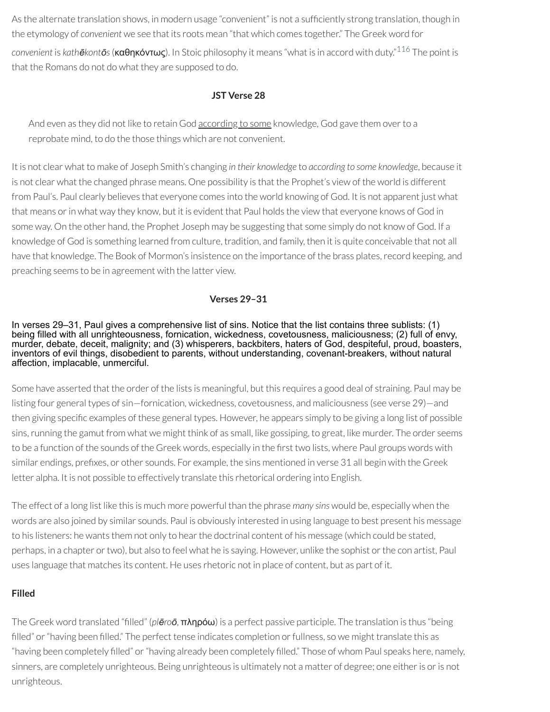As the alternate translation shows, in modern usage "convenient" is not a sufficiently strong translation, though in the etymology of *convenient* we see that its roots mean "that which comes together." The Greek word for *convenient* is *kathēkontōs*(καθηκόντως). In Stoic philosophy it means "what is in accord with duty." [116](#page-106-10) The point is that the Romans do not do what they are supposed to do.

#### <span id="page-101-0"></span>**JST Verse 28**

And even as they did not like to retain God according to some knowledge, God gave them overto a reprobate mind, to do the those things which are not convenient.

It is not clear what to make of Joseph Smith's changing *in their knowledge* to *according to some knowledge*, because it is not clear what the changed phrase means. One possibility is that the Prophet's view of the world is different from Paul's. Paul clearly believes that everyone comes into the world knowing of God. It is not apparent just what that means or in what way they know, but it is evident that Paul holds the view that everyone knows of God in some way. On the other hand, the Prophet Joseph may be suggesting that some simply do not know of God. If a knowledge of God is something learned from culture, tradition, and family, then it is quite conceivable that not all have that knowledge. The Book of Mormon's insistence on the importance of the brass plates, record keeping, and preaching seems to be in agreement with the latter view.

#### **Verses 29–31**

#### In verses 29–31, Paul gives a comprehensive list of sins. Notice that the list contains three sublists: (1) being filled with all unrighteousness, fornication, wickedness, covetousness, maliciousness; (2) full of envy, murder, debate, deceit, malignity; and (3) whisperers, backbiters, haters of God, despiteful, proud, boasters, inventors of evil things, disobedient to parents, without understanding, covenant-breakers, without natural affection, implacable, unmerciful.

Some have asserted that the order of the lists is meaningful, but this requires a good deal of straining. Paul may be listing four general types of sin—fornication, wickedness, covetousness, and maliciousness (see verse 29)—and then giving specific examples of these general types. However, he appears simply to be giving a long list of possible sins, running the gamut from what we might think of as small, like gossiping, to great, like murder. The order seems to be a function of the sounds of the Greek words, especially in the first two lists, where Paul groups words with similar endings, prefixes, or other sounds. For example, the sins mentioned in verse 31 all begin with the Greek letter alpha. It is not possible to effectively translate this rhetorical ordering into English.

The effect of a long list like this is much more powerful than the phrase *many sins* would be, especially when the words are also joined by similar sounds. Paul is obviously interested in using language to best present his message to his listeners: he wants them not only to hear the doctrinal content of his message (which could be stated, perhaps, in a chapter or two), but also to feel what he is saying. However, unlike the sophist or the con artist, Paul uses language that matches its content. He uses rhetoric not in place of content, but as part of it.

### **Filled**

The Greek word translated "lled" (*plēroō*, πληρόω) is a perfect passive participle. The translation is thus "being filled" or "having been filled." The perfect tense indicates completion or fullness, so we might translate this as "having been completely filled" or "having already been completely filled." Those of whom Paul speaks here, namely, sinners, are completely unrighteous. Being unrighteous is ultimately not a matter of degree; one either is or is not unrighteous.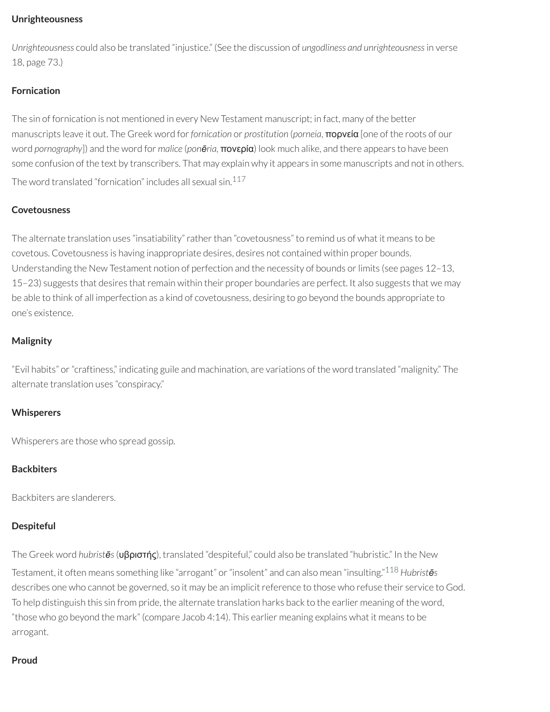#### **Unrighteousness**

*Unrighteousness* could also be translated "injustice." (See the discussion of *ungodliness and unrighteousness*in verse 18, page 73.)

# **Fornication**

The sin of fornication is not mentioned in every New Testament manuscript; in fact, many of the better manuscripts leave it out. The Greek word for*fornication* or *prostitution* (*porneia*, πορνεία [one of the roots of our word *pornography*]) and the word for *malice* (*ponēria,* πονερία) look much alike, and there appears to have been some confusion of the text by transcribers. That may explain why it appears in some manuscripts and not in others. The word translated "fornication" includes all sexual sin. [117](#page-107-0)

# <span id="page-102-0"></span>**Covetousness**

The alternate translation uses "insatiability" rather than "covetousness" to remind us of what it means to be covetous. Covetousness is having inappropriate desires, desires not contained within proper bounds. Understanding the New Testament notion of perfection and the necessity of bounds or limits (see pages 12-13, 15–23) suggests that desires that remain within their proper boundaries are perfect. It also suggests that we may be able to think of all imperfection as a kind of covetousness, desiring to go beyond the bounds appropriate to one's existence.

# **Malignity**

"Evil habits" or"craftiness," indicating guile and machination, are variations of the word translated "malignity." The alternate translation uses "conspiracy."

# **Whisperers**

Whisperers are those who spread gossip.

# **Backbiters**

Backbiters are slanderers.

### **Despiteful**

<span id="page-102-1"></span>The Greek word *hubristēs*(υβριστής), translated "despiteful," could also be translated "hubristic." In the New

Testament, it often means something like "arrogant" or"insolent" and can also mean "insulting." [118](#page-107-1) *Hubristēs* describes one who cannot be governed, so it may be an implicit reference to those who refuse their service to God. To help distinguish this sin from pride, the alternate translation harks back to the earlier meaning of the word, "those who go beyond the mark" (compare Jacob 4:14). This earlier meaning explains what it means to be arrogant.

### **Proud**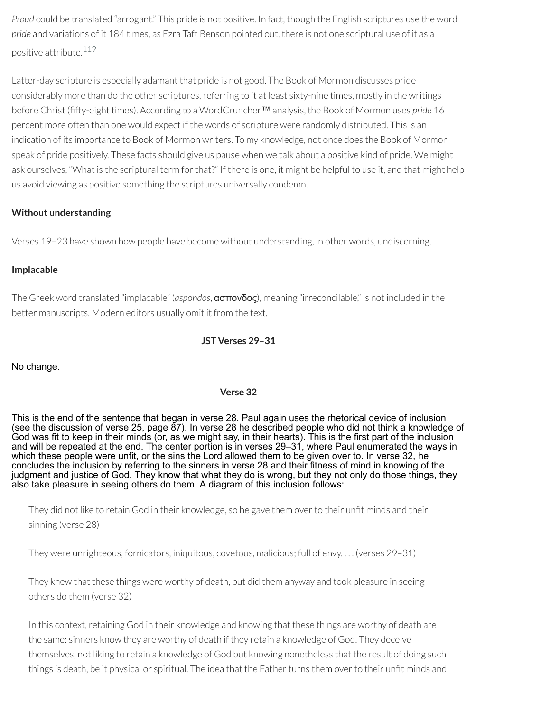*Proud* could be translated "arrogant." This pride is not positive. In fact, though the English scriptures use the word *pride* and variations of it 184 times, as Ezra Taft Benson pointed out, there is not one scriptural use of it as a positive attribute. [119](#page-107-2)

<span id="page-103-0"></span>Latter-day scripture is especially adamant that pride is not good. The Book of Mormon discusses pride considerably more than do the other scriptures, referring to it at least sixty-nine times, mostly in the writings before Christ (fty-eight times). According to a WordCruncher™ analysis, the Book of Mormon uses *pride* 16 percent more often than one would expect if the words of scripture were randomly distributed. This is an indication of its importance to Book of Mormon writers. To my knowledge, not once does the Book of Mormon speak of pride positively. These facts should give us pause when we talk about a positive kind of pride. We might ask ourselves, "What is the scriptural term for that?" If there is one, it might be helpful to use it, and that might help us avoid viewing as positive something the scriptures universally condemn.

# **Without understanding**

Verses 19–23 have shown how people have become without understanding, in other words, undiscerning.

### **Implacable**

The Greek word translated "implacable" (*aspondos*, ασπονδος), meaning "irreconcilable," is not included in the better manuscripts. Modern editors usually omit it from the text.

#### **JST Verses 29–31**

No change.

### **Verse 32**

This is the end of the sentence that began in verse 28. Paul again uses the rhetorical device of inclusion (see the discussion of verse 25, page 87). In verse 28 he described people who did not think a knowledge of God was fit to keep in their minds (or, as we might say, in their hearts). This is the first part of the inclusion and will be repeated at the end. The center portion is in verses 29–31, where Paul enumerated the ways in which these people were unfit, or the sins the Lord allowed them to be given over to. In verse 32, he concludes the inclusion by referring to the sinners in verse 28 and their fitness of mind in knowing of the judgment and justice of God. They know that what they do is wrong, but they not only do those things, they also take pleasure in seeing others do them. A diagram of this inclusion follows:

They did not like to retain God in their knowledge, so he gave them over to their unfit minds and their sinning (verse 28)

They were unrighteous, fornicators, iniquitous, covetous, malicious; full of envy. . . . (verses 29–31)

They knew that these things were worthy of death, but did them anyway and took pleasure in seeing others do them (verse 32)

In this context, retaining God in their knowledge and knowing that these things are worthy of death are the same: sinners know they are worthy of death if they retain a knowledge of God. They deceive themselves, not liking to retain a knowledge of God but knowing nonetheless that the result of doing such things is death, be it physical or spiritual. The idea that the Father turns them over to their unfit minds and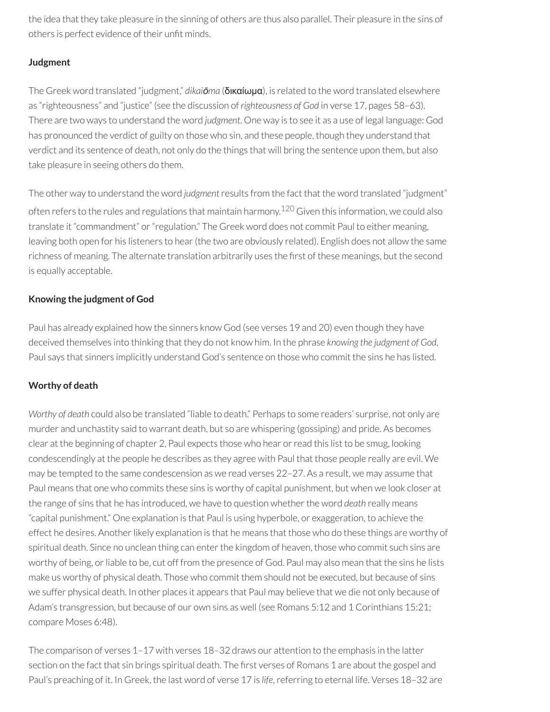the idea that they take pleasure in the sinning of others are thus also parallel. Their pleasure in the sins of others is perfect evidence of their unfit minds.

# **Judgment**

The Greek word translated "judgment," *dikaiōma* (δικαίωμα), is related to the word translated elsewhere as "righteousness" and "justice" (see the discussion of *righteousness of God* in verse 17, pages 58–63). There are two ways to understand the word *judgment*. One way is to see it as a use of legal language: God has pronounced the verdict of guilty on those who sin, and these people, though they understand that verdict and its sentence of death, not only do the things that will bring the sentence upon them, but also take pleasure in seeing others do them.

<span id="page-104-0"></span>The other way to understand the word *judgment*results from the fact that the word translated "judgment" often refers to the rules and regulations that maintain harmony. [120](#page-107-3) Given this information, we could also translate it "commandment" or "regulation." The Greek word does not commit Paul to either meaning, leaving both open for his listeners to hear (the two are obviously related). English does not allow the same richness of meaning. The alternate translation arbitrarily uses the first of these meanings, but the second is equally acceptable.

# **Knowing the judgment of God**

Paul has already explained how the sinners know God (see verses 19 and 20) even though they have deceived themselves into thinking that they do not know him. In the phrase *knowing the judgment of God*, Paul says that sinners implicitly understand God's sentence on those who commit the sins he has listed.

# **Worthy of death**

*Worthy of death* could also be translated "liable to death." Perhaps to some readers' surprise, not only are murder and unchastity said to warrant death, but so are whispering (gossiping) and pride. As becomes clear at the beginning of chapter 2, Paul expects those who hear or read this list to be smug, looking condescendingly at the people he describes as they agree with Paul that those people really are evil. We may be tempted to the same condescension as we read verses 22–27. As a result, we may assume that Paul means that one who commits these sins is worthy of capital punishment, but when we look closer at the range of sins that he has introduced, we have to question whether the word *death* really means "capital punishment." One explanation is that Paul is using hyperbole, or exaggeration, to achieve the effect he desires. Another likely explanation is that he means that those who do these things are worthy of spiritual death. Since no unclean thing can enter the kingdom of heaven, those who commit such sins are worthy of being, or liable to be, cut off from the presence of God. Paul may also mean that the sins he lists make us worthy of physical death. Those who commit them should not be executed, but because of sins we suffer physical death. In other places it appears that Paul may believe that we die not only because of Adam's transgression, but because of our own sins as well (see Romans 5:12 and 1 Corinthians 15:21; compare Moses 6:48).

The comparison of verses 1–17 with verses 18–32 draws our attention to the emphasis in the latter section on the fact that sin brings spiritual death. The first verses of Romans 1 are about the gospel and Paul's preaching of it. In Greek, the last word of verse 17 is life, referring to eternal life. Verses 18-32 are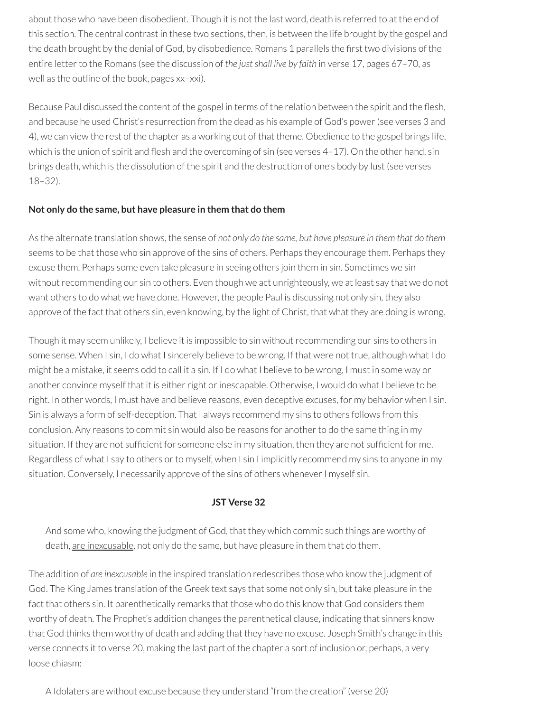about those who have been disobedient. Though it is not the last word, death is referred to at the end of this section. The central contrast in these two sections, then, is between the life brought by the gospel and the death brought by the denial of God, by disobedience. Romans 1 parallels the first two divisions of the entire letter to the Romans (see the discussion of *the just shall live by faith* in verse 17, pages 67-70, as well as the outline of the book, pages xx–xxi).

Because Paul discussed the content of the gospel in terms of the relation between the spirit and the flesh, and because he used Christ's resurrection from the dead as his example of God's power(see verses 3 and 4), we can view the rest of the chapter as a working out of that theme. Obedience to the gospel brings life, which is the union of spirit and flesh and the overcoming of sin (see verses  $4-17$ ). On the other hand, sin brings death, which is the dissolution of the spirit and the destruction of one's body by lust (see verses 18–32).

#### **Not only do the same, but have pleasure in them that do them**

As the alternate translation shows, the sense of *not only do the same, but have pleasure in them that do them* seems to be that those who sin approve of the sins of others. Perhaps they encourage them. Perhaps they excuse them. Perhaps some even take pleasure in seeing others join them in sin. Sometimes we sin without recommending our sin to others. Even though we act unrighteously, we at least say that we do not want others to do what we have done. However, the people Paul is discussing not only sin, they also approve of the fact that others sin, even knowing, by the light of Christ, that what they are doing is wrong.

Though it may seem unlikely, I believe it is impossible to sin withoutrecommending our sins to others in some sense. When I sin, I do what I sincerely believe to be wrong. If that were not true, although what I do might be a mistake, it seems odd to call it a sin. If I do what I believe to be wrong, I must in some way or another convince myself that it is either right or inescapable. Otherwise, I would do what I believe to be right. In other words, I must have and believe reasons, even deceptive excuses, for my behavior when I sin. Sin is always a form of self-deception. That I always recommend my sins to others follows from this conclusion. Any reasons to commit sin would also be reasons for another to do the same thing in my situation. If they are not sufficient for someone else in my situation, then they are not sufficient for me. Regardless of what I say to others or to myself, when I sin I implicitly recommend my sins to anyone in my situation. Conversely, I necessarily approve of the sins of others whenever I myself sin.

### **JST Verse 32**

And some who, knowing the judgment of God, that they which commit such things are worthy of death, are inexcusable, not only do the same, but have pleasure in them that do them.

The addition of *are inexcusable* in the inspired translation redescribes those who know the judgment of God. The King James translation of the Greek text says that some not only sin, but take pleasure in the fact that others sin. It parenthetically remarks that those who do this know that God considers them worthy of death. The Prophet's addition changes the parenthetical clause, indicating that sinners know that God thinks them worthy of death and adding that they have no excuse. Joseph Smith's change in this verse connects it to verse 20, making the last part of the chapter a sort of inclusion or, perhaps, a very loose chiasm:

A Idolaters are without excuse because they understand "from the creation" (verse 20)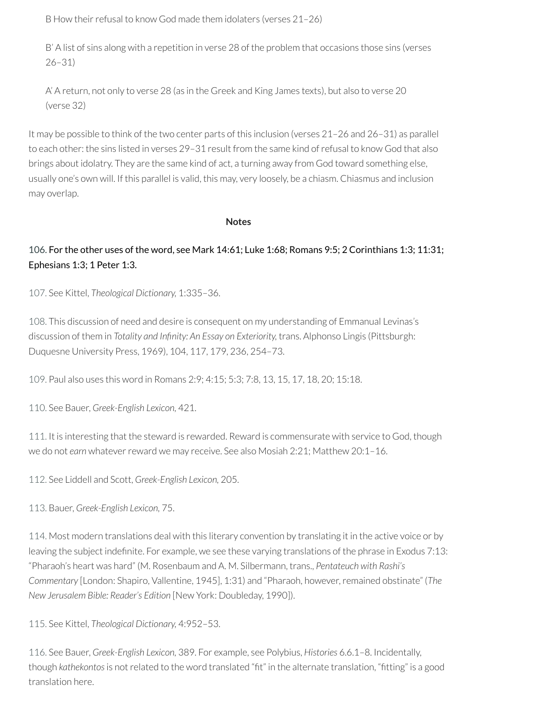B How their refusal to know God made them idolaters (verses 21–26)

B' A list of sins along with a repetition in verse 28 of the problem that occasions those sins (verses 26–31)

A' A return, not only to verse 28 (as in the Greek and King James texts), but also to verse 20 (verse 32)

It may be possible to think of the two center parts of this inclusion (verses 21–26 and 26–31) as parallel to each other: the sins listed in verses 29-31 result from the same kind of refusal to know God that also brings about idolatry. They are the same kind of act, a turning away from God toward something else, usually one's own will. If this parallel is valid, this may, very loosely, be a chiasm. Chiasmus and inclusion may overlap.

#### **Notes**

# <span id="page-106-0"></span>[106.](#page-97-0) For the other uses of the word, see Mark 14:61; Luke 1:68; Romans 9:5; 2 Corinthians 1:3; 11:31; Ephesians 1:3; 1 Peter 1:3.

<span id="page-106-1"></span>[107.](#page-97-1) See Kittel, *Theological Dictionary,* 1:335–36.

<span id="page-106-2"></span>[108.](#page-97-2) This discussion of need and desire is consequent on my understanding of Emmanual Levinas's discussion of them in *Totality and Innity: An Essay on Exteriority,* trans. Alphonso Lingis (Pittsburgh: Duquesne University Press, 1969), 104, 117, 179, 236, 254–73.

<span id="page-106-3"></span>[109.](#page-98-0) Paul also uses this word in Romans 2:9; 4:15; 5:3; 7:8, 13, 15, 17, 18, 20; 15:18.

<span id="page-106-4"></span>[110.](#page-98-1) See Bauer, *Greek-English Lexicon,* 421.

<span id="page-106-5"></span>[111.](#page-98-2) It is interesting that the steward is rewarded. Reward is commensurate with service to God, though we do not earn whatever reward we may receive. See also Mosiah 2:21; Matthew 20:1-16.

<span id="page-106-6"></span>[112.](#page-98-3) See Liddell and Scott, *Greek-English Lexicon,* 205.

<span id="page-106-7"></span>[113.](#page-99-0) Bauer, *Greek-English Lexicon,* 75.

<span id="page-106-8"></span>[114.](#page-100-0) Most modern translations deal with this literary convention by translating it in the active voice or by leaving the subject indefinite. For example, we see these varying translations of the phrase in Exodus 7:13: "Pharaoh's heart was hard" (M. Rosenbaum and A. M. Silbermann, trans., *Pentateuch with Rashi's Commentary* [London: Shapiro, Vallentine, 1945], 1:31) and "Pharaoh, however,remained obstinate" (*The New Jerusalem Bible: Reader's Edition* [New York: Doubleday, 1990]).

<span id="page-106-9"></span>[115.](#page-100-1) See Kittel, *Theological Dictionary,* 4:952–53.

<span id="page-106-10"></span>[116.](#page-101-0) See Bauer, *Greek-English Lexicon,* 389. For example, see Polybius, *Histories* 6.6.1–8. Incidentally, though kathekontos is not related to the word translated "fit" in the alternate translation, "fitting" is a good translation here.